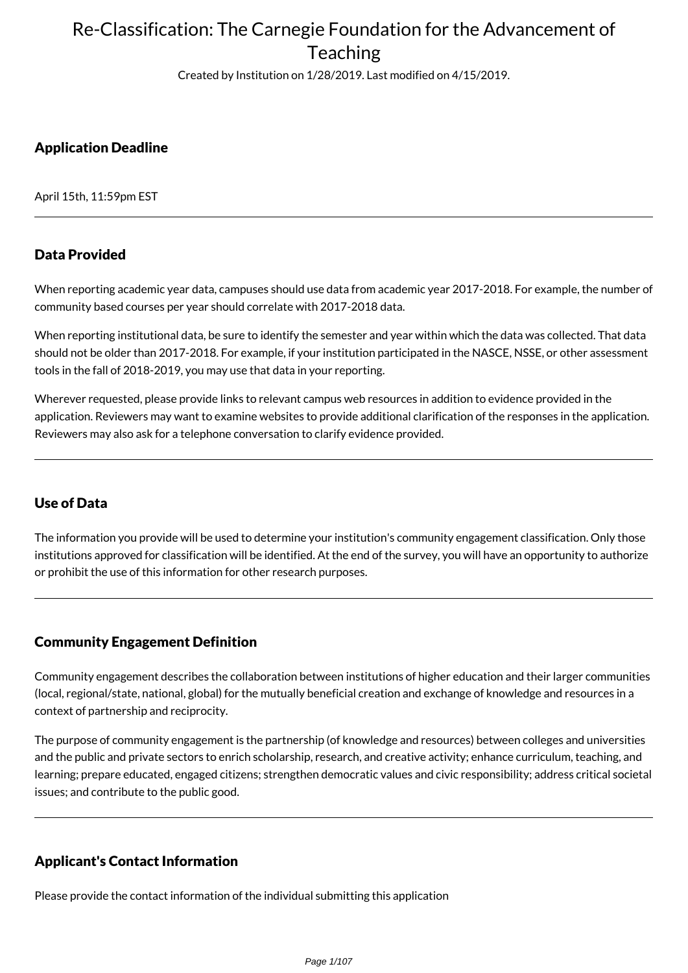Created by Institution on 1/28/2019. Last modified on 4/15/2019.

## Application Deadline

April 15th, 11:59pm EST

### Data Provided

When reporting academic year data, campuses should use data from academic year 2017-2018. For example, the number of community based courses per year should correlate with 2017-2018 data.

When reporting institutional data, be sure to identify the semester and year within which the data was collected. That data should not be older than 2017-2018. For example, if your institution participated in the NASCE, NSSE, or other assessment tools in the fall of 2018-2019, you may use that data in your reporting.

Wherever requested, please provide links to relevant campus web resources in addition to evidence provided in the application. Reviewers may want to examine websites to provide additional clarification of the responses in the application. Reviewers may also ask for a telephone conversation to clarify evidence provided.

## Use of Data

The information you provide will be used to determine your institution's community engagement classification. Only those institutions approved for classification will be identified. At the end of the survey, you will have an opportunity to authorize or prohibit the use of this information for other research purposes.

### Community Engagement Definition

Community engagement describes the collaboration between institutions of higher education and their larger communities (local, regional/state, national, global) for the mutually beneficial creation and exchange of knowledge and resources in a context of partnership and reciprocity.

The purpose of community engagement is the partnership (of knowledge and resources) between colleges and universities and the public and private sectors to enrich scholarship, research, and creative activity; enhance curriculum, teaching, and learning; prepare educated, engaged citizens; strengthen democratic values and civic responsibility; address critical societal issues; and contribute to the public good.

## Applicant's Contact Information

Please provide the contact information of the individual submitting this application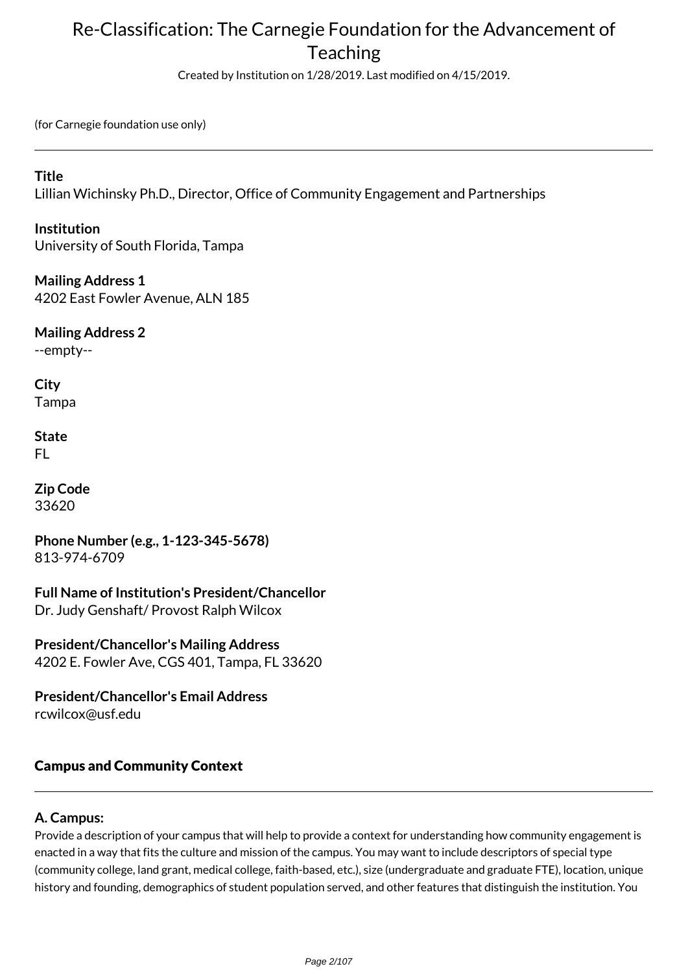Created by Institution on 1/28/2019. Last modified on 4/15/2019.

(for Carnegie foundation use only)

### **Title**

Lillian Wichinsky Ph.D., Director, Office of Community Engagement and Partnerships

### **Institution**

University of South Florida, Tampa

**Mailing Address 1** 4202 East Fowler Avenue, ALN 185

**Mailing Address 2** --empty--

**City** Tampa

**State** FL

**Zip Code** 33620

**Phone Number (e.g., 1-123-345-5678)** 813-974-6709

**Full Name of Institution's President/Chancellor** Dr. Judy Genshaft/ Provost Ralph Wilcox

**President/Chancellor's Mailing Address** 4202 E. Fowler Ave, CGS 401, Tampa, FL 33620

**President/Chancellor's Email Address** rcwilcox@usf.edu

## Campus and Community Context

## **A. Campus:**

Provide a description of your campus that will help to provide a context for understanding how community engagement is enacted in a way that fits the culture and mission of the campus. You may want to include descriptors of special type (community college, land grant, medical college, faith-based, etc.), size (undergraduate and graduate FTE), location, unique history and founding, demographics of student population served, and other features that distinguish the institution. You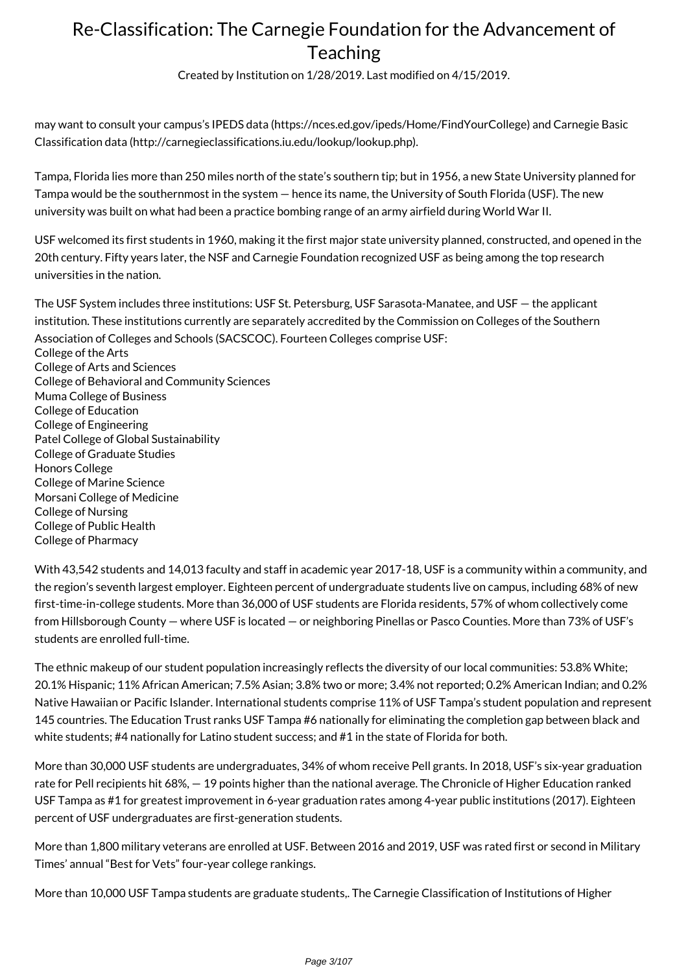Created by Institution on 1/28/2019. Last modified on 4/15/2019.

may want to consult your campus's IPEDS data (https://nces.ed.gov/ipeds/Home/FindYourCollege) and Carnegie Basic Classification data (http://carnegieclassifications.iu.edu/lookup/lookup.php).

Tampa, Florida lies more than 250 miles north of the state's southern tip; but in 1956, a new State University planned for Tampa would be the southernmost in the system — hence its name, the University of South Florida (USF). The new university was built on what had been a practice bombing range of an army airfield during World War II.

USF welcomed its first students in 1960, making it the first major state university planned, constructed, and opened in the 20th century. Fifty years later, the NSF and Carnegie Foundation recognized USF as being among the top research universities in the nation.

The USF System includes three institutions: USF St. Petersburg, USF Sarasota-Manatee, and USF — the applicant institution. These institutions currently are separately accredited by the Commission on Colleges of the Southern Association of Colleges and Schools (SACSCOC). Fourteen Colleges comprise USF:

College of the Arts College of Arts and Sciences College of Behavioral and Community Sciences Muma College of Business College of Education College of Engineering Patel College of Global Sustainability College of Graduate Studies Honors College College of Marine Science Morsani College of Medicine College of Nursing College of Public Health College of Pharmacy

With 43,542 students and 14,013 faculty and staff in academic year 2017-18, USF is a community within a community, and the region's seventh largest employer. Eighteen percent of undergraduate students live on campus, including 68% of new first-time-in-college students. More than 36,000 of USF students are Florida residents, 57% of whom collectively come from Hillsborough County — where USF is located — or neighboring Pinellas or Pasco Counties. More than 73% of USF's students are enrolled full-time.

The ethnic makeup of our student population increasingly reflects the diversity of our local communities: 53.8% White; 20.1% Hispanic; 11% African American; 7.5% Asian; 3.8% two or more; 3.4% not reported; 0.2% American Indian; and 0.2% Native Hawaiian or Pacific Islander. International students comprise 11% of USF Tampa's student population and represent 145 countries. The Education Trust ranks USF Tampa #6 nationally for eliminating the completion gap between black and white students; #4 nationally for Latino student success; and #1 in the state of Florida for both.

More than 30,000 USF students are undergraduates, 34% of whom receive Pell grants. In 2018, USF's six-year graduation rate for Pell recipients hit 68%, — 19 points higher than the national average. The Chronicle of Higher Education ranked USF Tampa as #1 for greatest improvement in 6-year graduation rates among 4-year public institutions (2017). Eighteen percent of USF undergraduates are first-generation students.

More than 1,800 military veterans are enrolled at USF. Between 2016 and 2019, USF was rated first or second in Military Times' annual "Best for Vets" four-year college rankings.

More than 10,000 USF Tampa students are graduate students,. The Carnegie Classification of Institutions of Higher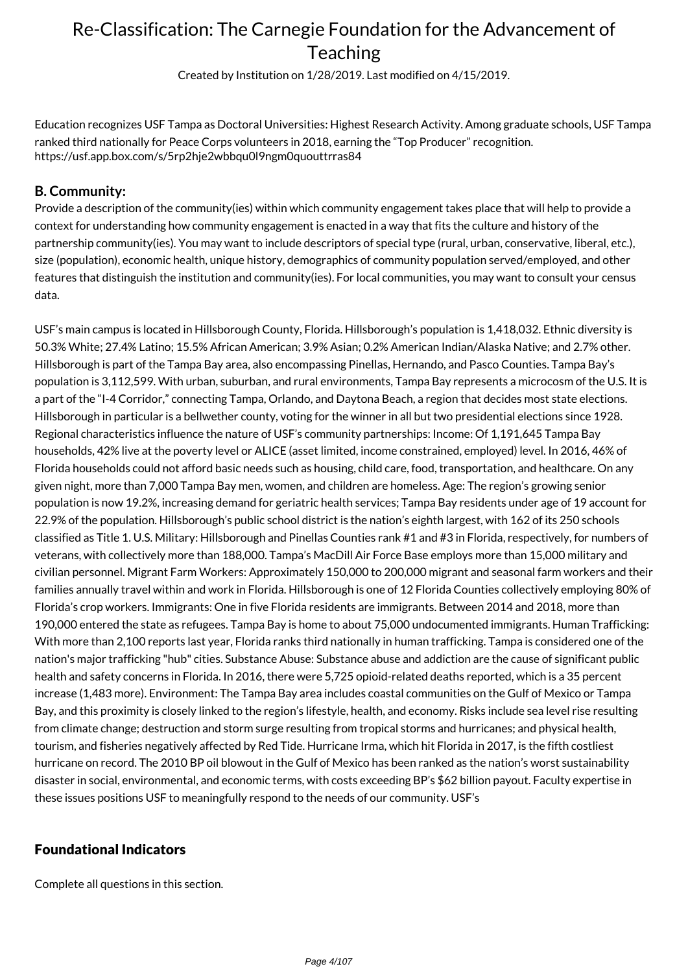Created by Institution on 1/28/2019. Last modified on 4/15/2019.

Education recognizes USF Tampa as Doctoral Universities: Highest Research Activity. Among graduate schools, USF Tampa ranked third nationally for Peace Corps volunteers in 2018, earning the "Top Producer" recognition. https://usf.app.box.com/s/5rp2hje2wbbqu0l9ngm0quouttrras84

### **B. Community:**

Provide a description of the community(ies) within which community engagement takes place that will help to provide a context for understanding how community engagement is enacted in a way that fits the culture and history of the partnership community(ies). You may want to include descriptors of special type (rural, urban, conservative, liberal, etc.), size (population), economic health, unique history, demographics of community population served/employed, and other features that distinguish the institution and community(ies). For local communities, you may want to consult your census data.

USF's main campus is located in Hillsborough County, Florida. Hillsborough's population is 1,418,032. Ethnic diversity is 50.3% White; 27.4% Latino; 15.5% African American; 3.9% Asian; 0.2% American Indian/Alaska Native; and 2.7% other. Hillsborough is part of the Tampa Bay area, also encompassing Pinellas, Hernando, and Pasco Counties. Tampa Bay's population is 3,112,599. With urban, suburban, and rural environments, Tampa Bay represents a microcosm of the U.S. It is a part of the "I-4 Corridor," connecting Tampa, Orlando, and Daytona Beach, a region that decides most state elections. Hillsborough in particular is a bellwether county, voting for the winner in all but two presidential elections since 1928. Regional characteristics influence the nature of USF's community partnerships: Income: Of 1,191,645 Tampa Bay households, 42% live at the poverty level or ALICE (asset limited, income constrained, employed) level. In 2016, 46% of Florida households could not afford basic needs such as housing, child care, food, transportation, and healthcare. On any given night, more than 7,000 Tampa Bay men, women, and children are homeless. Age: The region's growing senior population is now 19.2%, increasing demand for geriatric health services; Tampa Bay residents under age of 19 account for 22.9% of the population. Hillsborough's public school district is the nation's eighth largest, with 162 of its 250 schools classified as Title 1. U.S. Military: Hillsborough and Pinellas Counties rank #1 and #3 in Florida, respectively, for numbers of veterans, with collectively more than 188,000. Tampa's MacDill Air Force Base employs more than 15,000 military and civilian personnel. Migrant Farm Workers: Approximately 150,000 to 200,000 migrant and seasonal farm workers and their families annually travel within and work in Florida. Hillsborough is one of 12 Florida Counties collectively employing 80% of Florida's crop workers. Immigrants: One in five Florida residents are immigrants. Between 2014 and 2018, more than 190,000 entered the state as refugees. Tampa Bay is home to about 75,000 undocumented immigrants. Human Trafficking: With more than 2,100 reports last year, Florida ranks third nationally in human trafficking. Tampa is considered one of the nation's major trafficking "hub" cities. Substance Abuse: Substance abuse and addiction are the cause of significant public health and safety concerns in Florida. In 2016, there were 5,725 opioid-related deaths reported, which is a 35 percent increase (1,483 more). Environment: The Tampa Bay area includes coastal communities on the Gulf of Mexico or Tampa Bay, and this proximity is closely linked to the region's lifestyle, health, and economy. Risks include sea level rise resulting from climate change; destruction and storm surge resulting from tropical storms and hurricanes; and physical health, tourism, and fisheries negatively affected by Red Tide. Hurricane Irma, which hit Florida in 2017, is the fifth costliest hurricane on record. The 2010 BP oil blowout in the Gulf of Mexico has been ranked as the nation's worst sustainability disaster in social, environmental, and economic terms, with costs exceeding BP's \$62 billion payout. Faculty expertise in these issues positions USF to meaningfully respond to the needs of our community. USF's

### Foundational Indicators

Complete all questions in this section.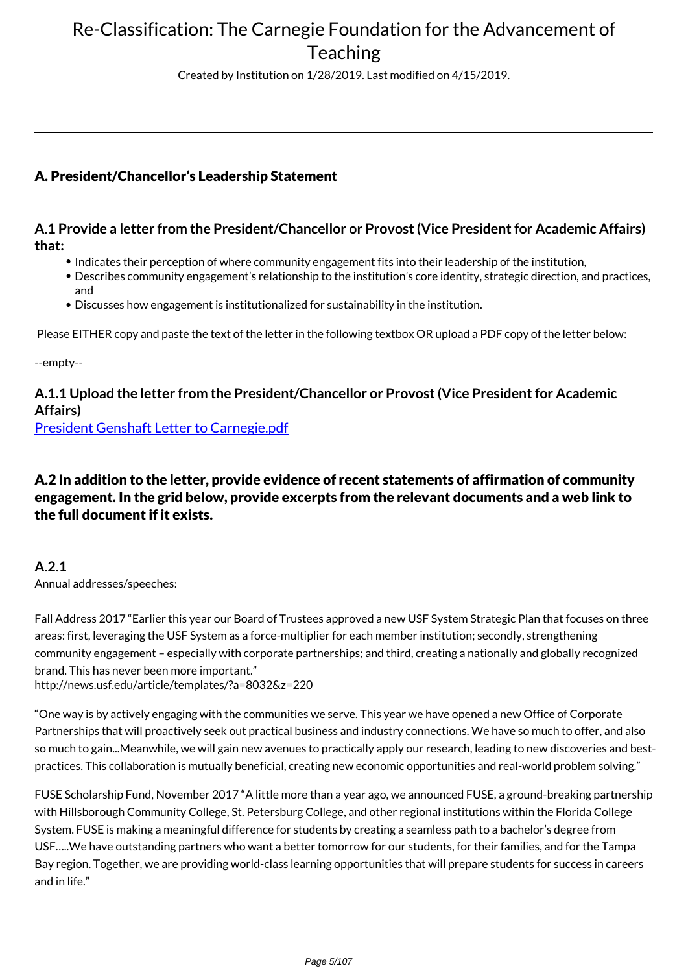Created by Institution on 1/28/2019. Last modified on 4/15/2019.

## A. President/Chancellor's Leadership Statement

### **A.1 Provide a letter from the President/Chancellor or Provost (Vice President for Academic Affairs) that:**

- Indicates their perception of where community engagement fits into their leadership of the institution,
- Describes community engagement's relationship to the institution's core identity, strategic direction, and practices, and
- Discusses how engagement is institutionalized for sustainability in the institution.

Please EITHER copy and paste the text of the letter in the following textbox OR upload a PDF copy of the letter below:

--empty--

## **A.1.1 Upload the letter from the President/Chancellor or Provost (Vice President for Academic Affairs)**

[President Genshaft Letter to Carnegie.pdf](https://www.givepulse.com/document/download?key=3fb7111b321b137dbc8f47c02f862b35)

## A.2 In addition to the letter, provide evidence of recent statements of affirmation of community engagement. In the grid below, provide excerpts from the relevant documents and a web link to the full document if it exists.

### **A.2.1**

Annual addresses/speeches:

Fall Address 2017 "Earlier this year our Board of Trustees approved a new USF System Strategic Plan that focuses on three areas: first, leveraging the USF System as a force-multiplier for each member institution; secondly, strengthening community engagement – especially with corporate partnerships; and third, creating a nationally and globally recognized brand. This has never been more important."

http://news.usf.edu/article/templates/?a=8032&z=220

"One way is by actively engaging with the communities we serve. This year we have opened a new Office of Corporate Partnerships that will proactively seek out practical business and industry connections. We have so much to offer, and also so much to gain...Meanwhile, we will gain new avenues to practically apply our research, leading to new discoveries and bestpractices. This collaboration is mutually beneficial, creating new economic opportunities and real-world problem solving."

FUSE Scholarship Fund, November 2017 "A little more than a year ago, we announced FUSE, a ground-breaking partnership with Hillsborough Community College, St. Petersburg College, and other regional institutions within the Florida College System. FUSE is making a meaningful difference for students by creating a seamless path to a bachelor's degree from USF…..We have outstanding partners who want a better tomorrow for our students, for their families, and for the Tampa Bay region. Together, we are providing world-class learning opportunities that will prepare students for success in careers and in life."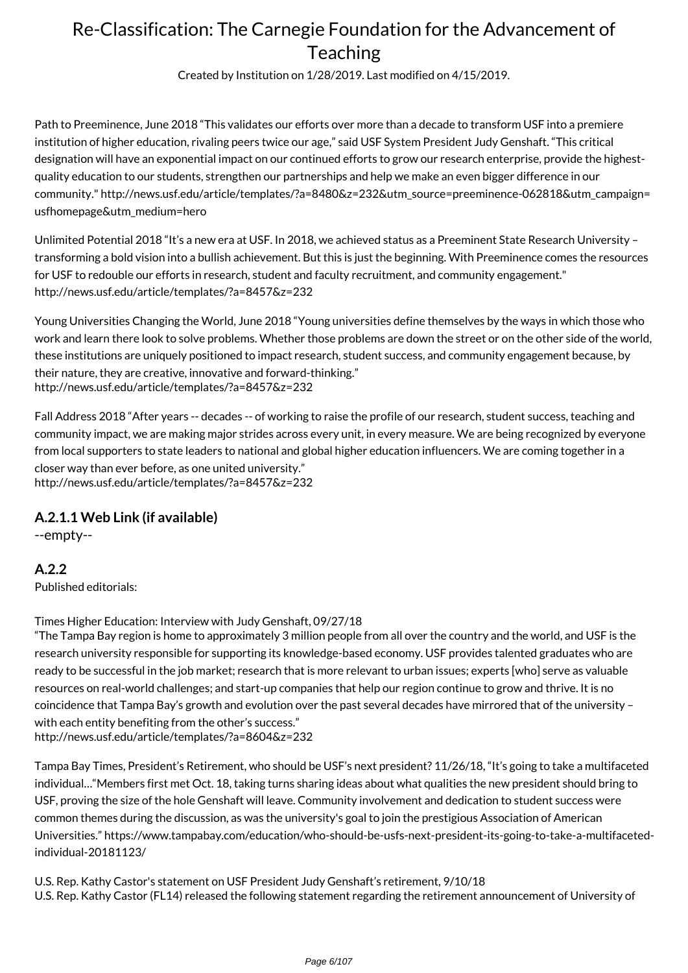Created by Institution on 1/28/2019. Last modified on 4/15/2019.

Path to Preeminence, June 2018 "This validates our efforts over more than a decade to transform USF into a premiere institution of higher education, rivaling peers twice our age," said USF System President Judy Genshaft. "This critical designation will have an exponential impact on our continued efforts to grow our research enterprise, provide the highestquality education to our students, strengthen our partnerships and help we make an even bigger difference in our community." http://news.usf.edu/article/templates/?a=8480&z=232&utm\_source=preeminence-062818&utm\_campaign= usfhomepage&utm\_medium=hero

Unlimited Potential 2018 "It's a new era at USF. In 2018, we achieved status as a Preeminent State Research University – transforming a bold vision into a bullish achievement. But this is just the beginning. With Preeminence comes the resources for USF to redouble our efforts in research, student and faculty recruitment, and community engagement." http://news.usf.edu/article/templates/?a=8457&z=232

Young Universities Changing the World, June 2018 "Young universities define themselves by the ways in which those who work and learn there look to solve problems. Whether those problems are down the street or on the other side of the world, these institutions are uniquely positioned to impact research, student success, and community engagement because, by their nature, they are creative, innovative and forward-thinking." http://news.usf.edu/article/templates/?a=8457&z=232

Fall Address 2018 "After years -- decades -- of working to raise the profile of our research, student success, teaching and community impact, we are making major strides across every unit, in every measure. We are being recognized by everyone from local supporters to state leaders to national and global higher education influencers. We are coming together in a closer way than ever before, as one united university." http://news.usf.edu/article/templates/?a=8457&z=232

## **A.2.1.1 Web Link (if available)**

--empty--

**A.2.2**

Published editorials:

Times Higher Education: Interview with Judy Genshaft, 09/27/18

"The Tampa Bay region is home to approximately 3 million people from all over the country and the world, and USF is the research university responsible for supporting its knowledge-based economy. USF provides talented graduates who are ready to be successful in the job market; research that is more relevant to urban issues; experts [who] serve as valuable resources on real-world challenges; and start-up companies that help our region continue to grow and thrive. It is no coincidence that Tampa Bay's growth and evolution over the past several decades have mirrored that of the university – with each entity benefiting from the other's success." http://news.usf.edu/article/templates/?a=8604&z=232

Tampa Bay Times, President's Retirement, who should be USF's next president? 11/26/18, "It's going to take a multifaceted individual…"Members first met Oct. 18, taking turns sharing ideas about what qualities the new president should bring to USF, proving the size of the hole Genshaft will leave. Community involvement and dedication to student success were common themes during the discussion, as was the university's goal to join the prestigious Association of American Universities." https://www.tampabay.com/education/who-should-be-usfs-next-president-its-going-to-take-a-multifacetedindividual-20181123/

U.S. Rep. Kathy Castor's statement on USF President Judy Genshaft's retirement, 9/10/18 U.S. Rep. Kathy Castor (FL14) released the following statement regarding the retirement announcement of University of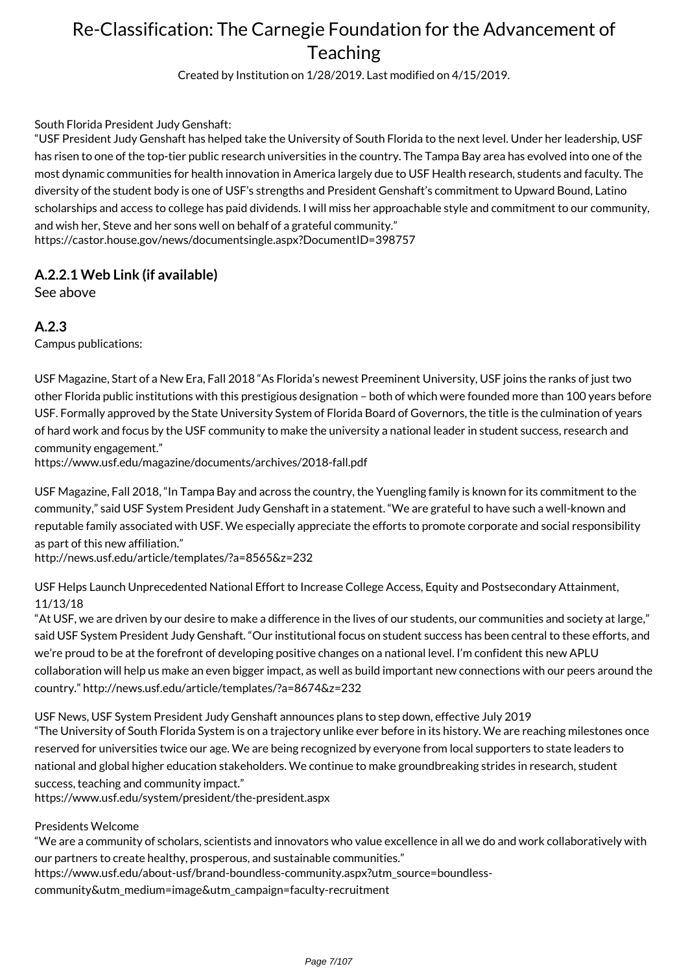Created by Institution on 1/28/2019. Last modified on 4/15/2019.

South Florida President Judy Genshaft:

"USF President Judy Genshaft has helped take the University of South Florida to the next level. Under her leadership, USF has risen to one of the top-tier public research universities in the country. The Tampa Bay area has evolved into one of the most dynamic communities for health innovation in America largely due to USF Health research, students and faculty. The diversity of the student body is one of USF's strengths and President Genshaft's commitment to Upward Bound, Latino scholarships and access to college has paid dividends. I will miss her approachable style and commitment to our community, and wish her, Steve and her sons well on behalf of a grateful community." https://castor.house.gov/news/documentsingle.aspx?DocumentID=398757

## **A.2.2.1 Web Link (if available)**

See above

**A.2.3**

Campus publications:

USF Magazine, Start of a New Era, Fall 2018 "As Florida's newest Preeminent University, USF joins the ranks of just two other Florida public institutions with this prestigious designation – both of which were founded more than 100 years before USF. Formally approved by the State University System of Florida Board of Governors, the title is the culmination of years of hard work and focus by the USF community to make the university a national leader in student success, research and community engagement."

https://www.usf.edu/magazine/documents/archives/2018-fall.pdf

USF Magazine, Fall 2018, "In Tampa Bay and across the country, the Yuengling family is known for its commitment to the community," said USF System President Judy Genshaft in a statement. "We are grateful to have such a well-known and reputable family associated with USF. We especially appreciate the efforts to promote corporate and social responsibility as part of this new affiliation."

http://news.usf.edu/article/templates/?a=8565&z=232

USF Helps Launch Unprecedented National Effort to Increase College Access, Equity and Postsecondary Attainment, 11/13/18

"At USF, we are driven by our desire to make a difference in the lives of our students, our communities and society at large," said USF System President Judy Genshaft. "Our institutional focus on student success has been central to these efforts, and we're proud to be at the forefront of developing positive changes on a national level. I'm confident this new APLU collaboration will help us make an even bigger impact, as well as build important new connections with our peers around the country." http://news.usf.edu/article/templates/?a=8674&z=232

USF News, USF System President Judy Genshaft announces plans to step down, effective July 2019 "The University of South Florida System is on a trajectory unlike ever before in its history. We are reaching milestones once reserved for universities twice our age. We are being recognized by everyone from local supporters to state leaders to national and global higher education stakeholders. We continue to make groundbreaking strides in research, student success, teaching and community impact."

https://www.usf.edu/system/president/the-president.aspx

#### Presidents Welcome

"We are a community of scholars, scientists and innovators who value excellence in all we do and work collaboratively with our partners to create healthy, prosperous, and sustainable communities."

https://www.usf.edu/about-usf/brand-boundless-community.aspx?utm\_source=boundless-

community&utm\_medium=image&utm\_campaign=faculty-recruitment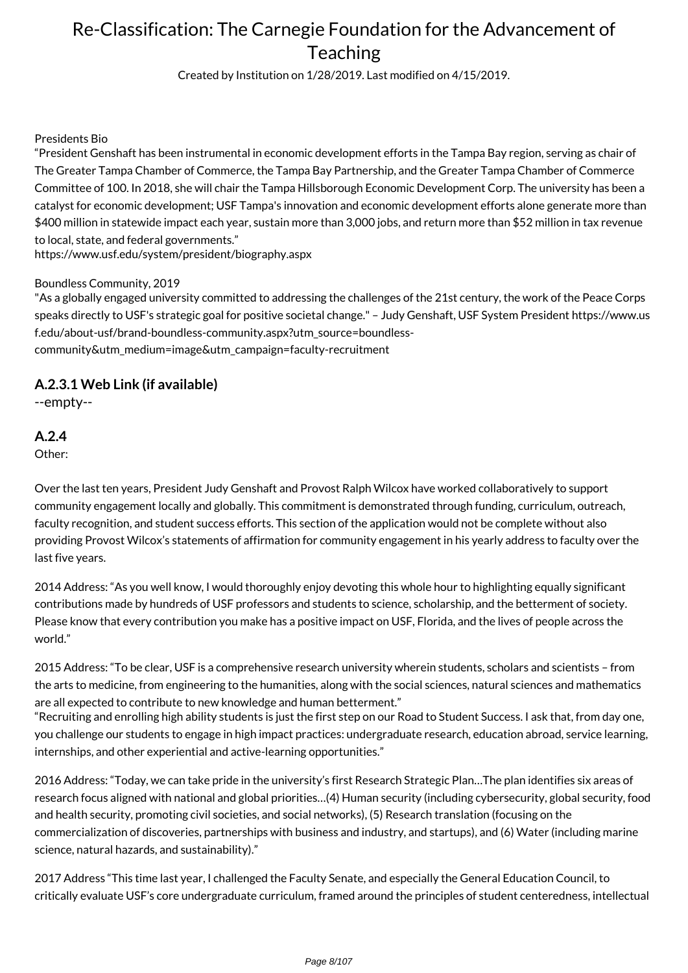Created by Institution on 1/28/2019. Last modified on 4/15/2019.

#### Presidents Bio

"President Genshaft has been instrumental in economic development efforts in the Tampa Bay region, serving as chair of The Greater Tampa Chamber of Commerce, the Tampa Bay Partnership, and the Greater Tampa Chamber of Commerce Committee of 100. In 2018, she will chair the Tampa Hillsborough Economic Development Corp. The university has been a catalyst for economic development; USF Tampa's innovation and economic development efforts alone generate more than \$400 million in statewide impact each year, sustain more than 3,000 jobs, and return more than \$52 million in tax revenue to local, state, and federal governments."

https://www.usf.edu/system/president/biography.aspx

#### Boundless Community, 2019

"As a globally engaged university committed to addressing the challenges of the 21st century, the work of the Peace Corps speaks directly to USF's strategic goal for positive societal change." – Judy Genshaft, USF System President https://www.us f.edu/about-usf/brand-boundless-community.aspx?utm\_source=boundlesscommunity&utm\_medium=image&utm\_campaign=faculty-recruitment

### **A.2.3.1 Web Link (if available)**

--empty--

## **A.2.4**

Other:

Over the last ten years, President Judy Genshaft and Provost Ralph Wilcox have worked collaboratively to support community engagement locally and globally. This commitment is demonstrated through funding, curriculum, outreach, faculty recognition, and student success efforts. This section of the application would not be complete without also providing Provost Wilcox's statements of affirmation for community engagement in his yearly address to faculty over the last five years.

2014 Address: "As you well know, I would thoroughly enjoy devoting this whole hour to highlighting equally significant contributions made by hundreds of USF professors and students to science, scholarship, and the betterment of society. Please know that every contribution you make has a positive impact on USF, Florida, and the lives of people across the world."

2015 Address: "To be clear, USF is a comprehensive research university wherein students, scholars and scientists – from the arts to medicine, from engineering to the humanities, along with the social sciences, natural sciences and mathematics are all expected to contribute to new knowledge and human betterment."

"Recruiting and enrolling high ability students is just the first step on our Road to Student Success. I ask that, from day one, you challenge our students to engage in high impact practices: undergraduate research, education abroad, service learning, internships, and other experiential and active-learning opportunities."

2016 Address: "Today, we can take pride in the university's first Research Strategic Plan…The plan identifies six areas of research focus aligned with national and global priorities…(4) Human security (including cybersecurity, global security, food and health security, promoting civil societies, and social networks), (5) Research translation (focusing on the commercialization of discoveries, partnerships with business and industry, and startups), and (6) Water (including marine science, natural hazards, and sustainability)."

2017 Address "This time last year, I challenged the Faculty Senate, and especially the General Education Council, to critically evaluate USF's core undergraduate curriculum, framed around the principles of student centeredness, intellectual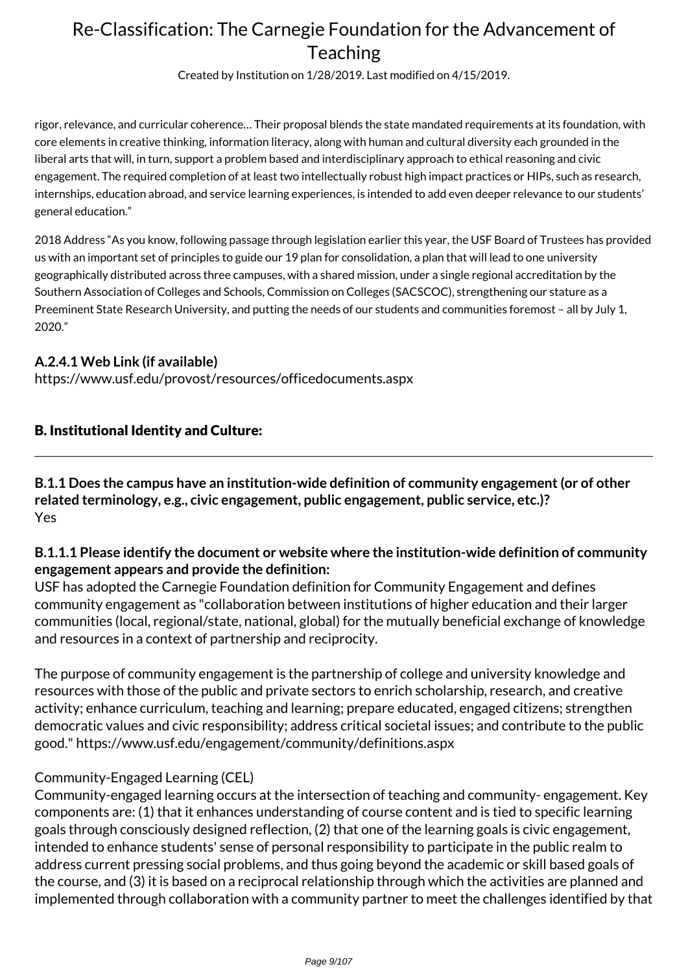Created by Institution on 1/28/2019. Last modified on 4/15/2019.

rigor, relevance, and curricular coherence… Their proposal blends the state mandated requirements at its foundation, with core elements in creative thinking, information literacy, along with human and cultural diversity each grounded in the liberal arts that will, in turn, support a problem based and interdisciplinary approach to ethical reasoning and civic engagement. The required completion of at least two intellectually robust high impact practices or HIPs, such as research, internships, education abroad, and service learning experiences, is intended to add even deeper relevance to our students' general education."

2018 Address "As you know, following passage through legislation earlier this year, the USF Board of Trustees has provided us with an important set of principles to guide our 19 plan for consolidation, a plan that will lead to one university geographically distributed across three campuses, with a shared mission, under a single regional accreditation by the Southern Association of Colleges and Schools, Commission on Colleges (SACSCOC), strengthening our stature as a Preeminent State Research University, and putting the needs of our students and communities foremost – all by July 1, 2020."

## **A.2.4.1 Web Link (if available)**

https://www.usf.edu/provost/resources/officedocuments.aspx

## B. Institutional Identity and Culture:

**B.1.1 Does the campus have an institution-wide definition of community engagement (or of other related terminology, e.g., civic engagement, public engagement, public service, etc.)?** Yes

## **B.1.1.1 Please identify the document or website where the institution-wide definition of community engagement appears and provide the definition:**

USF has adopted the Carnegie Foundation definition for Community Engagement and defines community engagement as "collaboration between institutions of higher education and their larger communities (local, regional/state, national, global) for the mutually beneficial exchange of knowledge and resources in a context of partnership and reciprocity.

The purpose of community engagement is the partnership of college and university knowledge and resources with those of the public and private sectors to enrich scholarship, research, and creative activity; enhance curriculum, teaching and learning; prepare educated, engaged citizens; strengthen democratic values and civic responsibility; address critical societal issues; and contribute to the public good." https://www.usf.edu/engagement/community/definitions.aspx

## Community-Engaged Learning (CEL)

Community-engaged learning occurs at the intersection of teaching and community- engagement. Key components are: (1) that it enhances understanding of course content and is tied to specific learning goals through consciously designed reflection, (2) that one of the learning goals is civic engagement, intended to enhance students' sense of personal responsibility to participate in the public realm to address current pressing social problems, and thus going beyond the academic or skill based goals of the course, and (3) it is based on a reciprocal relationship through which the activities are planned and implemented through collaboration with a community partner to meet the challenges identified by that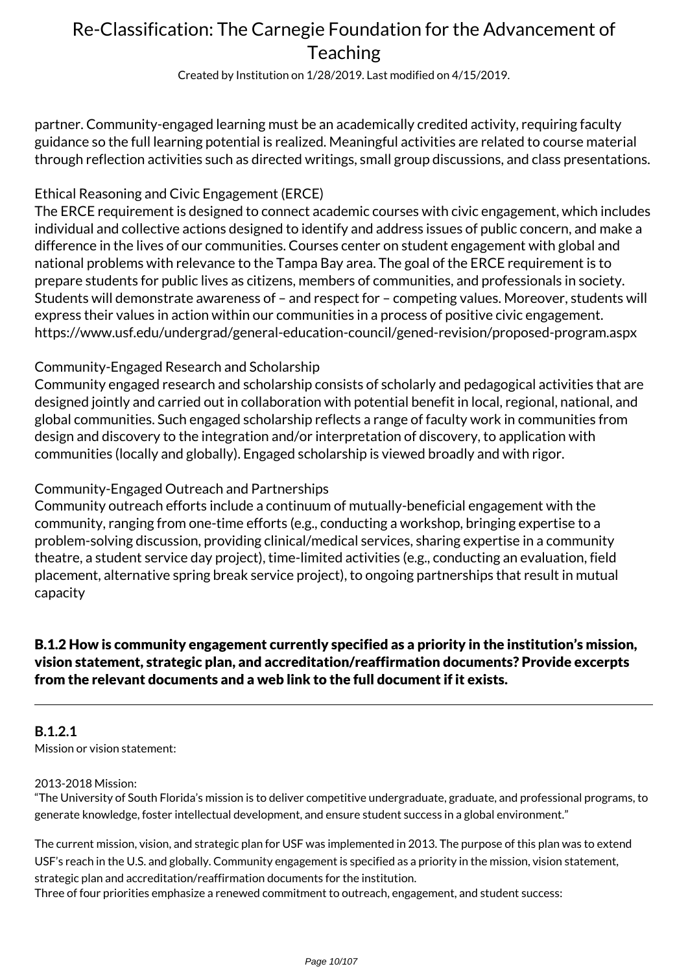Created by Institution on 1/28/2019. Last modified on 4/15/2019.

partner. Community-engaged learning must be an academically credited activity, requiring faculty guidance so the full learning potential is realized. Meaningful activities are related to course material through reflection activities such as directed writings, small group discussions, and class presentations.

## Ethical Reasoning and Civic Engagement (ERCE)

The ERCE requirement is designed to connect academic courses with civic engagement, which includes individual and collective actions designed to identify and address issues of public concern, and make a difference in the lives of our communities. Courses center on student engagement with global and national problems with relevance to the Tampa Bay area. The goal of the ERCE requirement is to prepare students for public lives as citizens, members of communities, and professionals in society. Students will demonstrate awareness of – and respect for – competing values. Moreover, students will express their values in action within our communities in a process of positive civic engagement. https://www.usf.edu/undergrad/general-education-council/gened-revision/proposed-program.aspx

## Community-Engaged Research and Scholarship

Community engaged research and scholarship consists of scholarly and pedagogical activities that are designed jointly and carried out in collaboration with potential benefit in local, regional, national, and global communities. Such engaged scholarship reflects a range of faculty work in communities from design and discovery to the integration and/or interpretation of discovery, to application with communities (locally and globally). Engaged scholarship is viewed broadly and with rigor.

## Community-Engaged Outreach and Partnerships

Community outreach efforts include a continuum of mutually-beneficial engagement with the community, ranging from one-time efforts (e.g., conducting a workshop, bringing expertise to a problem-solving discussion, providing clinical/medical services, sharing expertise in a community theatre, a student service day project), time-limited activities (e.g., conducting an evaluation, field placement, alternative spring break service project), to ongoing partnerships that result in mutual capacity

## B.1.2 How is community engagement currently specified as a priority in the institution's mission, vision statement, strategic plan, and accreditation/reaffirmation documents? Provide excerpts from the relevant documents and a web link to the full document if it exists.

#### **B.1.2.1** Mission or vision statement:

#### 2013-2018 Mission:

"The University of South Florida's mission is to deliver competitive undergraduate, graduate, and professional programs, to generate knowledge, foster intellectual development, and ensure student success in a global environment."

The current mission, vision, and strategic plan for USF was implemented in 2013. The purpose of this plan was to extend USF's reach in the U.S. and globally. Community engagement is specified as a priority in the mission, vision statement, strategic plan and accreditation/reaffirmation documents for the institution.

Three of four priorities emphasize a renewed commitment to outreach, engagement, and student success: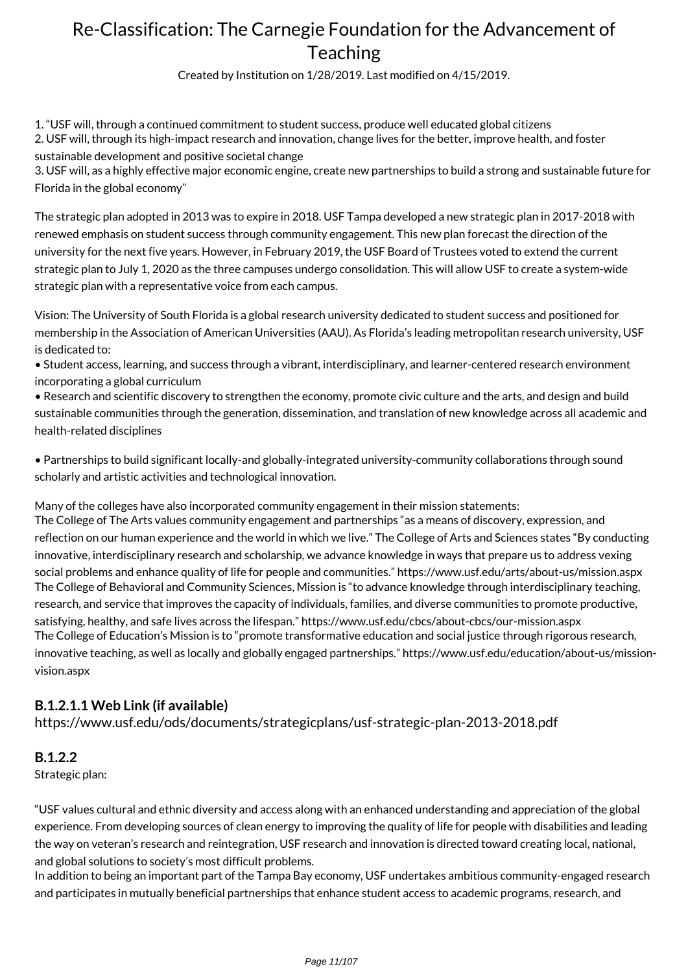Created by Institution on 1/28/2019. Last modified on 4/15/2019.

1. "USF will, through a continued commitment to student success, produce well educated global citizens 2. USF will, through its high-impact research and innovation, change lives for the better, improve health, and foster sustainable development and positive societal change

3. USF will, as a highly effective major economic engine, create new partnerships to build a strong and sustainable future for Florida in the global economy"

The strategic plan adopted in 2013 was to expire in 2018. USF Tampa developed a new strategic plan in 2017-2018 with renewed emphasis on student success through community engagement. This new plan forecast the direction of the university for the next five years. However, in February 2019, the USF Board of Trustees voted to extend the current strategic plan to July 1, 2020 as the three campuses undergo consolidation. This will allow USF to create a system-wide strategic plan with a representative voice from each campus.

Vision: The University of South Florida is a global research university dedicated to student success and positioned for membership in the Association of American Universities (AAU). As Florida's leading metropolitan research university, USF is dedicated to:

• Student access, learning, and success through a vibrant, interdisciplinary, and learner-centered research environment incorporating a global curriculum

• Research and scientific discovery to strengthen the economy, promote civic culture and the arts, and design and build sustainable communities through the generation, dissemination, and translation of new knowledge across all academic and health-related disciplines

• Partnerships to build significant locally-and globally-integrated university-community collaborations through sound scholarly and artistic activities and technological innovation.

Many of the colleges have also incorporated community engagement in their mission statements: The College of The Arts values community engagement and partnerships "as a means of discovery, expression, and reflection on our human experience and the world in which we live." The College of Arts and Sciences states "By conducting innovative, interdisciplinary research and scholarship, we advance knowledge in ways that prepare us to address vexing social problems and enhance quality of life for people and communities." https://www.usf.edu/arts/about-us/mission.aspx The College of Behavioral and Community Sciences, Mission is "to advance knowledge through interdisciplinary teaching, research, and service that improves the capacity of individuals, families, and diverse communities to promote productive, satisfying, healthy, and safe lives across the lifespan." https://www.usf.edu/cbcs/about-cbcs/our-mission.aspx The College of Education's Mission is to "promote transformative education and social justice through rigorous research, innovative teaching, as well as locally and globally engaged partnerships." https://www.usf.edu/education/about-us/missionvision.aspx

## **B.1.2.1.1 Web Link (if available)**

https://www.usf.edu/ods/documents/strategicplans/usf-strategic-plan-2013-2018.pdf

### **B.1.2.2**

Strategic plan:

"USF values cultural and ethnic diversity and access along with an enhanced understanding and appreciation of the global experience. From developing sources of clean energy to improving the quality of life for people with disabilities and leading the way on veteran's research and reintegration, USF research and innovation is directed toward creating local, national, and global solutions to society's most difficult problems.

In addition to being an important part of the Tampa Bay economy, USF undertakes ambitious community-engaged research and participates in mutually beneficial partnerships that enhance student access to academic programs, research, and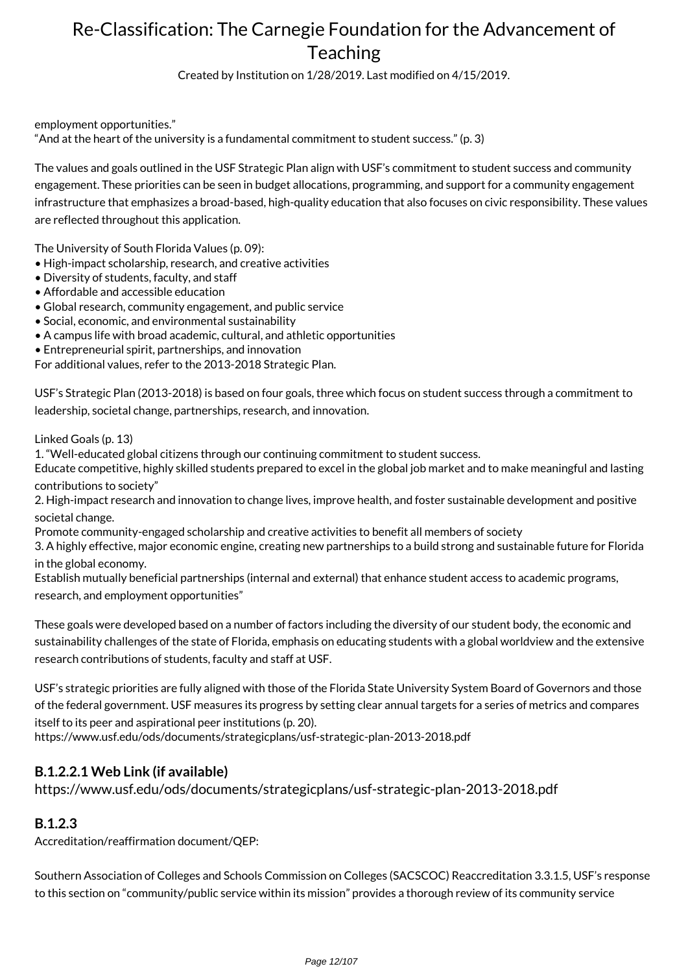Created by Institution on 1/28/2019. Last modified on 4/15/2019.

employment opportunities."

"And at the heart of the university is a fundamental commitment to student success." (p. 3)

The values and goals outlined in the USF Strategic Plan align with USF's commitment to student success and community engagement. These priorities can be seen in budget allocations, programming, and support for a community engagement infrastructure that emphasizes a broad-based, high-quality education that also focuses on civic responsibility. These values are reflected throughout this application.

The University of South Florida Values (p. 09):

- High-impact scholarship, research, and creative activities
- Diversity of students, faculty, and staff
- Affordable and accessible education
- Global research, community engagement, and public service
- Social, economic, and environmental sustainability
- A campus life with broad academic, cultural, and athletic opportunities

• Entrepreneurial spirit, partnerships, and innovation

For additional values, refer to the 2013-2018 Strategic Plan.

USF's Strategic Plan (2013-2018) is based on four goals, three which focus on student success through a commitment to leadership, societal change, partnerships, research, and innovation.

Linked Goals (p. 13)

1. "Well-educated global citizens through our continuing commitment to student success.

Educate competitive, highly skilled students prepared to excel in the global job market and to make meaningful and lasting contributions to society"

2. High-impact research and innovation to change lives, improve health, and foster sustainable development and positive societal change.

Promote community-engaged scholarship and creative activities to benefit all members of society

3. A highly effective, major economic engine, creating new partnerships to a build strong and sustainable future for Florida in the global economy.

Establish mutually beneficial partnerships (internal and external) that enhance student access to academic programs, research, and employment opportunities"

These goals were developed based on a number of factors including the diversity of our student body, the economic and sustainability challenges of the state of Florida, emphasis on educating students with a global worldview and the extensive research contributions of students, faculty and staff at USF.

USF's strategic priorities are fully aligned with those of the Florida State University System Board of Governors and those of the federal government. USF measures its progress by setting clear annual targets for a series of metrics and compares itself to its peer and aspirational peer institutions (p. 20).

https://www.usf.edu/ods/documents/strategicplans/usf-strategic-plan-2013-2018.pdf

## **B.1.2.2.1 Web Link (if available)**

https://www.usf.edu/ods/documents/strategicplans/usf-strategic-plan-2013-2018.pdf

### **B.1.2.3**

Accreditation/reaffirmation document/QEP:

Southern Association of Colleges and Schools Commission on Colleges (SACSCOC) Reaccreditation 3.3.1.5, USF's response to this section on "community/public service within its mission" provides a thorough review of its community service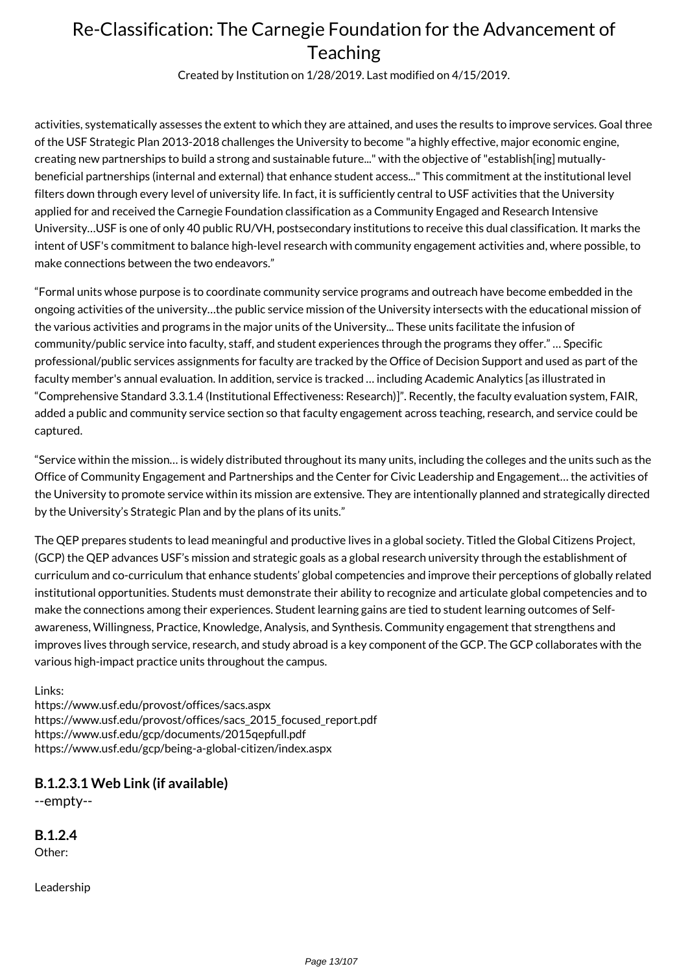Created by Institution on 1/28/2019. Last modified on 4/15/2019.

activities, systematically assesses the extent to which they are attained, and uses the results to improve services. Goal three of the USF Strategic Plan 2013-2018 challenges the University to become "a highly effective, major economic engine, creating new partnerships to build a strong and sustainable future..." with the objective of "establish[ing] mutuallybeneficial partnerships (internal and external) that enhance student access..." This commitment at the institutional level filters down through every level of university life. In fact, it is sufficiently central to USF activities that the University applied for and received the Carnegie Foundation classification as a Community Engaged and Research Intensive University…USF is one of only 40 public RU/VH, postsecondary institutions to receive this dual classification. It marks the intent of USF's commitment to balance high-level research with community engagement activities and, where possible, to make connections between the two endeavors."

"Formal units whose purpose is to coordinate community service programs and outreach have become embedded in the ongoing activities of the university…the public service mission of the University intersects with the educational mission of the various activities and programs in the major units of the University... These units facilitate the infusion of community/public service into faculty, staff, and student experiences through the programs they offer." … Specific professional/public services assignments for faculty are tracked by the Office of Decision Support and used as part of the faculty member's annual evaluation. In addition, service is tracked … including Academic Analytics [as illustrated in "Comprehensive Standard 3.3.1.4 (Institutional Effectiveness: Research)]". Recently, the faculty evaluation system, FAIR, added a public and community service section so that faculty engagement across teaching, research, and service could be captured.

"Service within the mission… is widely distributed throughout its many units, including the colleges and the units such as the Office of Community Engagement and Partnerships and the Center for Civic Leadership and Engagement… the activities of the University to promote service within its mission are extensive. They are intentionally planned and strategically directed by the University's Strategic Plan and by the plans of its units."

The QEP prepares students to lead meaningful and productive lives in a global society. Titled the Global Citizens Project, (GCP) the QEP advances USF's mission and strategic goals as a global research university through the establishment of curriculum and co-curriculum that enhance students' global competencies and improve their perceptions of globally related institutional opportunities. Students must demonstrate their ability to recognize and articulate global competencies and to make the connections among their experiences. Student learning gains are tied to student learning outcomes of Selfawareness, Willingness, Practice, Knowledge, Analysis, and Synthesis. Community engagement that strengthens and improves lives through service, research, and study abroad is a key component of the GCP. The GCP collaborates with the various high-impact practice units throughout the campus.

Links:

https://www.usf.edu/provost/offices/sacs.aspx https://www.usf.edu/provost/offices/sacs\_2015\_focused\_report.pdf https://www.usf.edu/gcp/documents/2015qepfull.pdf https://www.usf.edu/gcp/being-a-global-citizen/index.aspx

### **B.1.2.3.1 Web Link (if available)**

--empty--

**B.1.2.4** Other:

Leadership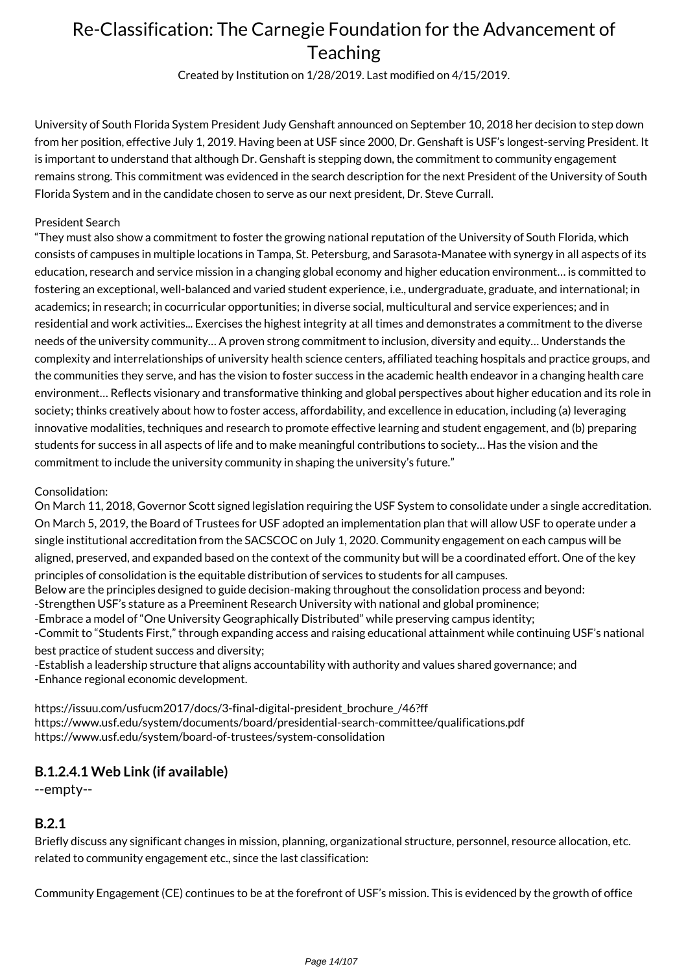Created by Institution on 1/28/2019. Last modified on 4/15/2019.

University of South Florida System President Judy Genshaft announced on September 10, 2018 her decision to step down from her position, effective July 1, 2019. Having been at USF since 2000, Dr. Genshaft is USF's longest-serving President. It is important to understand that although Dr. Genshaft is stepping down, the commitment to community engagement remains strong. This commitment was evidenced in the search description for the next President of the University of South Florida System and in the candidate chosen to serve as our next president, Dr. Steve Currall.

#### President Search

"They must also show a commitment to foster the growing national reputation of the University of South Florida, which consists of campuses in multiple locations in Tampa, St. Petersburg, and Sarasota-Manatee with synergy in all aspects of its education, research and service mission in a changing global economy and higher education environment… is committed to fostering an exceptional, well-balanced and varied student experience, i.e., undergraduate, graduate, and international; in academics; in research; in cocurricular opportunities; in diverse social, multicultural and service experiences; and in residential and work activities... Exercises the highest integrity at all times and demonstrates a commitment to the diverse needs of the university community… A proven strong commitment to inclusion, diversity and equity… Understands the complexity and interrelationships of university health science centers, affiliated teaching hospitals and practice groups, and the communities they serve, and has the vision to foster success in the academic health endeavor in a changing health care environment… Reflects visionary and transformative thinking and global perspectives about higher education and its role in society; thinks creatively about how to foster access, affordability, and excellence in education, including (a) leveraging innovative modalities, techniques and research to promote effective learning and student engagement, and (b) preparing students for success in all aspects of life and to make meaningful contributions to society… Has the vision and the commitment to include the university community in shaping the university's future."

#### Consolidation:

On March 11, 2018, Governor Scott signed legislation requiring the USF System to consolidate under a single accreditation. On March 5, 2019, the Board of Trustees for USF adopted an implementation plan that will allow USF to operate under a single institutional accreditation from the SACSCOC on July 1, 2020. Community engagement on each campus will be aligned, preserved, and expanded based on the context of the community but will be a coordinated effort. One of the key principles of consolidation is the equitable distribution of services to students for all campuses. Below are the principles designed to guide decision-making throughout the consolidation process and beyond: -Strengthen USF's stature as a Preeminent Research University with national and global prominence; -Embrace a model of "One University Geographically Distributed" while preserving campus identity; -Commit to "Students First," through expanding access and raising educational attainment while continuing USF's national best practice of student success and diversity;

-Establish a leadership structure that aligns accountability with authority and values shared governance; and -Enhance regional economic development.

https://issuu.com/usfucm2017/docs/3-final-digital-president\_brochure\_/46?ff https://www.usf.edu/system/documents/board/presidential-search-committee/qualifications.pdf https://www.usf.edu/system/board-of-trustees/system-consolidation

### **B.1.2.4.1 Web Link (if available)**

--empty--

### **B.2.1**

Briefly discuss any significant changes in mission, planning, organizational structure, personnel, resource allocation, etc. related to community engagement etc., since the last classification:

Community Engagement (CE) continues to be at the forefront of USF's mission. This is evidenced by the growth of office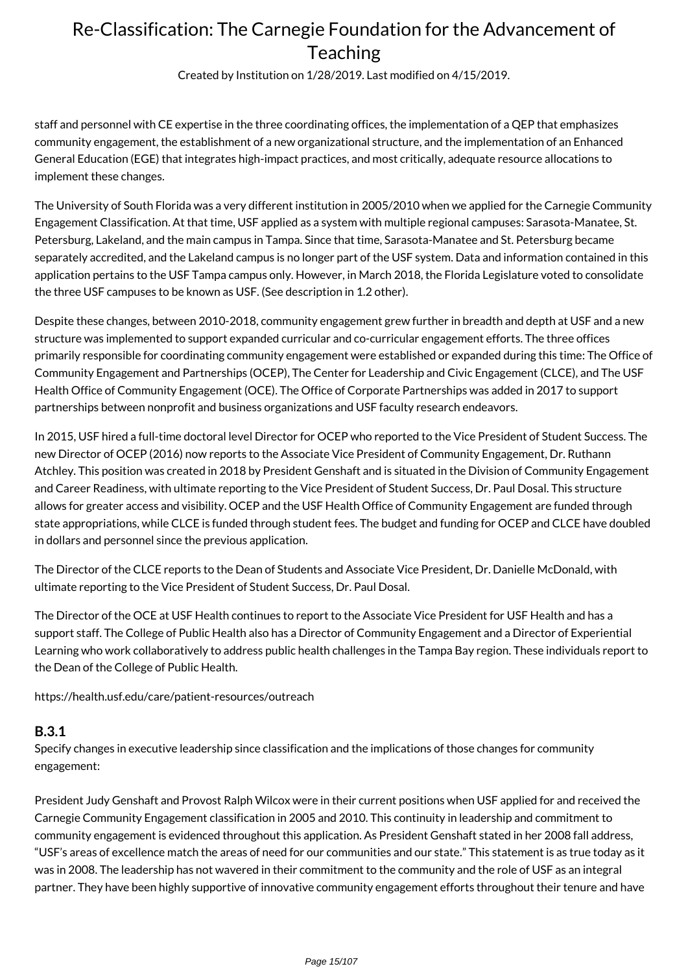Created by Institution on 1/28/2019. Last modified on 4/15/2019.

staff and personnel with CE expertise in the three coordinating offices, the implementation of a QEP that emphasizes community engagement, the establishment of a new organizational structure, and the implementation of an Enhanced General Education (EGE) that integrates high-impact practices, and most critically, adequate resource allocations to implement these changes.

The University of South Florida was a very different institution in 2005/2010 when we applied for the Carnegie Community Engagement Classification. At that time, USF applied as a system with multiple regional campuses: Sarasota-Manatee, St. Petersburg, Lakeland, and the main campus in Tampa. Since that time, Sarasota-Manatee and St. Petersburg became separately accredited, and the Lakeland campus is no longer part of the USF system. Data and information contained in this application pertains to the USF Tampa campus only. However, in March 2018, the Florida Legislature voted to consolidate the three USF campuses to be known as USF. (See description in 1.2 other).

Despite these changes, between 2010-2018, community engagement grew further in breadth and depth at USF and a new structure was implemented to support expanded curricular and co-curricular engagement efforts. The three offices primarily responsible for coordinating community engagement were established or expanded during this time: The Office of Community Engagement and Partnerships (OCEP), The Center for Leadership and Civic Engagement (CLCE), and The USF Health Office of Community Engagement (OCE). The Office of Corporate Partnerships was added in 2017 to support partnerships between nonprofit and business organizations and USF faculty research endeavors.

In 2015, USF hired a full-time doctoral level Director for OCEP who reported to the Vice President of Student Success. The new Director of OCEP (2016) now reports to the Associate Vice President of Community Engagement, Dr. Ruthann Atchley. This position was created in 2018 by President Genshaft and is situated in the Division of Community Engagement and Career Readiness, with ultimate reporting to the Vice President of Student Success, Dr. Paul Dosal. This structure allows for greater access and visibility. OCEP and the USF Health Office of Community Engagement are funded through state appropriations, while CLCE is funded through student fees. The budget and funding for OCEP and CLCE have doubled in dollars and personnel since the previous application.

The Director of the CLCE reports to the Dean of Students and Associate Vice President, Dr. Danielle McDonald, with ultimate reporting to the Vice President of Student Success, Dr. Paul Dosal.

The Director of the OCE at USF Health continues to report to the Associate Vice President for USF Health and has a support staff. The College of Public Health also has a Director of Community Engagement and a Director of Experiential Learning who work collaboratively to address public health challenges in the Tampa Bay region. These individuals report to the Dean of the College of Public Health.

https://health.usf.edu/care/patient-resources/outreach

#### **B.3.1**

Specify changes in executive leadership since classification and the implications of those changes for community engagement:

President Judy Genshaft and Provost Ralph Wilcox were in their current positions when USF applied for and received the Carnegie Community Engagement classification in 2005 and 2010. This continuity in leadership and commitment to community engagement is evidenced throughout this application. As President Genshaft stated in her 2008 fall address, "USF's areas of excellence match the areas of need for our communities and our state." This statement is as true today as it was in 2008. The leadership has not wavered in their commitment to the community and the role of USF as an integral partner. They have been highly supportive of innovative community engagement efforts throughout their tenure and have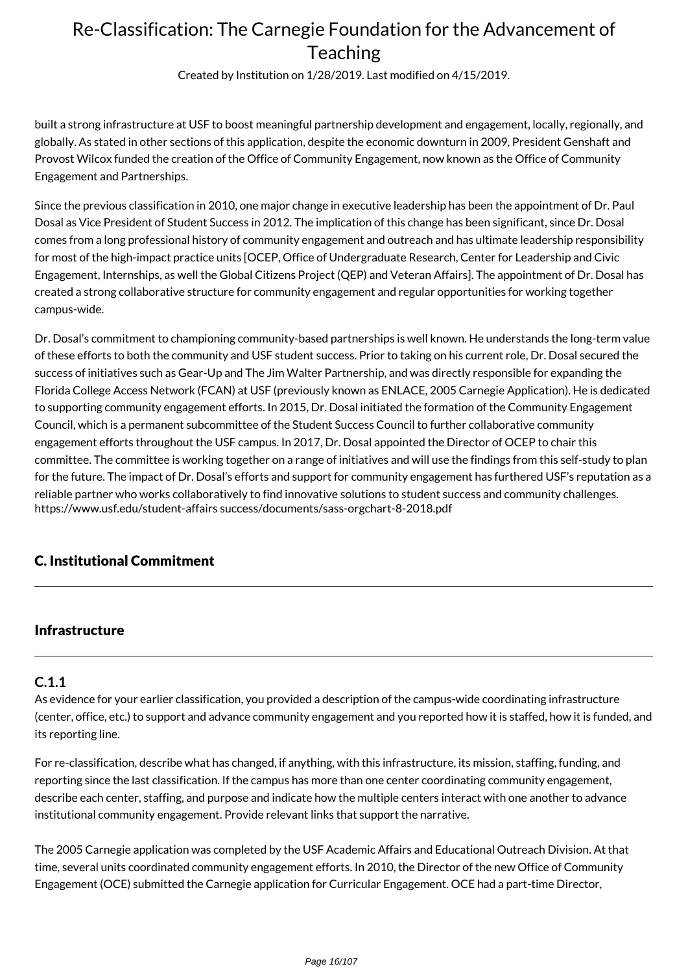Created by Institution on 1/28/2019. Last modified on 4/15/2019.

built a strong infrastructure at USF to boost meaningful partnership development and engagement, locally, regionally, and globally. As stated in other sections of this application, despite the economic downturn in 2009, President Genshaft and Provost Wilcox funded the creation of the Office of Community Engagement, now known as the Office of Community Engagement and Partnerships.

Since the previous classification in 2010, one major change in executive leadership has been the appointment of Dr. Paul Dosal as Vice President of Student Success in 2012. The implication of this change has been significant, since Dr. Dosal comes from a long professional history of community engagement and outreach and has ultimate leadership responsibility for most of the high-impact practice units [OCEP, Office of Undergraduate Research, Center for Leadership and Civic Engagement, Internships, as well the Global Citizens Project (QEP) and Veteran Affairs]. The appointment of Dr. Dosal has created a strong collaborative structure for community engagement and regular opportunities for working together campus-wide.

Dr. Dosal's commitment to championing community-based partnerships is well known. He understands the long-term value of these efforts to both the community and USF student success. Prior to taking on his current role, Dr. Dosal secured the success of initiatives such as Gear-Up and The Jim Walter Partnership, and was directly responsible for expanding the Florida College Access Network (FCAN) at USF (previously known as ENLACE, 2005 Carnegie Application). He is dedicated to supporting community engagement efforts. In 2015, Dr. Dosal initiated the formation of the Community Engagement Council, which is a permanent subcommittee of the Student Success Council to further collaborative community engagement efforts throughout the USF campus. In 2017, Dr. Dosal appointed the Director of OCEP to chair this committee. The committee is working together on a range of initiatives and will use the findings from this self-study to plan for the future. The impact of Dr. Dosal's efforts and support for community engagement has furthered USF's reputation as a reliable partner who works collaboratively to find innovative solutions to student success and community challenges. https://www.usf.edu/student-affairs success/documents/sass-orgchart-8-2018.pdf

## C. Institutional Commitment

#### Infrastructure

## **C.1.1**

As evidence for your earlier classification, you provided a description of the campus-wide coordinating infrastructure (center, office, etc.) to support and advance community engagement and you reported how it is staffed, how it is funded, and its reporting line.

For re-classification, describe what has changed, if anything, with this infrastructure, its mission, staffing, funding, and reporting since the last classification. If the campus has more than one center coordinating community engagement, describe each center, staffing, and purpose and indicate how the multiple centers interact with one another to advance institutional community engagement. Provide relevant links that support the narrative.

The 2005 Carnegie application was completed by the USF Academic Affairs and Educational Outreach Division. At that time, several units coordinated community engagement efforts. In 2010, the Director of the new Office of Community Engagement (OCE) submitted the Carnegie application for Curricular Engagement. OCE had a part-time Director,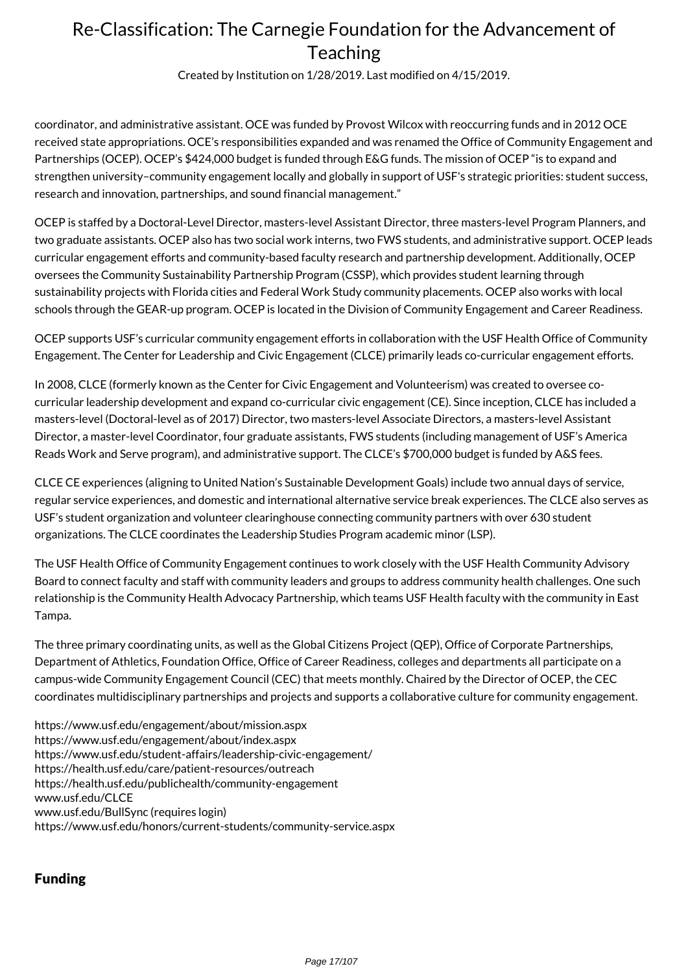Created by Institution on 1/28/2019. Last modified on 4/15/2019.

coordinator, and administrative assistant. OCE was funded by Provost Wilcox with reoccurring funds and in 2012 OCE received state appropriations. OCE's responsibilities expanded and was renamed the Office of Community Engagement and Partnerships (OCEP). OCEP's \$424,000 budget is funded through E&G funds. The mission of OCEP "is to expand and strengthen university–community engagement locally and globally in support of USF's strategic priorities: student success, research and innovation, partnerships, and sound financial management."

OCEP is staffed by a Doctoral-Level Director, masters-level Assistant Director, three masters-level Program Planners, and two graduate assistants. OCEP also has two social work interns, two FWS students, and administrative support. OCEP leads curricular engagement efforts and community-based faculty research and partnership development. Additionally, OCEP oversees the Community Sustainability Partnership Program (CSSP), which provides student learning through sustainability projects with Florida cities and Federal Work Study community placements. OCEP also works with local schools through the GEAR-up program. OCEP is located in the Division of Community Engagement and Career Readiness.

OCEP supports USF's curricular community engagement efforts in collaboration with the USF Health Office of Community Engagement. The Center for Leadership and Civic Engagement (CLCE) primarily leads co-curricular engagement efforts.

In 2008, CLCE (formerly known as the Center for Civic Engagement and Volunteerism) was created to oversee cocurricular leadership development and expand co-curricular civic engagement (CE). Since inception, CLCE has included a masters-level (Doctoral-level as of 2017) Director, two masters-level Associate Directors, a masters-level Assistant Director, a master-level Coordinator, four graduate assistants, FWS students (including management of USF's America Reads Work and Serve program), and administrative support. The CLCE's \$700,000 budget is funded by A&S fees.

CLCE CE experiences (aligning to United Nation's Sustainable Development Goals) include two annual days of service, regular service experiences, and domestic and international alternative service break experiences. The CLCE also serves as USF's student organization and volunteer clearinghouse connecting community partners with over 630 student organizations. The CLCE coordinates the Leadership Studies Program academic minor (LSP).

The USF Health Office of Community Engagement continues to work closely with the USF Health Community Advisory Board to connect faculty and staff with community leaders and groups to address community health challenges. One such relationship is the Community Health Advocacy Partnership, which teams USF Health faculty with the community in East Tampa.

The three primary coordinating units, as well as the Global Citizens Project (QEP), Office of Corporate Partnerships, Department of Athletics, Foundation Office, Office of Career Readiness, colleges and departments all participate on a campus-wide Community Engagement Council (CEC) that meets monthly. Chaired by the Director of OCEP, the CEC coordinates multidisciplinary partnerships and projects and supports a collaborative culture for community engagement.

https://www.usf.edu/engagement/about/mission.aspx https://www.usf.edu/engagement/about/index.aspx https://www.usf.edu/student-affairs/leadership-civic-engagement/ https://health.usf.edu/care/patient-resources/outreach https://health.usf.edu/publichealth/community-engagement www.usf.edu/CLCE www.usf.edu/BullSync (requires login) https://www.usf.edu/honors/current-students/community-service.aspx

## Funding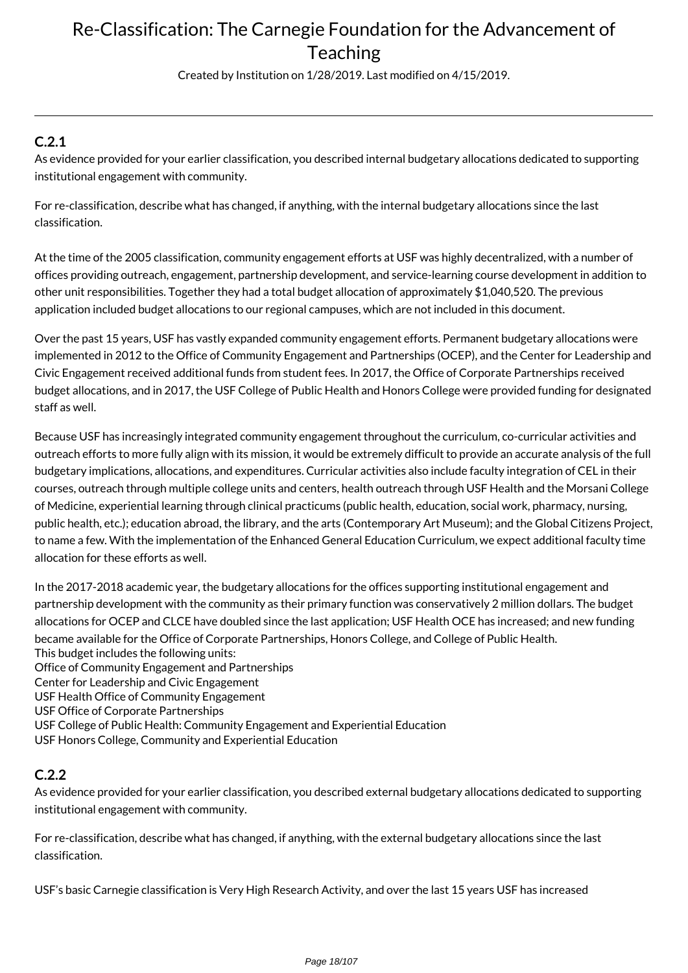Created by Institution on 1/28/2019. Last modified on 4/15/2019.

## **C.2.1**

As evidence provided for your earlier classification, you described internal budgetary allocations dedicated to supporting institutional engagement with community.

For re-classification, describe what has changed, if anything, with the internal budgetary allocations since the last classification.

At the time of the 2005 classification, community engagement efforts at USF was highly decentralized, with a number of offices providing outreach, engagement, partnership development, and service-learning course development in addition to other unit responsibilities. Together they had a total budget allocation of approximately \$1,040,520. The previous application included budget allocations to our regional campuses, which are not included in this document.

Over the past 15 years, USF has vastly expanded community engagement efforts. Permanent budgetary allocations were implemented in 2012 to the Office of Community Engagement and Partnerships (OCEP), and the Center for Leadership and Civic Engagement received additional funds from student fees. In 2017, the Office of Corporate Partnerships received budget allocations, and in 2017, the USF College of Public Health and Honors College were provided funding for designated staff as well.

Because USF has increasingly integrated community engagement throughout the curriculum, co-curricular activities and outreach efforts to more fully align with its mission, it would be extremely difficult to provide an accurate analysis of the full budgetary implications, allocations, and expenditures. Curricular activities also include faculty integration of CEL in their courses, outreach through multiple college units and centers, health outreach through USF Health and the Morsani College of Medicine, experiential learning through clinical practicums (public health, education, social work, pharmacy, nursing, public health, etc.); education abroad, the library, and the arts (Contemporary Art Museum); and the Global Citizens Project, to name a few. With the implementation of the Enhanced General Education Curriculum, we expect additional faculty time allocation for these efforts as well.

In the 2017-2018 academic year, the budgetary allocations for the offices supporting institutional engagement and partnership development with the community as their primary function was conservatively 2 million dollars. The budget allocations for OCEP and CLCE have doubled since the last application; USF Health OCE has increased; and new funding became available for the Office of Corporate Partnerships, Honors College, and College of Public Health. This budget includes the following units: Office of Community Engagement and Partnerships Center for Leadership and Civic Engagement USF Health Office of Community Engagement USF Office of Corporate Partnerships USF College of Public Health: Community Engagement and Experiential Education USF Honors College, Community and Experiential Education

## **C.2.2**

As evidence provided for your earlier classification, you described external budgetary allocations dedicated to supporting institutional engagement with community.

For re-classification, describe what has changed, if anything, with the external budgetary allocations since the last classification.

USF's basic Carnegie classification is Very High Research Activity, and over the last 15 years USF has increased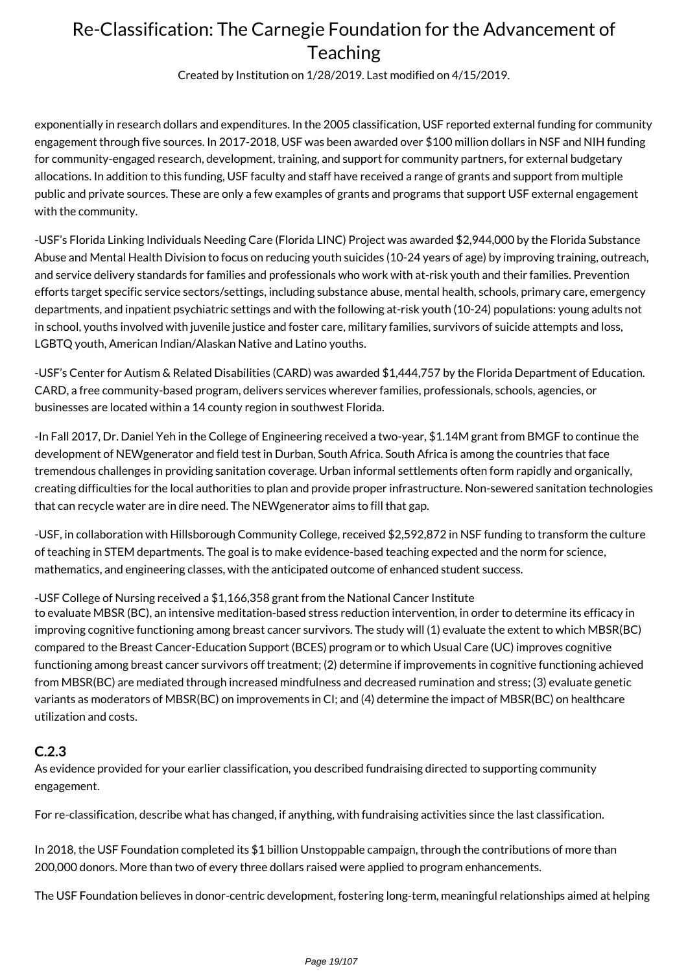Created by Institution on 1/28/2019. Last modified on 4/15/2019.

exponentially in research dollars and expenditures. In the 2005 classification, USF reported external funding for community engagement through five sources. In 2017-2018, USF was been awarded over \$100 million dollars in NSF and NIH funding for community-engaged research, development, training, and support for community partners, for external budgetary allocations. In addition to this funding, USF faculty and staff have received a range of grants and support from multiple public and private sources. These are only a few examples of grants and programs that support USF external engagement with the community.

-USF's Florida Linking Individuals Needing Care (Florida LINC) Project was awarded \$2,944,000 by the Florida Substance Abuse and Mental Health Division to focus on reducing youth suicides (10-24 years of age) by improving training, outreach, and service delivery standards for families and professionals who work with at-risk youth and their families. Prevention efforts target specific service sectors/settings, including substance abuse, mental health, schools, primary care, emergency departments, and inpatient psychiatric settings and with the following at-risk youth (10-24) populations: young adults not in school, youths involved with juvenile justice and foster care, military families, survivors of suicide attempts and loss, LGBTQ youth, American Indian/Alaskan Native and Latino youths.

-USF's Center for Autism & Related Disabilities (CARD) was awarded \$1,444,757 by the Florida Department of Education. CARD, a free community-based program, delivers services wherever families, professionals, schools, agencies, or businesses are located within a 14 county region in southwest Florida.

-In Fall 2017, Dr. Daniel Yeh in the College of Engineering received a two-year, \$1.14M grant from BMGF to continue the development of NEWgenerator and field test in Durban, South Africa. South Africa is among the countries that face tremendous challenges in providing sanitation coverage. Urban informal settlements often form rapidly and organically, creating difficulties for the local authorities to plan and provide proper infrastructure. Non-sewered sanitation technologies that can recycle water are in dire need. The NEWgenerator aims to fill that gap.

-USF, in collaboration with Hillsborough Community College, received \$2,592,872 in NSF funding to transform the culture of teaching in STEM departments. The goal is to make evidence-based teaching expected and the norm for science, mathematics, and engineering classes, with the anticipated outcome of enhanced student success.

-USF College of Nursing received a \$1,166,358 grant from the National Cancer Institute

to evaluate MBSR (BC), an intensive meditation-based stress reduction intervention, in order to determine its efficacy in improving cognitive functioning among breast cancer survivors. The study will (1) evaluate the extent to which MBSR(BC) compared to the Breast Cancer-Education Support (BCES) program or to which Usual Care (UC) improves cognitive functioning among breast cancer survivors off treatment; (2) determine if improvements in cognitive functioning achieved from MBSR(BC) are mediated through increased mindfulness and decreased rumination and stress; (3) evaluate genetic variants as moderators of MBSR(BC) on improvements in CI; and (4) determine the impact of MBSR(BC) on healthcare utilization and costs.

### **C.2.3**

As evidence provided for your earlier classification, you described fundraising directed to supporting community engagement.

For re-classification, describe what has changed, if anything, with fundraising activities since the last classification.

In 2018, the USF Foundation completed its \$1 billion Unstoppable campaign, through the contributions of more than 200,000 donors. More than two of every three dollars raised were applied to program enhancements.

The USF Foundation believes in donor-centric development, fostering long-term, meaningful relationships aimed at helping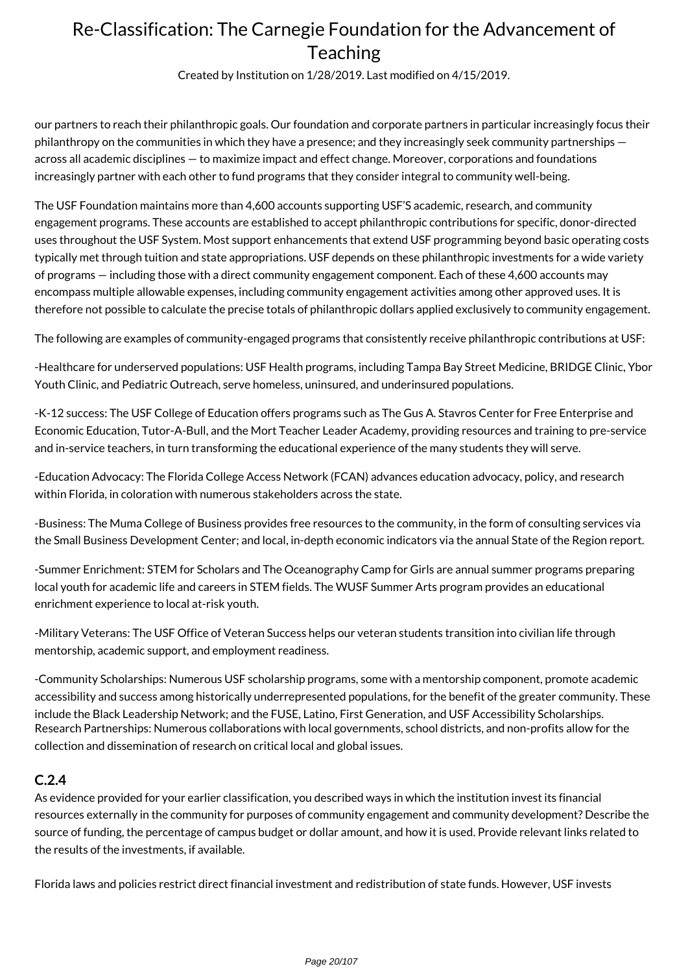Created by Institution on 1/28/2019. Last modified on 4/15/2019.

our partners to reach their philanthropic goals. Our foundation and corporate partners in particular increasingly focus their philanthropy on the communities in which they have a presence; and they increasingly seek community partnerships across all academic disciplines — to maximize impact and effect change. Moreover, corporations and foundations increasingly partner with each other to fund programs that they consider integral to community well-being.

The USF Foundation maintains more than 4,600 accounts supporting USF'S academic, research, and community engagement programs. These accounts are established to accept philanthropic contributions for specific, donor-directed uses throughout the USF System. Most support enhancements that extend USF programming beyond basic operating costs typically met through tuition and state appropriations. USF depends on these philanthropic investments for a wide variety of programs — including those with a direct community engagement component. Each of these 4,600 accounts may encompass multiple allowable expenses, including community engagement activities among other approved uses. It is therefore not possible to calculate the precise totals of philanthropic dollars applied exclusively to community engagement.

The following are examples of community-engaged programs that consistently receive philanthropic contributions at USF:

-Healthcare for underserved populations: USF Health programs, including Tampa Bay Street Medicine, BRIDGE Clinic, Ybor Youth Clinic, and Pediatric Outreach, serve homeless, uninsured, and underinsured populations.

-K-12 success: The USF College of Education offers programs such as The Gus A. Stavros Center for Free Enterprise and Economic Education, Tutor-A-Bull, and the Mort Teacher Leader Academy, providing resources and training to pre-service and in-service teachers, in turn transforming the educational experience of the many students they will serve.

-Education Advocacy: The Florida College Access Network (FCAN) advances education advocacy, policy, and research within Florida, in coloration with numerous stakeholders across the state.

-Business: The Muma College of Business provides free resources to the community, in the form of consulting services via the Small Business Development Center; and local, in-depth economic indicators via the annual State of the Region report.

-Summer Enrichment: STEM for Scholars and The Oceanography Camp for Girls are annual summer programs preparing local youth for academic life and careers in STEM fields. The WUSF Summer Arts program provides an educational enrichment experience to local at-risk youth.

-Military Veterans: The USF Office of Veteran Success helps our veteran students transition into civilian life through mentorship, academic support, and employment readiness.

-Community Scholarships: Numerous USF scholarship programs, some with a mentorship component, promote academic accessibility and success among historically underrepresented populations, for the benefit of the greater community. These include the Black Leadership Network; and the FUSE, Latino, First Generation, and USF Accessibility Scholarships. Research Partnerships: Numerous collaborations with local governments, school districts, and non-profits allow for the collection and dissemination of research on critical local and global issues.

### **C.2.4**

As evidence provided for your earlier classification, you described ways in which the institution invest its financial resources externally in the community for purposes of community engagement and community development? Describe the source of funding, the percentage of campus budget or dollar amount, and how it is used. Provide relevant links related to the results of the investments, if available.

Florida laws and policies restrict direct financial investment and redistribution of state funds. However, USF invests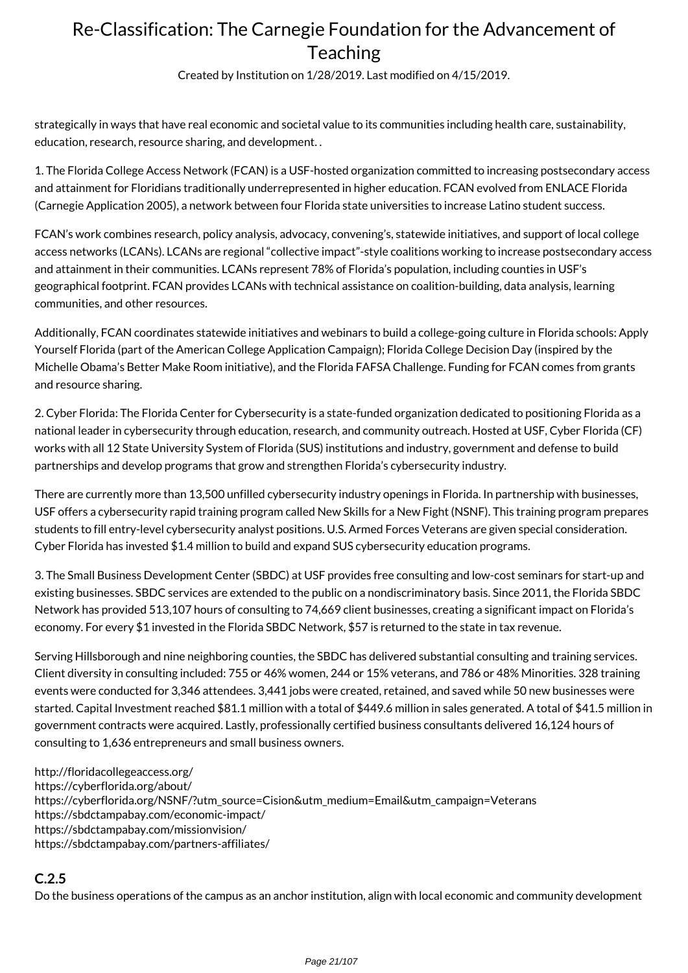Created by Institution on 1/28/2019. Last modified on 4/15/2019.

strategically in ways that have real economic and societal value to its communities including health care, sustainability, education, research, resource sharing, and development. .

1. The Florida College Access Network (FCAN) is a USF-hosted organization committed to increasing postsecondary access and attainment for Floridians traditionally underrepresented in higher education. FCAN evolved from ENLACE Florida (Carnegie Application 2005), a network between four Florida state universities to increase Latino student success.

FCAN's work combines research, policy analysis, advocacy, convening's, statewide initiatives, and support of local college access networks (LCANs). LCANs are regional "collective impact"-style coalitions working to increase postsecondary access and attainment in their communities. LCANs represent 78% of Florida's population, including counties in USF's geographical footprint. FCAN provides LCANs with technical assistance on coalition-building, data analysis, learning communities, and other resources.

Additionally, FCAN coordinates statewide initiatives and webinars to build a college-going culture in Florida schools: Apply Yourself Florida (part of the American College Application Campaign); Florida College Decision Day (inspired by the Michelle Obama's Better Make Room initiative), and the Florida FAFSA Challenge. Funding for FCAN comes from grants and resource sharing.

2. Cyber Florida: The Florida Center for Cybersecurity is a state-funded organization dedicated to positioning Florida as a national leader in cybersecurity through education, research, and community outreach. Hosted at USF, Cyber Florida (CF) works with all 12 State University System of Florida (SUS) institutions and industry, government and defense to build partnerships and develop programs that grow and strengthen Florida's cybersecurity industry.

There are currently more than 13,500 unfilled cybersecurity industry openings in Florida. In partnership with businesses, USF offers a cybersecurity rapid training program called New Skills for a New Fight (NSNF). This training program prepares students to fill entry-level cybersecurity analyst positions. U.S. Armed Forces Veterans are given special consideration. Cyber Florida has invested \$1.4 million to build and expand SUS cybersecurity education programs.

3. The Small Business Development Center (SBDC) at USF provides free consulting and low-cost seminars for start-up and existing businesses. SBDC services are extended to the public on a nondiscriminatory basis. Since 2011, the Florida SBDC Network has provided 513,107 hours of consulting to 74,669 client businesses, creating a significant impact on Florida's economy. For every \$1 invested in the Florida SBDC Network, \$57 is returned to the state in tax revenue.

Serving Hillsborough and nine neighboring counties, the SBDC has delivered substantial consulting and training services. Client diversity in consulting included: 755 or 46% women, 244 or 15% veterans, and 786 or 48% Minorities. 328 training events were conducted for 3,346 attendees. 3,441 jobs were created, retained, and saved while 50 new businesses were started. Capital Investment reached \$81.1 million with a total of \$449.6 million in sales generated. A total of \$41.5 million in government contracts were acquired. Lastly, professionally certified business consultants delivered 16,124 hours of consulting to 1,636 entrepreneurs and small business owners.

http://floridacollegeaccess.org/ https://cyberflorida.org/about/ https://cyberflorida.org/NSNF/?utm\_source=Cision&utm\_medium=Email&utm\_campaign=Veterans https://sbdctampabay.com/economic-impact/ https://sbdctampabay.com/missionvision/ https://sbdctampabay.com/partners-affiliates/

## **C.2.5**

Do the business operations of the campus as an anchor institution, align with local economic and community development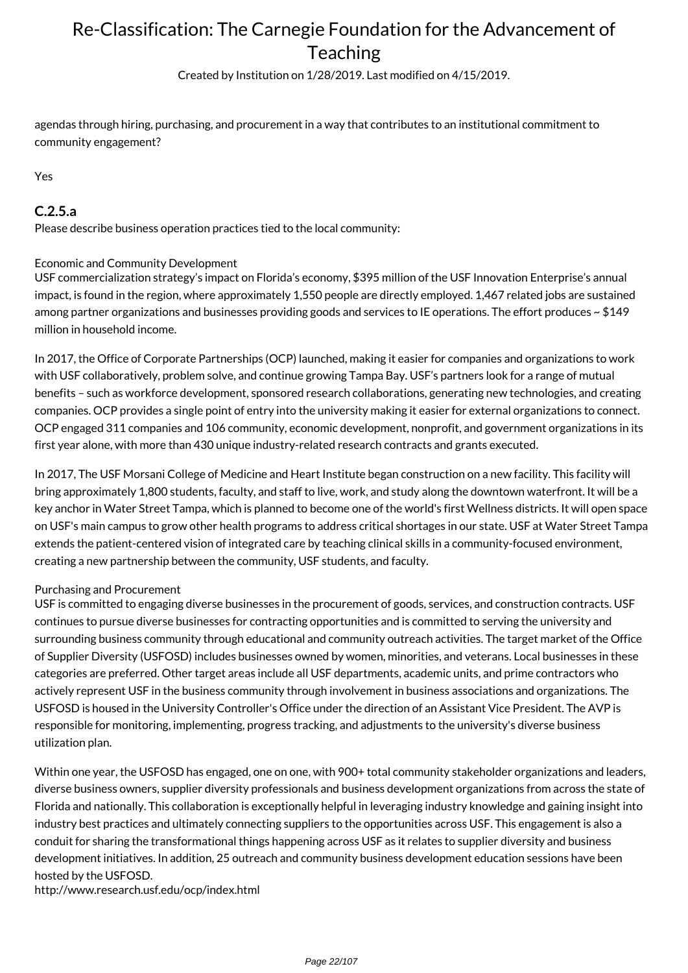Created by Institution on 1/28/2019. Last modified on 4/15/2019.

agendas through hiring, purchasing, and procurement in a way that contributes to an institutional commitment to community engagement?

Yes

### **C.2.5.a**

Please describe business operation practices tied to the local community:

#### Economic and Community Development

USF commercialization strategy's impact on Florida's economy, \$395 million of the USF Innovation Enterprise's annual impact, is found in the region, where approximately 1,550 people are directly employed. 1,467 related jobs are sustained among partner organizations and businesses providing goods and services to IE operations. The effort produces ~ \$149 million in household income.

In 2017, the Office of Corporate Partnerships (OCP) launched, making it easier for companies and organizations to work with USF collaboratively, problem solve, and continue growing Tampa Bay. USF's partners look for a range of mutual benefits – such as workforce development, sponsored research collaborations, generating new technologies, and creating companies. OCP provides a single point of entry into the university making it easier for external organizations to connect. OCP engaged 311 companies and 106 community, economic development, nonprofit, and government organizations in its first year alone, with more than 430 unique industry-related research contracts and grants executed.

In 2017, The USF Morsani College of Medicine and Heart Institute began construction on a new facility. This facility will bring approximately 1,800 students, faculty, and staff to live, work, and study along the downtown waterfront. It will be a key anchor in Water Street Tampa, which is planned to become one of the world's first Wellness districts. It will open space on USF's main campus to grow other health programs to address critical shortages in our state. USF at Water Street Tampa extends the patient-centered vision of integrated care by teaching clinical skills in a community-focused environment, creating a new partnership between the community, USF students, and faculty.

#### Purchasing and Procurement

USF is committed to engaging diverse businesses in the procurement of goods, services, and construction contracts. USF continues to pursue diverse businesses for contracting opportunities and is committed to serving the university and surrounding business community through educational and community outreach activities. The target market of the Office of Supplier Diversity (USFOSD) includes businesses owned by women, minorities, and veterans. Local businesses in these categories are preferred. Other target areas include all USF departments, academic units, and prime contractors who actively represent USF in the business community through involvement in business associations and organizations. The USFOSD is housed in the University Controller's Office under the direction of an Assistant Vice President. The AVP is responsible for monitoring, implementing, progress tracking, and adjustments to the university's diverse business utilization plan.

Within one year, the USFOSD has engaged, one on one, with 900+ total community stakeholder organizations and leaders, diverse business owners, supplier diversity professionals and business development organizations from across the state of Florida and nationally. This collaboration is exceptionally helpful in leveraging industry knowledge and gaining insight into industry best practices and ultimately connecting suppliers to the opportunities across USF. This engagement is also a conduit for sharing the transformational things happening across USF as it relates to supplier diversity and business development initiatives. In addition, 25 outreach and community business development education sessions have been hosted by the USFOSD.

http://www.research.usf.edu/ocp/index.html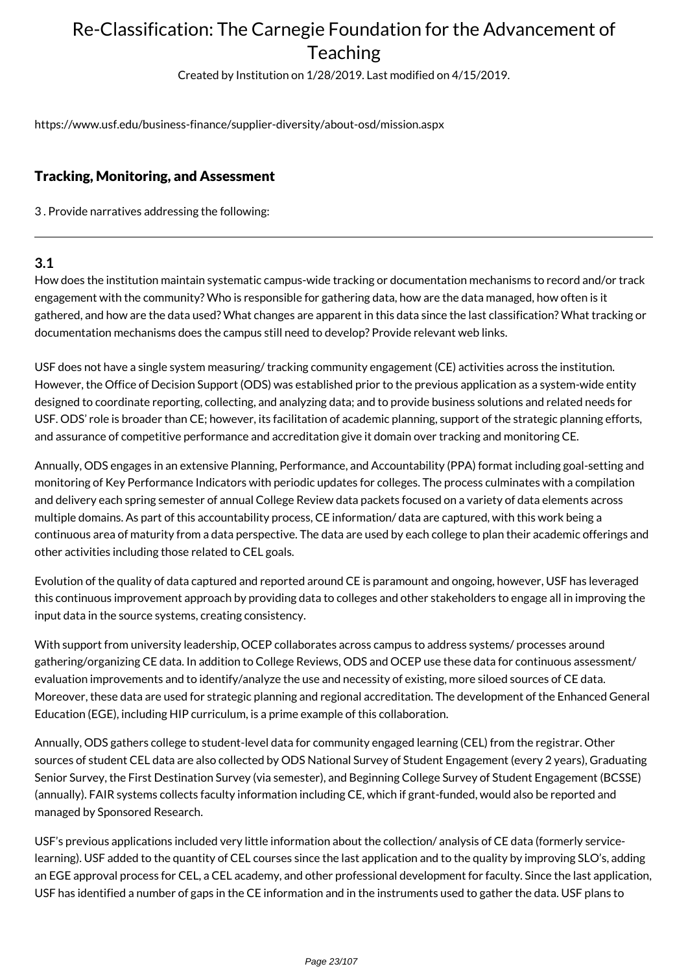Created by Institution on 1/28/2019. Last modified on 4/15/2019.

https://www.usf.edu/business-finance/supplier-diversity/about-osd/mission.aspx

### Tracking, Monitoring, and Assessment

3 . Provide narratives addressing the following:

### **3.1**

How does the institution maintain systematic campus-wide tracking or documentation mechanisms to record and/or track engagement with the community? Who is responsible for gathering data, how are the data managed, how often is it gathered, and how are the data used? What changes are apparent in this data since the last classification? What tracking or documentation mechanisms does the campus still need to develop? Provide relevant web links.

USF does not have a single system measuring/ tracking community engagement (CE) activities across the institution. However, the Office of Decision Support (ODS) was established prior to the previous application as a system-wide entity designed to coordinate reporting, collecting, and analyzing data; and to provide business solutions and related needs for USF. ODS' role is broader than CE; however, its facilitation of academic planning, support of the strategic planning efforts, and assurance of competitive performance and accreditation give it domain over tracking and monitoring CE.

Annually, ODS engages in an extensive Planning, Performance, and Accountability (PPA) format including goal-setting and monitoring of Key Performance Indicators with periodic updates for colleges. The process culminates with a compilation and delivery each spring semester of annual College Review data packets focused on a variety of data elements across multiple domains. As part of this accountability process, CE information/ data are captured, with this work being a continuous area of maturity from a data perspective. The data are used by each college to plan their academic offerings and other activities including those related to CEL goals.

Evolution of the quality of data captured and reported around CE is paramount and ongoing, however, USF has leveraged this continuous improvement approach by providing data to colleges and other stakeholders to engage all in improving the input data in the source systems, creating consistency.

With support from university leadership, OCEP collaborates across campus to address systems/ processes around gathering/organizing CE data. In addition to College Reviews, ODS and OCEP use these data for continuous assessment/ evaluation improvements and to identify/analyze the use and necessity of existing, more siloed sources of CE data. Moreover, these data are used for strategic planning and regional accreditation. The development of the Enhanced General Education (EGE), including HIP curriculum, is a prime example of this collaboration.

Annually, ODS gathers college to student-level data for community engaged learning (CEL) from the registrar. Other sources of student CEL data are also collected by ODS National Survey of Student Engagement (every 2 years), Graduating Senior Survey, the First Destination Survey (via semester), and Beginning College Survey of Student Engagement (BCSSE) (annually). FAIR systems collects faculty information including CE, which if grant-funded, would also be reported and managed by Sponsored Research.

USF's previous applications included very little information about the collection/ analysis of CE data (formerly servicelearning). USF added to the quantity of CEL courses since the last application and to the quality by improving SLO's, adding an EGE approval process for CEL, a CEL academy, and other professional development for faculty. Since the last application, USF has identified a number of gaps in the CE information and in the instruments used to gather the data. USF plans to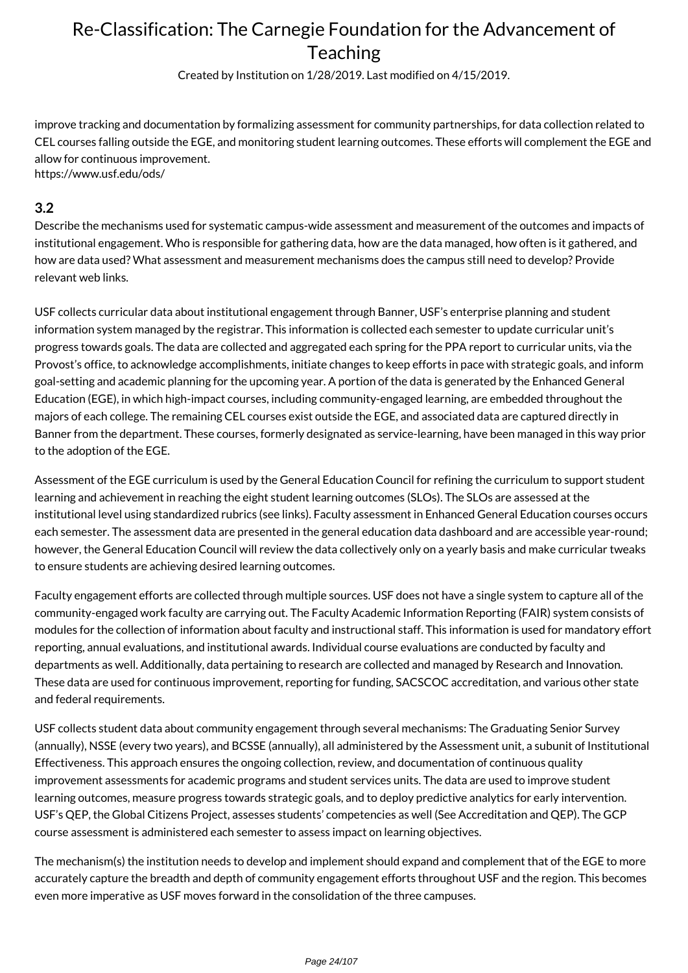Created by Institution on 1/28/2019. Last modified on 4/15/2019.

improve tracking and documentation by formalizing assessment for community partnerships, for data collection related to CEL courses falling outside the EGE, and monitoring student learning outcomes. These efforts will complement the EGE and allow for continuous improvement. https://www.usf.edu/ods/

#### **3.2**

Describe the mechanisms used for systematic campus-wide assessment and measurement of the outcomes and impacts of institutional engagement. Who is responsible for gathering data, how are the data managed, how often is it gathered, and how are data used? What assessment and measurement mechanisms does the campus still need to develop? Provide relevant web links.

USF collects curricular data about institutional engagement through Banner, USF's enterprise planning and student information system managed by the registrar. This information is collected each semester to update curricular unit's progress towards goals. The data are collected and aggregated each spring for the PPA report to curricular units, via the Provost's office, to acknowledge accomplishments, initiate changes to keep efforts in pace with strategic goals, and inform goal-setting and academic planning for the upcoming year. A portion of the data is generated by the Enhanced General Education (EGE), in which high-impact courses, including community-engaged learning, are embedded throughout the majors of each college. The remaining CEL courses exist outside the EGE, and associated data are captured directly in Banner from the department. These courses, formerly designated as service-learning, have been managed in this way prior to the adoption of the EGE.

Assessment of the EGE curriculum is used by the General Education Council for refining the curriculum to support student learning and achievement in reaching the eight student learning outcomes (SLOs). The SLOs are assessed at the institutional level using standardized rubrics (see links). Faculty assessment in Enhanced General Education courses occurs each semester. The assessment data are presented in the general education data dashboard and are accessible year-round; however, the General Education Council will review the data collectively only on a yearly basis and make curricular tweaks to ensure students are achieving desired learning outcomes.

Faculty engagement efforts are collected through multiple sources. USF does not have a single system to capture all of the community-engaged work faculty are carrying out. The Faculty Academic Information Reporting (FAIR) system consists of modules for the collection of information about faculty and instructional staff. This information is used for mandatory effort reporting, annual evaluations, and institutional awards. Individual course evaluations are conducted by faculty and departments as well. Additionally, data pertaining to research are collected and managed by Research and Innovation. These data are used for continuous improvement, reporting for funding, SACSCOC accreditation, and various other state and federal requirements.

USF collects student data about community engagement through several mechanisms: The Graduating Senior Survey (annually), NSSE (every two years), and BCSSE (annually), all administered by the Assessment unit, a subunit of Institutional Effectiveness. This approach ensures the ongoing collection, review, and documentation of continuous quality improvement assessments for academic programs and student services units. The data are used to improve student learning outcomes, measure progress towards strategic goals, and to deploy predictive analytics for early intervention. USF's QEP, the Global Citizens Project, assesses students' competencies as well (See Accreditation and QEP). The GCP course assessment is administered each semester to assess impact on learning objectives.

The mechanism(s) the institution needs to develop and implement should expand and complement that of the EGE to more accurately capture the breadth and depth of community engagement efforts throughout USF and the region. This becomes even more imperative as USF moves forward in the consolidation of the three campuses.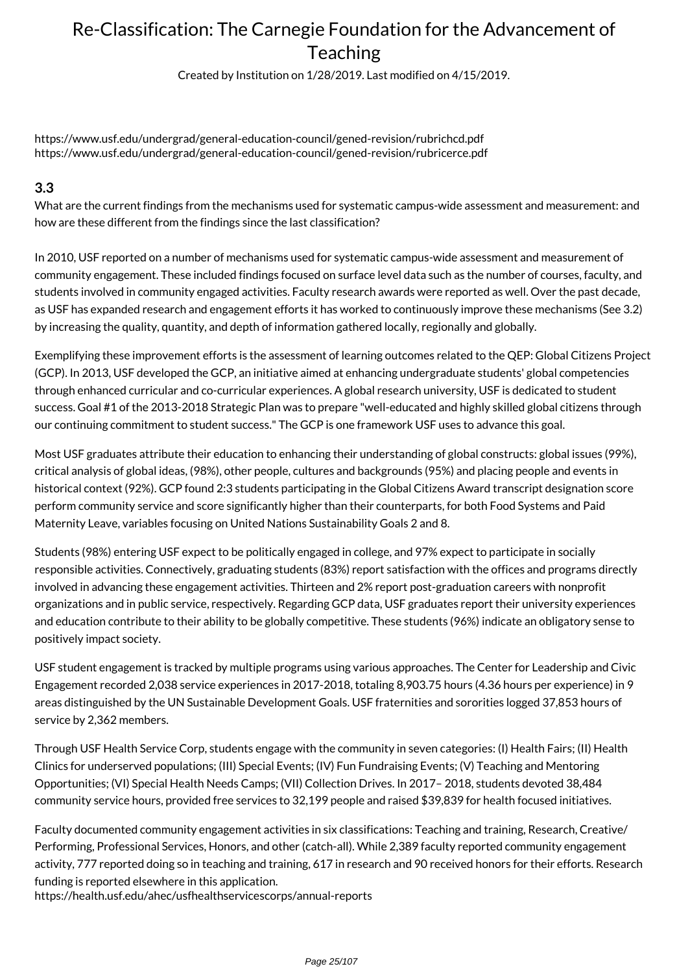Created by Institution on 1/28/2019. Last modified on 4/15/2019.

https://www.usf.edu/undergrad/general-education-council/gened-revision/rubrichcd.pdf https://www.usf.edu/undergrad/general-education-council/gened-revision/rubricerce.pdf

### **3.3**

What are the current findings from the mechanisms used for systematic campus-wide assessment and measurement: and how are these different from the findings since the last classification?

In 2010, USF reported on a number of mechanisms used for systematic campus-wide assessment and measurement of community engagement. These included findings focused on surface level data such as the number of courses, faculty, and students involved in community engaged activities. Faculty research awards were reported as well. Over the past decade, as USF has expanded research and engagement efforts it has worked to continuously improve these mechanisms (See 3.2) by increasing the quality, quantity, and depth of information gathered locally, regionally and globally.

Exemplifying these improvement efforts is the assessment of learning outcomes related to the QEP: Global Citizens Project (GCP). In 2013, USF developed the GCP, an initiative aimed at enhancing undergraduate students' global competencies through enhanced curricular and co-curricular experiences. A global research university, USF is dedicated to student success. Goal #1 of the 2013-2018 Strategic Plan was to prepare "well-educated and highly skilled global citizens through our continuing commitment to student success." The GCP is one framework USF uses to advance this goal.

Most USF graduates attribute their education to enhancing their understanding of global constructs: global issues (99%), critical analysis of global ideas, (98%), other people, cultures and backgrounds (95%) and placing people and events in historical context (92%). GCP found 2:3 students participating in the Global Citizens Award transcript designation score perform community service and score significantly higher than their counterparts, for both Food Systems and Paid Maternity Leave, variables focusing on United Nations Sustainability Goals 2 and 8.

Students (98%) entering USF expect to be politically engaged in college, and 97% expect to participate in socially responsible activities. Connectively, graduating students (83%) report satisfaction with the offices and programs directly involved in advancing these engagement activities. Thirteen and 2% report post-graduation careers with nonprofit organizations and in public service, respectively. Regarding GCP data, USF graduates report their university experiences and education contribute to their ability to be globally competitive. These students (96%) indicate an obligatory sense to positively impact society.

USF student engagement is tracked by multiple programs using various approaches. The Center for Leadership and Civic Engagement recorded 2,038 service experiences in 2017-2018, totaling 8,903.75 hours (4.36 hours per experience) in 9 areas distinguished by the UN Sustainable Development Goals. USF fraternities and sororities logged 37,853 hours of service by 2,362 members.

Through USF Health Service Corp, students engage with the community in seven categories: (I) Health Fairs; (II) Health Clinics for underserved populations; (III) Special Events; (IV) Fun Fundraising Events; (V) Teaching and Mentoring Opportunities; (VI) Special Health Needs Camps; (VII) Collection Drives. In 2017– 2018, students devoted 38,484 community service hours, provided free services to 32,199 people and raised \$39,839 for health focused initiatives.

Faculty documented community engagement activities in six classifications: Teaching and training, Research, Creative/ Performing, Professional Services, Honors, and other (catch-all). While 2,389 faculty reported community engagement activity, 777 reported doing so in teaching and training, 617 in research and 90 received honors for their efforts. Research funding is reported elsewhere in this application.

https://health.usf.edu/ahec/usfhealthservicescorps/annual-reports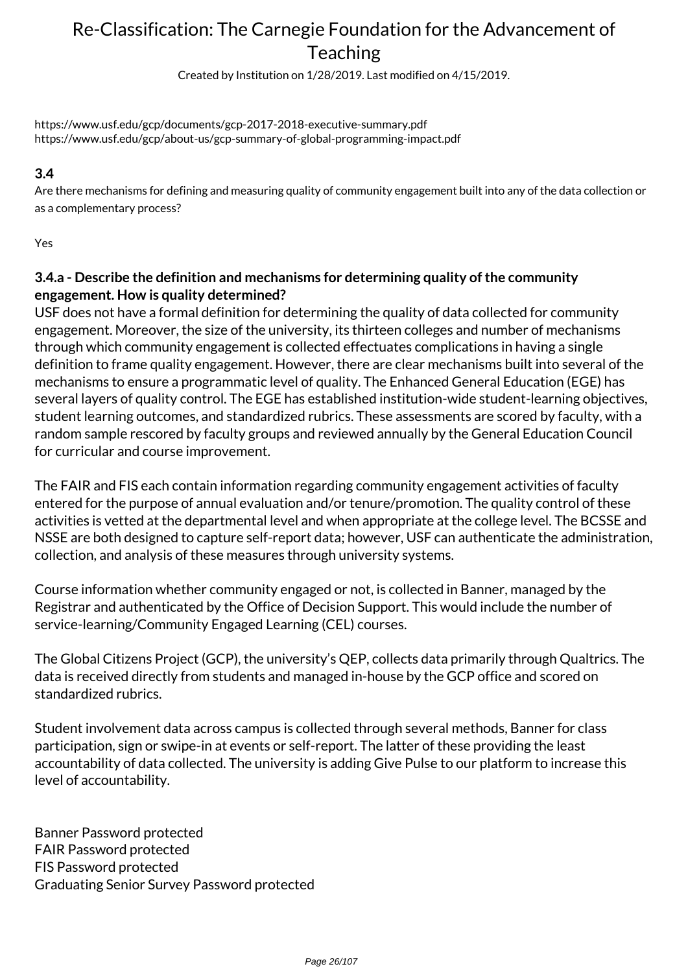Created by Institution on 1/28/2019. Last modified on 4/15/2019.

https://www.usf.edu/gcp/documents/gcp-2017-2018-executive-summary.pdf https://www.usf.edu/gcp/about-us/gcp-summary-of-global-programming-impact.pdf

## **3.4**

Are there mechanisms for defining and measuring quality of community engagement built into any of the data collection or as a complementary process?

Yes

## **3.4.a - Describe the definition and mechanisms for determining quality of the community engagement. How is quality determined?**

USF does not have a formal definition for determining the quality of data collected for community engagement. Moreover, the size of the university, its thirteen colleges and number of mechanisms through which community engagement is collected effectuates complications in having a single definition to frame quality engagement. However, there are clear mechanisms built into several of the mechanisms to ensure a programmatic level of quality. The Enhanced General Education (EGE) has several layers of quality control. The EGE has established institution-wide student-learning objectives, student learning outcomes, and standardized rubrics. These assessments are scored by faculty, with a random sample rescored by faculty groups and reviewed annually by the General Education Council for curricular and course improvement.

The FAIR and FIS each contain information regarding community engagement activities of faculty entered for the purpose of annual evaluation and/or tenure/promotion. The quality control of these activities is vetted at the departmental level and when appropriate at the college level. The BCSSE and NSSE are both designed to capture self-report data; however, USF can authenticate the administration, collection, and analysis of these measures through university systems.

Course information whether community engaged or not, is collected in Banner, managed by the Registrar and authenticated by the Office of Decision Support. This would include the number of service-learning/Community Engaged Learning (CEL) courses.

The Global Citizens Project (GCP), the university's QEP, collects data primarily through Qualtrics. The data is received directly from students and managed in-house by the GCP office and scored on standardized rubrics.

Student involvement data across campus is collected through several methods, Banner for class participation, sign or swipe-in at events or self-report. The latter of these providing the least accountability of data collected. The university is adding Give Pulse to our platform to increase this level of accountability.

Banner Password protected FAIR Password protected FIS Password protected Graduating Senior Survey Password protected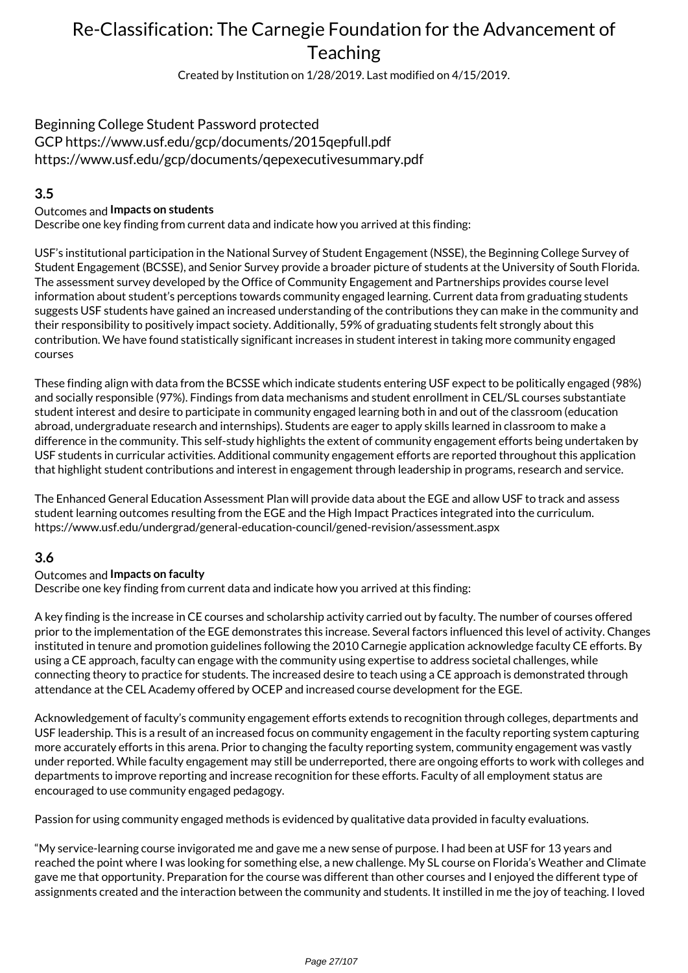Created by Institution on 1/28/2019. Last modified on 4/15/2019.

# Beginning College Student Password protected

GCP https://www.usf.edu/gcp/documents/2015qepfull.pdf https://www.usf.edu/gcp/documents/qepexecutivesummary.pdf

## **3.5**

#### Outcomes and **Impacts on students**

Describe one key finding from current data and indicate how you arrived at this finding:

USF's institutional participation in the National Survey of Student Engagement (NSSE), the Beginning College Survey of Student Engagement (BCSSE), and Senior Survey provide a broader picture of students at the University of South Florida. The assessment survey developed by the Office of Community Engagement and Partnerships provides course level information about student's perceptions towards community engaged learning. Current data from graduating students suggests USF students have gained an increased understanding of the contributions they can make in the community and their responsibility to positively impact society. Additionally, 59% of graduating students felt strongly about this contribution. We have found statistically significant increases in student interest in taking more community engaged courses

These finding align with data from the BCSSE which indicate students entering USF expect to be politically engaged (98%) and socially responsible (97%). Findings from data mechanisms and student enrollment in CEL/SL courses substantiate student interest and desire to participate in community engaged learning both in and out of the classroom (education abroad, undergraduate research and internships). Students are eager to apply skills learned in classroom to make a difference in the community. This self-study highlights the extent of community engagement efforts being undertaken by USF students in curricular activities. Additional community engagement efforts are reported throughout this application that highlight student contributions and interest in engagement through leadership in programs, research and service.

The Enhanced General Education Assessment Plan will provide data about the EGE and allow USF to track and assess student learning outcomes resulting from the EGE and the High Impact Practices integrated into the curriculum. https://www.usf.edu/undergrad/general-education-council/gened-revision/assessment.aspx

## **3.6**

#### Outcomes and **Impacts on faculty**

Describe one key finding from current data and indicate how you arrived at this finding:

A key finding is the increase in CE courses and scholarship activity carried out by faculty. The number of courses offered prior to the implementation of the EGE demonstrates this increase. Several factors influenced this level of activity. Changes instituted in tenure and promotion guidelines following the 2010 Carnegie application acknowledge faculty CE efforts. By using a CE approach, faculty can engage with the community using expertise to address societal challenges, while connecting theory to practice for students. The increased desire to teach using a CE approach is demonstrated through attendance at the CEL Academy offered by OCEP and increased course development for the EGE.

Acknowledgement of faculty's community engagement efforts extends to recognition through colleges, departments and USF leadership. This is a result of an increased focus on community engagement in the faculty reporting system capturing more accurately efforts in this arena. Prior to changing the faculty reporting system, community engagement was vastly under reported. While faculty engagement may still be underreported, there are ongoing efforts to work with colleges and departments to improve reporting and increase recognition for these efforts. Faculty of all employment status are encouraged to use community engaged pedagogy.

Passion for using community engaged methods is evidenced by qualitative data provided in faculty evaluations.

"My service-learning course invigorated me and gave me a new sense of purpose. I had been at USF for 13 years and reached the point where I was looking for something else, a new challenge. My SL course on Florida's Weather and Climate gave me that opportunity. Preparation for the course was different than other courses and I enjoyed the different type of assignments created and the interaction between the community and students. It instilled in me the joy of teaching. I loved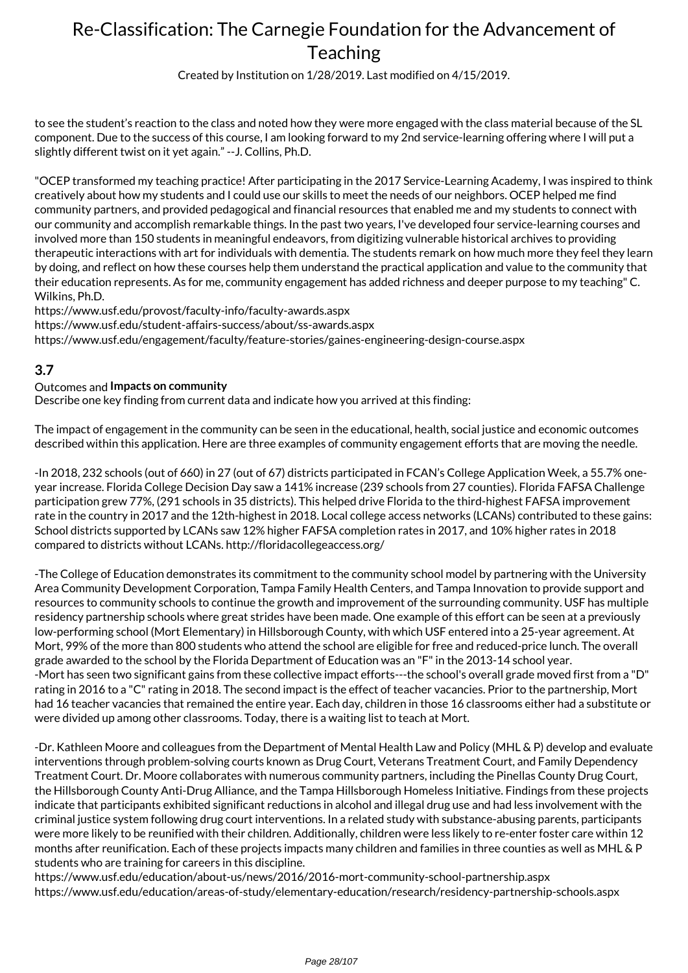Created by Institution on 1/28/2019. Last modified on 4/15/2019.

to see the student's reaction to the class and noted how they were more engaged with the class material because of the SL component. Due to the success of this course, I am looking forward to my 2nd service-learning offering where I will put a slightly different twist on it yet again." --J. Collins, Ph.D.

"OCEP transformed my teaching practice! After participating in the 2017 Service-Learning Academy, I was inspired to think creatively about how my students and I could use our skills to meet the needs of our neighbors. OCEP helped me find community partners, and provided pedagogical and financial resources that enabled me and my students to connect with our community and accomplish remarkable things. In the past two years, I've developed four service-learning courses and involved more than 150 students in meaningful endeavors, from digitizing vulnerable historical archives to providing therapeutic interactions with art for individuals with dementia. The students remark on how much more they feel they learn by doing, and reflect on how these courses help them understand the practical application and value to the community that their education represents. As for me, community engagement has added richness and deeper purpose to my teaching" C. Wilkins, Ph.D.

https://www.usf.edu/provost/faculty-info/faculty-awards.aspx

https://www.usf.edu/student-affairs-success/about/ss-awards.aspx

https://www.usf.edu/engagement/faculty/feature-stories/gaines-engineering-design-course.aspx

#### **3.7**

#### Outcomes and **Impacts on community**

Describe one key finding from current data and indicate how you arrived at this finding:

The impact of engagement in the community can be seen in the educational, health, social justice and economic outcomes described within this application. Here are three examples of community engagement efforts that are moving the needle.

-In 2018, 232 schools (out of 660) in 27 (out of 67) districts participated in FCAN's College Application Week, a 55.7% oneyear increase. Florida College Decision Day saw a 141% increase (239 schools from 27 counties). Florida FAFSA Challenge participation grew 77%, (291 schools in 35 districts). This helped drive Florida to the third-highest FAFSA improvement rate in the country in 2017 and the 12th-highest in 2018. Local college access networks (LCANs) contributed to these gains: School districts supported by LCANs saw 12% higher FAFSA completion rates in 2017, and 10% higher rates in 2018 compared to districts without LCANs. http://floridacollegeaccess.org/

-The College of Education demonstrates its commitment to the community school model by partnering with the University Area Community Development Corporation, Tampa Family Health Centers, and Tampa Innovation to provide support and resources to community schools to continue the growth and improvement of the surrounding community. USF has multiple residency partnership schools where great strides have been made. One example of this effort can be seen at a previously low-performing school (Mort Elementary) in Hillsborough County, with which USF entered into a 25-year agreement. At Mort, 99% of the more than 800 students who attend the school are eligible for free and reduced-price lunch. The overall grade awarded to the school by the Florida Department of Education was an "F" in the 2013-14 school year. -Mort has seen two significant gains from these collective impact efforts---the school's overall grade moved first from a "D" rating in 2016 to a "C" rating in 2018. The second impact is the effect of teacher vacancies. Prior to the partnership, Mort had 16 teacher vacancies that remained the entire year. Each day, children in those 16 classrooms either had a substitute or were divided up among other classrooms. Today, there is a waiting list to teach at Mort.

-Dr. Kathleen Moore and colleagues from the Department of Mental Health Law and Policy (MHL & P) develop and evaluate interventions through problem-solving courts known as Drug Court, Veterans Treatment Court, and Family Dependency Treatment Court. Dr. Moore collaborates with numerous community partners, including the Pinellas County Drug Court, the Hillsborough County Anti-Drug Alliance, and the Tampa Hillsborough Homeless Initiative. Findings from these projects indicate that participants exhibited significant reductions in alcohol and illegal drug use and had less involvement with the criminal justice system following drug court interventions. In a related study with substance-abusing parents, participants were more likely to be reunified with their children. Additionally, children were less likely to re-enter foster care within 12 months after reunification. Each of these projects impacts many children and families in three counties as well as MHL & P students who are training for careers in this discipline.

https://www.usf.edu/education/about-us/news/2016/2016-mort-community-school-partnership.aspx https://www.usf.edu/education/areas-of-study/elementary-education/research/residency-partnership-schools.aspx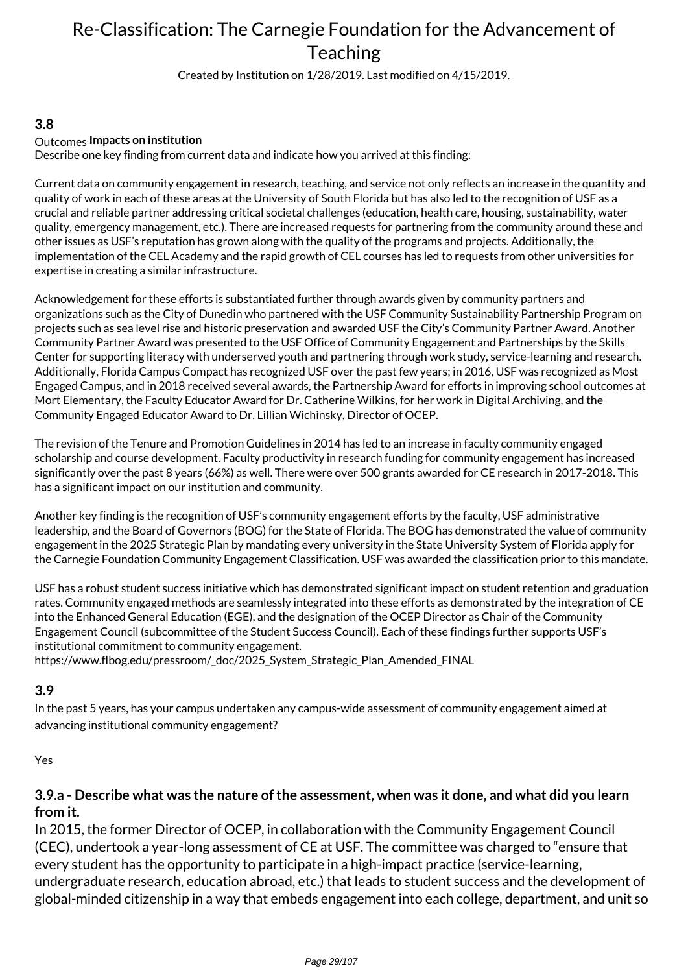Created by Institution on 1/28/2019. Last modified on 4/15/2019.

#### **3.8**

#### Outcomes **Impacts on institution**

Describe one key finding from current data and indicate how you arrived at this finding:

Current data on community engagement in research, teaching, and service not only reflects an increase in the quantity and quality of work in each of these areas at the University of South Florida but has also led to the recognition of USF as a crucial and reliable partner addressing critical societal challenges (education, health care, housing, sustainability, water quality, emergency management, etc.). There are increased requests for partnering from the community around these and other issues as USF's reputation has grown along with the quality of the programs and projects. Additionally, the implementation of the CEL Academy and the rapid growth of CEL courses has led to requests from other universities for expertise in creating a similar infrastructure.

Acknowledgement for these efforts is substantiated further through awards given by community partners and organizations such as the City of Dunedin who partnered with the USF Community Sustainability Partnership Program on projects such as sea level rise and historic preservation and awarded USF the City's Community Partner Award. Another Community Partner Award was presented to the USF Office of Community Engagement and Partnerships by the Skills Center for supporting literacy with underserved youth and partnering through work study, service-learning and research. Additionally, Florida Campus Compact has recognized USF over the past few years; in 2016, USF was recognized as Most Engaged Campus, and in 2018 received several awards, the Partnership Award for efforts in improving school outcomes at Mort Elementary, the Faculty Educator Award for Dr. Catherine Wilkins, for her work in Digital Archiving, and the Community Engaged Educator Award to Dr. Lillian Wichinsky, Director of OCEP.

The revision of the Tenure and Promotion Guidelines in 2014 has led to an increase in faculty community engaged scholarship and course development. Faculty productivity in research funding for community engagement has increased significantly over the past 8 years (66%) as well. There were over 500 grants awarded for CE research in 2017-2018. This has a significant impact on our institution and community.

Another key finding is the recognition of USF's community engagement efforts by the faculty, USF administrative leadership, and the Board of Governors (BOG) for the State of Florida. The BOG has demonstrated the value of community engagement in the 2025 Strategic Plan by mandating every university in the State University System of Florida apply for the Carnegie Foundation Community Engagement Classification. USF was awarded the classification prior to this mandate.

USF has a robust student success initiative which has demonstrated significant impact on student retention and graduation rates. Community engaged methods are seamlessly integrated into these efforts as demonstrated by the integration of CE into the Enhanced General Education (EGE), and the designation of the OCEP Director as Chair of the Community Engagement Council (subcommittee of the Student Success Council). Each of these findings further supports USF's institutional commitment to community engagement. https://www.flbog.edu/pressroom/\_doc/2025\_System\_Strategic\_Plan\_Amended\_FINAL

### **3.9**

In the past 5 years, has your campus undertaken any campus-wide assessment of community engagement aimed at advancing institutional community engagement?

Yes

### **3.9.a - Describe what was the nature of the assessment, when was it done, and what did you learn from it.**

In 2015, the former Director of OCEP, in collaboration with the Community Engagement Council (CEC), undertook a year-long assessment of CE at USF. The committee was charged to "ensure that every student has the opportunity to participate in a high-impact practice (service-learning, undergraduate research, education abroad, etc.) that leads to student success and the development of global-minded citizenship in a way that embeds engagement into each college, department, and unit so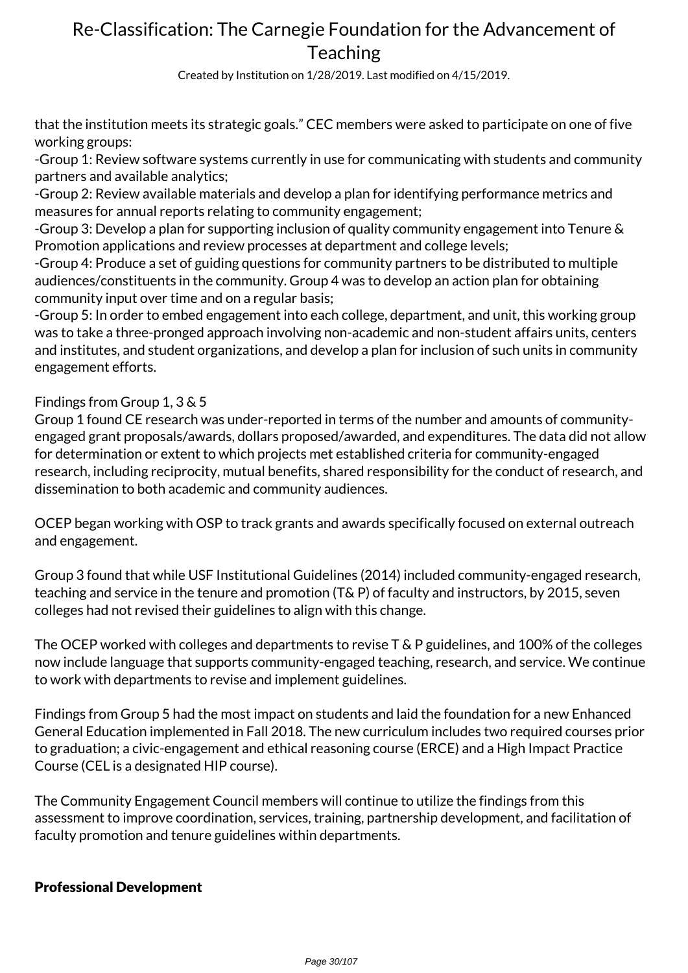Created by Institution on 1/28/2019. Last modified on 4/15/2019.

that the institution meets its strategic goals." CEC members were asked to participate on one of five working groups:

-Group 1: Review software systems currently in use for communicating with students and community partners and available analytics;

-Group 2: Review available materials and develop a plan for identifying performance metrics and measures for annual reports relating to community engagement;

-Group 3: Develop a plan for supporting inclusion of quality community engagement into Tenure & Promotion applications and review processes at department and college levels;

-Group 4: Produce a set of guiding questions for community partners to be distributed to multiple audiences/constituents in the community. Group 4 was to develop an action plan for obtaining community input over time and on a regular basis;

-Group 5: In order to embed engagement into each college, department, and unit, this working group was to take a three-pronged approach involving non-academic and non-student affairs units, centers and institutes, and student organizations, and develop a plan for inclusion of such units in community engagement efforts.

## Findings from Group 1, 3 & 5

Group 1 found CE research was under-reported in terms of the number and amounts of communityengaged grant proposals/awards, dollars proposed/awarded, and expenditures. The data did not allow for determination or extent to which projects met established criteria for community-engaged research, including reciprocity, mutual benefits, shared responsibility for the conduct of research, and dissemination to both academic and community audiences.

OCEP began working with OSP to track grants and awards specifically focused on external outreach and engagement.

Group 3 found that while USF Institutional Guidelines (2014) included community-engaged research, teaching and service in the tenure and promotion (T& P) of faculty and instructors, by 2015, seven colleges had not revised their guidelines to align with this change.

The OCEP worked with colleges and departments to revise T & P guidelines, and 100% of the colleges now include language that supports community-engaged teaching, research, and service. We continue to work with departments to revise and implement guidelines.

Findings from Group 5 had the most impact on students and laid the foundation for a new Enhanced General Education implemented in Fall 2018. The new curriculum includes two required courses prior to graduation; a civic-engagement and ethical reasoning course (ERCE) and a High Impact Practice Course (CEL is a designated HIP course).

The Community Engagement Council members will continue to utilize the findings from this assessment to improve coordination, services, training, partnership development, and facilitation of faculty promotion and tenure guidelines within departments.

## Professional Development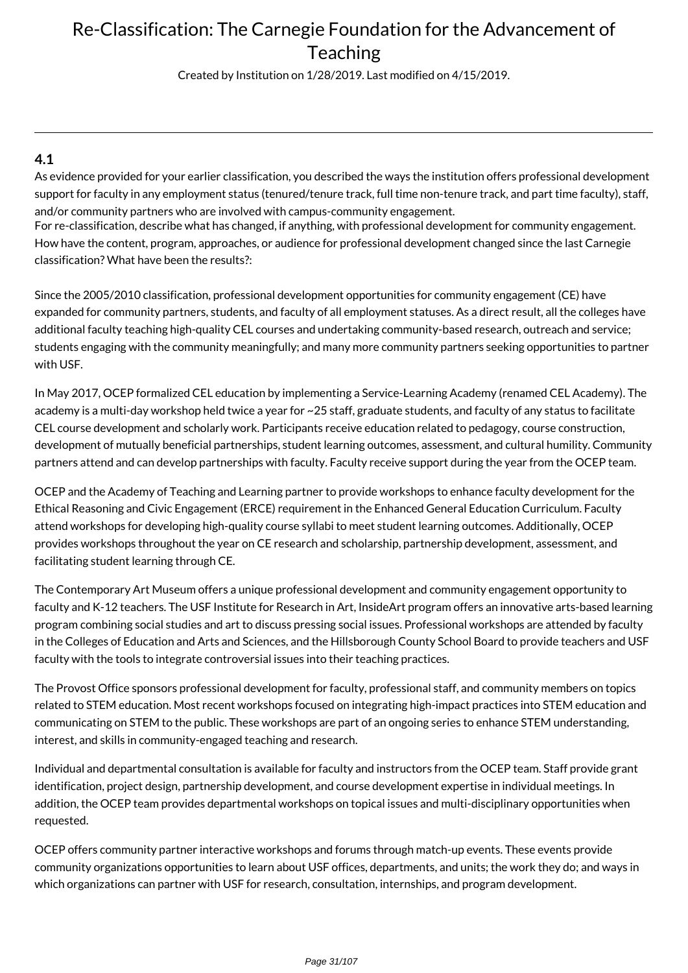Created by Institution on 1/28/2019. Last modified on 4/15/2019.

### **4.1**

As evidence provided for your earlier classification, you described the ways the institution offers professional development support for faculty in any employment status (tenured/tenure track, full time non-tenure track, and part time faculty), staff, and/or community partners who are involved with campus-community engagement.

For re-classification, describe what has changed, if anything, with professional development for community engagement. How have the content, program, approaches, or audience for professional development changed since the last Carnegie classification? What have been the results?:

Since the 2005/2010 classification, professional development opportunities for community engagement (CE) have expanded for community partners, students, and faculty of all employment statuses. As a direct result, all the colleges have additional faculty teaching high-quality CEL courses and undertaking community-based research, outreach and service; students engaging with the community meaningfully; and many more community partners seeking opportunities to partner with USF.

In May 2017, OCEP formalized CEL education by implementing a Service-Learning Academy (renamed CEL Academy). The academy is a multi-day workshop held twice a year for ~25 staff, graduate students, and faculty of any status to facilitate CEL course development and scholarly work. Participants receive education related to pedagogy, course construction, development of mutually beneficial partnerships, student learning outcomes, assessment, and cultural humility. Community partners attend and can develop partnerships with faculty. Faculty receive support during the year from the OCEP team.

OCEP and the Academy of Teaching and Learning partner to provide workshops to enhance faculty development for the Ethical Reasoning and Civic Engagement (ERCE) requirement in the Enhanced General Education Curriculum. Faculty attend workshops for developing high-quality course syllabi to meet student learning outcomes. Additionally, OCEP provides workshops throughout the year on CE research and scholarship, partnership development, assessment, and facilitating student learning through CE.

The Contemporary Art Museum offers a unique professional development and community engagement opportunity to faculty and K-12 teachers. The USF Institute for Research in Art, InsideArt program offers an innovative arts-based learning program combining social studies and art to discuss pressing social issues. Professional workshops are attended by faculty in the Colleges of Education and Arts and Sciences, and the Hillsborough County School Board to provide teachers and USF faculty with the tools to integrate controversial issues into their teaching practices.

The Provost Office sponsors professional development for faculty, professional staff, and community members on topics related to STEM education. Most recent workshops focused on integrating high-impact practices into STEM education and communicating on STEM to the public. These workshops are part of an ongoing series to enhance STEM understanding, interest, and skills in community-engaged teaching and research.

Individual and departmental consultation is available for faculty and instructors from the OCEP team. Staff provide grant identification, project design, partnership development, and course development expertise in individual meetings. In addition, the OCEP team provides departmental workshops on topical issues and multi-disciplinary opportunities when requested.

OCEP offers community partner interactive workshops and forums through match-up events. These events provide community organizations opportunities to learn about USF offices, departments, and units; the work they do; and ways in which organizations can partner with USF for research, consultation, internships, and program development.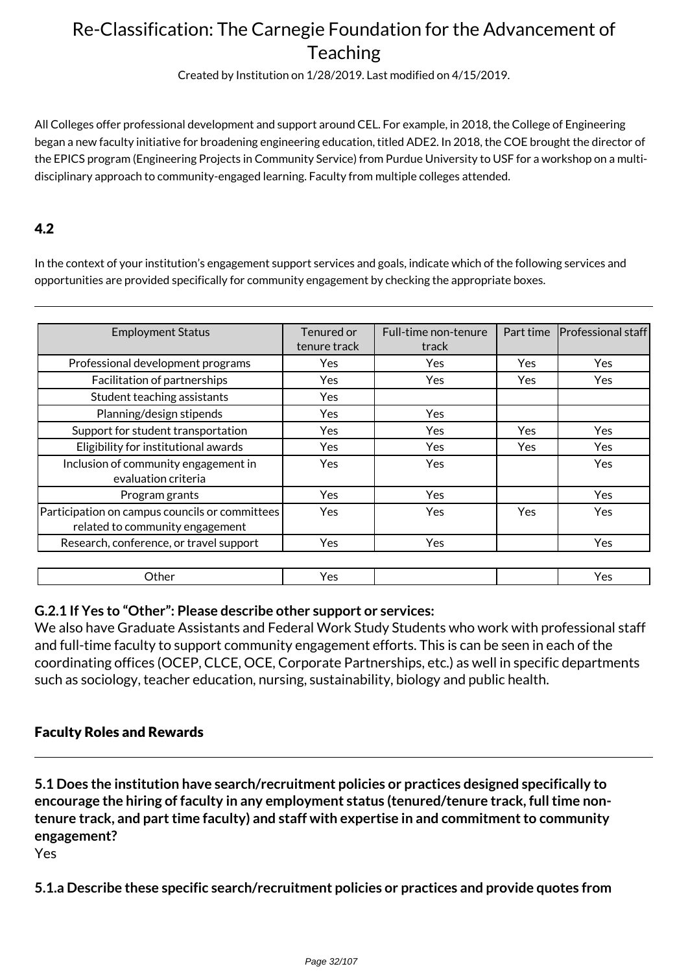Created by Institution on 1/28/2019. Last modified on 4/15/2019.

All Colleges offer professional development and support around CEL. For example, in 2018, the College of Engineering began a new faculty initiative for broadening engineering education, titled ADE2. In 2018, the COE brought the director of the EPICS program (Engineering Projects in Community Service) from Purdue University to USF for a workshop on a multidisciplinary approach to community-engaged learning. Faculty from multiple colleges attended.

## 4.2

In the context of your institution's engagement support services and goals, indicate which of the following services and opportunities are provided specifically for community engagement by checking the appropriate boxes.

| <b>Employment Status</b>                                                          | Tenured or   | Full-time non-tenure | Part time  | Professional staff |
|-----------------------------------------------------------------------------------|--------------|----------------------|------------|--------------------|
|                                                                                   | tenure track | track                |            |                    |
| Professional development programs                                                 | Yes          | Yes                  | Yes.       | Yes                |
| Facilitation of partnerships                                                      | Yes          | Yes                  | Yes        | Yes                |
| Student teaching assistants                                                       | Yes          |                      |            |                    |
| Planning/design stipends                                                          | Yes          | Yes                  |            |                    |
| Support for student transportation                                                | Yes          | Yes                  | Yes.       | Yes                |
| Eligibility for institutional awards                                              | Yes          | Yes                  | Yes.       | <b>Yes</b>         |
| Inclusion of community engagement in<br>evaluation criteria                       | Yes          | Yes                  |            | Yes                |
| Program grants                                                                    | <b>Yes</b>   | <b>Yes</b>           |            | <b>Yes</b>         |
| Participation on campus councils or committees<br>related to community engagement | <b>Yes</b>   | Yes                  | <b>Yes</b> | Yes                |
| Research, conference, or travel support                                           | <b>Yes</b>   | Yes                  |            | <b>Yes</b>         |
|                                                                                   |              |                      |            |                    |
| Other                                                                             | Yes          |                      |            | Yes                |

### **G.2.1 If Yes to "Other": Please describe other support or services:**

We also have Graduate Assistants and Federal Work Study Students who work with professional staff and full-time faculty to support community engagement efforts. This is can be seen in each of the coordinating offices (OCEP, CLCE, OCE, Corporate Partnerships, etc.) as well in specific departments such as sociology, teacher education, nursing, sustainability, biology and public health.

### Faculty Roles and Rewards

**5.1 Does the institution have search/recruitment policies or practices designed specifically to encourage the hiring of faculty in any employment status (tenured/tenure track, full time nontenure track, and part time faculty) and staff with expertise in and commitment to community engagement?**

Yes

**5.1.a Describe these specific search/recruitment policies or practices and provide quotes from**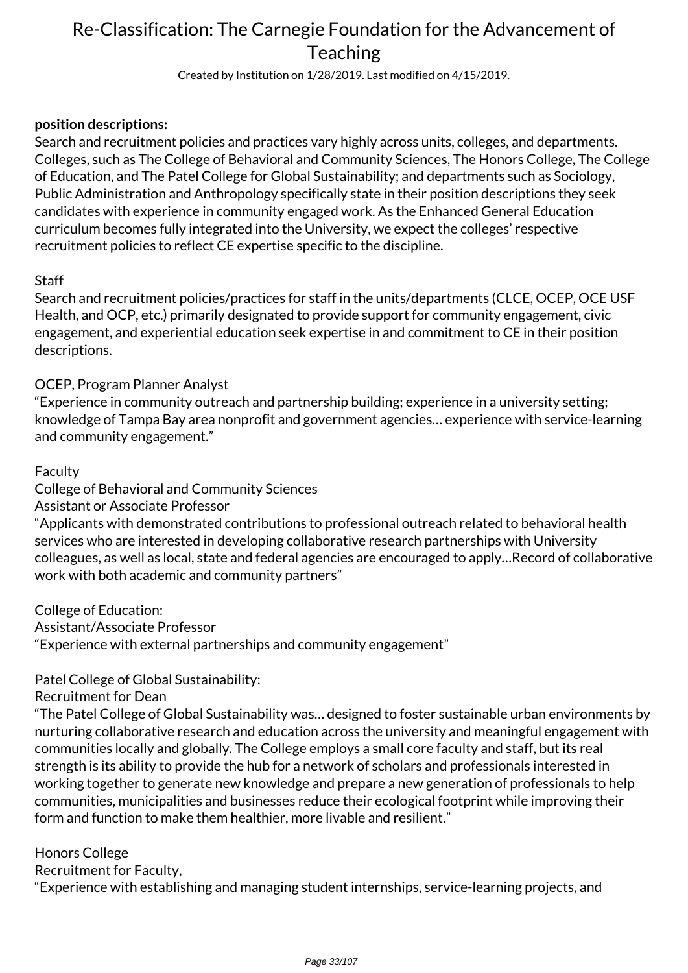Created by Institution on 1/28/2019. Last modified on 4/15/2019.

### **position descriptions:**

Search and recruitment policies and practices vary highly across units, colleges, and departments. Colleges, such as The College of Behavioral and Community Sciences, The Honors College, The College of Education, and The Patel College for Global Sustainability; and departments such as Sociology, Public Administration and Anthropology specifically state in their position descriptions they seek candidates with experience in community engaged work. As the Enhanced General Education curriculum becomes fully integrated into the University, we expect the colleges' respective recruitment policies to reflect CE expertise specific to the discipline.

### **Staff**

Search and recruitment policies/practices for staff in the units/departments (CLCE, OCEP, OCE USF Health, and OCP, etc.) primarily designated to provide support for community engagement, civic engagement, and experiential education seek expertise in and commitment to CE in their position descriptions.

## OCEP, Program Planner Analyst

"Experience in community outreach and partnership building; experience in a university setting; knowledge of Tampa Bay area nonprofit and government agencies… experience with service-learning and community engagement."

### Faculty

College of Behavioral and Community Sciences

### Assistant or Associate Professor

"Applicants with demonstrated contributions to professional outreach related to behavioral health services who are interested in developing collaborative research partnerships with University colleagues, as well as local, state and federal agencies are encouraged to apply…Record of collaborative work with both academic and community partners"

College of Education: Assistant/Associate Professor "Experience with external partnerships and community engagement"

## Patel College of Global Sustainability:

Recruitment for Dean

"The Patel College of Global Sustainability was… designed to foster sustainable urban environments by nurturing collaborative research and education across the university and meaningful engagement with communities locally and globally. The College employs a small core faculty and staff, but its real strength is its ability to provide the hub for a network of scholars and professionals interested in working together to generate new knowledge and prepare a new generation of professionals to help communities, municipalities and businesses reduce their ecological footprint while improving their form and function to make them healthier, more livable and resilient."

### Honors College

Recruitment for Faculty,

"Experience with establishing and managing student internships, service-learning projects, and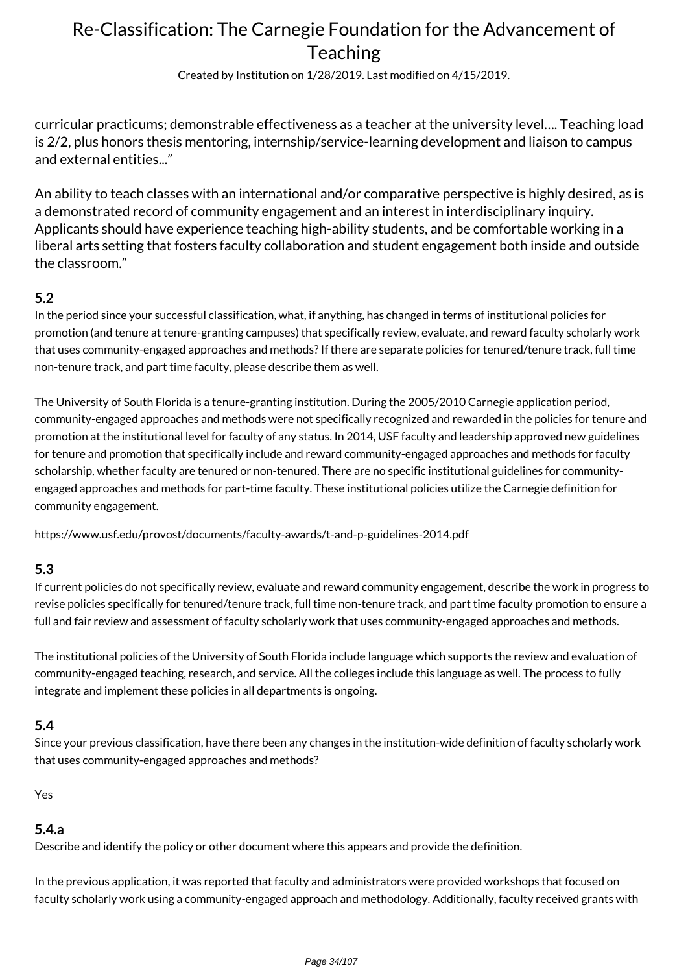Created by Institution on 1/28/2019. Last modified on 4/15/2019.

curricular practicums; demonstrable effectiveness as a teacher at the university level…. Teaching load is 2/2, plus honors thesis mentoring, internship/service-learning development and liaison to campus and external entities..."

An ability to teach classes with an international and/or comparative perspective is highly desired, as is a demonstrated record of community engagement and an interest in interdisciplinary inquiry. Applicants should have experience teaching high-ability students, and be comfortable working in a liberal arts setting that fosters faculty collaboration and student engagement both inside and outside the classroom."

### **5.2**

In the period since your successful classification, what, if anything, has changed in terms of institutional policies for promotion (and tenure at tenure-granting campuses) that specifically review, evaluate, and reward faculty scholarly work that uses community-engaged approaches and methods? If there are separate policies for tenured/tenure track, full time non-tenure track, and part time faculty, please describe them as well.

The University of South Florida is a tenure-granting institution. During the 2005/2010 Carnegie application period, community-engaged approaches and methods were not specifically recognized and rewarded in the policies for tenure and promotion at the institutional level for faculty of any status. In 2014, USF faculty and leadership approved new guidelines for tenure and promotion that specifically include and reward community-engaged approaches and methods for faculty scholarship, whether faculty are tenured or non-tenured. There are no specific institutional guidelines for communityengaged approaches and methods for part-time faculty. These institutional policies utilize the Carnegie definition for community engagement.

https://www.usf.edu/provost/documents/faculty-awards/t-and-p-guidelines-2014.pdf

### **5.3**

If current policies do not specifically review, evaluate and reward community engagement, describe the work in progress to revise policies specifically for tenured/tenure track, full time non-tenure track, and part time faculty promotion to ensure a full and fair review and assessment of faculty scholarly work that uses community-engaged approaches and methods.

The institutional policies of the University of South Florida include language which supports the review and evaluation of community-engaged teaching, research, and service. All the colleges include this language as well. The process to fully integrate and implement these policies in all departments is ongoing.

### **5.4**

Since your previous classification, have there been any changes in the institution-wide definition of faculty scholarly work that uses community-engaged approaches and methods?

Yes

### **5.4.a**

Describe and identify the policy or other document where this appears and provide the definition.

In the previous application, it was reported that faculty and administrators were provided workshops that focused on faculty scholarly work using a community-engaged approach and methodology. Additionally, faculty received grants with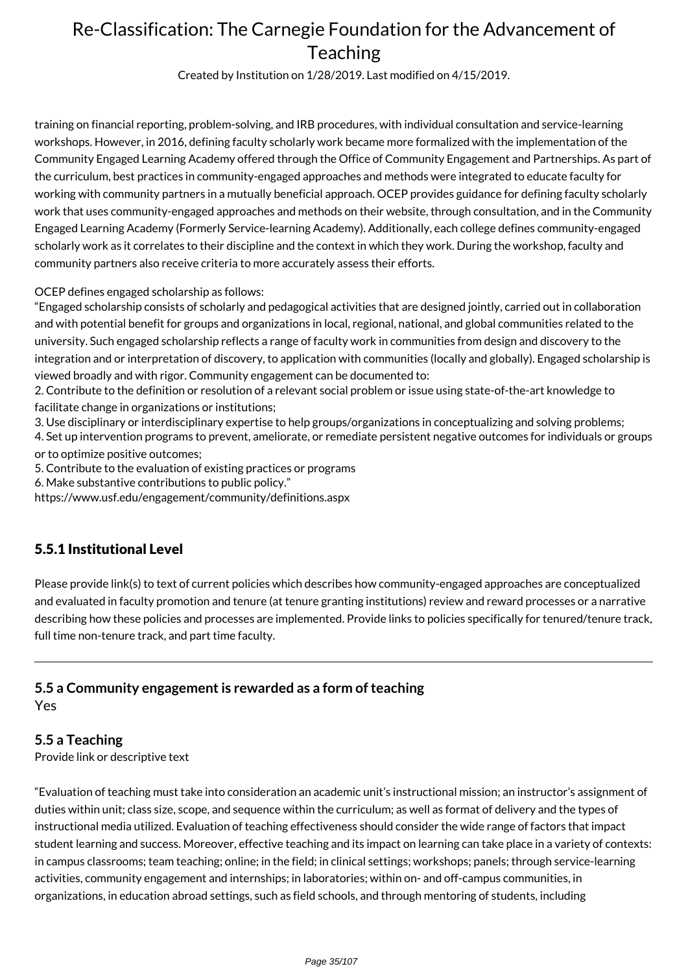Created by Institution on 1/28/2019. Last modified on 4/15/2019.

training on financial reporting, problem-solving, and IRB procedures, with individual consultation and service-learning workshops. However, in 2016, defining faculty scholarly work became more formalized with the implementation of the Community Engaged Learning Academy offered through the Office of Community Engagement and Partnerships. As part of the curriculum, best practices in community-engaged approaches and methods were integrated to educate faculty for working with community partners in a mutually beneficial approach. OCEP provides guidance for defining faculty scholarly work that uses community-engaged approaches and methods on their website, through consultation, and in the Community Engaged Learning Academy (Formerly Service-learning Academy). Additionally, each college defines community-engaged scholarly work as it correlates to their discipline and the context in which they work. During the workshop, faculty and community partners also receive criteria to more accurately assess their efforts.

OCEP defines engaged scholarship as follows:

"Engaged scholarship consists of scholarly and pedagogical activities that are designed jointly, carried out in collaboration and with potential benefit for groups and organizations in local, regional, national, and global communities related to the university. Such engaged scholarship reflects a range of faculty work in communities from design and discovery to the integration and or interpretation of discovery, to application with communities (locally and globally). Engaged scholarship is viewed broadly and with rigor. Community engagement can be documented to:

2. Contribute to the definition or resolution of a relevant social problem or issue using state-of-the-art knowledge to facilitate change in organizations or institutions;

3. Use disciplinary or interdisciplinary expertise to help groups/organizations in conceptualizing and solving problems;

4. Set up intervention programs to prevent, ameliorate, or remediate persistent negative outcomes for individuals or groups or to optimize positive outcomes;

5. Contribute to the evaluation of existing practices or programs

6. Make substantive contributions to public policy."

https://www.usf.edu/engagement/community/definitions.aspx

## 5.5.1 Institutional Level

Please provide link(s) to text of current policies which describes how community-engaged approaches are conceptualized and evaluated in faculty promotion and tenure (at tenure granting institutions) review and reward processes or a narrative describing how these policies and processes are implemented. Provide links to policies specifically for tenured/tenure track, full time non-tenure track, and part time faculty.

### **5.5 a Community engagement is rewarded as a form of teaching** Yes

### **5.5 a Teaching**

Provide link or descriptive text

"Evaluation of teaching must take into consideration an academic unit's instructional mission; an instructor's assignment of duties within unit; class size, scope, and sequence within the curriculum; as well as format of delivery and the types of instructional media utilized. Evaluation of teaching effectiveness should consider the wide range of factors that impact student learning and success. Moreover, effective teaching and its impact on learning can take place in a variety of contexts: in campus classrooms; team teaching; online; in the field; in clinical settings; workshops; panels; through service-learning activities, community engagement and internships; in laboratories; within on- and off-campus communities, in organizations, in education abroad settings, such as field schools, and through mentoring of students, including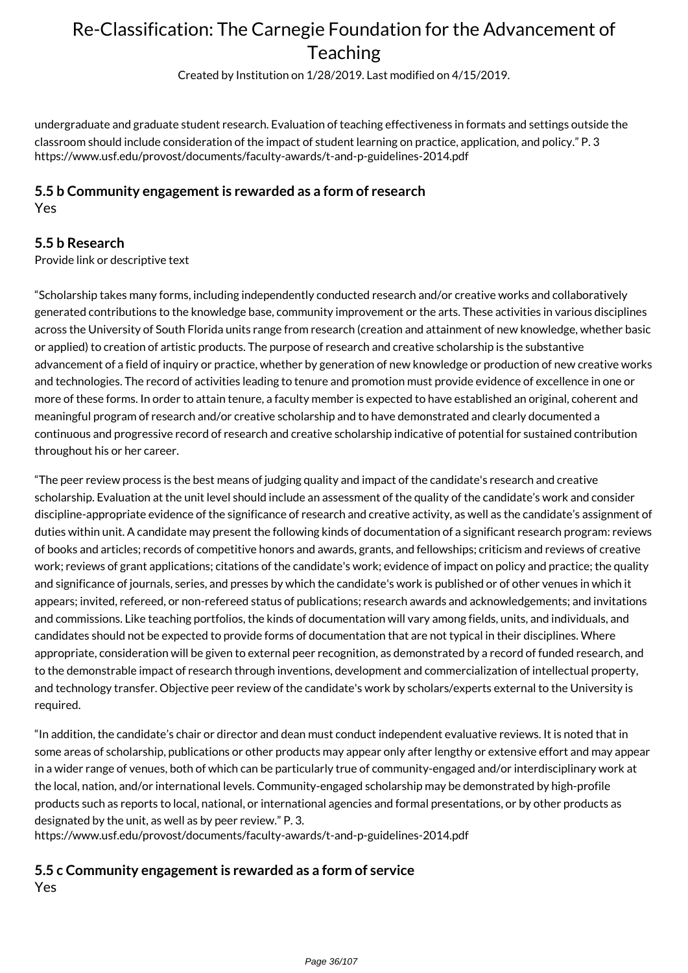Created by Institution on 1/28/2019. Last modified on 4/15/2019.

undergraduate and graduate student research. Evaluation of teaching effectiveness in formats and settings outside the classroom should include consideration of the impact of student learning on practice, application, and policy." P. 3 https://www.usf.edu/provost/documents/faculty-awards/t-and-p-guidelines-2014.pdf

#### **5.5 b Community engagement is rewarded as a form of research** Yes

### **5.5 b Research**

Provide link or descriptive text

"Scholarship takes many forms, including independently conducted research and/or creative works and collaboratively generated contributions to the knowledge base, community improvement or the arts. These activities in various disciplines across the University of South Florida units range from research (creation and attainment of new knowledge, whether basic or applied) to creation of artistic products. The purpose of research and creative scholarship is the substantive advancement of a field of inquiry or practice, whether by generation of new knowledge or production of new creative works and technologies. The record of activities leading to tenure and promotion must provide evidence of excellence in one or more of these forms. In order to attain tenure, a faculty member is expected to have established an original, coherent and meaningful program of research and/or creative scholarship and to have demonstrated and clearly documented a continuous and progressive record of research and creative scholarship indicative of potential for sustained contribution throughout his or her career.

"The peer review process is the best means of judging quality and impact of the candidate's research and creative scholarship. Evaluation at the unit level should include an assessment of the quality of the candidate's work and consider discipline-appropriate evidence of the significance of research and creative activity, as well as the candidate's assignment of duties within unit. A candidate may present the following kinds of documentation of a significant research program: reviews of books and articles; records of competitive honors and awards, grants, and fellowships; criticism and reviews of creative work; reviews of grant applications; citations of the candidate's work; evidence of impact on policy and practice; the quality and significance of journals, series, and presses by which the candidate's work is published or of other venues in which it appears; invited, refereed, or non-refereed status of publications; research awards and acknowledgements; and invitations and commissions. Like teaching portfolios, the kinds of documentation will vary among fields, units, and individuals, and candidates should not be expected to provide forms of documentation that are not typical in their disciplines. Where appropriate, consideration will be given to external peer recognition, as demonstrated by a record of funded research, and to the demonstrable impact of research through inventions, development and commercialization of intellectual property, and technology transfer. Objective peer review of the candidate's work by scholars/experts external to the University is required.

"In addition, the candidate's chair or director and dean must conduct independent evaluative reviews. It is noted that in some areas of scholarship, publications or other products may appear only after lengthy or extensive effort and may appear in a wider range of venues, both of which can be particularly true of community-engaged and/or interdisciplinary work at the local, nation, and/or international levels. Community-engaged scholarship may be demonstrated by high-profile products such as reports to local, national, or international agencies and formal presentations, or by other products as designated by the unit, as well as by peer review." P. 3.

https://www.usf.edu/provost/documents/faculty-awards/t-and-p-guidelines-2014.pdf

#### **5.5 c Community engagement is rewarded as a form of service** Yes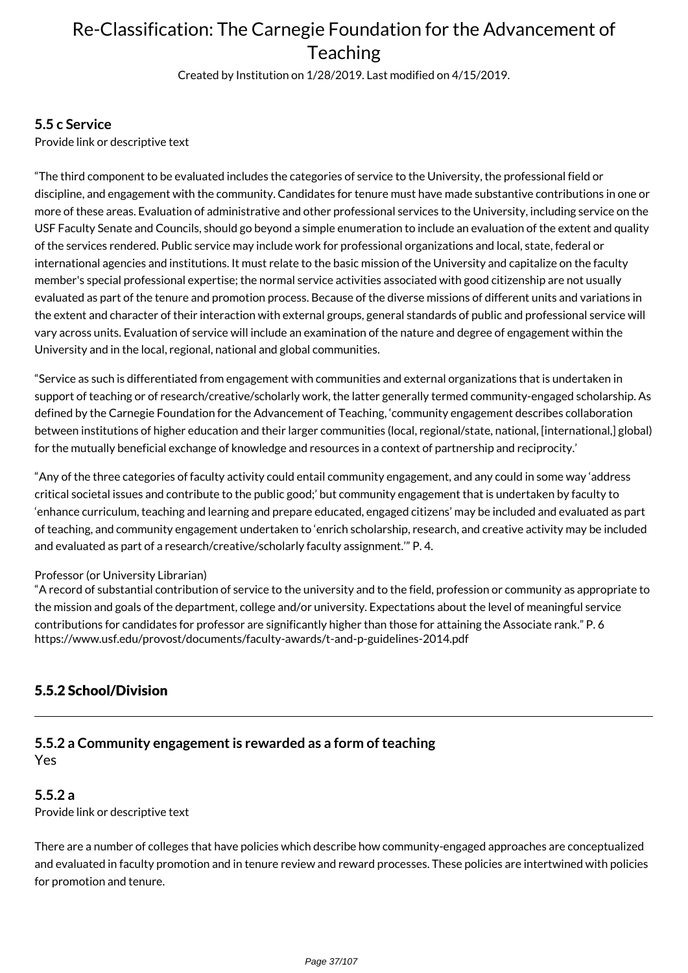Created by Institution on 1/28/2019. Last modified on 4/15/2019.

#### **5.5 c Service**

Provide link or descriptive text

"The third component to be evaluated includes the categories of service to the University, the professional field or discipline, and engagement with the community. Candidates for tenure must have made substantive contributions in one or more of these areas. Evaluation of administrative and other professional services to the University, including service on the USF Faculty Senate and Councils, should go beyond a simple enumeration to include an evaluation of the extent and quality of the services rendered. Public service may include work for professional organizations and local, state, federal or international agencies and institutions. It must relate to the basic mission of the University and capitalize on the faculty member's special professional expertise; the normal service activities associated with good citizenship are not usually evaluated as part of the tenure and promotion process. Because of the diverse missions of different units and variations in the extent and character of their interaction with external groups, general standards of public and professional service will vary across units. Evaluation of service will include an examination of the nature and degree of engagement within the University and in the local, regional, national and global communities.

"Service as such is differentiated from engagement with communities and external organizations that is undertaken in support of teaching or of research/creative/scholarly work, the latter generally termed community-engaged scholarship. As defined by the Carnegie Foundation for the Advancement of Teaching, 'community engagement describes collaboration between institutions of higher education and their larger communities (local, regional/state, national, [international,] global) for the mutually beneficial exchange of knowledge and resources in a context of partnership and reciprocity.'

"Any of the three categories of faculty activity could entail community engagement, and any could in some way 'address critical societal issues and contribute to the public good;' but community engagement that is undertaken by faculty to 'enhance curriculum, teaching and learning and prepare educated, engaged citizens' may be included and evaluated as part of teaching, and community engagement undertaken to 'enrich scholarship, research, and creative activity may be included and evaluated as part of a research/creative/scholarly faculty assignment.'" P. 4.

#### Professor (or University Librarian)

"A record of substantial contribution of service to the university and to the field, profession or community as appropriate to the mission and goals of the department, college and/or university. Expectations about the level of meaningful service contributions for candidates for professor are significantly higher than those for attaining the Associate rank." P. 6 https://www.usf.edu/provost/documents/faculty-awards/t-and-p-guidelines-2014.pdf

### 5.5.2 School/Division

### **5.5.2 a Community engagement is rewarded as a form of teaching** Yes

### **5.5.2 a**

Provide link or descriptive text

There are a number of colleges that have policies which describe how community-engaged approaches are conceptualized and evaluated in faculty promotion and in tenure review and reward processes. These policies are intertwined with policies for promotion and tenure.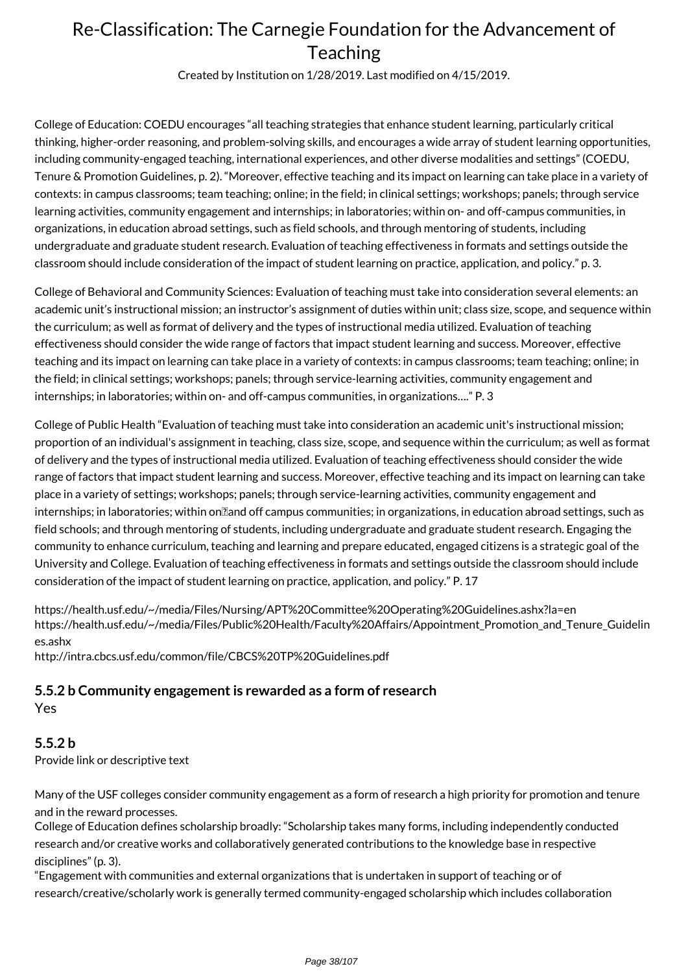Created by Institution on 1/28/2019. Last modified on 4/15/2019.

College of Education: COEDU encourages "all teaching strategies that enhance student learning, particularly critical thinking, higher-order reasoning, and problem-solving skills, and encourages a wide array of student learning opportunities, including community-engaged teaching, international experiences, and other diverse modalities and settings" (COEDU, Tenure & Promotion Guidelines, p. 2). "Moreover, effective teaching and its impact on learning can take place in a variety of contexts: in campus classrooms; team teaching; online; in the field; in clinical settings; workshops; panels; through service learning activities, community engagement and internships; in laboratories; within on- and off-campus communities, in organizations, in education abroad settings, such as field schools, and through mentoring of students, including undergraduate and graduate student research. Evaluation of teaching effectiveness in formats and settings outside the classroom should include consideration of the impact of student learning on practice, application, and policy." p. 3.

College of Behavioral and Community Sciences: Evaluation of teaching must take into consideration several elements: an academic unit's instructional mission; an instructor's assignment of duties within unit; class size, scope, and sequence within the curriculum; as well as format of delivery and the types of instructional media utilized. Evaluation of teaching effectiveness should consider the wide range of factors that impact student learning and success. Moreover, effective teaching and its impact on learning can take place in a variety of contexts: in campus classrooms; team teaching; online; in the field; in clinical settings; workshops; panels; through service-learning activities, community engagement and internships; in laboratories; within on- and off-campus communities, in organizations…." P. 3

College of Public Health "Evaluation of teaching must take into consideration an academic unit's instructional mission; proportion of an individual's assignment in teaching, class size, scope, and sequence within the curriculum; as well as format of delivery and the types of instructional media utilized. Evaluation of teaching effectiveness should consider the wide range of factors that impact student learning and success. Moreover, effective teaching and its impact on learning can take place in a variety of settings; workshops; panels; through service-learning activities, community engagement and internships; in laboratories; within on<br>
land off campus communities; in organization abroad settings, such as field schools; and through mentoring of students, including undergraduate and graduate student research. Engaging the community to enhance curriculum, teaching and learning and prepare educated, engaged citizens is a strategic goal of the University and College. Evaluation of teaching effectiveness in formats and settings outside the classroom should include consideration of the impact of student learning on practice, application, and policy." P. 17

https://health.usf.edu/~/media/Files/Nursing/APT%20Committee%20Operating%20Guidelines.ashx?la=en https://health.usf.edu/~/media/Files/Public%20Health/Faculty%20Affairs/Appointment\_Promotion\_and\_Tenure\_Guidelin es.ashx

http://intra.cbcs.usf.edu/common/file/CBCS%20TP%20Guidelines.pdf

### **5.5.2 b Community engagement is rewarded as a form of research**

Yes

#### **5.5.2 b**

Provide link or descriptive text

Many of the USF colleges consider community engagement as a form of research a high priority for promotion and tenure and in the reward processes.

College of Education defines scholarship broadly: "Scholarship takes many forms, including independently conducted research and/or creative works and collaboratively generated contributions to the knowledge base in respective disciplines" (p. 3).

"Engagement with communities and external organizations that is undertaken in support of teaching or of research/creative/scholarly work is generally termed community-engaged scholarship which includes collaboration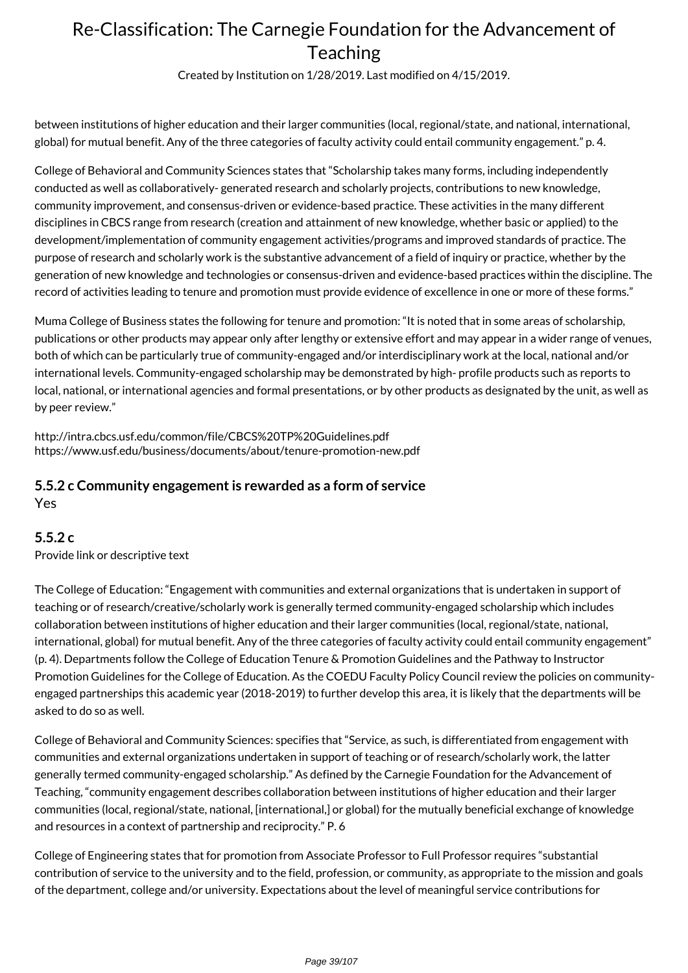Created by Institution on 1/28/2019. Last modified on 4/15/2019.

between institutions of higher education and their larger communities (local, regional/state, and national, international, global) for mutual benefit. Any of the three categories of faculty activity could entail community engagement." p. 4.

College of Behavioral and Community Sciences states that "Scholarship takes many forms, including independently conducted as well as collaboratively- generated research and scholarly projects, contributions to new knowledge, community improvement, and consensus-driven or evidence-based practice. These activities in the many different disciplines in CBCS range from research (creation and attainment of new knowledge, whether basic or applied) to the development/implementation of community engagement activities/programs and improved standards of practice. The purpose of research and scholarly work is the substantive advancement of a field of inquiry or practice, whether by the generation of new knowledge and technologies or consensus-driven and evidence-based practices within the discipline. The record of activities leading to tenure and promotion must provide evidence of excellence in one or more of these forms."

Muma College of Business states the following for tenure and promotion: "It is noted that in some areas of scholarship, publications or other products may appear only after lengthy or extensive effort and may appear in a wider range of venues, both of which can be particularly true of community-engaged and/or interdisciplinary work at the local, national and/or international levels. Community-engaged scholarship may be demonstrated by high- profile products such as reports to local, national, or international agencies and formal presentations, or by other products as designated by the unit, as well as by peer review."

http://intra.cbcs.usf.edu/common/file/CBCS%20TP%20Guidelines.pdf https://www.usf.edu/business/documents/about/tenure-promotion-new.pdf

#### **5.5.2 c Community engagement is rewarded as a form of service** Yes

#### **5.5.2 c**

Provide link or descriptive text

The College of Education: "Engagement with communities and external organizations that is undertaken in support of teaching or of research/creative/scholarly work is generally termed community-engaged scholarship which includes collaboration between institutions of higher education and their larger communities (local, regional/state, national, international, global) for mutual benefit. Any of the three categories of faculty activity could entail community engagement" (p. 4). Departments follow the College of Education Tenure & Promotion Guidelines and the Pathway to Instructor Promotion Guidelines for the College of Education. As the COEDU Faculty Policy Council review the policies on communityengaged partnerships this academic year (2018-2019) to further develop this area, it is likely that the departments will be asked to do so as well.

College of Behavioral and Community Sciences: specifies that "Service, as such, is differentiated from engagement with communities and external organizations undertaken in support of teaching or of research/scholarly work, the latter generally termed community-engaged scholarship." As defined by the Carnegie Foundation for the Advancement of Teaching, "community engagement describes collaboration between institutions of higher education and their larger communities (local, regional/state, national, [international,] or global) for the mutually beneficial exchange of knowledge and resources in a context of partnership and reciprocity." P. 6

College of Engineering states that for promotion from Associate Professor to Full Professor requires "substantial contribution of service to the university and to the field, profession, or community, as appropriate to the mission and goals of the department, college and/or university. Expectations about the level of meaningful service contributions for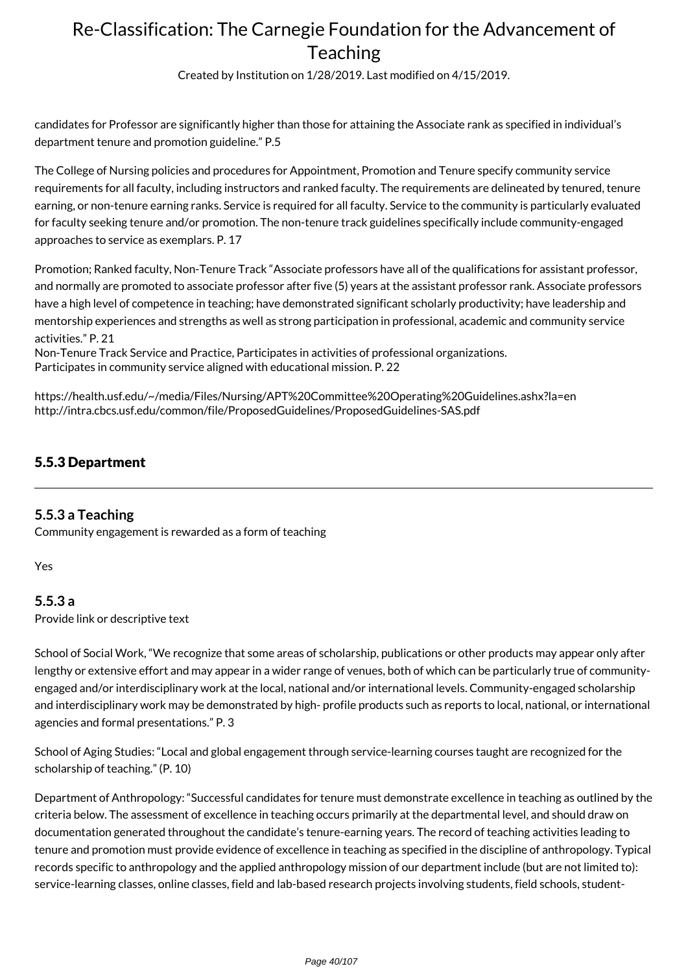Created by Institution on 1/28/2019. Last modified on 4/15/2019.

candidates for Professor are significantly higher than those for attaining the Associate rank as specified in individual's department tenure and promotion guideline." P.5

The College of Nursing policies and procedures for Appointment, Promotion and Tenure specify community service requirements for all faculty, including instructors and ranked faculty. The requirements are delineated by tenured, tenure earning, or non-tenure earning ranks. Service is required for all faculty. Service to the community is particularly evaluated for faculty seeking tenure and/or promotion. The non-tenure track guidelines specifically include community-engaged approaches to service as exemplars. P. 17

Promotion; Ranked faculty, Non-Tenure Track "Associate professors have all of the qualifications for assistant professor, and normally are promoted to associate professor after five (5) years at the assistant professor rank. Associate professors have a high level of competence in teaching; have demonstrated significant scholarly productivity; have leadership and mentorship experiences and strengths as well as strong participation in professional, academic and community service activities." P. 21

Non-Tenure Track Service and Practice, Participates in activities of professional organizations. Participates in community service aligned with educational mission. P. 22

https://health.usf.edu/~/media/Files/Nursing/APT%20Committee%20Operating%20Guidelines.ashx?la=en http://intra.cbcs.usf.edu/common/file/ProposedGuidelines/ProposedGuidelines-SAS.pdf

### 5.5.3 Department

#### **5.5.3 a Teaching**

Community engagement is rewarded as a form of teaching

Yes

#### **5.5.3 a**

Provide link or descriptive text

School of Social Work, "We recognize that some areas of scholarship, publications or other products may appear only after lengthy or extensive effort and may appear in a wider range of venues, both of which can be particularly true of communityengaged and/or interdisciplinary work at the local, national and/or international levels. Community-engaged scholarship and interdisciplinary work may be demonstrated by high- profile products such as reports to local, national, or international agencies and formal presentations." P. 3

School of Aging Studies: "Local and global engagement through service-learning courses taught are recognized for the scholarship of teaching." (P. 10)

Department of Anthropology: "Successful candidates for tenure must demonstrate excellence in teaching as outlined by the criteria below. The assessment of excellence in teaching occurs primarily at the departmental level, and should draw on documentation generated throughout the candidate's tenure-earning years. The record of teaching activities leading to tenure and promotion must provide evidence of excellence in teaching as specified in the discipline of anthropology. Typical records specific to anthropology and the applied anthropology mission of our department include (but are not limited to): service-learning classes, online classes, field and lab-based research projects involving students, field schools, student-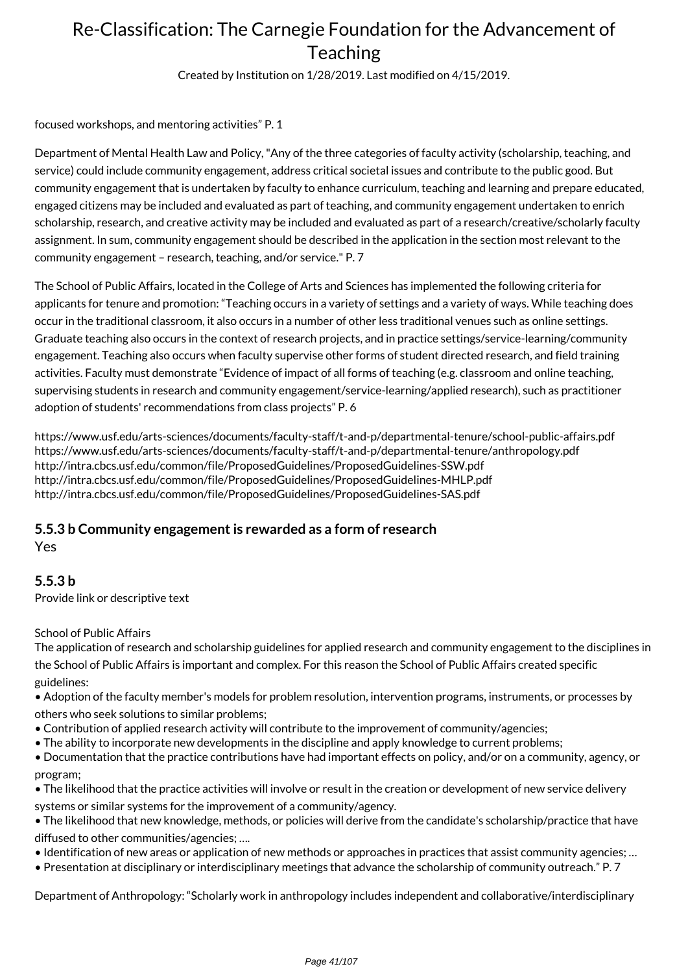Created by Institution on 1/28/2019. Last modified on 4/15/2019.

focused workshops, and mentoring activities" P. 1

Department of Mental Health Law and Policy, "Any of the three categories of faculty activity (scholarship, teaching, and service) could include community engagement, address critical societal issues and contribute to the public good. But community engagement that is undertaken by faculty to enhance curriculum, teaching and learning and prepare educated, engaged citizens may be included and evaluated as part of teaching, and community engagement undertaken to enrich scholarship, research, and creative activity may be included and evaluated as part of a research/creative/scholarly faculty assignment. In sum, community engagement should be described in the application in the section most relevant to the community engagement – research, teaching, and/or service." P. 7

The School of Public Affairs, located in the College of Arts and Sciences has implemented the following criteria for applicants for tenure and promotion: "Teaching occurs in a variety of settings and a variety of ways. While teaching does occur in the traditional classroom, it also occurs in a number of other less traditional venues such as online settings. Graduate teaching also occurs in the context of research projects, and in practice settings/service-learning/community engagement. Teaching also occurs when faculty supervise other forms of student directed research, and field training activities. Faculty must demonstrate "Evidence of impact of all forms of teaching (e.g. classroom and online teaching, supervising students in research and community engagement/service-learning/applied research), such as practitioner adoption of students' recommendations from class projects" P. 6

https://www.usf.edu/arts-sciences/documents/faculty-staff/t-and-p/departmental-tenure/school-public-affairs.pdf https://www.usf.edu/arts-sciences/documents/faculty-staff/t-and-p/departmental-tenure/anthropology.pdf http://intra.cbcs.usf.edu/common/file/ProposedGuidelines/ProposedGuidelines-SSW.pdf http://intra.cbcs.usf.edu/common/file/ProposedGuidelines/ProposedGuidelines-MHLP.pdf http://intra.cbcs.usf.edu/common/file/ProposedGuidelines/ProposedGuidelines-SAS.pdf

### **5.5.3 b Community engagement is rewarded as a form of research**

Yes

### **5.5.3 b**

Provide link or descriptive text

School of Public Affairs

The application of research and scholarship guidelines for applied research and community engagement to the disciplines in the School of Public Affairs is important and complex. For this reason the School of Public Affairs created specific guidelines:

• Adoption of the faculty member's models for problem resolution, intervention programs, instruments, or processes by others who seek solutions to similar problems;

- Contribution of applied research activity will contribute to the improvement of community/agencies;
- The ability to incorporate new developments in the discipline and apply knowledge to current problems;
- Documentation that the practice contributions have had important effects on policy, and/or on a community, agency, or program;
- The likelihood that the practice activities will involve or result in the creation or development of new service delivery
- systems or similar systems for the improvement of a community/agency.

• The likelihood that new knowledge, methods, or policies will derive from the candidate's scholarship/practice that have diffused to other communities/agencies; ….

- Identification of new areas or application of new methods or approaches in practices that assist community agencies; …
- Presentation at disciplinary or interdisciplinary meetings that advance the scholarship of community outreach." P. 7

Department of Anthropology: "Scholarly work in anthropology includes independent and collaborative/interdisciplinary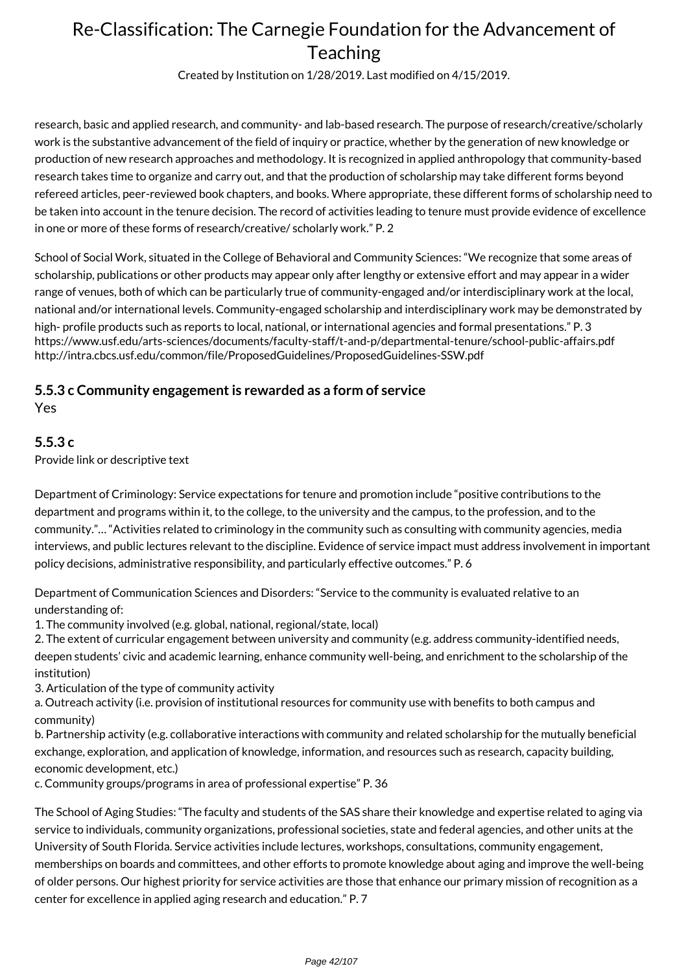Created by Institution on 1/28/2019. Last modified on 4/15/2019.

research, basic and applied research, and community- and lab-based research. The purpose of research/creative/scholarly work is the substantive advancement of the field of inquiry or practice, whether by the generation of new knowledge or production of new research approaches and methodology. It is recognized in applied anthropology that community-based research takes time to organize and carry out, and that the production of scholarship may take different forms beyond refereed articles, peer-reviewed book chapters, and books. Where appropriate, these different forms of scholarship need to be taken into account in the tenure decision. The record of activities leading to tenure must provide evidence of excellence in one or more of these forms of research/creative/ scholarly work." P. 2

School of Social Work, situated in the College of Behavioral and Community Sciences: "We recognize that some areas of scholarship, publications or other products may appear only after lengthy or extensive effort and may appear in a wider range of venues, both of which can be particularly true of community-engaged and/or interdisciplinary work at the local, national and/or international levels. Community-engaged scholarship and interdisciplinary work may be demonstrated by high- profile products such as reports to local, national, or international agencies and formal presentations." P. 3 https://www.usf.edu/arts-sciences/documents/faculty-staff/t-and-p/departmental-tenure/school-public-affairs.pdf http://intra.cbcs.usf.edu/common/file/ProposedGuidelines/ProposedGuidelines-SSW.pdf

#### **5.5.3 c Community engagement is rewarded as a form of service** Yes

#### **5.5.3 c**

Provide link or descriptive text

Department of Criminology: Service expectations for tenure and promotion include "positive contributions to the department and programs within it, to the college, to the university and the campus, to the profession, and to the community."… "Activities related to criminology in the community such as consulting with community agencies, media interviews, and public lectures relevant to the discipline. Evidence of service impact must address involvement in important policy decisions, administrative responsibility, and particularly effective outcomes." P. 6

Department of Communication Sciences and Disorders: "Service to the community is evaluated relative to an understanding of:

1. The community involved (e.g. global, national, regional/state, local)

2. The extent of curricular engagement between university and community (e.g. address community-identified needs, deepen students' civic and academic learning, enhance community well-being, and enrichment to the scholarship of the institution)

3. Articulation of the type of community activity

a. Outreach activity (i.e. provision of institutional resources for community use with benefits to both campus and community)

b. Partnership activity (e.g. collaborative interactions with community and related scholarship for the mutually beneficial exchange, exploration, and application of knowledge, information, and resources such as research, capacity building, economic development, etc.)

c. Community groups/programs in area of professional expertise" P. 36

The School of Aging Studies: "The faculty and students of the SAS share their knowledge and expertise related to aging via service to individuals, community organizations, professional societies, state and federal agencies, and other units at the University of South Florida. Service activities include lectures, workshops, consultations, community engagement, memberships on boards and committees, and other efforts to promote knowledge about aging and improve the well-being of older persons. Our highest priority for service activities are those that enhance our primary mission of recognition as a center for excellence in applied aging research and education." P. 7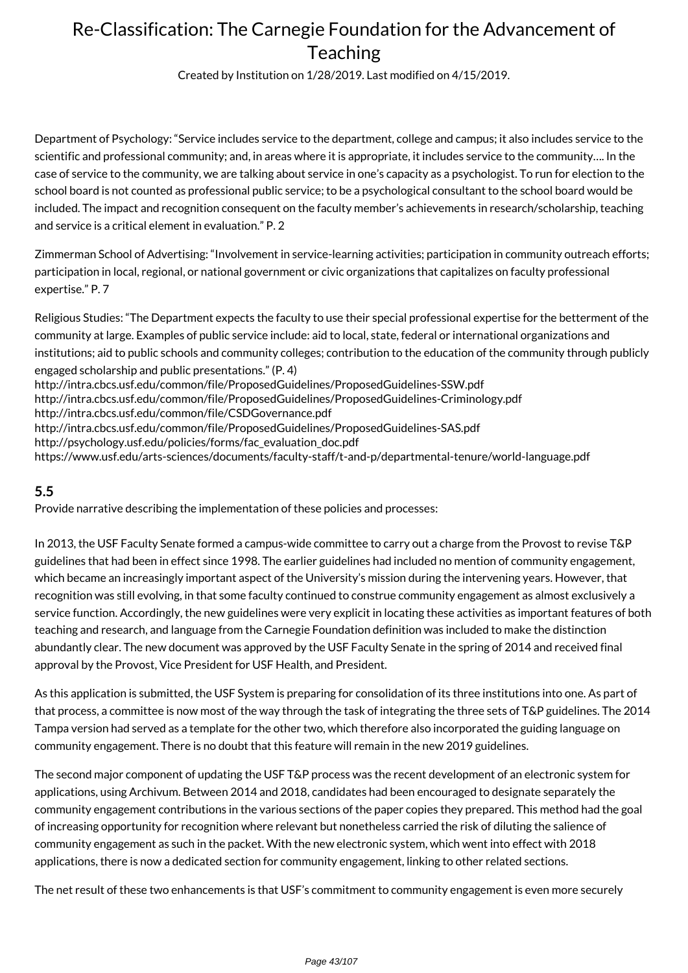Created by Institution on 1/28/2019. Last modified on 4/15/2019.

Department of Psychology: "Service includes service to the department, college and campus; it also includes service to the scientific and professional community; and, in areas where it is appropriate, it includes service to the community…. In the case of service to the community, we are talking about service in one's capacity as a psychologist. To run for election to the school board is not counted as professional public service; to be a psychological consultant to the school board would be included. The impact and recognition consequent on the faculty member's achievements in research/scholarship, teaching and service is a critical element in evaluation." P. 2

Zimmerman School of Advertising: "Involvement in service-learning activities; participation in community outreach efforts; participation in local, regional, or national government or civic organizations that capitalizes on faculty professional expertise." P. 7

Religious Studies: "The Department expects the faculty to use their special professional expertise for the betterment of the community at large. Examples of public service include: aid to local, state, federal or international organizations and institutions; aid to public schools and community colleges; contribution to the education of the community through publicly engaged scholarship and public presentations." (P. 4) http://intra.cbcs.usf.edu/common/file/ProposedGuidelines/ProposedGuidelines-SSW.pdf http://intra.cbcs.usf.edu/common/file/ProposedGuidelines/ProposedGuidelines-Criminology.pdf http://intra.cbcs.usf.edu/common/file/CSDGovernance.pdf http://intra.cbcs.usf.edu/common/file/ProposedGuidelines/ProposedGuidelines-SAS.pdf http://psychology.usf.edu/policies/forms/fac\_evaluation\_doc.pdf https://www.usf.edu/arts-sciences/documents/faculty-staff/t-and-p/departmental-tenure/world-language.pdf

### **5.5**

Provide narrative describing the implementation of these policies and processes:

In 2013, the USF Faculty Senate formed a campus-wide committee to carry out a charge from the Provost to revise T&P guidelines that had been in effect since 1998. The earlier guidelines had included no mention of community engagement, which became an increasingly important aspect of the University's mission during the intervening years. However, that recognition was still evolving, in that some faculty continued to construe community engagement as almost exclusively a service function. Accordingly, the new guidelines were very explicit in locating these activities as important features of both teaching and research, and language from the Carnegie Foundation definition was included to make the distinction abundantly clear. The new document was approved by the USF Faculty Senate in the spring of 2014 and received final approval by the Provost, Vice President for USF Health, and President.

As this application is submitted, the USF System is preparing for consolidation of its three institutions into one. As part of that process, a committee is now most of the way through the task of integrating the three sets of T&P guidelines. The 2014 Tampa version had served as a template for the other two, which therefore also incorporated the guiding language on community engagement. There is no doubt that this feature will remain in the new 2019 guidelines.

The second major component of updating the USF T&P process was the recent development of an electronic system for applications, using Archivum. Between 2014 and 2018, candidates had been encouraged to designate separately the community engagement contributions in the various sections of the paper copies they prepared. This method had the goal of increasing opportunity for recognition where relevant but nonetheless carried the risk of diluting the salience of community engagement as such in the packet. With the new electronic system, which went into effect with 2018 applications, there is now a dedicated section for community engagement, linking to other related sections.

The net result of these two enhancements is that USF's commitment to community engagement is even more securely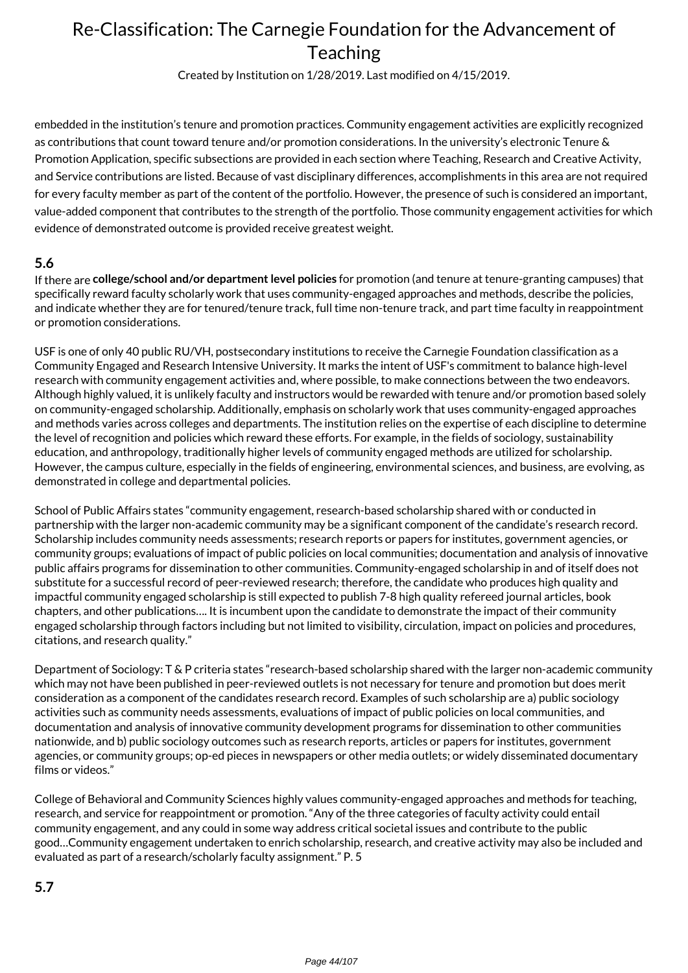Created by Institution on 1/28/2019. Last modified on 4/15/2019.

embedded in the institution's tenure and promotion practices. Community engagement activities are explicitly recognized as contributions that count toward tenure and/or promotion considerations. In the university's electronic Tenure & Promotion Application, specific subsections are provided in each section where Teaching, Research and Creative Activity, and Service contributions are listed. Because of vast disciplinary differences, accomplishments in this area are not required for every faculty member as part of the content of the portfolio. However, the presence of such is considered an important, value-added component that contributes to the strength of the portfolio. Those community engagement activities for which evidence of demonstrated outcome is provided receive greatest weight.

#### **5.6**

If there are **college/school and/or department level policies** for promotion (and tenure at tenure-granting campuses) that specifically reward faculty scholarly work that uses community-engaged approaches and methods, describe the policies, and indicate whether they are for tenured/tenure track, full time non-tenure track, and part time faculty in reappointment or promotion considerations.

USF is one of only 40 public RU/VH, postsecondary institutions to receive the Carnegie Foundation classification as a Community Engaged and Research Intensive University. It marks the intent of USF's commitment to balance high-level research with community engagement activities and, where possible, to make connections between the two endeavors. Although highly valued, it is unlikely faculty and instructors would be rewarded with tenure and/or promotion based solely on community-engaged scholarship. Additionally, emphasis on scholarly work that uses community-engaged approaches and methods varies across colleges and departments. The institution relies on the expertise of each discipline to determine the level of recognition and policies which reward these efforts. For example, in the fields of sociology, sustainability education, and anthropology, traditionally higher levels of community engaged methods are utilized for scholarship. However, the campus culture, especially in the fields of engineering, environmental sciences, and business, are evolving, as demonstrated in college and departmental policies.

School of Public Affairs states "community engagement, research-based scholarship shared with or conducted in partnership with the larger non-academic community may be a significant component of the candidate's research record. Scholarship includes community needs assessments; research reports or papers for institutes, government agencies, or community groups; evaluations of impact of public policies on local communities; documentation and analysis of innovative public affairs programs for dissemination to other communities. Community-engaged scholarship in and of itself does not substitute for a successful record of peer-reviewed research; therefore, the candidate who produces high quality and impactful community engaged scholarship is still expected to publish 7-8 high quality refereed journal articles, book chapters, and other publications…. It is incumbent upon the candidate to demonstrate the impact of their community engaged scholarship through factors including but not limited to visibility, circulation, impact on policies and procedures, citations, and research quality."

Department of Sociology: T & P criteria states "research-based scholarship shared with the larger non-academic community which may not have been published in peer-reviewed outlets is not necessary for tenure and promotion but does merit consideration as a component of the candidates research record. Examples of such scholarship are a) public sociology activities such as community needs assessments, evaluations of impact of public policies on local communities, and documentation and analysis of innovative community development programs for dissemination to other communities nationwide, and b) public sociology outcomes such as research reports, articles or papers for institutes, government agencies, or community groups; op-ed pieces in newspapers or other media outlets; or widely disseminated documentary films or videos."

College of Behavioral and Community Sciences highly values community-engaged approaches and methods for teaching, research, and service for reappointment or promotion. "Any of the three categories of faculty activity could entail community engagement, and any could in some way address critical societal issues and contribute to the public good…Community engagement undertaken to enrich scholarship, research, and creative activity may also be included and evaluated as part of a research/scholarly faculty assignment." P. 5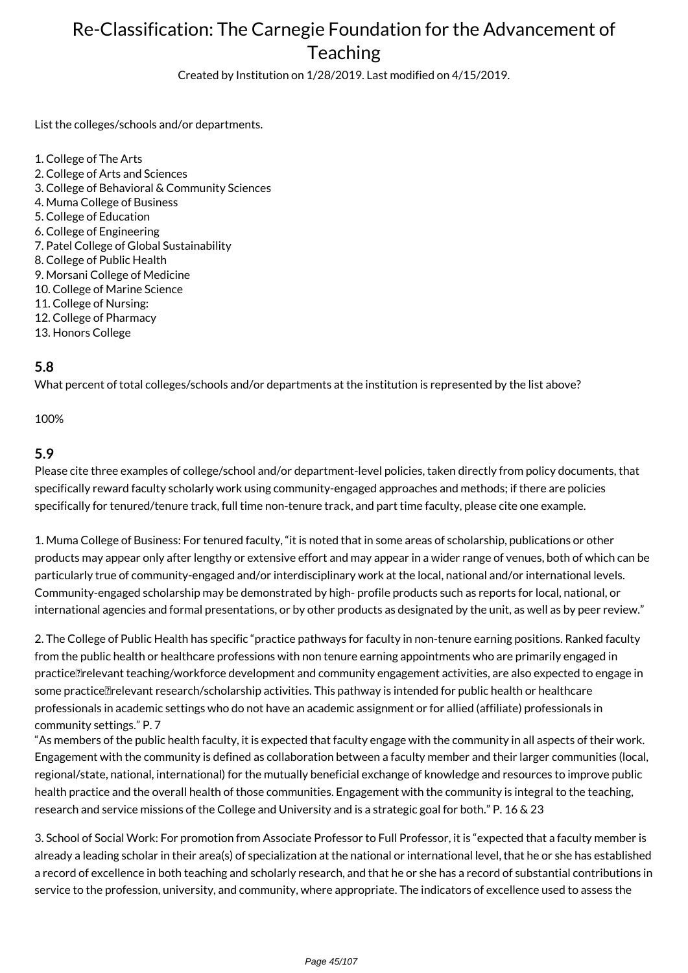Created by Institution on 1/28/2019. Last modified on 4/15/2019.

List the colleges/schools and/or departments.

1. College of The Arts 2. College of Arts and Sciences 3. College of Behavioral & Community Sciences 4. Muma College of Business 5. College of Education 6. College of Engineering 7. Patel College of Global Sustainability 8. College of Public Health 9. Morsani College of Medicine 10. College of Marine Science 11. College of Nursing: 12. College of Pharmacy 13. Honors College

#### **5.8**

What percent of total colleges/schools and/or departments at the institution is represented by the list above?

100%

#### **5.9**

Please cite three examples of college/school and/or department-level policies, taken directly from policy documents, that specifically reward faculty scholarly work using community-engaged approaches and methods; if there are policies specifically for tenured/tenure track, full time non-tenure track, and part time faculty, please cite one example.

1. Muma College of Business: For tenured faculty, "it is noted that in some areas of scholarship, publications or other products may appear only after lengthy or extensive effort and may appear in a wider range of venues, both of which can be particularly true of community-engaged and/or interdisciplinary work at the local, national and/or international levels. Community-engaged scholarship may be demonstrated by high- profile products such as reports for local, national, or international agencies and formal presentations, or by other products as designated by the unit, as well as by peer review."

2. The College of Public Health has specific "practice pathways for faculty in non-tenure earning positions. Ranked faculty from the public health or healthcare professions with non tenure earning appointments who are primarily engaged in practice Trelevant teaching/workforce development and community engagement activities, are also expected to engage in some practice relevant research/scholarship activities. This pathway is intended for public health or healthcare professionals in academic settings who do not have an academic assignment or for allied (affiliate) professionals in community settings." P. 7

"As members of the public health faculty, it is expected that faculty engage with the community in all aspects of their work. Engagement with the community is defined as collaboration between a faculty member and their larger communities (local, regional/state, national, international) for the mutually beneficial exchange of knowledge and resources to improve public health practice and the overall health of those communities. Engagement with the community is integral to the teaching, research and service missions of the College and University and is a strategic goal for both." P. 16 & 23

3. School of Social Work: For promotion from Associate Professor to Full Professor, it is "expected that a faculty member is already a leading scholar in their area(s) of specialization at the national or international level, that he or she has established a record of excellence in both teaching and scholarly research, and that he or she has a record of substantial contributions in service to the profession, university, and community, where appropriate. The indicators of excellence used to assess the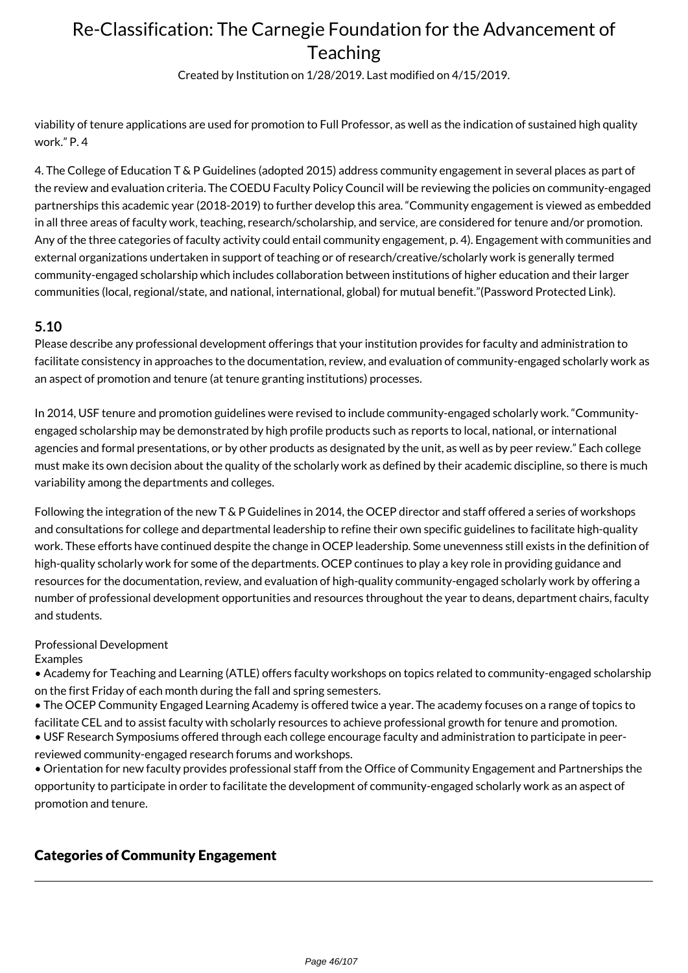Created by Institution on 1/28/2019. Last modified on 4/15/2019.

viability of tenure applications are used for promotion to Full Professor, as well as the indication of sustained high quality work." P. 4

4. The College of Education T & P Guidelines (adopted 2015) address community engagement in several places as part of the review and evaluation criteria. The COEDU Faculty Policy Council will be reviewing the policies on community-engaged partnerships this academic year (2018-2019) to further develop this area. "Community engagement is viewed as embedded in all three areas of faculty work, teaching, research/scholarship, and service, are considered for tenure and/or promotion. Any of the three categories of faculty activity could entail community engagement, p. 4). Engagement with communities and external organizations undertaken in support of teaching or of research/creative/scholarly work is generally termed community-engaged scholarship which includes collaboration between institutions of higher education and their larger communities (local, regional/state, and national, international, global) for mutual benefit."(Password Protected Link).

#### **5.10**

Please describe any professional development offerings that your institution provides for faculty and administration to facilitate consistency in approaches to the documentation, review, and evaluation of community-engaged scholarly work as an aspect of promotion and tenure (at tenure granting institutions) processes.

In 2014, USF tenure and promotion guidelines were revised to include community-engaged scholarly work. "Communityengaged scholarship may be demonstrated by high profile products such as reports to local, national, or international agencies and formal presentations, or by other products as designated by the unit, as well as by peer review." Each college must make its own decision about the quality of the scholarly work as defined by their academic discipline, so there is much variability among the departments and colleges.

Following the integration of the new T & P Guidelines in 2014, the OCEP director and staff offered a series of workshops and consultations for college and departmental leadership to refine their own specific guidelines to facilitate high-quality work. These efforts have continued despite the change in OCEP leadership. Some unevenness still exists in the definition of high-quality scholarly work for some of the departments. OCEP continues to play a key role in providing guidance and resources for the documentation, review, and evaluation of high-quality community-engaged scholarly work by offering a number of professional development opportunities and resources throughout the year to deans, department chairs, faculty and students.

### Professional Development

#### Examples

• Academy for Teaching and Learning (ATLE) offers faculty workshops on topics related to community-engaged scholarship on the first Friday of each month during the fall and spring semesters.

• The OCEP Community Engaged Learning Academy is offered twice a year. The academy focuses on a range of topics to facilitate CEL and to assist faculty with scholarly resources to achieve professional growth for tenure and promotion.

• USF Research Symposiums offered through each college encourage faculty and administration to participate in peerreviewed community-engaged research forums and workshops.

• Orientation for new faculty provides professional staff from the Office of Community Engagement and Partnerships the opportunity to participate in order to facilitate the development of community-engaged scholarly work as an aspect of promotion and tenure.

### Categories of Community Engagement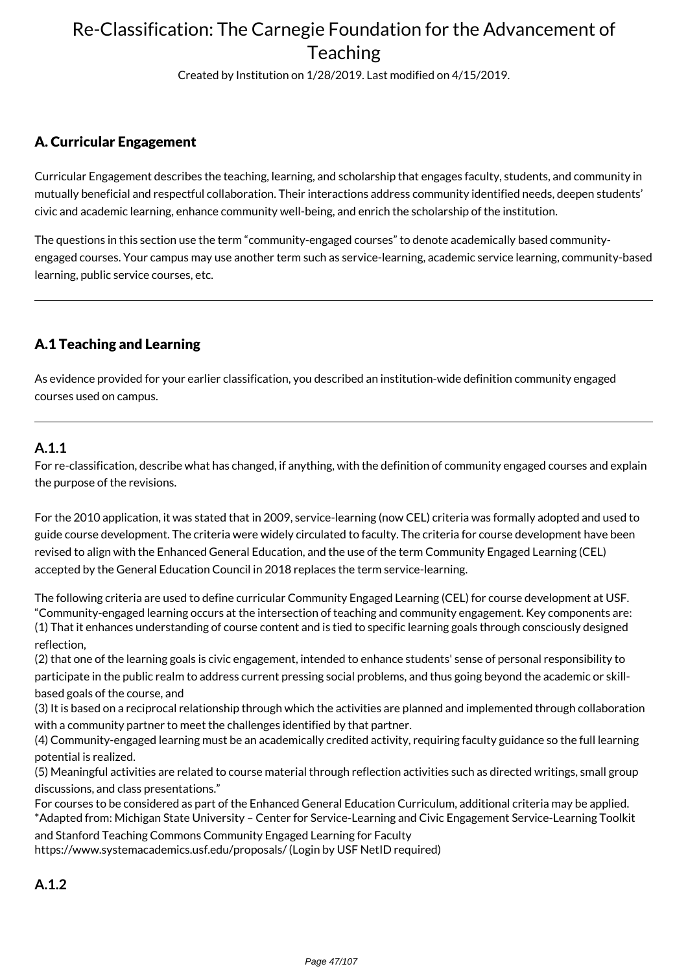Created by Institution on 1/28/2019. Last modified on 4/15/2019.

### A. Curricular Engagement

Curricular Engagement describes the teaching, learning, and scholarship that engages faculty, students, and community in mutually beneficial and respectful collaboration. Their interactions address community identified needs, deepen students' civic and academic learning, enhance community well-being, and enrich the scholarship of the institution.

The questions in this section use the term "community-engaged courses" to denote academically based communityengaged courses. Your campus may use another term such as service-learning, academic service learning, community-based learning, public service courses, etc.

### A.1 Teaching and Learning

As evidence provided for your earlier classification, you described an institution-wide definition community engaged courses used on campus.

### **A.1.1**

For re-classification, describe what has changed, if anything, with the definition of community engaged courses and explain the purpose of the revisions.

For the 2010 application, it was stated that in 2009, service-learning (now CEL) criteria was formally adopted and used to guide course development. The criteria were widely circulated to faculty. The criteria for course development have been revised to align with the Enhanced General Education, and the use of the term Community Engaged Learning (CEL) accepted by the General Education Council in 2018 replaces the term service-learning.

The following criteria are used to define curricular Community Engaged Learning (CEL) for course development at USF. "Community-engaged learning occurs at the intersection of teaching and community engagement. Key components are: (1) That it enhances understanding of course content and is tied to specific learning goals through consciously designed reflection,

(2) that one of the learning goals is civic engagement, intended to enhance students' sense of personal responsibility to participate in the public realm to address current pressing social problems, and thus going beyond the academic or skill-

based goals of the course, and

(3) It is based on a reciprocal relationship through which the activities are planned and implemented through collaboration with a community partner to meet the challenges identified by that partner.

(4) Community-engaged learning must be an academically credited activity, requiring faculty guidance so the full learning potential is realized.

(5) Meaningful activities are related to course material through reflection activities such as directed writings, small group discussions, and class presentations."

For courses to be considered as part of the Enhanced General Education Curriculum, additional criteria may be applied. \*Adapted from: Michigan State University – Center for Service-Learning and Civic Engagement Service-Learning Toolkit

and Stanford Teaching Commons Community Engaged Learning for Faculty https://www.systemacademics.usf.edu/proposals/ (Login by USF NetID required)

**A.1.2**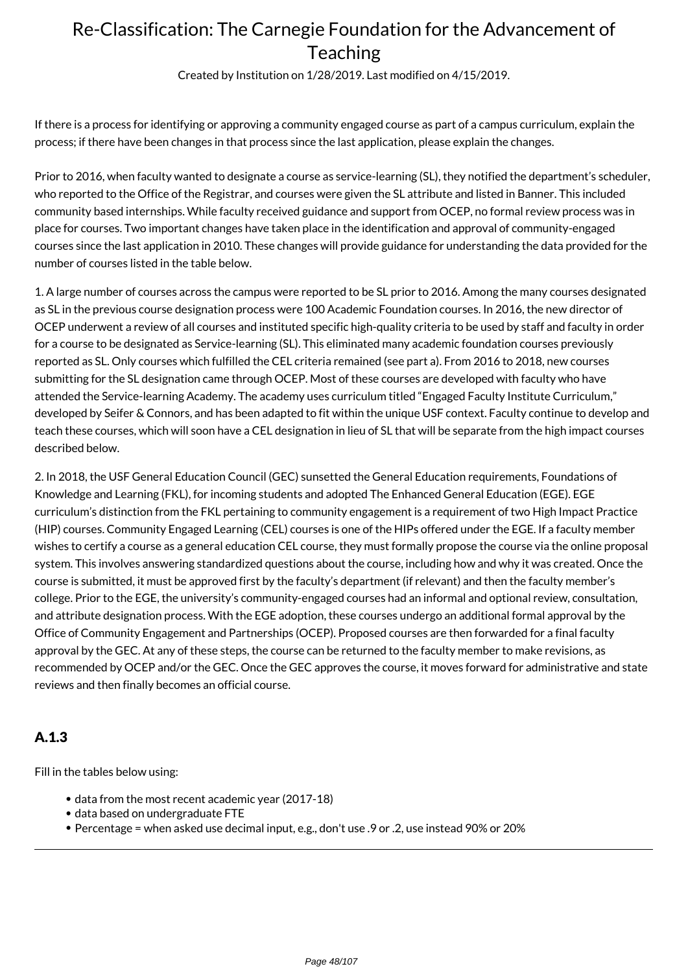Created by Institution on 1/28/2019. Last modified on 4/15/2019.

If there is a process for identifying or approving a community engaged course as part of a campus curriculum, explain the process; if there have been changes in that process since the last application, please explain the changes.

Prior to 2016, when faculty wanted to designate a course as service-learning (SL), they notified the department's scheduler, who reported to the Office of the Registrar, and courses were given the SL attribute and listed in Banner. This included community based internships. While faculty received guidance and support from OCEP, no formal review process was in place for courses. Two important changes have taken place in the identification and approval of community-engaged courses since the last application in 2010. These changes will provide guidance for understanding the data provided for the number of courses listed in the table below.

1. A large number of courses across the campus were reported to be SL prior to 2016. Among the many courses designated as SL in the previous course designation process were 100 Academic Foundation courses. In 2016, the new director of OCEP underwent a review of all courses and instituted specific high-quality criteria to be used by staff and faculty in order for a course to be designated as Service-learning (SL). This eliminated many academic foundation courses previously reported as SL. Only courses which fulfilled the CEL criteria remained (see part a). From 2016 to 2018, new courses submitting for the SL designation came through OCEP. Most of these courses are developed with faculty who have attended the Service-learning Academy. The academy uses curriculum titled "Engaged Faculty Institute Curriculum," developed by Seifer & Connors, and has been adapted to fit within the unique USF context. Faculty continue to develop and teach these courses, which will soon have a CEL designation in lieu of SL that will be separate from the high impact courses described below.

2. In 2018, the USF General Education Council (GEC) sunsetted the General Education requirements, Foundations of Knowledge and Learning (FKL), for incoming students and adopted The Enhanced General Education (EGE). EGE curriculum's distinction from the FKL pertaining to community engagement is a requirement of two High Impact Practice (HIP) courses. Community Engaged Learning (CEL) courses is one of the HIPs offered under the EGE. If a faculty member wishes to certify a course as a general education CEL course, they must formally propose the course via the online proposal system. This involves answering standardized questions about the course, including how and why it was created. Once the course is submitted, it must be approved first by the faculty's department (if relevant) and then the faculty member's college. Prior to the EGE, the university's community-engaged courses had an informal and optional review, consultation, and attribute designation process. With the EGE adoption, these courses undergo an additional formal approval by the Office of Community Engagement and Partnerships (OCEP). Proposed courses are then forwarded for a final faculty approval by the GEC. At any of these steps, the course can be returned to the faculty member to make revisions, as recommended by OCEP and/or the GEC. Once the GEC approves the course, it moves forward for administrative and state reviews and then finally becomes an official course.

### A.1.3

Fill in the tables below using:

- data from the most recent academic year (2017-18)
- data based on undergraduate FTE
- Percentage = when asked use decimal input, e.g., don't use .9 or .2, use instead 90% or 20%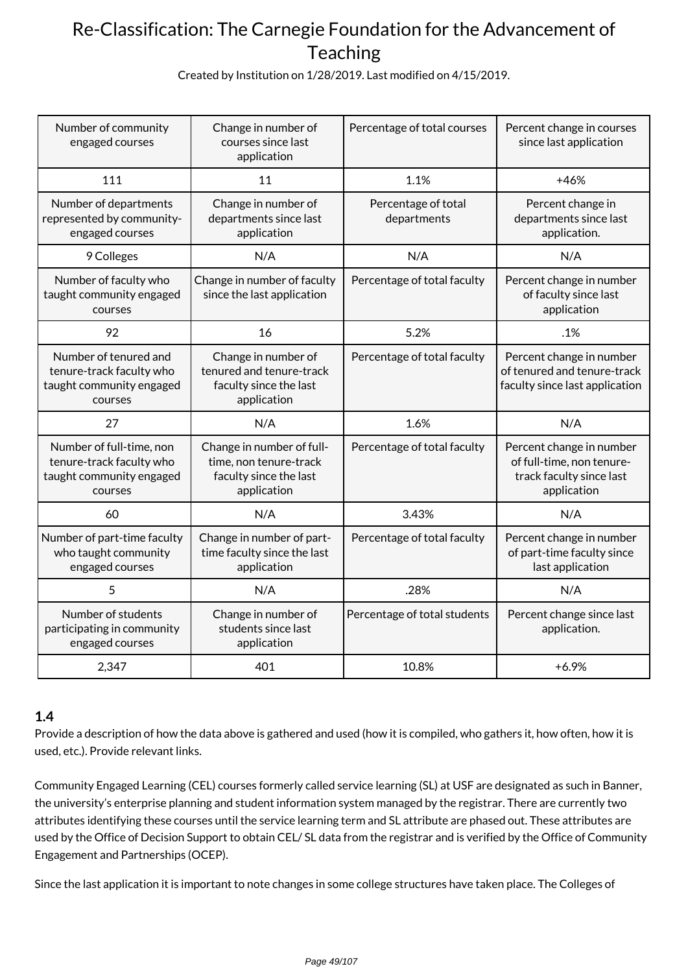Created by Institution on 1/28/2019. Last modified on 4/15/2019.

| Number of community<br>engaged courses                                                      | Change in number of<br>courses since last<br>application                                     | Percentage of total courses        | Percent change in courses<br>since last application                                              |
|---------------------------------------------------------------------------------------------|----------------------------------------------------------------------------------------------|------------------------------------|--------------------------------------------------------------------------------------------------|
| 111                                                                                         | 11                                                                                           | 1.1%                               | $+46%$                                                                                           |
| Number of departments<br>represented by community-<br>engaged courses                       | Change in number of<br>departments since last<br>application                                 | Percentage of total<br>departments | Percent change in<br>departments since last<br>application.                                      |
| 9 Colleges                                                                                  | N/A                                                                                          | N/A                                | N/A                                                                                              |
| Number of faculty who<br>taught community engaged<br>courses                                | Change in number of faculty<br>since the last application                                    | Percentage of total faculty        | Percent change in number<br>of faculty since last<br>application                                 |
| 92                                                                                          | 16                                                                                           | 5.2%                               | .1%                                                                                              |
| Number of tenured and<br>tenure-track faculty who<br>taught community engaged<br>courses    | Change in number of<br>tenured and tenure-track<br>faculty since the last<br>application     | Percentage of total faculty        | Percent change in number<br>of tenured and tenure-track<br>faculty since last application        |
| 27                                                                                          | N/A                                                                                          | 1.6%                               | N/A                                                                                              |
| Number of full-time, non<br>tenure-track faculty who<br>taught community engaged<br>courses | Change in number of full-<br>time, non tenure-track<br>faculty since the last<br>application | Percentage of total faculty        | Percent change in number<br>of full-time, non tenure-<br>track faculty since last<br>application |
| 60                                                                                          | N/A                                                                                          | 3.43%                              | N/A                                                                                              |
| Number of part-time faculty<br>who taught community<br>engaged courses                      | Change in number of part-<br>time faculty since the last<br>application                      | Percentage of total faculty        | Percent change in number<br>of part-time faculty since<br>last application                       |
| 5                                                                                           | N/A                                                                                          | .28%                               | N/A                                                                                              |
| Number of students<br>participating in community<br>engaged courses                         | Change in number of<br>students since last<br>application                                    | Percentage of total students       | Percent change since last<br>application.                                                        |
| 2,347                                                                                       | 401                                                                                          | 10.8%                              | $+6.9%$                                                                                          |

### **1.4**

Provide a description of how the data above is gathered and used (how it is compiled, who gathers it, how often, how it is used, etc.). Provide relevant links.

Community Engaged Learning (CEL) courses formerly called service learning (SL) at USF are designated as such in Banner, the university's enterprise planning and student information system managed by the registrar. There are currently two attributes identifying these courses until the service learning term and SL attribute are phased out. These attributes are used by the Office of Decision Support to obtain CEL/ SL data from the registrar and is verified by the Office of Community Engagement and Partnerships (OCEP).

Since the last application it is important to note changes in some college structures have taken place. The Colleges of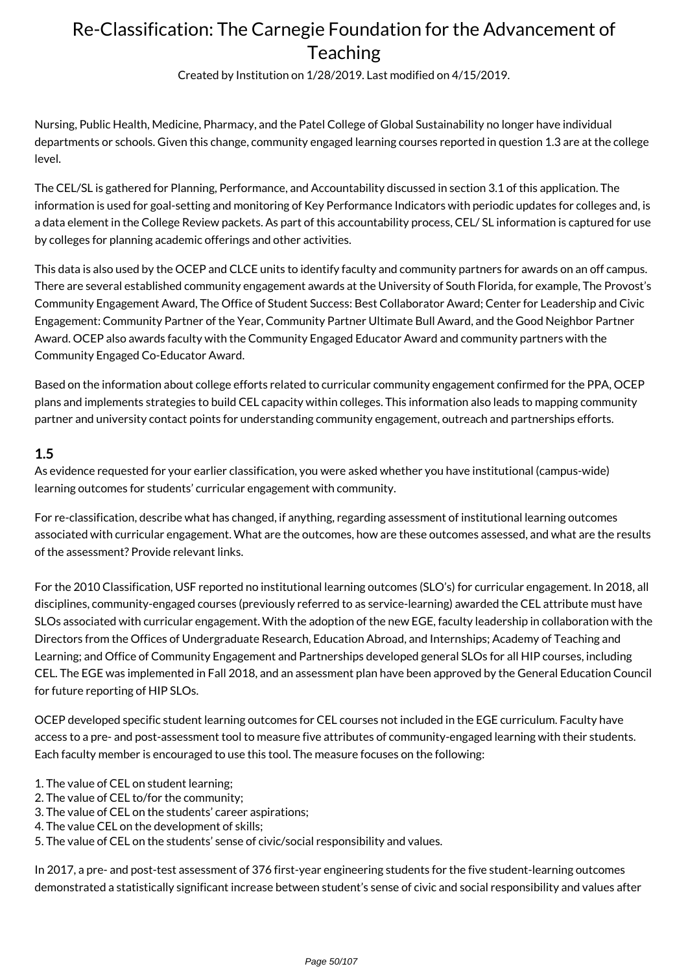Created by Institution on 1/28/2019. Last modified on 4/15/2019.

Nursing, Public Health, Medicine, Pharmacy, and the Patel College of Global Sustainability no longer have individual departments or schools. Given this change, community engaged learning courses reported in question 1.3 are at the college level.

The CEL/SL is gathered for Planning, Performance, and Accountability discussed in section 3.1 of this application. The information is used for goal-setting and monitoring of Key Performance Indicators with periodic updates for colleges and, is a data element in the College Review packets. As part of this accountability process, CEL/ SL information is captured for use by colleges for planning academic offerings and other activities.

This data is also used by the OCEP and CLCE units to identify faculty and community partners for awards on an off campus. There are several established community engagement awards at the University of South Florida, for example, The Provost's Community Engagement Award, The Office of Student Success: Best Collaborator Award; Center for Leadership and Civic Engagement: Community Partner of the Year, Community Partner Ultimate Bull Award, and the Good Neighbor Partner Award. OCEP also awards faculty with the Community Engaged Educator Award and community partners with the Community Engaged Co-Educator Award.

Based on the information about college efforts related to curricular community engagement confirmed for the PPA, OCEP plans and implements strategies to build CEL capacity within colleges. This information also leads to mapping community partner and university contact points for understanding community engagement, outreach and partnerships efforts.

### **1.5**

As evidence requested for your earlier classification, you were asked whether you have institutional (campus-wide) learning outcomes for students' curricular engagement with community.

For re-classification, describe what has changed, if anything, regarding assessment of institutional learning outcomes associated with curricular engagement. What are the outcomes, how are these outcomes assessed, and what are the results of the assessment? Provide relevant links.

For the 2010 Classification, USF reported no institutional learning outcomes (SLO's) for curricular engagement. In 2018, all disciplines, community-engaged courses (previously referred to as service-learning) awarded the CEL attribute must have SLOs associated with curricular engagement. With the adoption of the new EGE, faculty leadership in collaboration with the Directors from the Offices of Undergraduate Research, Education Abroad, and Internships; Academy of Teaching and Learning; and Office of Community Engagement and Partnerships developed general SLOs for all HIP courses, including CEL. The EGE was implemented in Fall 2018, and an assessment plan have been approved by the General Education Council for future reporting of HIP SLOs.

OCEP developed specific student learning outcomes for CEL courses not included in the EGE curriculum. Faculty have access to a pre- and post-assessment tool to measure five attributes of community-engaged learning with their students. Each faculty member is encouraged to use this tool. The measure focuses on the following:

- 1. The value of CEL on student learning;
- 2. The value of CEL to/for the community;
- 3. The value of CEL on the students' career aspirations;
- 4. The value CEL on the development of skills;
- 5. The value of CEL on the students' sense of civic/social responsibility and values.

In 2017, a pre- and post-test assessment of 376 first-year engineering students for the five student-learning outcomes demonstrated a statistically significant increase between student's sense of civic and social responsibility and values after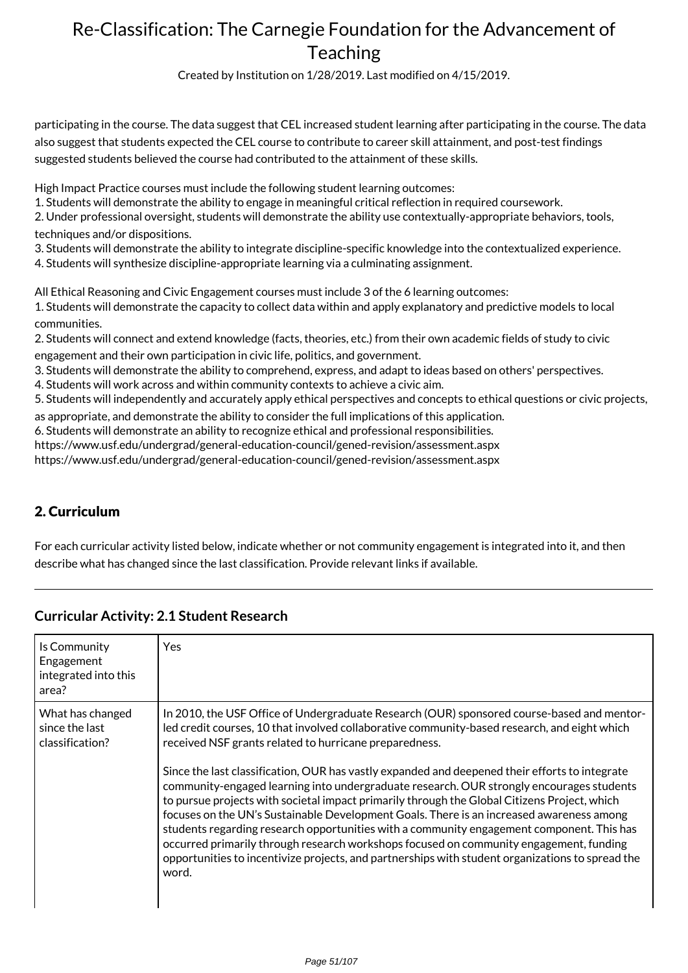Created by Institution on 1/28/2019. Last modified on 4/15/2019.

participating in the course. The data suggest that CEL increased student learning after participating in the course. The data also suggest that students expected the CEL course to contribute to career skill attainment, and post-test findings suggested students believed the course had contributed to the attainment of these skills.

High Impact Practice courses must include the following student learning outcomes:

1. Students will demonstrate the ability to engage in meaningful critical reflection in required coursework.

2. Under professional oversight, students will demonstrate the ability use contextually-appropriate behaviors, tools, techniques and/or dispositions.

3. Students will demonstrate the ability to integrate discipline-specific knowledge into the contextualized experience.

4. Students will synthesize discipline-appropriate learning via a culminating assignment.

All Ethical Reasoning and Civic Engagement courses must include 3 of the 6 learning outcomes:

1. Students will demonstrate the capacity to collect data within and apply explanatory and predictive models to local communities.

2. Students will connect and extend knowledge (facts, theories, etc.) from their own academic fields of study to civic

engagement and their own participation in civic life, politics, and government.

3. Students will demonstrate the ability to comprehend, express, and adapt to ideas based on others' perspectives.

4. Students will work across and within community contexts to achieve a civic aim.

5. Students will independently and accurately apply ethical perspectives and concepts to ethical questions or civic projects,

as appropriate, and demonstrate the ability to consider the full implications of this application.

6. Students will demonstrate an ability to recognize ethical and professional responsibilities.

https://www.usf.edu/undergrad/general-education-council/gened-revision/assessment.aspx

https://www.usf.edu/undergrad/general-education-council/gened-revision/assessment.aspx

### 2. Curriculum

For each curricular activity listed below, indicate whether or not community engagement is integrated into it, and then describe what has changed since the last classification. Provide relevant links if available.

| Is Community<br>Engagement<br>integrated into this<br>area? | Yes                                                                                                                                                                                                                                                                                                                                                                                                                                                                                                                                                                                                                                                                                                                                                                                                                                                                                                                                                |
|-------------------------------------------------------------|----------------------------------------------------------------------------------------------------------------------------------------------------------------------------------------------------------------------------------------------------------------------------------------------------------------------------------------------------------------------------------------------------------------------------------------------------------------------------------------------------------------------------------------------------------------------------------------------------------------------------------------------------------------------------------------------------------------------------------------------------------------------------------------------------------------------------------------------------------------------------------------------------------------------------------------------------|
| What has changed<br>since the last<br>classification?       | In 2010, the USF Office of Undergraduate Research (OUR) sponsored course-based and mentor-<br>led credit courses, 10 that involved collaborative community-based research, and eight which<br>received NSF grants related to hurricane preparedness.<br>Since the last classification, OUR has vastly expanded and deepened their efforts to integrate<br>community-engaged learning into undergraduate research. OUR strongly encourages students<br>to pursue projects with societal impact primarily through the Global Citizens Project, which<br>focuses on the UN's Sustainable Development Goals. There is an increased awareness among<br>students regarding research opportunities with a community engagement component. This has<br>occurred primarily through research workshops focused on community engagement, funding<br>opportunities to incentivize projects, and partnerships with student organizations to spread the<br>word. |

#### **Curricular Activity: 2.1 Student Research**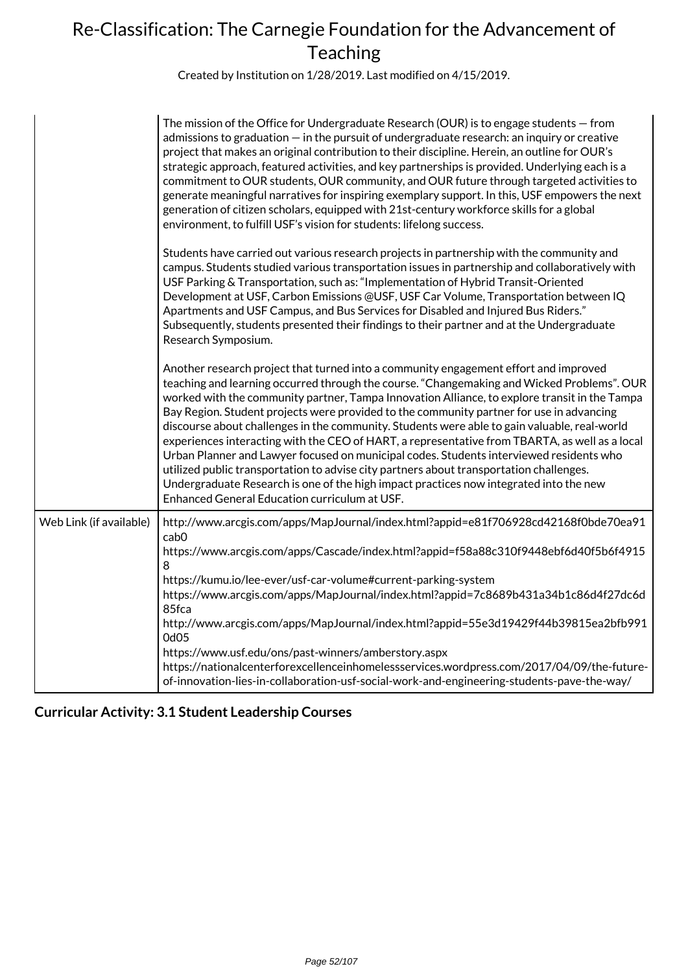Created by Institution on 1/28/2019. Last modified on 4/15/2019.

|                         | The mission of the Office for Undergraduate Research (OUR) is to engage students – from<br>admissions to graduation $-$ in the pursuit of undergraduate research: an inquiry or creative<br>project that makes an original contribution to their discipline. Herein, an outline for OUR's<br>strategic approach, featured activities, and key partnerships is provided. Underlying each is a<br>commitment to OUR students, OUR community, and OUR future through targeted activities to<br>generate meaningful narratives for inspiring exemplary support. In this, USF empowers the next<br>generation of citizen scholars, equipped with 21st-century workforce skills for a global<br>environment, to fulfill USF's vision for students: lifelong success.                                                                                                                                                     |
|-------------------------|--------------------------------------------------------------------------------------------------------------------------------------------------------------------------------------------------------------------------------------------------------------------------------------------------------------------------------------------------------------------------------------------------------------------------------------------------------------------------------------------------------------------------------------------------------------------------------------------------------------------------------------------------------------------------------------------------------------------------------------------------------------------------------------------------------------------------------------------------------------------------------------------------------------------|
|                         | Students have carried out various research projects in partnership with the community and<br>campus. Students studied various transportation issues in partnership and collaboratively with<br>USF Parking & Transportation, such as: "Implementation of Hybrid Transit-Oriented<br>Development at USF, Carbon Emissions @USF, USF Car Volume, Transportation between IQ<br>Apartments and USF Campus, and Bus Services for Disabled and Injured Bus Riders."<br>Subsequently, students presented their findings to their partner and at the Undergraduate<br>Research Symposium.                                                                                                                                                                                                                                                                                                                                  |
|                         | Another research project that turned into a community engagement effort and improved<br>teaching and learning occurred through the course. "Changemaking and Wicked Problems". OUR<br>worked with the community partner, Tampa Innovation Alliance, to explore transit in the Tampa<br>Bay Region. Student projects were provided to the community partner for use in advancing<br>discourse about challenges in the community. Students were able to gain valuable, real-world<br>experiences interacting with the CEO of HART, a representative from TBARTA, as well as a local<br>Urban Planner and Lawyer focused on municipal codes. Students interviewed residents who<br>utilized public transportation to advise city partners about transportation challenges.<br>Undergraduate Research is one of the high impact practices now integrated into the new<br>Enhanced General Education curriculum at USF. |
| Web Link (if available) | http://www.arcgis.com/apps/MapJournal/index.html?appid=e81f706928cd42168f0bde70ea91<br>cab <sub>0</sub><br>https://www.arcgis.com/apps/Cascade/index.html?appid=f58a88c310f9448ebf6d40f5b6f4915<br>8                                                                                                                                                                                                                                                                                                                                                                                                                                                                                                                                                                                                                                                                                                               |
|                         | https://kumu.io/lee-ever/usf-car-volume#current-parking-system<br>https://www.arcgis.com/apps/MapJournal/index.html?appid=7c8689b431a34b1c86d4f27dc6d<br>85fca<br>http://www.arcgis.com/apps/MapJournal/index.html?appid=55e3d19429f44b39815ea2bfb991<br>0d05                                                                                                                                                                                                                                                                                                                                                                                                                                                                                                                                                                                                                                                      |
|                         | https://www.usf.edu/ons/past-winners/amberstory.aspx<br>https://nationalcenterforexcellenceinhomelessservices.wordpress.com/2017/04/09/the-future-<br>of-innovation-lies-in-collaboration-usf-social-work-and-engineering-students-pave-the-way/                                                                                                                                                                                                                                                                                                                                                                                                                                                                                                                                                                                                                                                                   |

### **Curricular Activity: 3.1 Student Leadership Courses**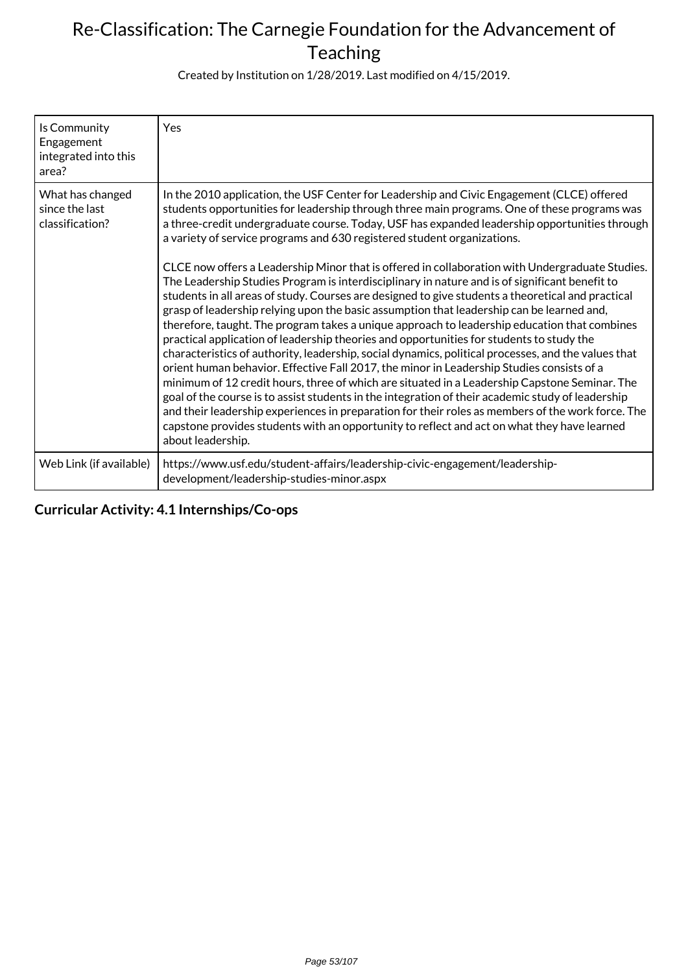Created by Institution on 1/28/2019. Last modified on 4/15/2019.

| Is Community<br>Engagement<br>integrated into this<br>area? | Yes                                                                                                                                                                                                                                                                                                                                                                                                                                                                                                                                                                                                                                                                                                                                                                                                                                                                                                                                                                                                                                                                                                                                                                                                                                                                                                                                                                                                                                                                                                                                                                                                          |
|-------------------------------------------------------------|--------------------------------------------------------------------------------------------------------------------------------------------------------------------------------------------------------------------------------------------------------------------------------------------------------------------------------------------------------------------------------------------------------------------------------------------------------------------------------------------------------------------------------------------------------------------------------------------------------------------------------------------------------------------------------------------------------------------------------------------------------------------------------------------------------------------------------------------------------------------------------------------------------------------------------------------------------------------------------------------------------------------------------------------------------------------------------------------------------------------------------------------------------------------------------------------------------------------------------------------------------------------------------------------------------------------------------------------------------------------------------------------------------------------------------------------------------------------------------------------------------------------------------------------------------------------------------------------------------------|
| What has changed<br>since the last<br>classification?       | In the 2010 application, the USF Center for Leadership and Civic Engagement (CLCE) offered<br>students opportunities for leadership through three main programs. One of these programs was<br>a three-credit undergraduate course. Today, USF has expanded leadership opportunities through<br>a variety of service programs and 630 registered student organizations.<br>CLCE now offers a Leadership Minor that is offered in collaboration with Undergraduate Studies.<br>The Leadership Studies Program is interdisciplinary in nature and is of significant benefit to<br>students in all areas of study. Courses are designed to give students a theoretical and practical<br>grasp of leadership relying upon the basic assumption that leadership can be learned and,<br>therefore, taught. The program takes a unique approach to leadership education that combines<br>practical application of leadership theories and opportunities for students to study the<br>characteristics of authority, leadership, social dynamics, political processes, and the values that<br>orient human behavior. Effective Fall 2017, the minor in Leadership Studies consists of a<br>minimum of 12 credit hours, three of which are situated in a Leadership Capstone Seminar. The<br>goal of the course is to assist students in the integration of their academic study of leadership<br>and their leadership experiences in preparation for their roles as members of the work force. The<br>capstone provides students with an opportunity to reflect and act on what they have learned<br>about leadership. |
| Web Link (if available)                                     | https://www.usf.edu/student-affairs/leadership-civic-engagement/leadership-<br>development/leadership-studies-minor.aspx                                                                                                                                                                                                                                                                                                                                                                                                                                                                                                                                                                                                                                                                                                                                                                                                                                                                                                                                                                                                                                                                                                                                                                                                                                                                                                                                                                                                                                                                                     |

**Curricular Activity: 4.1 Internships/Co-ops**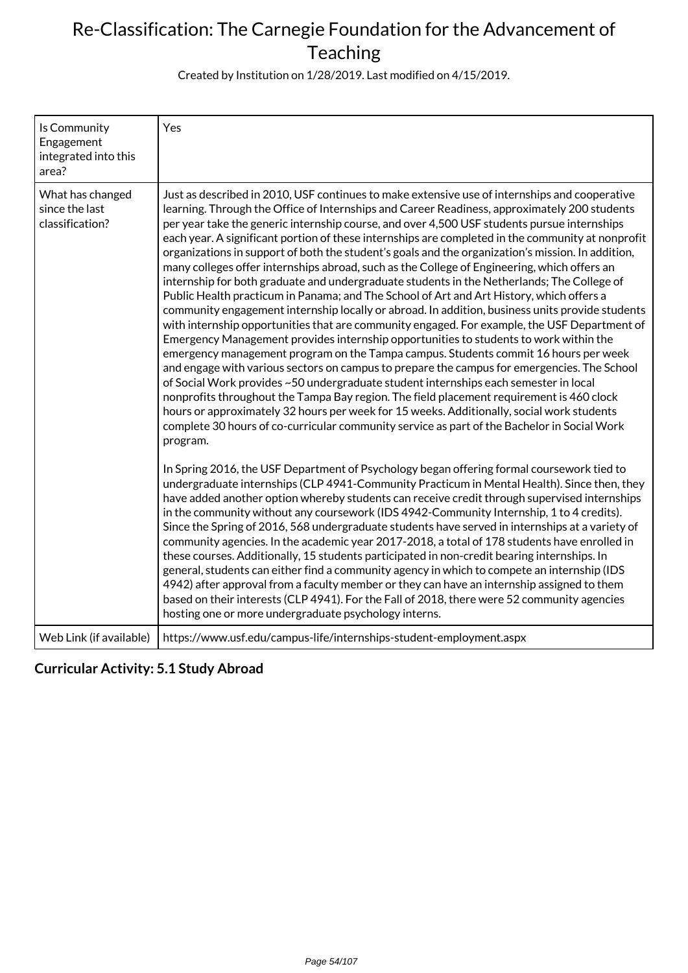Created by Institution on 1/28/2019. Last modified on 4/15/2019.

| Is Community<br>Engagement<br>integrated into this<br>area? | Yes                                                                                                                                                                                                                                                                                                                                                                                                                                                                                                                                                                                                                                                                                                                                                                                                                                                                                                                                                                                                                                                                                                                                                                                                                                                                                                                                                                                                                                                                                                                                                                                                                                                                           |
|-------------------------------------------------------------|-------------------------------------------------------------------------------------------------------------------------------------------------------------------------------------------------------------------------------------------------------------------------------------------------------------------------------------------------------------------------------------------------------------------------------------------------------------------------------------------------------------------------------------------------------------------------------------------------------------------------------------------------------------------------------------------------------------------------------------------------------------------------------------------------------------------------------------------------------------------------------------------------------------------------------------------------------------------------------------------------------------------------------------------------------------------------------------------------------------------------------------------------------------------------------------------------------------------------------------------------------------------------------------------------------------------------------------------------------------------------------------------------------------------------------------------------------------------------------------------------------------------------------------------------------------------------------------------------------------------------------------------------------------------------------|
| What has changed<br>since the last<br>classification?       | Just as described in 2010, USF continues to make extensive use of internships and cooperative<br>learning. Through the Office of Internships and Career Readiness, approximately 200 students<br>per year take the generic internship course, and over 4,500 USF students pursue internships<br>each year. A significant portion of these internships are completed in the community at nonprofit<br>organizations in support of both the student's goals and the organization's mission. In addition,<br>many colleges offer internships abroad, such as the College of Engineering, which offers an<br>internship for both graduate and undergraduate students in the Netherlands; The College of<br>Public Health practicum in Panama; and The School of Art and Art History, which offers a<br>community engagement internship locally or abroad. In addition, business units provide students<br>with internship opportunities that are community engaged. For example, the USF Department of<br>Emergency Management provides internship opportunities to students to work within the<br>emergency management program on the Tampa campus. Students commit 16 hours per week<br>and engage with various sectors on campus to prepare the campus for emergencies. The School<br>of Social Work provides ~50 undergraduate student internships each semester in local<br>nonprofits throughout the Tampa Bay region. The field placement requirement is 460 clock<br>hours or approximately 32 hours per week for 15 weeks. Additionally, social work students<br>complete 30 hours of co-curricular community service as part of the Bachelor in Social Work<br>program. |
|                                                             | In Spring 2016, the USF Department of Psychology began offering formal coursework tied to<br>undergraduate internships (CLP 4941-Community Practicum in Mental Health). Since then, they<br>have added another option whereby students can receive credit through supervised internships<br>in the community without any coursework (IDS 4942-Community Internship, 1 to 4 credits).<br>Since the Spring of 2016, 568 undergraduate students have served in internships at a variety of<br>community agencies. In the academic year 2017-2018, a total of 178 students have enrolled in<br>these courses. Additionally, 15 students participated in non-credit bearing internships. In<br>general, students can either find a community agency in which to compete an internship (IDS<br>4942) after approval from a faculty member or they can have an internship assigned to them<br>based on their interests (CLP 4941). For the Fall of 2018, there were 52 community agencies<br>hosting one or more undergraduate psychology interns.                                                                                                                                                                                                                                                                                                                                                                                                                                                                                                                                                                                                                                   |
| Web Link (if available)                                     | https://www.usf.edu/campus-life/internships-student-employment.aspx                                                                                                                                                                                                                                                                                                                                                                                                                                                                                                                                                                                                                                                                                                                                                                                                                                                                                                                                                                                                                                                                                                                                                                                                                                                                                                                                                                                                                                                                                                                                                                                                           |

**Curricular Activity: 5.1 Study Abroad**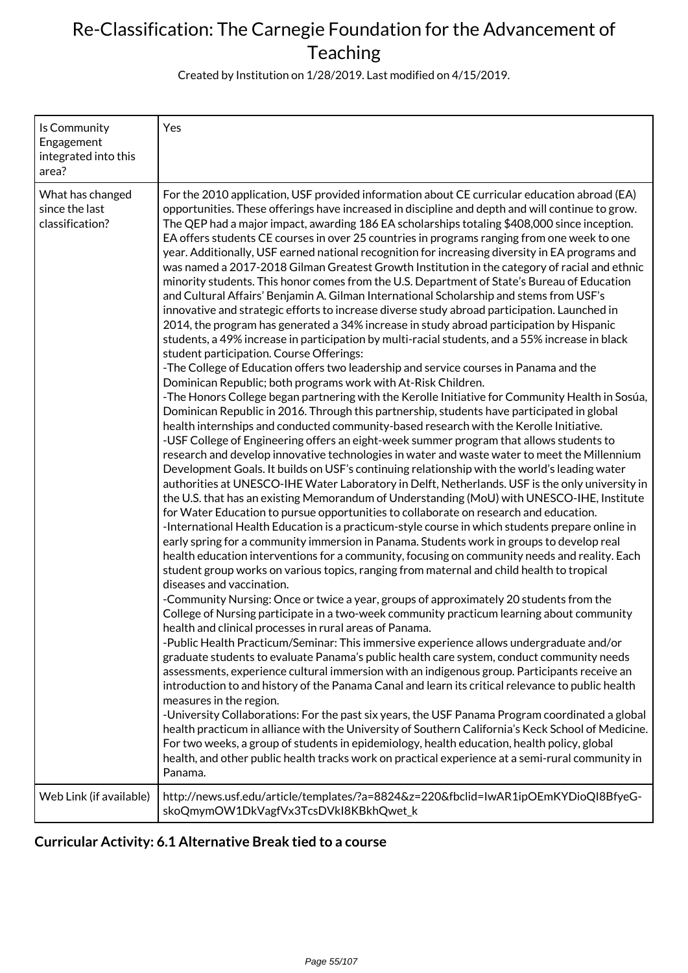Created by Institution on 1/28/2019. Last modified on 4/15/2019.

| Is Community<br>Engagement<br>integrated into this<br>area? | Yes                                                                                                                                                                                                                                                                                                                                                                                                                                                                                                                                                                                                                                                                                                                                                                                                                                                                                                                                                                                                                                                                                                                                                                                                                                                                                                                                                                                                                                                                                                                                                                                                                                                                                                                                                                                                                                                                                                                                                                                                                                                                                                                                                                                                                                                                                                                                                                                                                                                                                                                                                                                                                                                                                                                                                                                                                                                                                                                                                                                                                                                                                                                                                                                                                                                                                                                                                                                                                                                                                                                                                                                                                                                                                                            |
|-------------------------------------------------------------|----------------------------------------------------------------------------------------------------------------------------------------------------------------------------------------------------------------------------------------------------------------------------------------------------------------------------------------------------------------------------------------------------------------------------------------------------------------------------------------------------------------------------------------------------------------------------------------------------------------------------------------------------------------------------------------------------------------------------------------------------------------------------------------------------------------------------------------------------------------------------------------------------------------------------------------------------------------------------------------------------------------------------------------------------------------------------------------------------------------------------------------------------------------------------------------------------------------------------------------------------------------------------------------------------------------------------------------------------------------------------------------------------------------------------------------------------------------------------------------------------------------------------------------------------------------------------------------------------------------------------------------------------------------------------------------------------------------------------------------------------------------------------------------------------------------------------------------------------------------------------------------------------------------------------------------------------------------------------------------------------------------------------------------------------------------------------------------------------------------------------------------------------------------------------------------------------------------------------------------------------------------------------------------------------------------------------------------------------------------------------------------------------------------------------------------------------------------------------------------------------------------------------------------------------------------------------------------------------------------------------------------------------------------------------------------------------------------------------------------------------------------------------------------------------------------------------------------------------------------------------------------------------------------------------------------------------------------------------------------------------------------------------------------------------------------------------------------------------------------------------------------------------------------------------------------------------------------------------------------------------------------------------------------------------------------------------------------------------------------------------------------------------------------------------------------------------------------------------------------------------------------------------------------------------------------------------------------------------------------------------------------------------------------------------------------------------------------|
| What has changed<br>since the last<br>classification?       | For the 2010 application, USF provided information about CE curricular education abroad (EA)<br>opportunities. These offerings have increased in discipline and depth and will continue to grow.<br>The QEP had a major impact, awarding 186 EA scholarships totaling \$408,000 since inception.<br>EA offers students CE courses in over 25 countries in programs ranging from one week to one<br>year. Additionally, USF earned national recognition for increasing diversity in EA programs and<br>was named a 2017-2018 Gilman Greatest Growth Institution in the category of racial and ethnic<br>minority students. This honor comes from the U.S. Department of State's Bureau of Education<br>and Cultural Affairs' Benjamin A. Gilman International Scholarship and stems from USF's<br>innovative and strategic efforts to increase diverse study abroad participation. Launched in<br>2014, the program has generated a 34% increase in study abroad participation by Hispanic<br>students, a 49% increase in participation by multi-racial students, and a 55% increase in black<br>student participation. Course Offerings:<br>-The College of Education offers two leadership and service courses in Panama and the<br>Dominican Republic; both programs work with At-Risk Children.<br>-The Honors College began partnering with the Kerolle Initiative for Community Health in Sosúa,<br>Dominican Republic in 2016. Through this partnership, students have participated in global<br>health internships and conducted community-based research with the Kerolle Initiative.<br>-USF College of Engineering offers an eight-week summer program that allows students to<br>research and develop innovative technologies in water and waste water to meet the Millennium<br>Development Goals. It builds on USF's continuing relationship with the world's leading water<br>authorities at UNESCO-IHE Water Laboratory in Delft, Netherlands. USF is the only university in<br>the U.S. that has an existing Memorandum of Understanding (MoU) with UNESCO-IHE, Institute<br>for Water Education to pursue opportunities to collaborate on research and education.<br>-International Health Education is a practicum-style course in which students prepare online in<br>early spring for a community immersion in Panama. Students work in groups to develop real<br>health education interventions for a community, focusing on community needs and reality. Each<br>student group works on various topics, ranging from maternal and child health to tropical<br>diseases and vaccination.<br>-Community Nursing: Once or twice a year, groups of approximately 20 students from the<br>College of Nursing participate in a two-week community practicum learning about community<br>health and clinical processes in rural areas of Panama.<br>-Public Health Practicum/Seminar: This immersive experience allows undergraduate and/or<br>graduate students to evaluate Panama's public health care system, conduct community needs<br>assessments, experience cultural immersion with an indigenous group. Participants receive an<br>introduction to and history of the Panama Canal and learn its critical relevance to public health<br>measures in the region.<br>-University Collaborations: For the past six years, the USF Panama Program coordinated a global<br>health practicum in alliance with the University of Southern California's Keck School of Medicine.<br>For two weeks, a group of students in epidemiology, health education, health policy, global<br>health, and other public health tracks work on practical experience at a semi-rural community in<br>Panama. |
| Web Link (if available)                                     | http://news.usf.edu/article/templates/?a=8824&z=220&fbclid=IwAR1ipOEmKYDioQI8BfyeG-<br>skoQmymOW1DkVagfVx3TcsDVkI8KBkhQwet_k                                                                                                                                                                                                                                                                                                                                                                                                                                                                                                                                                                                                                                                                                                                                                                                                                                                                                                                                                                                                                                                                                                                                                                                                                                                                                                                                                                                                                                                                                                                                                                                                                                                                                                                                                                                                                                                                                                                                                                                                                                                                                                                                                                                                                                                                                                                                                                                                                                                                                                                                                                                                                                                                                                                                                                                                                                                                                                                                                                                                                                                                                                                                                                                                                                                                                                                                                                                                                                                                                                                                                                                   |

### **Curricular Activity: 6.1 Alternative Break tied to a course**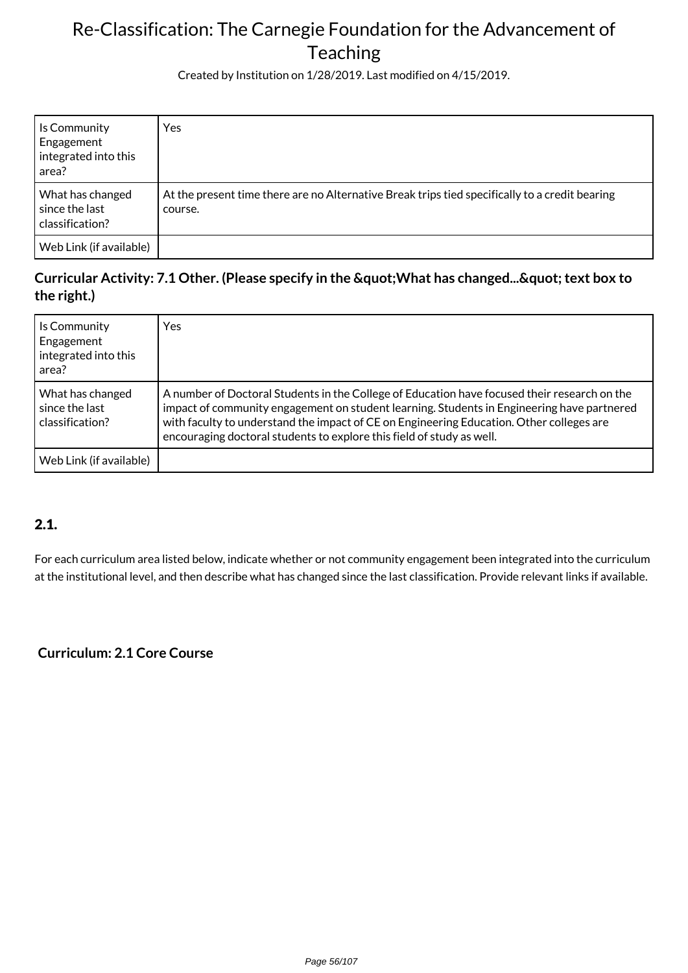Created by Institution on 1/28/2019. Last modified on 4/15/2019.

| Is Community<br>Engagement<br>integrated into this<br>area? | Yes                                                                                                       |
|-------------------------------------------------------------|-----------------------------------------------------------------------------------------------------------|
| What has changed<br>since the last<br>classification?       | At the present time there are no Alternative Break trips tied specifically to a credit bearing<br>course. |
| Web Link (if available)                                     |                                                                                                           |

### Curricular Activity: 7.1 Other. (Please specify in the " What has changed... " text box to **the right.)**

| Is Community<br>Engagement<br>integrated into this<br>area? | Yes                                                                                                                                                                                                                                                                                                                                                             |
|-------------------------------------------------------------|-----------------------------------------------------------------------------------------------------------------------------------------------------------------------------------------------------------------------------------------------------------------------------------------------------------------------------------------------------------------|
| What has changed<br>since the last<br>classification?       | A number of Doctoral Students in the College of Education have focused their research on the<br>impact of community engagement on student learning. Students in Engineering have partnered<br>with faculty to understand the impact of CE on Engineering Education. Other colleges are<br>encouraging doctoral students to explore this field of study as well. |
| Web Link (if available)                                     |                                                                                                                                                                                                                                                                                                                                                                 |

### 2.1.

For each curriculum area listed below, indicate whether or not community engagement been integrated into the curriculum at the institutional level, and then describe what has changed since the last classification. Provide relevant links if available.

### **Curriculum: 2.1 Core Course**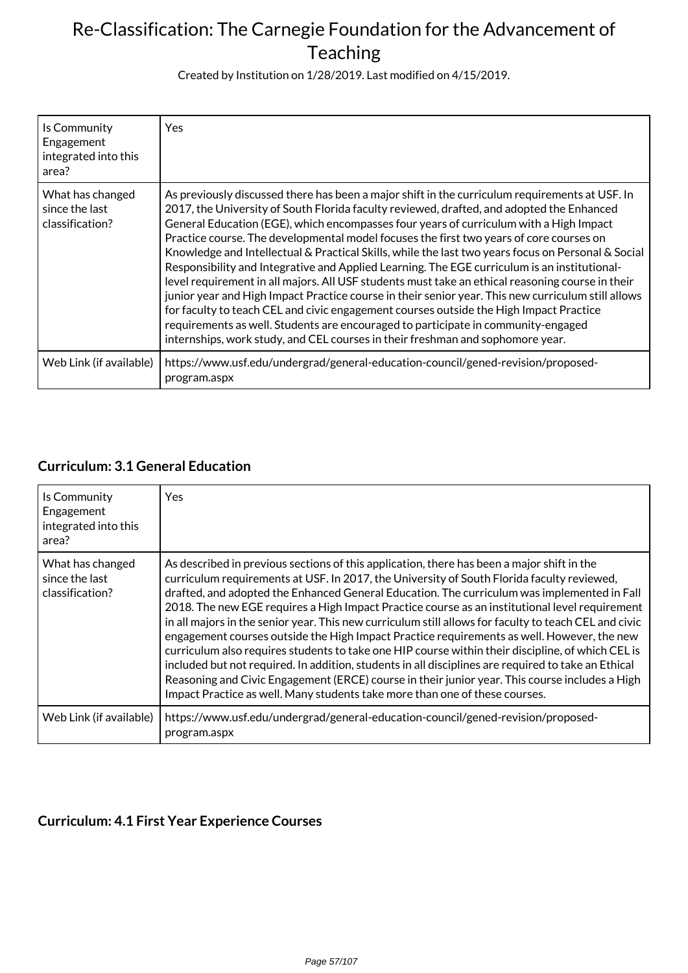Created by Institution on 1/28/2019. Last modified on 4/15/2019.

| Is Community<br>Engagement<br>integrated into this<br>area? | Yes                                                                                                                                                                                                                                                                                                                                                                                                                                                                                                                                                                                                                                                                                                                                                                                                                                                                                                                                                                                                                                                               |
|-------------------------------------------------------------|-------------------------------------------------------------------------------------------------------------------------------------------------------------------------------------------------------------------------------------------------------------------------------------------------------------------------------------------------------------------------------------------------------------------------------------------------------------------------------------------------------------------------------------------------------------------------------------------------------------------------------------------------------------------------------------------------------------------------------------------------------------------------------------------------------------------------------------------------------------------------------------------------------------------------------------------------------------------------------------------------------------------------------------------------------------------|
| What has changed<br>since the last<br>classification?       | As previously discussed there has been a major shift in the curriculum requirements at USF. In<br>2017, the University of South Florida faculty reviewed, drafted, and adopted the Enhanced<br>General Education (EGE), which encompasses four years of curriculum with a High Impact<br>Practice course. The developmental model focuses the first two years of core courses on<br>Knowledge and Intellectual & Practical Skills, while the last two years focus on Personal & Social<br>Responsibility and Integrative and Applied Learning. The EGE curriculum is an institutional-<br>level requirement in all majors. All USF students must take an ethical reasoning course in their<br>junior year and High Impact Practice course in their senior year. This new curriculum still allows<br>for faculty to teach CEL and civic engagement courses outside the High Impact Practice<br>requirements as well. Students are encouraged to participate in community-engaged<br>internships, work study, and CEL courses in their freshman and sophomore year. |
| Web Link (if available)                                     | https://www.usf.edu/undergrad/general-education-council/gened-revision/proposed-<br>program.aspx                                                                                                                                                                                                                                                                                                                                                                                                                                                                                                                                                                                                                                                                                                                                                                                                                                                                                                                                                                  |

### **Curriculum: 3.1 General Education**

| Is Community<br>Engagement<br>integrated into this<br>area? | <b>Yes</b>                                                                                                                                                                                                                                                                                                                                                                                                                                                                                                                                                                                                                                                                                                                                                                                                                                                                                                                                                                                    |
|-------------------------------------------------------------|-----------------------------------------------------------------------------------------------------------------------------------------------------------------------------------------------------------------------------------------------------------------------------------------------------------------------------------------------------------------------------------------------------------------------------------------------------------------------------------------------------------------------------------------------------------------------------------------------------------------------------------------------------------------------------------------------------------------------------------------------------------------------------------------------------------------------------------------------------------------------------------------------------------------------------------------------------------------------------------------------|
| What has changed<br>since the last<br>classification?       | As described in previous sections of this application, there has been a major shift in the<br>curriculum requirements at USF. In 2017, the University of South Florida faculty reviewed,<br>drafted, and adopted the Enhanced General Education. The curriculum was implemented in Fall<br>2018. The new EGE requires a High Impact Practice course as an institutional level requirement<br>in all majors in the senior year. This new curriculum still allows for faculty to teach CEL and civic<br>engagement courses outside the High Impact Practice requirements as well. However, the new<br>curriculum also requires students to take one HIP course within their discipline, of which CEL is<br>included but not required. In addition, students in all disciplines are required to take an Ethical<br>Reasoning and Civic Engagement (ERCE) course in their junior year. This course includes a High<br>Impact Practice as well. Many students take more than one of these courses. |
| Web Link (if available)                                     | https://www.usf.edu/undergrad/general-education-council/gened-revision/proposed-<br>program.aspx                                                                                                                                                                                                                                                                                                                                                                                                                                                                                                                                                                                                                                                                                                                                                                                                                                                                                              |

### **Curriculum: 4.1 First Year Experience Courses**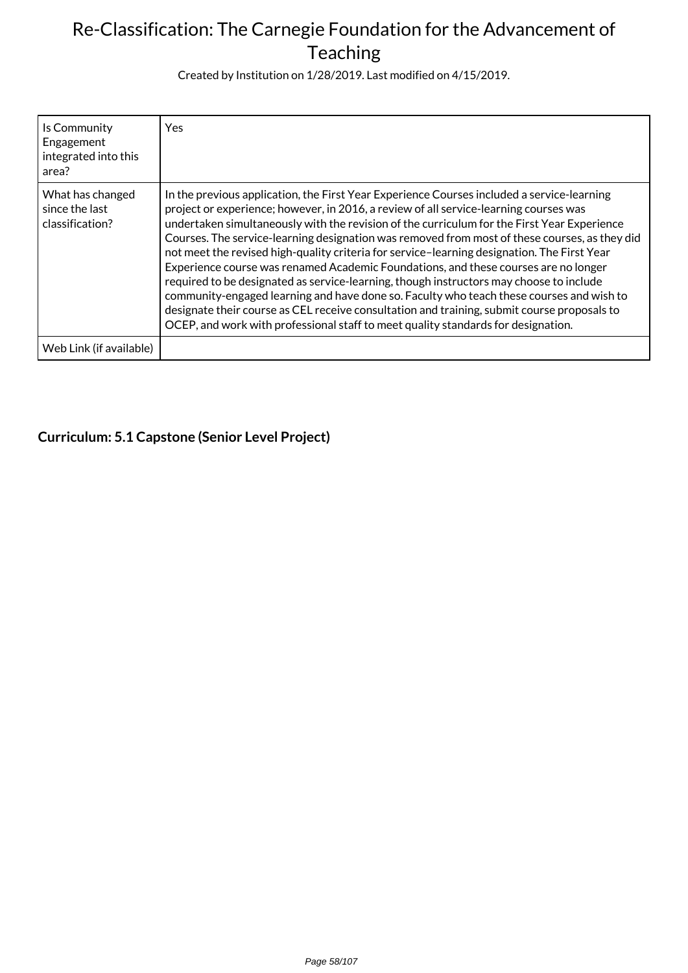Created by Institution on 1/28/2019. Last modified on 4/15/2019.

| Is Community<br>Engagement<br>integrated into this<br>area? | <b>Yes</b>                                                                                                                                                                                                                                                                                                                                                                                                                                                                                                                                                                                                                                                                                                                                                                                                                                                                                                                                           |
|-------------------------------------------------------------|------------------------------------------------------------------------------------------------------------------------------------------------------------------------------------------------------------------------------------------------------------------------------------------------------------------------------------------------------------------------------------------------------------------------------------------------------------------------------------------------------------------------------------------------------------------------------------------------------------------------------------------------------------------------------------------------------------------------------------------------------------------------------------------------------------------------------------------------------------------------------------------------------------------------------------------------------|
| What has changed<br>since the last<br>classification?       | In the previous application, the First Year Experience Courses included a service-learning<br>project or experience; however, in 2016, a review of all service-learning courses was<br>undertaken simultaneously with the revision of the curriculum for the First Year Experience<br>Courses. The service-learning designation was removed from most of these courses, as they did<br>not meet the revised high-quality criteria for service-learning designation. The First Year<br>Experience course was renamed Academic Foundations, and these courses are no longer<br>required to be designated as service-learning, though instructors may choose to include<br>community-engaged learning and have done so. Faculty who teach these courses and wish to<br>designate their course as CEL receive consultation and training, submit course proposals to<br>OCEP, and work with professional staff to meet quality standards for designation. |
| Web Link (if available)                                     |                                                                                                                                                                                                                                                                                                                                                                                                                                                                                                                                                                                                                                                                                                                                                                                                                                                                                                                                                      |

### **Curriculum: 5.1 Capstone (Senior Level Project)**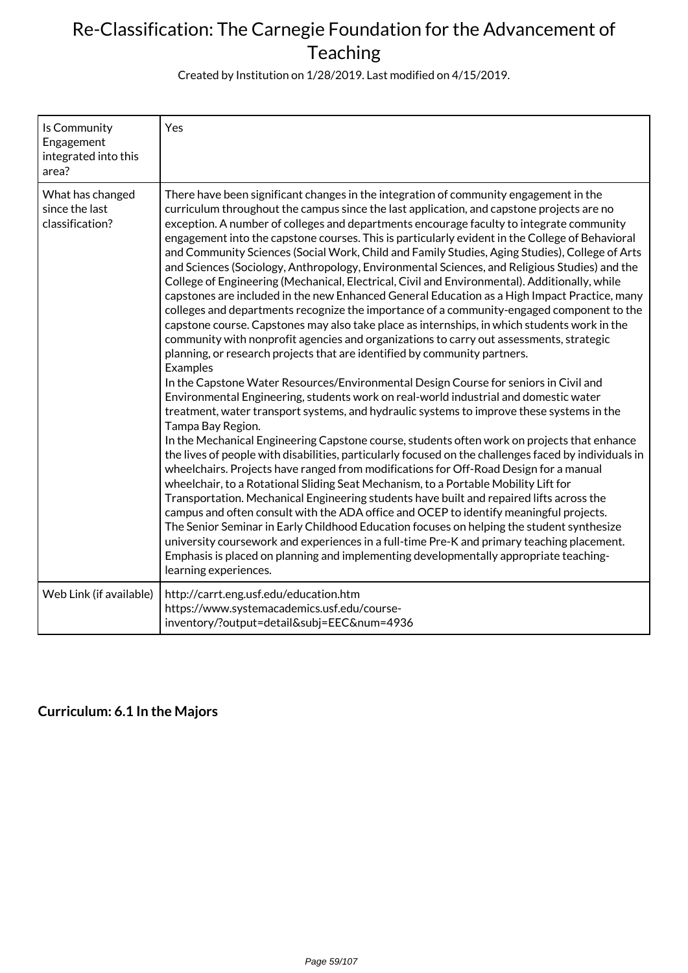Created by Institution on 1/28/2019. Last modified on 4/15/2019.

| Is Community<br>Engagement<br>integrated into this<br>area? | Yes                                                                                                                                                                                                                                                                                                                                                                                                                                                                                                                                                                                                                                                                                                                                                                                                                                                                                                                                                                                                                                                                                                                                                                                                                                                                                                                                                                                                                                                                                                                                                                                                                                                                                                                                                                                                                                                                                                                                                                                                                                                                                                                                                                                                                                                                                                                                                                 |
|-------------------------------------------------------------|---------------------------------------------------------------------------------------------------------------------------------------------------------------------------------------------------------------------------------------------------------------------------------------------------------------------------------------------------------------------------------------------------------------------------------------------------------------------------------------------------------------------------------------------------------------------------------------------------------------------------------------------------------------------------------------------------------------------------------------------------------------------------------------------------------------------------------------------------------------------------------------------------------------------------------------------------------------------------------------------------------------------------------------------------------------------------------------------------------------------------------------------------------------------------------------------------------------------------------------------------------------------------------------------------------------------------------------------------------------------------------------------------------------------------------------------------------------------------------------------------------------------------------------------------------------------------------------------------------------------------------------------------------------------------------------------------------------------------------------------------------------------------------------------------------------------------------------------------------------------------------------------------------------------------------------------------------------------------------------------------------------------------------------------------------------------------------------------------------------------------------------------------------------------------------------------------------------------------------------------------------------------------------------------------------------------------------------------------------------------|
| What has changed<br>since the last<br>classification?       | There have been significant changes in the integration of community engagement in the<br>curriculum throughout the campus since the last application, and capstone projects are no<br>exception. A number of colleges and departments encourage faculty to integrate community<br>engagement into the capstone courses. This is particularly evident in the College of Behavioral<br>and Community Sciences (Social Work, Child and Family Studies, Aging Studies), College of Arts<br>and Sciences (Sociology, Anthropology, Environmental Sciences, and Religious Studies) and the<br>College of Engineering (Mechanical, Electrical, Civil and Environmental). Additionally, while<br>capstones are included in the new Enhanced General Education as a High Impact Practice, many<br>colleges and departments recognize the importance of a community-engaged component to the<br>capstone course. Capstones may also take place as internships, in which students work in the<br>community with nonprofit agencies and organizations to carry out assessments, strategic<br>planning, or research projects that are identified by community partners.<br>Examples<br>In the Capstone Water Resources/Environmental Design Course for seniors in Civil and<br>Environmental Engineering, students work on real-world industrial and domestic water<br>treatment, water transport systems, and hydraulic systems to improve these systems in the<br>Tampa Bay Region.<br>In the Mechanical Engineering Capstone course, students often work on projects that enhance<br>the lives of people with disabilities, particularly focused on the challenges faced by individuals in<br>wheelchairs. Projects have ranged from modifications for Off-Road Design for a manual<br>wheelchair, to a Rotational Sliding Seat Mechanism, to a Portable Mobility Lift for<br>Transportation. Mechanical Engineering students have built and repaired lifts across the<br>campus and often consult with the ADA office and OCEP to identify meaningful projects.<br>The Senior Seminar in Early Childhood Education focuses on helping the student synthesize<br>university coursework and experiences in a full-time Pre-K and primary teaching placement.<br>Emphasis is placed on planning and implementing developmentally appropriate teaching-<br>learning experiences. |
| Web Link (if available)                                     | http://carrt.eng.usf.edu/education.htm<br>https://www.systemacademics.usf.edu/course-<br>inventory/?output=detail&subj=EEC#=4936                                                                                                                                                                                                                                                                                                                                                                                                                                                                                                                                                                                                                                                                                                                                                                                                                                                                                                                                                                                                                                                                                                                                                                                                                                                                                                                                                                                                                                                                                                                                                                                                                                                                                                                                                                                                                                                                                                                                                                                                                                                                                                                                                                                                                                    |

### **Curriculum: 6.1 In the Majors**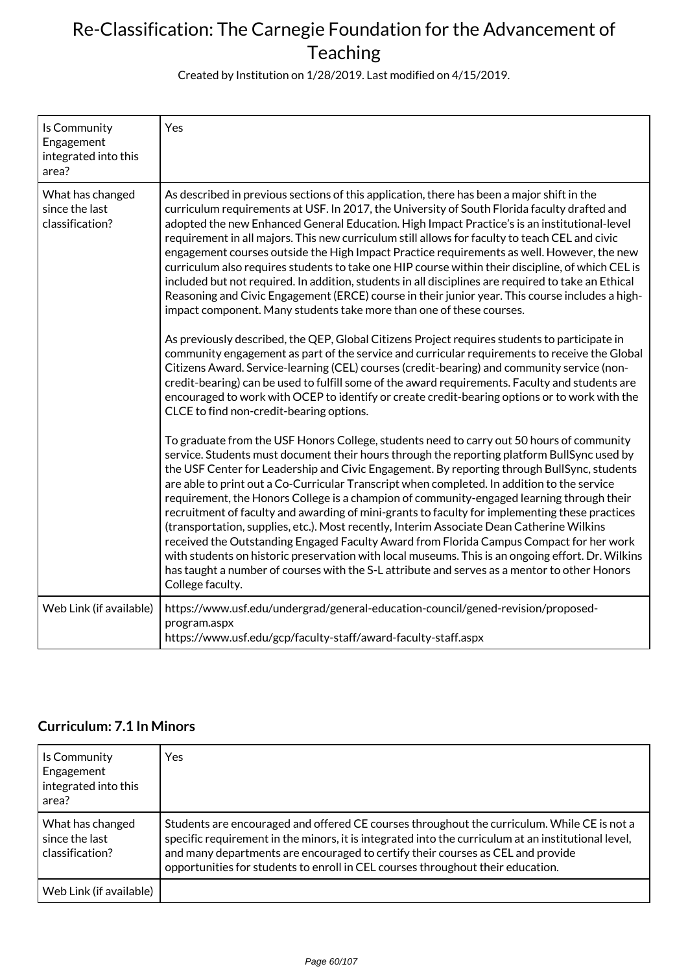Created by Institution on 1/28/2019. Last modified on 4/15/2019.

| Is Community<br>Engagement<br>integrated into this<br>area? | Yes                                                                                                                                                                                                                                                                                                                                                                                                                                                                                                                                                                                                                                                                                                                                                                                                                                                                                                                                                                                                                                                                                                                                                                                                                                                                                                                                                                                                                                |
|-------------------------------------------------------------|------------------------------------------------------------------------------------------------------------------------------------------------------------------------------------------------------------------------------------------------------------------------------------------------------------------------------------------------------------------------------------------------------------------------------------------------------------------------------------------------------------------------------------------------------------------------------------------------------------------------------------------------------------------------------------------------------------------------------------------------------------------------------------------------------------------------------------------------------------------------------------------------------------------------------------------------------------------------------------------------------------------------------------------------------------------------------------------------------------------------------------------------------------------------------------------------------------------------------------------------------------------------------------------------------------------------------------------------------------------------------------------------------------------------------------|
| What has changed<br>since the last<br>classification?       | As described in previous sections of this application, there has been a major shift in the<br>curriculum requirements at USF. In 2017, the University of South Florida faculty drafted and<br>adopted the new Enhanced General Education. High Impact Practice's is an institutional-level<br>requirement in all majors. This new curriculum still allows for faculty to teach CEL and civic<br>engagement courses outside the High Impact Practice requirements as well. However, the new<br>curriculum also requires students to take one HIP course within their discipline, of which CEL is<br>included but not required. In addition, students in all disciplines are required to take an Ethical<br>Reasoning and Civic Engagement (ERCE) course in their junior year. This course includes a high-<br>impact component. Many students take more than one of these courses.<br>As previously described, the QEP, Global Citizens Project requires students to participate in<br>community engagement as part of the service and curricular requirements to receive the Global<br>Citizens Award. Service-learning (CEL) courses (credit-bearing) and community service (non-<br>credit-bearing) can be used to fulfill some of the award requirements. Faculty and students are<br>encouraged to work with OCEP to identify or create credit-bearing options or to work with the<br>CLCE to find non-credit-bearing options. |
|                                                             | To graduate from the USF Honors College, students need to carry out 50 hours of community<br>service. Students must document their hours through the reporting platform BullSync used by<br>the USF Center for Leadership and Civic Engagement. By reporting through BullSync, students<br>are able to print out a Co-Curricular Transcript when completed. In addition to the service<br>requirement, the Honors College is a champion of community-engaged learning through their<br>recruitment of faculty and awarding of mini-grants to faculty for implementing these practices<br>(transportation, supplies, etc.). Most recently, Interim Associate Dean Catherine Wilkins<br>received the Outstanding Engaged Faculty Award from Florida Campus Compact for her work<br>with students on historic preservation with local museums. This is an ongoing effort. Dr. Wilkins<br>has taught a number of courses with the S-L attribute and serves as a mentor to other Honors<br>College faculty.                                                                                                                                                                                                                                                                                                                                                                                                                             |
| Web Link (if available)                                     | https://www.usf.edu/undergrad/general-education-council/gened-revision/proposed-<br>program.aspx<br>https://www.usf.edu/gcp/faculty-staff/award-faculty-staff.aspx                                                                                                                                                                                                                                                                                                                                                                                                                                                                                                                                                                                                                                                                                                                                                                                                                                                                                                                                                                                                                                                                                                                                                                                                                                                                 |

### **Curriculum: 7.1 In Minors**

| Is Community<br>Engagement<br>integrated into this<br>area? | <b>Yes</b>                                                                                                                                                                                                                                                                                                                                                               |
|-------------------------------------------------------------|--------------------------------------------------------------------------------------------------------------------------------------------------------------------------------------------------------------------------------------------------------------------------------------------------------------------------------------------------------------------------|
| What has changed<br>since the last<br>classification?       | Students are encouraged and offered CE courses throughout the curriculum. While CE is not a<br>specific requirement in the minors, it is integrated into the curriculum at an institutional level,<br>and many departments are encouraged to certify their courses as CEL and provide<br>opportunities for students to enroll in CEL courses throughout their education. |
| Web Link (if available)                                     |                                                                                                                                                                                                                                                                                                                                                                          |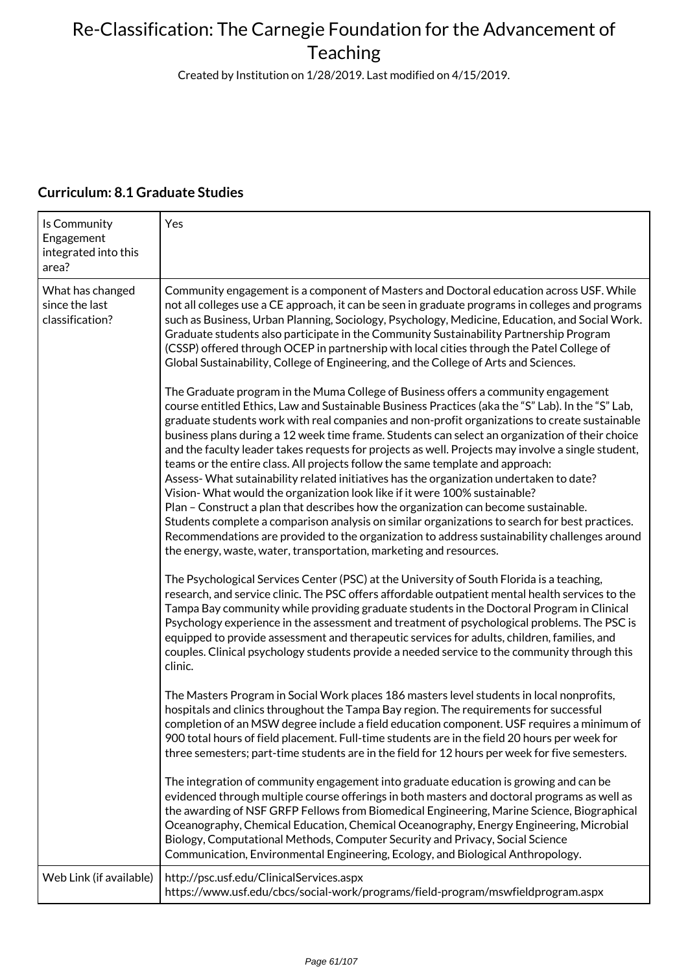Created by Institution on 1/28/2019. Last modified on 4/15/2019.

| Is Community<br>Engagement<br>integrated into this<br>area? | Yes                                                                                                                                                                                                                                                                                                                                                                                                                                                                                                                                                                                                                                                                                                                                                                                                                                                                                                                                                                                                                                                                                                                       |
|-------------------------------------------------------------|---------------------------------------------------------------------------------------------------------------------------------------------------------------------------------------------------------------------------------------------------------------------------------------------------------------------------------------------------------------------------------------------------------------------------------------------------------------------------------------------------------------------------------------------------------------------------------------------------------------------------------------------------------------------------------------------------------------------------------------------------------------------------------------------------------------------------------------------------------------------------------------------------------------------------------------------------------------------------------------------------------------------------------------------------------------------------------------------------------------------------|
| What has changed<br>since the last<br>classification?       | Community engagement is a component of Masters and Doctoral education across USF. While<br>not all colleges use a CE approach, it can be seen in graduate programs in colleges and programs<br>such as Business, Urban Planning, Sociology, Psychology, Medicine, Education, and Social Work.<br>Graduate students also participate in the Community Sustainability Partnership Program<br>(CSSP) offered through OCEP in partnership with local cities through the Patel College of<br>Global Sustainability, College of Engineering, and the College of Arts and Sciences.                                                                                                                                                                                                                                                                                                                                                                                                                                                                                                                                              |
|                                                             | The Graduate program in the Muma College of Business offers a community engagement<br>course entitled Ethics, Law and Sustainable Business Practices (aka the "S" Lab). In the "S" Lab,<br>graduate students work with real companies and non-profit organizations to create sustainable<br>business plans during a 12 week time frame. Students can select an organization of their choice<br>and the faculty leader takes requests for projects as well. Projects may involve a single student,<br>teams or the entire class. All projects follow the same template and approach:<br>Assess-What sutainability related initiatives has the organization undertaken to date?<br>Vision-What would the organization look like if it were 100% sustainable?<br>Plan - Construct a plan that describes how the organization can become sustainable.<br>Students complete a comparison analysis on similar organizations to search for best practices.<br>Recommendations are provided to the organization to address sustainability challenges around<br>the energy, waste, water, transportation, marketing and resources. |
|                                                             | The Psychological Services Center (PSC) at the University of South Florida is a teaching,<br>research, and service clinic. The PSC offers affordable outpatient mental health services to the<br>Tampa Bay community while providing graduate students in the Doctoral Program in Clinical<br>Psychology experience in the assessment and treatment of psychological problems. The PSC is<br>equipped to provide assessment and therapeutic services for adults, children, families, and<br>couples. Clinical psychology students provide a needed service to the community through this<br>clinic.                                                                                                                                                                                                                                                                                                                                                                                                                                                                                                                       |
|                                                             | The Masters Program in Social Work places 186 masters level students in local nonprofits,<br>hospitals and clinics throughout the Tampa Bay region. The requirements for successful<br>completion of an MSW degree include a field education component. USF requires a minimum of<br>900 total hours of field placement. Full-time students are in the field 20 hours per week for<br>three semesters; part-time students are in the field for 12 hours per week for five semesters.                                                                                                                                                                                                                                                                                                                                                                                                                                                                                                                                                                                                                                      |
|                                                             | The integration of community engagement into graduate education is growing and can be<br>evidenced through multiple course offerings in both masters and doctoral programs as well as<br>the awarding of NSF GRFP Fellows from Biomedical Engineering, Marine Science, Biographical<br>Oceanography, Chemical Education, Chemical Oceanography, Energy Engineering, Microbial<br>Biology, Computational Methods, Computer Security and Privacy, Social Science<br>Communication, Environmental Engineering, Ecology, and Biological Anthropology.                                                                                                                                                                                                                                                                                                                                                                                                                                                                                                                                                                         |
| Web Link (if available)                                     | http://psc.usf.edu/ClinicalServices.aspx<br>https://www.usf.edu/cbcs/social-work/programs/field-program/mswfieldprogram.aspx                                                                                                                                                                                                                                                                                                                                                                                                                                                                                                                                                                                                                                                                                                                                                                                                                                                                                                                                                                                              |

### **Curriculum: 8.1 Graduate Studies**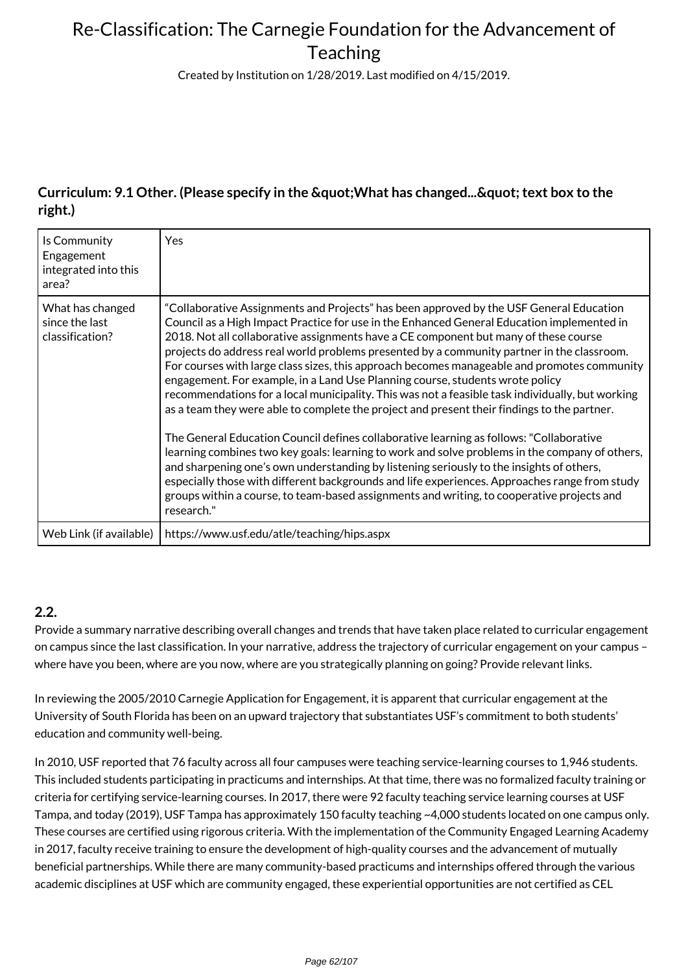Created by Institution on 1/28/2019. Last modified on 4/15/2019.

### **Curriculum: 9.1 Other. (Please specify in the " What has changed... & quot; text box to the right.)**

| Is Community<br>Engagement<br>integrated into this<br>area? | <b>Yes</b>                                                                                                                                                                                                                                                                                                                                                                                                                                                                                                                                                                                                                                                                                                                                                                                                                                                                                                                                                                                                                                                                                                                                                                                                                                                           |
|-------------------------------------------------------------|----------------------------------------------------------------------------------------------------------------------------------------------------------------------------------------------------------------------------------------------------------------------------------------------------------------------------------------------------------------------------------------------------------------------------------------------------------------------------------------------------------------------------------------------------------------------------------------------------------------------------------------------------------------------------------------------------------------------------------------------------------------------------------------------------------------------------------------------------------------------------------------------------------------------------------------------------------------------------------------------------------------------------------------------------------------------------------------------------------------------------------------------------------------------------------------------------------------------------------------------------------------------|
| What has changed<br>since the last<br>classification?       | "Collaborative Assignments and Projects" has been approved by the USF General Education<br>Council as a High Impact Practice for use in the Enhanced General Education implemented in<br>2018. Not all collaborative assignments have a CE component but many of these course<br>projects do address real world problems presented by a community partner in the classroom.<br>For courses with large class sizes, this approach becomes manageable and promotes community<br>engagement. For example, in a Land Use Planning course, students wrote policy<br>recommendations for a local municipality. This was not a feasible task individually, but working<br>as a team they were able to complete the project and present their findings to the partner.<br>The General Education Council defines collaborative learning as follows: "Collaborative<br>learning combines two key goals: learning to work and solve problems in the company of others,<br>and sharpening one's own understanding by listening seriously to the insights of others,<br>especially those with different backgrounds and life experiences. Approaches range from study<br>groups within a course, to team-based assignments and writing, to cooperative projects and<br>research." |
| Web Link (if available)                                     | https://www.usf.edu/atle/teaching/hips.aspx                                                                                                                                                                                                                                                                                                                                                                                                                                                                                                                                                                                                                                                                                                                                                                                                                                                                                                                                                                                                                                                                                                                                                                                                                          |

#### **2.2.**

Provide a summary narrative describing overall changes and trends that have taken place related to curricular engagement on campus since the last classification. In your narrative, address the trajectory of curricular engagement on your campus – where have you been, where are you now, where are you strategically planning on going? Provide relevant links.

In reviewing the 2005/2010 Carnegie Application for Engagement, it is apparent that curricular engagement at the University of South Florida has been on an upward trajectory that substantiates USF's commitment to both students' education and community well-being.

In 2010, USF reported that 76 faculty across all four campuses were teaching service-learning courses to 1,946 students. This included students participating in practicums and internships. At that time, there was no formalized faculty training or criteria for certifying service-learning courses. In 2017, there were 92 faculty teaching service learning courses at USF Tampa, and today (2019), USF Tampa has approximately 150 faculty teaching ~4,000 students located on one campus only. These courses are certified using rigorous criteria. With the implementation of the Community Engaged Learning Academy in 2017, faculty receive training to ensure the development of high-quality courses and the advancement of mutually beneficial partnerships. While there are many community-based practicums and internships offered through the various academic disciplines at USF which are community engaged, these experiential opportunities are not certified as CEL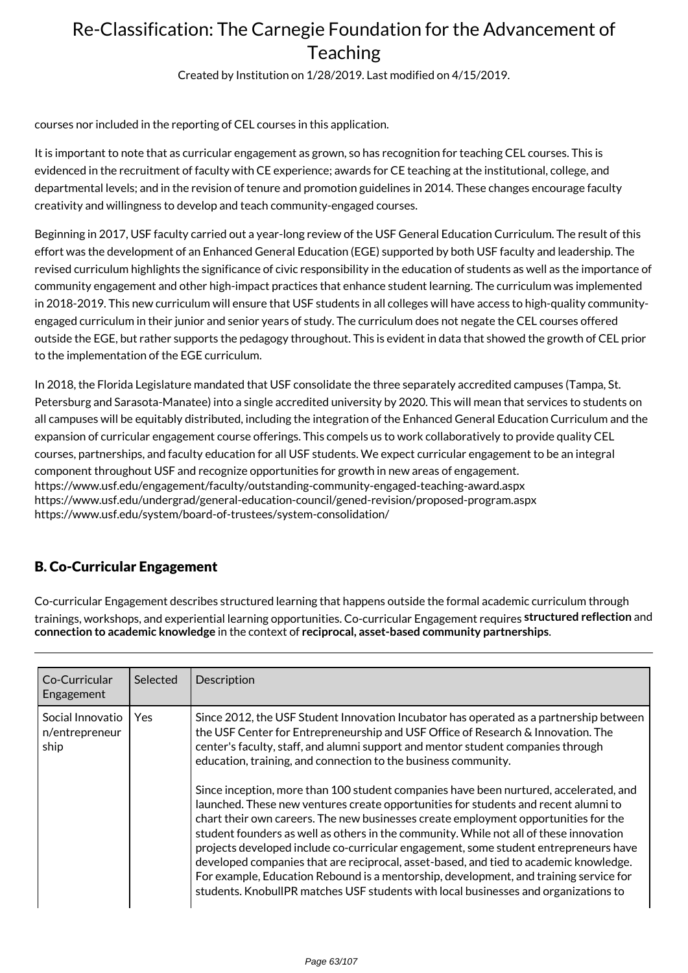Created by Institution on 1/28/2019. Last modified on 4/15/2019.

courses nor included in the reporting of CEL courses in this application.

It is important to note that as curricular engagement as grown, so has recognition for teaching CEL courses. This is evidenced in the recruitment of faculty with CE experience; awards for CE teaching at the institutional, college, and departmental levels; and in the revision of tenure and promotion guidelines in 2014. These changes encourage faculty creativity and willingness to develop and teach community-engaged courses.

Beginning in 2017, USF faculty carried out a year-long review of the USF General Education Curriculum. The result of this effort was the development of an Enhanced General Education (EGE) supported by both USF faculty and leadership. The revised curriculum highlights the significance of civic responsibility in the education of students as well as the importance of community engagement and other high-impact practices that enhance student learning. The curriculum was implemented in 2018-2019. This new curriculum will ensure that USF students in all colleges will have access to high-quality communityengaged curriculum in their junior and senior years of study. The curriculum does not negate the CEL courses offered outside the EGE, but rather supports the pedagogy throughout. This is evident in data that showed the growth of CEL prior to the implementation of the EGE curriculum.

In 2018, the Florida Legislature mandated that USF consolidate the three separately accredited campuses (Tampa, St. Petersburg and Sarasota-Manatee) into a single accredited university by 2020. This will mean that services to students on all campuses will be equitably distributed, including the integration of the Enhanced General Education Curriculum and the expansion of curricular engagement course offerings. This compels us to work collaboratively to provide quality CEL courses, partnerships, and faculty education for all USF students. We expect curricular engagement to be an integral component throughout USF and recognize opportunities for growth in new areas of engagement. https://www.usf.edu/engagement/faculty/outstanding-community-engaged-teaching-award.aspx https://www.usf.edu/undergrad/general-education-council/gened-revision/proposed-program.aspx https://www.usf.edu/system/board-of-trustees/system-consolidation/

### B. Co-Curricular Engagement

Co-curricular Engagement describes structured learning that happens outside the formal academic curriculum through trainings, workshops, and experiential learning opportunities. Co-curricular Engagement requires **structured reflection** and **connection to academic knowledge** in the context of **reciprocal, asset-based community partnerships**.

| Co-Curricular<br>Engagement                | Selected   | Description                                                                                                                                                                                                                                                                                                                                                                                                                                                                                                                                                                                                                                                                                                                                                                                                                                                                                                                                                                                                                                                        |
|--------------------------------------------|------------|--------------------------------------------------------------------------------------------------------------------------------------------------------------------------------------------------------------------------------------------------------------------------------------------------------------------------------------------------------------------------------------------------------------------------------------------------------------------------------------------------------------------------------------------------------------------------------------------------------------------------------------------------------------------------------------------------------------------------------------------------------------------------------------------------------------------------------------------------------------------------------------------------------------------------------------------------------------------------------------------------------------------------------------------------------------------|
| Social Innovatio<br>n/entrepreneur<br>ship | <b>Yes</b> | Since 2012, the USF Student Innovation Incubator has operated as a partnership between<br>the USF Center for Entrepreneurship and USF Office of Research & Innovation. The<br>center's faculty, staff, and alumni support and mentor student companies through<br>education, training, and connection to the business community.<br>Since inception, more than 100 student companies have been nurtured, accelerated, and<br>launched. These new ventures create opportunities for students and recent alumni to<br>chart their own careers. The new businesses create employment opportunities for the<br>student founders as well as others in the community. While not all of these innovation<br>projects developed include co-curricular engagement, some student entrepreneurs have<br>developed companies that are reciprocal, asset-based, and tied to academic knowledge.<br>For example, Education Rebound is a mentorship, development, and training service for<br>students. KnobullPR matches USF students with local businesses and organizations to |
|                                            |            |                                                                                                                                                                                                                                                                                                                                                                                                                                                                                                                                                                                                                                                                                                                                                                                                                                                                                                                                                                                                                                                                    |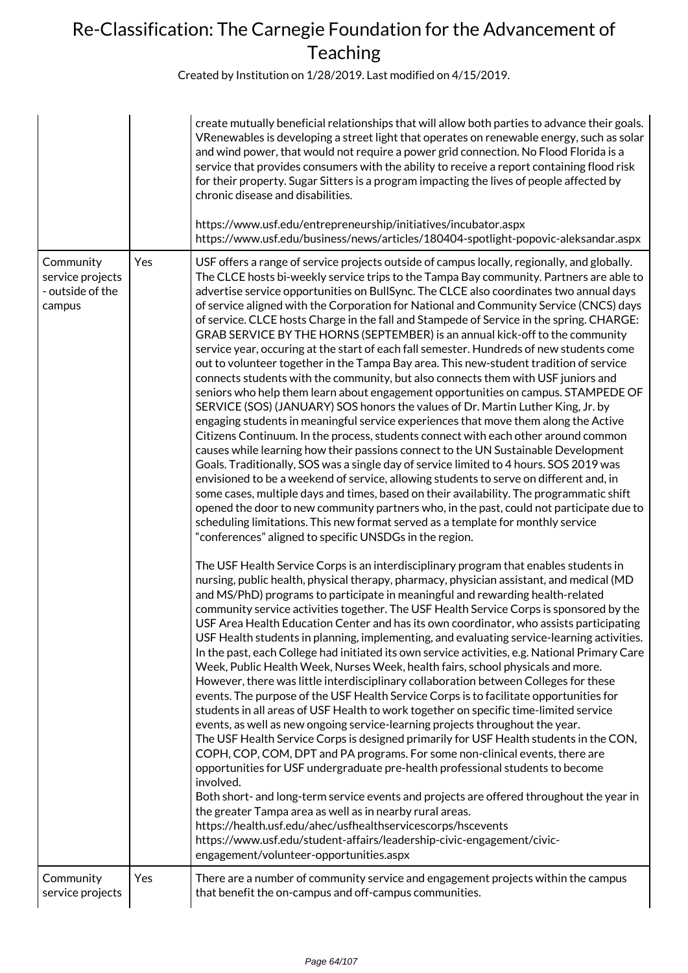|                                                             |     | create mutually beneficial relationships that will allow both parties to advance their goals.<br>VRenewables is developing a street light that operates on renewable energy, such as solar<br>and wind power, that would not require a power grid connection. No Flood Florida is a<br>service that provides consumers with the ability to receive a report containing flood risk<br>for their property. Sugar Sitters is a program impacting the lives of people affected by<br>chronic disease and disabilities.<br>https://www.usf.edu/entrepreneurship/initiatives/incubator.aspx<br>https://www.usf.edu/business/news/articles/180404-spotlight-popovic-aleksandar.aspx                                                                                                                                                                                                                                                                                                                                                                                                                                                                                                                                                                                                                                                                                                                                                                                                                                                                                                                                                                                                                                                                                                                            |
|-------------------------------------------------------------|-----|---------------------------------------------------------------------------------------------------------------------------------------------------------------------------------------------------------------------------------------------------------------------------------------------------------------------------------------------------------------------------------------------------------------------------------------------------------------------------------------------------------------------------------------------------------------------------------------------------------------------------------------------------------------------------------------------------------------------------------------------------------------------------------------------------------------------------------------------------------------------------------------------------------------------------------------------------------------------------------------------------------------------------------------------------------------------------------------------------------------------------------------------------------------------------------------------------------------------------------------------------------------------------------------------------------------------------------------------------------------------------------------------------------------------------------------------------------------------------------------------------------------------------------------------------------------------------------------------------------------------------------------------------------------------------------------------------------------------------------------------------------------------------------------------------------|
| Community<br>service projects<br>- outside of the<br>campus | Yes | USF offers a range of service projects outside of campus locally, regionally, and globally.<br>The CLCE hosts bi-weekly service trips to the Tampa Bay community. Partners are able to<br>advertise service opportunities on BullSync. The CLCE also coordinates two annual days<br>of service aligned with the Corporation for National and Community Service (CNCS) days<br>of service. CLCE hosts Charge in the fall and Stampede of Service in the spring. CHARGE:<br>GRAB SERVICE BY THE HORNS (SEPTEMBER) is an annual kick-off to the community<br>service year, occuring at the start of each fall semester. Hundreds of new students come<br>out to volunteer together in the Tampa Bay area. This new-student tradition of service<br>connects students with the community, but also connects them with USF juniors and<br>seniors who help them learn about engagement opportunities on campus. STAMPEDE OF<br>SERVICE (SOS) (JANUARY) SOS honors the values of Dr. Martin Luther King, Jr. by<br>engaging students in meaningful service experiences that move them along the Active<br>Citizens Continuum. In the process, students connect with each other around common<br>causes while learning how their passions connect to the UN Sustainable Development<br>Goals. Traditionally, SOS was a single day of service limited to 4 hours. SOS 2019 was<br>envisioned to be a weekend of service, allowing students to serve on different and, in<br>some cases, multiple days and times, based on their availability. The programmatic shift<br>opened the door to new community partners who, in the past, could not participate due to<br>scheduling limitations. This new format served as a template for monthly service<br>"conferences" aligned to specific UNSDGs in the region. |
|                                                             |     | The USF Health Service Corps is an interdisciplinary program that enables students in<br>nursing, public health, physical therapy, pharmacy, physician assistant, and medical (MD<br>and MS/PhD) programs to participate in meaningful and rewarding health-related<br>community service activities together. The USF Health Service Corps is sponsored by the<br>USF Area Health Education Center and has its own coordinator, who assists participating<br>USF Health students in planning, implementing, and evaluating service-learning activities.<br>In the past, each College had initiated its own service activities, e.g. National Primary Care<br>Week, Public Health Week, Nurses Week, health fairs, school physicals and more.<br>However, there was little interdisciplinary collaboration between Colleges for these<br>events. The purpose of the USF Health Service Corps is to facilitate opportunities for<br>students in all areas of USF Health to work together on specific time-limited service<br>events, as well as new ongoing service-learning projects throughout the year.<br>The USF Health Service Corps is designed primarily for USF Health students in the CON,<br>COPH, COP, COM, DPT and PA programs. For some non-clinical events, there are<br>opportunities for USF undergraduate pre-health professional students to become<br>involved.<br>Both short- and long-term service events and projects are offered throughout the year in<br>the greater Tampa area as well as in nearby rural areas.<br>https://health.usf.edu/ahec/usfhealthservicescorps/hscevents<br>https://www.usf.edu/student-affairs/leadership-civic-engagement/civic-<br>engagement/volunteer-opportunities.aspx                                                                          |
| Community<br>service projects                               | Yes | There are a number of community service and engagement projects within the campus<br>that benefit the on-campus and off-campus communities.                                                                                                                                                                                                                                                                                                                                                                                                                                                                                                                                                                                                                                                                                                                                                                                                                                                                                                                                                                                                                                                                                                                                                                                                                                                                                                                                                                                                                                                                                                                                                                                                                                                             |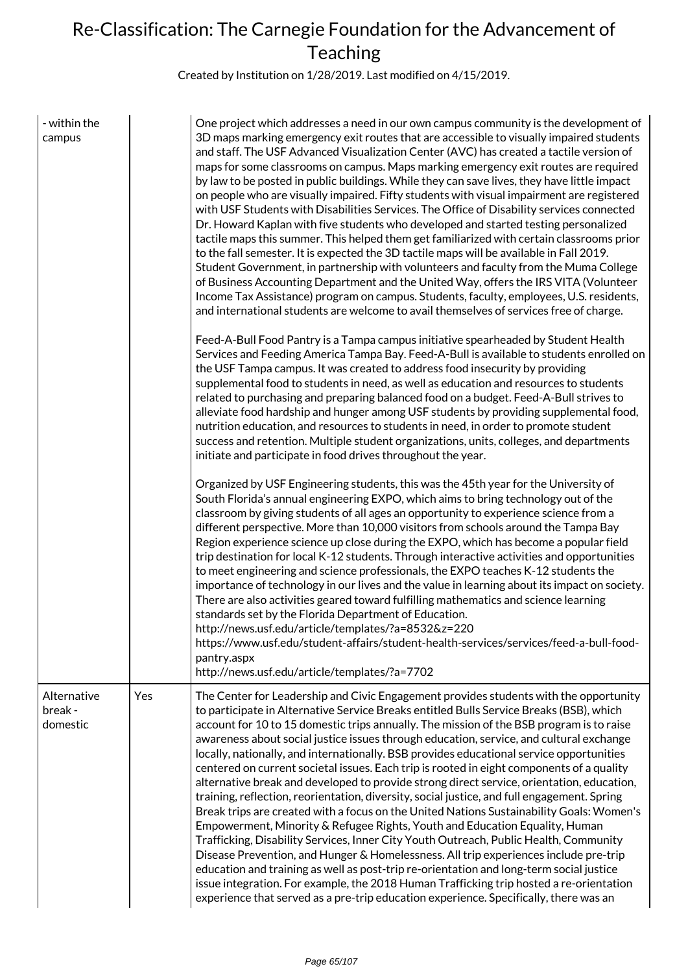| - within the<br>campus             |     | One project which addresses a need in our own campus community is the development of<br>3D maps marking emergency exit routes that are accessible to visually impaired students<br>and staff. The USF Advanced Visualization Center (AVC) has created a tactile version of<br>maps for some classrooms on campus. Maps marking emergency exit routes are required<br>by law to be posted in public buildings. While they can save lives, they have little impact<br>on people who are visually impaired. Fifty students with visual impairment are registered<br>with USF Students with Disabilities Services. The Office of Disability services connected<br>Dr. Howard Kaplan with five students who developed and started testing personalized<br>tactile maps this summer. This helped them get familiarized with certain classrooms prior<br>to the fall semester. It is expected the 3D tactile maps will be available in Fall 2019.<br>Student Government, in partnership with volunteers and faculty from the Muma College<br>of Business Accounting Department and the United Way, offers the IRS VITA (Volunteer<br>Income Tax Assistance) program on campus. Students, faculty, employees, U.S. residents,<br>and international students are welcome to avail themselves of services free of charge.                                                                                         |
|------------------------------------|-----|---------------------------------------------------------------------------------------------------------------------------------------------------------------------------------------------------------------------------------------------------------------------------------------------------------------------------------------------------------------------------------------------------------------------------------------------------------------------------------------------------------------------------------------------------------------------------------------------------------------------------------------------------------------------------------------------------------------------------------------------------------------------------------------------------------------------------------------------------------------------------------------------------------------------------------------------------------------------------------------------------------------------------------------------------------------------------------------------------------------------------------------------------------------------------------------------------------------------------------------------------------------------------------------------------------------------------------------------------------------------------------------------------------|
|                                    |     | Feed-A-Bull Food Pantry is a Tampa campus initiative spearheaded by Student Health<br>Services and Feeding America Tampa Bay. Feed-A-Bull is available to students enrolled on<br>the USF Tampa campus. It was created to address food insecurity by providing<br>supplemental food to students in need, as well as education and resources to students<br>related to purchasing and preparing balanced food on a budget. Feed-A-Bull strives to<br>alleviate food hardship and hunger among USF students by providing supplemental food,<br>nutrition education, and resources to students in need, in order to promote student<br>success and retention. Multiple student organizations, units, colleges, and departments<br>initiate and participate in food drives throughout the year.                                                                                                                                                                                                                                                                                                                                                                                                                                                                                                                                                                                                             |
|                                    |     | Organized by USF Engineering students, this was the 45th year for the University of<br>South Florida's annual engineering EXPO, which aims to bring technology out of the<br>classroom by giving students of all ages an opportunity to experience science from a<br>different perspective. More than 10,000 visitors from schools around the Tampa Bay<br>Region experience science up close during the EXPO, which has become a popular field<br>trip destination for local K-12 students. Through interactive activities and opportunities<br>to meet engineering and science professionals, the EXPO teaches K-12 students the<br>importance of technology in our lives and the value in learning about its impact on society.<br>There are also activities geared toward fulfilling mathematics and science learning<br>standards set by the Florida Department of Education.<br>http://news.usf.edu/article/templates/?a=8532&z=220<br>https://www.usf.edu/student-affairs/student-health-services/services/feed-a-bull-food-<br>pantry.aspx<br>http://news.usf.edu/article/templates/?a=7702                                                                                                                                                                                                                                                                                                     |
| Alternative<br>break -<br>domestic | Yes | The Center for Leadership and Civic Engagement provides students with the opportunity<br>to participate in Alternative Service Breaks entitled Bulls Service Breaks (BSB), which<br>account for 10 to 15 domestic trips annually. The mission of the BSB program is to raise<br>awareness about social justice issues through education, service, and cultural exchange<br>locally, nationally, and internationally. BSB provides educational service opportunities<br>centered on current societal issues. Each trip is rooted in eight components of a quality<br>alternative break and developed to provide strong direct service, orientation, education,<br>training, reflection, reorientation, diversity, social justice, and full engagement. Spring<br>Break trips are created with a focus on the United Nations Sustainability Goals: Women's<br>Empowerment, Minority & Refugee Rights, Youth and Education Equality, Human<br>Trafficking, Disability Services, Inner City Youth Outreach, Public Health, Community<br>Disease Prevention, and Hunger & Homelessness. All trip experiences include pre-trip<br>education and training as well as post-trip re-orientation and long-term social justice<br>issue integration. For example, the 2018 Human Trafficking trip hosted a re-orientation<br>experience that served as a pre-trip education experience. Specifically, there was an |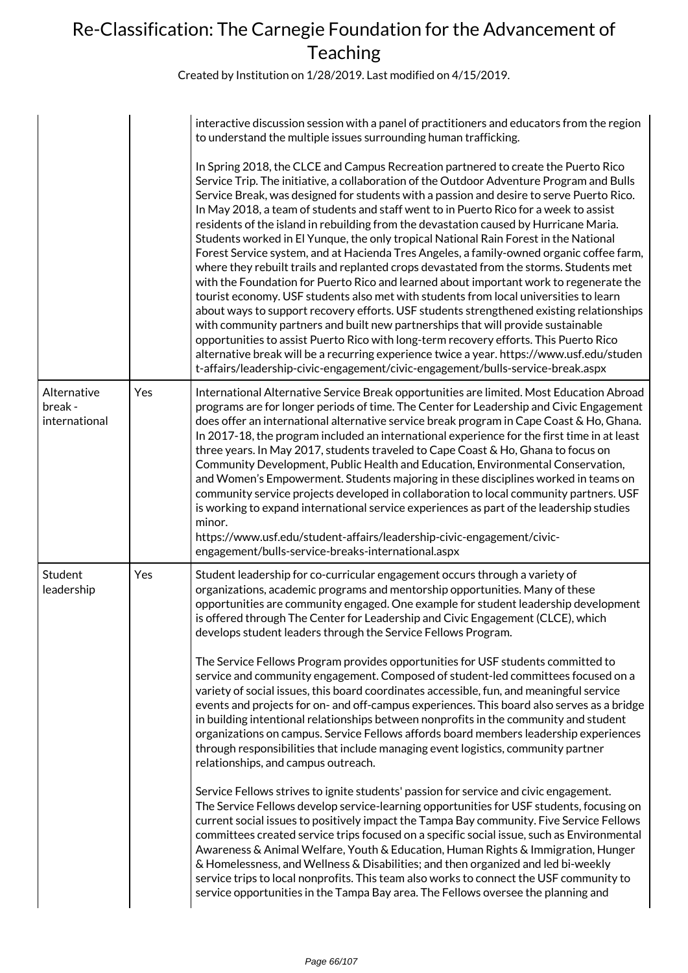|                                         |     | interactive discussion session with a panel of practitioners and educators from the region<br>to understand the multiple issues surrounding human trafficking.                                                                                                                                                                                                                                                                                                                                                                                                                                                                                                                                                                                                                                                                                                                                                                                                                                                                                                                                                                                                                                                                                                                                                                                                                         |
|-----------------------------------------|-----|----------------------------------------------------------------------------------------------------------------------------------------------------------------------------------------------------------------------------------------------------------------------------------------------------------------------------------------------------------------------------------------------------------------------------------------------------------------------------------------------------------------------------------------------------------------------------------------------------------------------------------------------------------------------------------------------------------------------------------------------------------------------------------------------------------------------------------------------------------------------------------------------------------------------------------------------------------------------------------------------------------------------------------------------------------------------------------------------------------------------------------------------------------------------------------------------------------------------------------------------------------------------------------------------------------------------------------------------------------------------------------------|
|                                         |     | In Spring 2018, the CLCE and Campus Recreation partnered to create the Puerto Rico<br>Service Trip. The initiative, a collaboration of the Outdoor Adventure Program and Bulls<br>Service Break, was designed for students with a passion and desire to serve Puerto Rico.<br>In May 2018, a team of students and staff went to in Puerto Rico for a week to assist<br>residents of the island in rebuilding from the devastation caused by Hurricane Maria.<br>Students worked in El Yunque, the only tropical National Rain Forest in the National<br>Forest Service system, and at Hacienda Tres Angeles, a family-owned organic coffee farm,<br>where they rebuilt trails and replanted crops devastated from the storms. Students met<br>with the Foundation for Puerto Rico and learned about important work to regenerate the<br>tourist economy. USF students also met with students from local universities to learn<br>about ways to support recovery efforts. USF students strengthened existing relationships<br>with community partners and built new partnerships that will provide sustainable<br>opportunities to assist Puerto Rico with long-term recovery efforts. This Puerto Rico<br>alternative break will be a recurring experience twice a year. https://www.usf.edu/studen<br>t-affairs/leadership-civic-engagement/civic-engagement/bulls-service-break.aspx |
| Alternative<br>break -<br>international | Yes | International Alternative Service Break opportunities are limited. Most Education Abroad<br>programs are for longer periods of time. The Center for Leadership and Civic Engagement<br>does offer an international alternative service break program in Cape Coast & Ho, Ghana.<br>In 2017-18, the program included an international experience for the first time in at least<br>three years. In May 2017, students traveled to Cape Coast & Ho, Ghana to focus on<br>Community Development, Public Health and Education, Environmental Conservation,<br>and Women's Empowerment. Students majoring in these disciplines worked in teams on<br>community service projects developed in collaboration to local community partners. USF<br>is working to expand international service experiences as part of the leadership studies<br>minor.<br>https://www.usf.edu/student-affairs/leadership-civic-engagement/civic-                                                                                                                                                                                                                                                                                                                                                                                                                                                                 |
| Student<br>leadership                   | Yes | engagement/bulls-service-breaks-international.aspx<br>Student leadership for co-curricular engagement occurs through a variety of<br>organizations, academic programs and mentorship opportunities. Many of these<br>opportunities are community engaged. One example for student leadership development<br>is offered through The Center for Leadership and Civic Engagement (CLCE), which<br>develops student leaders through the Service Fellows Program.                                                                                                                                                                                                                                                                                                                                                                                                                                                                                                                                                                                                                                                                                                                                                                                                                                                                                                                           |
|                                         |     | The Service Fellows Program provides opportunities for USF students committed to<br>service and community engagement. Composed of student-led committees focused on a<br>variety of social issues, this board coordinates accessible, fun, and meaningful service<br>events and projects for on- and off-campus experiences. This board also serves as a bridge<br>in building intentional relationships between nonprofits in the community and student<br>organizations on campus. Service Fellows affords board members leadership experiences<br>through responsibilities that include managing event logistics, community partner<br>relationships, and campus outreach.                                                                                                                                                                                                                                                                                                                                                                                                                                                                                                                                                                                                                                                                                                          |
|                                         |     | Service Fellows strives to ignite students' passion for service and civic engagement.<br>The Service Fellows develop service-learning opportunities for USF students, focusing on<br>current social issues to positively impact the Tampa Bay community. Five Service Fellows<br>committees created service trips focused on a specific social issue, such as Environmental<br>Awareness & Animal Welfare, Youth & Education, Human Rights & Immigration, Hunger<br>& Homelessness, and Wellness & Disabilities; and then organized and led bi-weekly<br>service trips to local nonprofits. This team also works to connect the USF community to<br>service opportunities in the Tampa Bay area. The Fellows oversee the planning and                                                                                                                                                                                                                                                                                                                                                                                                                                                                                                                                                                                                                                                  |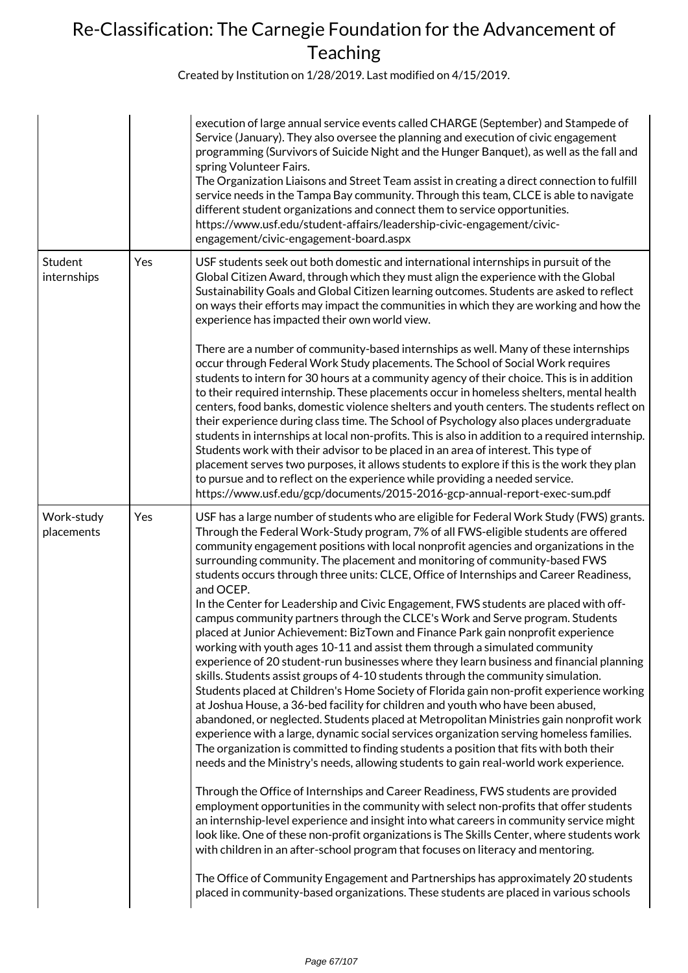|                          |     | execution of large annual service events called CHARGE (September) and Stampede of<br>Service (January). They also oversee the planning and execution of civic engagement<br>programming (Survivors of Suicide Night and the Hunger Banquet), as well as the fall and<br>spring Volunteer Fairs.<br>The Organization Liaisons and Street Team assist in creating a direct connection to fulfill<br>service needs in the Tampa Bay community. Through this team, CLCE is able to navigate<br>different student organizations and connect them to service opportunities.<br>https://www.usf.edu/student-affairs/leadership-civic-engagement/civic-<br>engagement/civic-engagement-board.aspx                                                                                                                                                                                                                                                                                                                                                                                                                                                                                                                                                                                                                                                                                                                                                                                                                                                                                                                                                                                                                                                                                                                                                                                                                                                                                                                                                                                                                                                                                                   |
|--------------------------|-----|----------------------------------------------------------------------------------------------------------------------------------------------------------------------------------------------------------------------------------------------------------------------------------------------------------------------------------------------------------------------------------------------------------------------------------------------------------------------------------------------------------------------------------------------------------------------------------------------------------------------------------------------------------------------------------------------------------------------------------------------------------------------------------------------------------------------------------------------------------------------------------------------------------------------------------------------------------------------------------------------------------------------------------------------------------------------------------------------------------------------------------------------------------------------------------------------------------------------------------------------------------------------------------------------------------------------------------------------------------------------------------------------------------------------------------------------------------------------------------------------------------------------------------------------------------------------------------------------------------------------------------------------------------------------------------------------------------------------------------------------------------------------------------------------------------------------------------------------------------------------------------------------------------------------------------------------------------------------------------------------------------------------------------------------------------------------------------------------------------------------------------------------------------------------------------------------|
| Student<br>internships   | Yes | USF students seek out both domestic and international internships in pursuit of the<br>Global Citizen Award, through which they must align the experience with the Global<br>Sustainability Goals and Global Citizen learning outcomes. Students are asked to reflect<br>on ways their efforts may impact the communities in which they are working and how the<br>experience has impacted their own world view.                                                                                                                                                                                                                                                                                                                                                                                                                                                                                                                                                                                                                                                                                                                                                                                                                                                                                                                                                                                                                                                                                                                                                                                                                                                                                                                                                                                                                                                                                                                                                                                                                                                                                                                                                                             |
|                          |     | There are a number of community-based internships as well. Many of these internships<br>occur through Federal Work Study placements. The School of Social Work requires<br>students to intern for 30 hours at a community agency of their choice. This is in addition<br>to their required internship. These placements occur in homeless shelters, mental health<br>centers, food banks, domestic violence shelters and youth centers. The students reflect on<br>their experience during class time. The School of Psychology also places undergraduate<br>students in internships at local non-profits. This is also in addition to a required internship.<br>Students work with their advisor to be placed in an area of interest. This type of<br>placement serves two purposes, it allows students to explore if this is the work they plan<br>to pursue and to reflect on the experience while providing a needed service.<br>https://www.usf.edu/gcp/documents/2015-2016-gcp-annual-report-exec-sum.pdf                                                                                                                                                                                                                                                                                                                                                                                                                                                                                                                                                                                                                                                                                                                                                                                                                                                                                                                                                                                                                                                                                                                                                                              |
| Work-study<br>placements | Yes | USF has a large number of students who are eligible for Federal Work Study (FWS) grants.<br>Through the Federal Work-Study program, 7% of all FWS-eligible students are offered<br>community engagement positions with local nonprofit agencies and organizations in the<br>surrounding community. The placement and monitoring of community-based FWS<br>students occurs through three units: CLCE, Office of Internships and Career Readiness,<br>and OCEP.<br>In the Center for Leadership and Civic Engagement, FWS students are placed with off-<br>campus community partners through the CLCE's Work and Serve program. Students<br>placed at Junior Achievement: BizTown and Finance Park gain nonprofit experience<br>working with youth ages 10-11 and assist them through a simulated community<br>experience of 20 student-run businesses where they learn business and financial planning<br>skills. Students assist groups of 4-10 students through the community simulation.<br>Students placed at Children's Home Society of Florida gain non-profit experience working<br>at Joshua House, a 36-bed facility for children and youth who have been abused,<br>abandoned, or neglected. Students placed at Metropolitan Ministries gain nonprofit work<br>experience with a large, dynamic social services organization serving homeless families.<br>The organization is committed to finding students a position that fits with both their<br>needs and the Ministry's needs, allowing students to gain real-world work experience.<br>Through the Office of Internships and Career Readiness, FWS students are provided<br>employment opportunities in the community with select non-profits that offer students<br>an internship-level experience and insight into what careers in community service might<br>look like. One of these non-profit organizations is The Skills Center, where students work<br>with children in an after-school program that focuses on literacy and mentoring.<br>The Office of Community Engagement and Partnerships has approximately 20 students<br>placed in community-based organizations. These students are placed in various schools |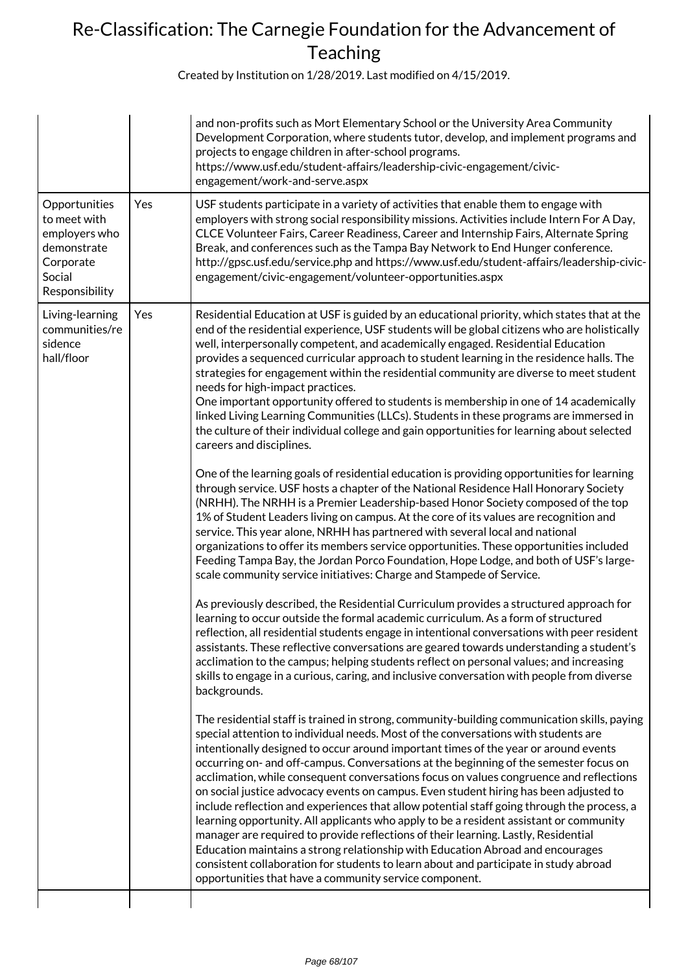|                                                                                                        |     | and non-profits such as Mort Elementary School or the University Area Community<br>Development Corporation, where students tutor, develop, and implement programs and<br>projects to engage children in after-school programs.<br>https://www.usf.edu/student-affairs/leadership-civic-engagement/civic-<br>engagement/work-and-serve.aspx                                                                                                                                                                                                                                                                                                                                                                                                                                                                                                                                                                                                                                                                                                                                                                                                                                                                                                                                                                                                                                                                                                                                                                                                                                                                                                                                                                                                                                                                                                                                                                                                                                                                                                                                                                                                                                                                                                                                                                                                                                                                                                                                                                                                                                                                                                                                                                                                                                                                                                                                                                                                                                                                                                                                                                                          |
|--------------------------------------------------------------------------------------------------------|-----|-------------------------------------------------------------------------------------------------------------------------------------------------------------------------------------------------------------------------------------------------------------------------------------------------------------------------------------------------------------------------------------------------------------------------------------------------------------------------------------------------------------------------------------------------------------------------------------------------------------------------------------------------------------------------------------------------------------------------------------------------------------------------------------------------------------------------------------------------------------------------------------------------------------------------------------------------------------------------------------------------------------------------------------------------------------------------------------------------------------------------------------------------------------------------------------------------------------------------------------------------------------------------------------------------------------------------------------------------------------------------------------------------------------------------------------------------------------------------------------------------------------------------------------------------------------------------------------------------------------------------------------------------------------------------------------------------------------------------------------------------------------------------------------------------------------------------------------------------------------------------------------------------------------------------------------------------------------------------------------------------------------------------------------------------------------------------------------------------------------------------------------------------------------------------------------------------------------------------------------------------------------------------------------------------------------------------------------------------------------------------------------------------------------------------------------------------------------------------------------------------------------------------------------------------------------------------------------------------------------------------------------------------------------------------------------------------------------------------------------------------------------------------------------------------------------------------------------------------------------------------------------------------------------------------------------------------------------------------------------------------------------------------------------------------------------------------------------------------------------------------------------|
| Opportunities<br>to meet with<br>employers who<br>demonstrate<br>Corporate<br>Social<br>Responsibility | Yes | USF students participate in a variety of activities that enable them to engage with<br>employers with strong social responsibility missions. Activities include Intern For A Day,<br>CLCE Volunteer Fairs, Career Readiness, Career and Internship Fairs, Alternate Spring<br>Break, and conferences such as the Tampa Bay Network to End Hunger conference.<br>http://gpsc.usf.edu/service.php and https://www.usf.edu/student-affairs/leadership-civic-<br>engagement/civic-engagement/volunteer-opportunities.aspx                                                                                                                                                                                                                                                                                                                                                                                                                                                                                                                                                                                                                                                                                                                                                                                                                                                                                                                                                                                                                                                                                                                                                                                                                                                                                                                                                                                                                                                                                                                                                                                                                                                                                                                                                                                                                                                                                                                                                                                                                                                                                                                                                                                                                                                                                                                                                                                                                                                                                                                                                                                                               |
| Living-learning<br>communities/re<br>sidence<br>hall/floor                                             | Yes | Residential Education at USF is guided by an educational priority, which states that at the<br>end of the residential experience, USF students will be global citizens who are holistically<br>well, interpersonally competent, and academically engaged. Residential Education<br>provides a sequenced curricular approach to student learning in the residence halls. The<br>strategies for engagement within the residential community are diverse to meet student<br>needs for high-impact practices.<br>One important opportunity offered to students is membership in one of 14 academically<br>linked Living Learning Communities (LLCs). Students in these programs are immersed in<br>the culture of their individual college and gain opportunities for learning about selected<br>careers and disciplines.<br>One of the learning goals of residential education is providing opportunities for learning<br>through service. USF hosts a chapter of the National Residence Hall Honorary Society<br>(NRHH). The NRHH is a Premier Leadership-based Honor Society composed of the top<br>1% of Student Leaders living on campus. At the core of its values are recognition and<br>service. This year alone, NRHH has partnered with several local and national<br>organizations to offer its members service opportunities. These opportunities included<br>Feeding Tampa Bay, the Jordan Porco Foundation, Hope Lodge, and both of USF's large-<br>scale community service initiatives: Charge and Stampede of Service.<br>As previously described, the Residential Curriculum provides a structured approach for<br>learning to occur outside the formal academic curriculum. As a form of structured<br>reflection, all residential students engage in intentional conversations with peer resident<br>assistants. These reflective conversations are geared towards understanding a student's<br>acclimation to the campus; helping students reflect on personal values; and increasing<br>skills to engage in a curious, caring, and inclusive conversation with people from diverse<br>backgrounds.<br>The residential staff is trained in strong, community-building communication skills, paying<br>special attention to individual needs. Most of the conversations with students are<br>intentionally designed to occur around important times of the year or around events<br>occurring on- and off-campus. Conversations at the beginning of the semester focus on<br>acclimation, while consequent conversations focus on values congruence and reflections<br>on social justice advocacy events on campus. Even student hiring has been adjusted to<br>include reflection and experiences that allow potential staff going through the process, a<br>learning opportunity. All applicants who apply to be a resident assistant or community<br>manager are required to provide reflections of their learning. Lastly, Residential<br>Education maintains a strong relationship with Education Abroad and encourages<br>consistent collaboration for students to learn about and participate in study abroad |
|                                                                                                        |     | opportunities that have a community service component.                                                                                                                                                                                                                                                                                                                                                                                                                                                                                                                                                                                                                                                                                                                                                                                                                                                                                                                                                                                                                                                                                                                                                                                                                                                                                                                                                                                                                                                                                                                                                                                                                                                                                                                                                                                                                                                                                                                                                                                                                                                                                                                                                                                                                                                                                                                                                                                                                                                                                                                                                                                                                                                                                                                                                                                                                                                                                                                                                                                                                                                                              |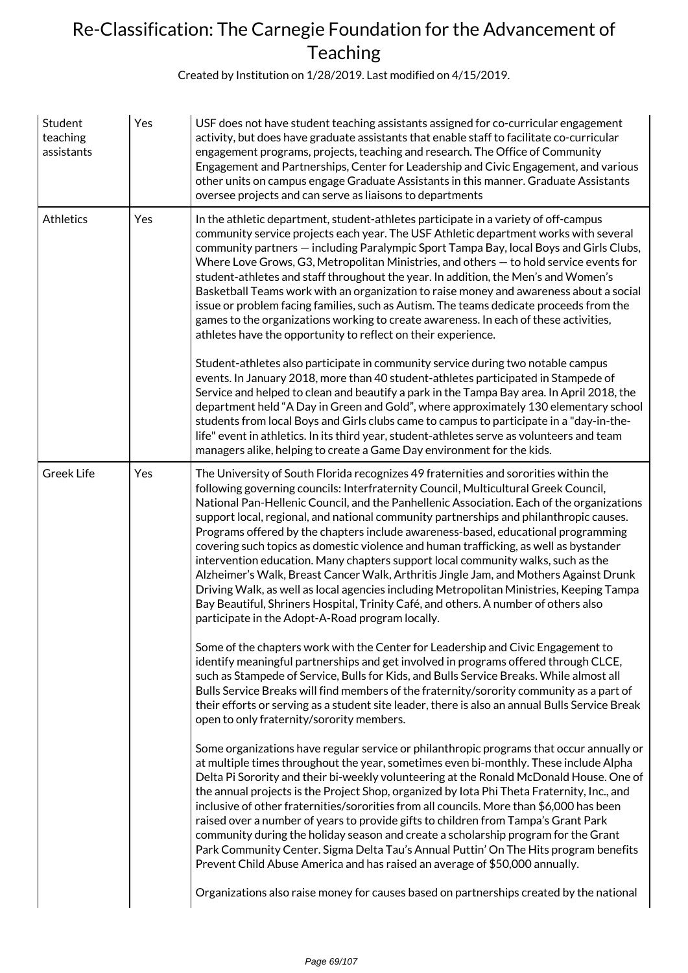| Student<br>teaching<br>assistants | Yes | USF does not have student teaching assistants assigned for co-curricular engagement<br>activity, but does have graduate assistants that enable staff to facilitate co-curricular<br>engagement programs, projects, teaching and research. The Office of Community<br>Engagement and Partnerships, Center for Leadership and Civic Engagement, and various<br>other units on campus engage Graduate Assistants in this manner. Graduate Assistants<br>oversee projects and can serve as liaisons to departments                                                                                                                                                                                                                                                                                                                                                                                                                                                       |
|-----------------------------------|-----|----------------------------------------------------------------------------------------------------------------------------------------------------------------------------------------------------------------------------------------------------------------------------------------------------------------------------------------------------------------------------------------------------------------------------------------------------------------------------------------------------------------------------------------------------------------------------------------------------------------------------------------------------------------------------------------------------------------------------------------------------------------------------------------------------------------------------------------------------------------------------------------------------------------------------------------------------------------------|
| <b>Athletics</b>                  | Yes | In the athletic department, student-athletes participate in a variety of off-campus<br>community service projects each year. The USF Athletic department works with several<br>community partners - including Paralympic Sport Tampa Bay, local Boys and Girls Clubs,<br>Where Love Grows, G3, Metropolitan Ministries, and others - to hold service events for<br>student-athletes and staff throughout the year. In addition, the Men's and Women's<br>Basketball Teams work with an organization to raise money and awareness about a social<br>issue or problem facing families, such as Autism. The teams dedicate proceeds from the<br>games to the organizations working to create awareness. In each of these activities,<br>athletes have the opportunity to reflect on their experience.                                                                                                                                                                   |
|                                   |     | Student-athletes also participate in community service during two notable campus<br>events. In January 2018, more than 40 student-athletes participated in Stampede of<br>Service and helped to clean and beautify a park in the Tampa Bay area. In April 2018, the<br>department held "A Day in Green and Gold", where approximately 130 elementary school<br>students from local Boys and Girls clubs came to campus to participate in a "day-in-the-<br>life" event in athletics. In its third year, student-athletes serve as volunteers and team<br>managers alike, helping to create a Game Day environment for the kids.                                                                                                                                                                                                                                                                                                                                      |
| <b>Greek Life</b>                 | Yes | The University of South Florida recognizes 49 fraternities and sororities within the<br>following governing councils: Interfraternity Council, Multicultural Greek Council,<br>National Pan-Hellenic Council, and the Panhellenic Association. Each of the organizations<br>support local, regional, and national community partnerships and philanthropic causes.<br>Programs offered by the chapters include awareness-based, educational programming<br>covering such topics as domestic violence and human trafficking, as well as bystander<br>intervention education. Many chapters support local community walks, such as the<br>Alzheimer's Walk, Breast Cancer Walk, Arthritis Jingle Jam, and Mothers Against Drunk<br>Driving Walk, as well as local agencies including Metropolitan Ministries, Keeping Tampa<br>Bay Beautiful, Shriners Hospital, Trinity Café, and others. A number of others also<br>participate in the Adopt-A-Road program locally. |
|                                   |     | Some of the chapters work with the Center for Leadership and Civic Engagement to<br>identify meaningful partnerships and get involved in programs offered through CLCE,<br>such as Stampede of Service, Bulls for Kids, and Bulls Service Breaks. While almost all<br>Bulls Service Breaks will find members of the fraternity/sorority community as a part of<br>their efforts or serving as a student site leader, there is also an annual Bulls Service Break<br>open to only fraternity/sorority members.                                                                                                                                                                                                                                                                                                                                                                                                                                                        |
|                                   |     | Some organizations have regular service or philanthropic programs that occur annually or<br>at multiple times throughout the year, sometimes even bi-monthly. These include Alpha<br>Delta Pi Sorority and their bi-weekly volunteering at the Ronald McDonald House. One of<br>the annual projects is the Project Shop, organized by lota Phi Theta Fraternity, Inc., and<br>inclusive of other fraternities/sororities from all councils. More than \$6,000 has been<br>raised over a number of years to provide gifts to children from Tampa's Grant Park<br>community during the holiday season and create a scholarship program for the Grant<br>Park Community Center. Sigma Delta Tau's Annual Puttin' On The Hits program benefits<br>Prevent Child Abuse America and has raised an average of \$50,000 annually.                                                                                                                                            |
|                                   |     | Organizations also raise money for causes based on partnerships created by the national                                                                                                                                                                                                                                                                                                                                                                                                                                                                                                                                                                                                                                                                                                                                                                                                                                                                              |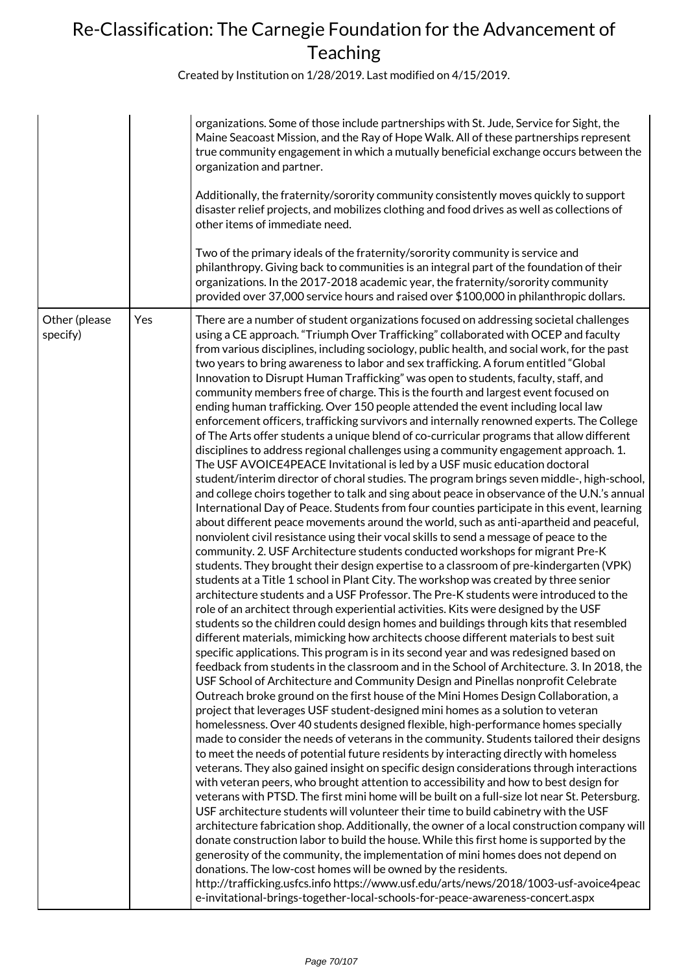|                           |     | organizations. Some of those include partnerships with St. Jude, Service for Sight, the<br>Maine Seacoast Mission, and the Ray of Hope Walk. All of these partnerships represent<br>true community engagement in which a mutually beneficial exchange occurs between the<br>organization and partner.<br>Additionally, the fraternity/sorority community consistently moves quickly to support<br>disaster relief projects, and mobilizes clothing and food drives as well as collections of<br>other items of immediate need.<br>Two of the primary ideals of the fraternity/sorority community is service and<br>philanthropy. Giving back to communities is an integral part of the foundation of their<br>organizations. In the 2017-2018 academic year, the fraternity/sorority community<br>provided over 37,000 service hours and raised over \$100,000 in philanthropic dollars.                                                                                                                                                                                                                                                                                                                                                                                                                                                                                                                                                                                                                                                                                                                                                                                                                                                                                                                                                                                                                                                                                                                                                                                                                                                                                                                                                                                                                                                                                                                                                                                                                                                                                                                                                                                                                                                                                                                                                                                                                                                                                                                                                                                                                                                                                                                                                                                                                                                                                                                                                                                                                                                                                                                                                                                                                                                                 |
|---------------------------|-----|----------------------------------------------------------------------------------------------------------------------------------------------------------------------------------------------------------------------------------------------------------------------------------------------------------------------------------------------------------------------------------------------------------------------------------------------------------------------------------------------------------------------------------------------------------------------------------------------------------------------------------------------------------------------------------------------------------------------------------------------------------------------------------------------------------------------------------------------------------------------------------------------------------------------------------------------------------------------------------------------------------------------------------------------------------------------------------------------------------------------------------------------------------------------------------------------------------------------------------------------------------------------------------------------------------------------------------------------------------------------------------------------------------------------------------------------------------------------------------------------------------------------------------------------------------------------------------------------------------------------------------------------------------------------------------------------------------------------------------------------------------------------------------------------------------------------------------------------------------------------------------------------------------------------------------------------------------------------------------------------------------------------------------------------------------------------------------------------------------------------------------------------------------------------------------------------------------------------------------------------------------------------------------------------------------------------------------------------------------------------------------------------------------------------------------------------------------------------------------------------------------------------------------------------------------------------------------------------------------------------------------------------------------------------------------------------------------------------------------------------------------------------------------------------------------------------------------------------------------------------------------------------------------------------------------------------------------------------------------------------------------------------------------------------------------------------------------------------------------------------------------------------------------------------------------------------------------------------------------------------------------------------------------------------------------------------------------------------------------------------------------------------------------------------------------------------------------------------------------------------------------------------------------------------------------------------------------------------------------------------------------------------------------------------------------------------------------------------------------------------------------|
| Other (please<br>specify) | Yes | There are a number of student organizations focused on addressing societal challenges<br>using a CE approach. "Triumph Over Trafficking" collaborated with OCEP and faculty<br>from various disciplines, including sociology, public health, and social work, for the past<br>two years to bring awareness to labor and sex trafficking. A forum entitled "Global<br>Innovation to Disrupt Human Trafficking" was open to students, faculty, staff, and<br>community members free of charge. This is the fourth and largest event focused on<br>ending human trafficking. Over 150 people attended the event including local law<br>enforcement officers, trafficking survivors and internally renowned experts. The College<br>of The Arts offer students a unique blend of co-curricular programs that allow different<br>disciplines to address regional challenges using a community engagement approach. 1.<br>The USF AVOICE4PEACE Invitational is led by a USF music education doctoral<br>student/interim director of choral studies. The program brings seven middle-, high-school,<br>and college choirs together to talk and sing about peace in observance of the U.N.'s annual<br>International Day of Peace. Students from four counties participate in this event, learning<br>about different peace movements around the world, such as anti-apartheid and peaceful,<br>nonviolent civil resistance using their vocal skills to send a message of peace to the<br>community. 2. USF Architecture students conducted workshops for migrant Pre-K<br>students. They brought their design expertise to a classroom of pre-kindergarten (VPK)<br>students at a Title 1 school in Plant City. The workshop was created by three senior<br>architecture students and a USF Professor. The Pre-K students were introduced to the<br>role of an architect through experiential activities. Kits were designed by the USF<br>students so the children could design homes and buildings through kits that resembled<br>different materials, mimicking how architects choose different materials to best suit<br>specific applications. This program is in its second year and was redesigned based on<br>feedback from students in the classroom and in the School of Architecture. 3. In 2018, the<br>USF School of Architecture and Community Design and Pinellas nonprofit Celebrate<br>Outreach broke ground on the first house of the Mini Homes Design Collaboration, a<br>project that leverages USF student-designed mini homes as a solution to veteran<br>homelessness. Over 40 students designed flexible, high-performance homes specially<br>made to consider the needs of veterans in the community. Students tailored their designs<br>to meet the needs of potential future residents by interacting directly with homeless<br>veterans. They also gained insight on specific design considerations through interactions<br>with veteran peers, who brought attention to accessibility and how to best design for<br>veterans with PTSD. The first mini home will be built on a full-size lot near St. Petersburg.<br>USF architecture students will volunteer their time to build cabinetry with the USF<br>architecture fabrication shop. Additionally, the owner of a local construction company will<br>donate construction labor to build the house. While this first home is supported by the<br>generosity of the community, the implementation of mini homes does not depend on<br>donations. The low-cost homes will be owned by the residents.<br>http://trafficking.usfcs.info https://www.usf.edu/arts/news/2018/1003-usf-avoice4peac<br>e-invitational-brings-together-local-schools-for-peace-awareness-concert.aspx |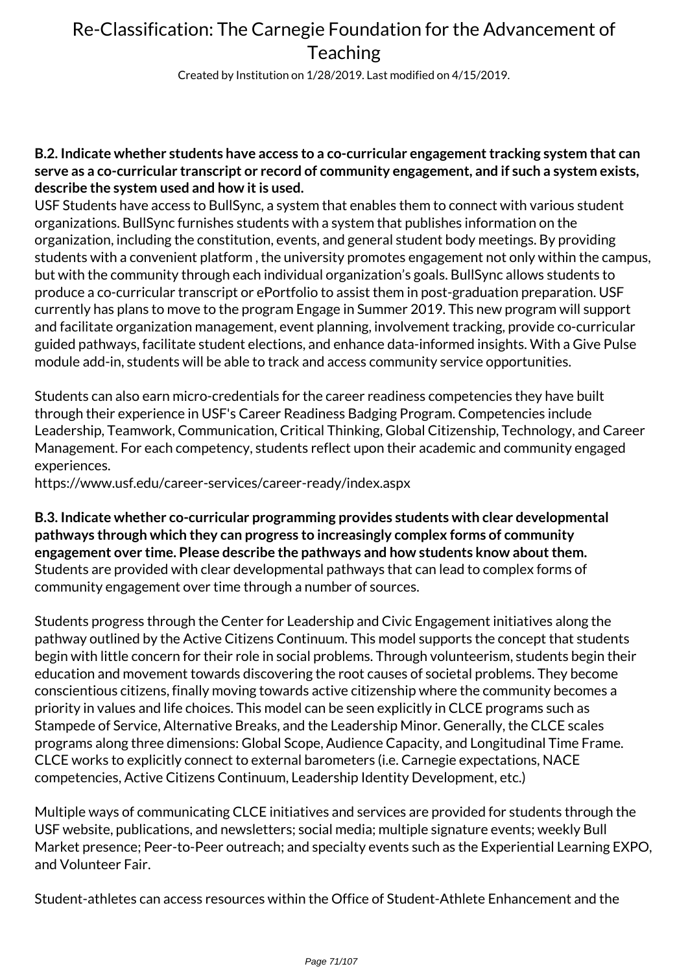Created by Institution on 1/28/2019. Last modified on 4/15/2019.

### **B.2. Indicate whether students have access to a co-curricular engagement tracking system that can serve as a co-curricular transcript or record of community engagement, and if such a system exists, describe the system used and how it is used.**

USF Students have access to BullSync, a system that enables them to connect with various student organizations. BullSync furnishes students with a system that publishes information on the organization, including the constitution, events, and general student body meetings. By providing students with a convenient platform , the university promotes engagement not only within the campus, but with the community through each individual organization's goals. BullSync allows students to produce a co-curricular transcript or ePortfolio to assist them in post-graduation preparation. USF currently has plans to move to the program Engage in Summer 2019. This new program will support and facilitate organization management, event planning, involvement tracking, provide co-curricular guided pathways, facilitate student elections, and enhance data-informed insights. With a Give Pulse module add-in, students will be able to track and access community service opportunities.

Students can also earn micro-credentials for the career readiness competencies they have built through their experience in USF's Career Readiness Badging Program. Competencies include Leadership, Teamwork, Communication, Critical Thinking, Global Citizenship, Technology, and Career Management. For each competency, students reflect upon their academic and community engaged experiences.

https://www.usf.edu/career-services/career-ready/index.aspx

**B.3. Indicate whether co-curricular programming provides students with clear developmental pathways through which they can progress to increasingly complex forms of community engagement over time. Please describe the pathways and how students know about them.** Students are provided with clear developmental pathways that can lead to complex forms of community engagement over time through a number of sources.

Students progress through the Center for Leadership and Civic Engagement initiatives along the pathway outlined by the Active Citizens Continuum. This model supports the concept that students begin with little concern for their role in social problems. Through volunteerism, students begin their education and movement towards discovering the root causes of societal problems. They become conscientious citizens, finally moving towards active citizenship where the community becomes a priority in values and life choices. This model can be seen explicitly in CLCE programs such as Stampede of Service, Alternative Breaks, and the Leadership Minor. Generally, the CLCE scales programs along three dimensions: Global Scope, Audience Capacity, and Longitudinal Time Frame. CLCE works to explicitly connect to external barometers (i.e. Carnegie expectations, NACE competencies, Active Citizens Continuum, Leadership Identity Development, etc.)

Multiple ways of communicating CLCE initiatives and services are provided for students through the USF website, publications, and newsletters; social media; multiple signature events; weekly Bull Market presence; Peer-to-Peer outreach; and specialty events such as the Experiential Learning EXPO, and Volunteer Fair.

Student-athletes can access resources within the Office of Student-Athlete Enhancement and the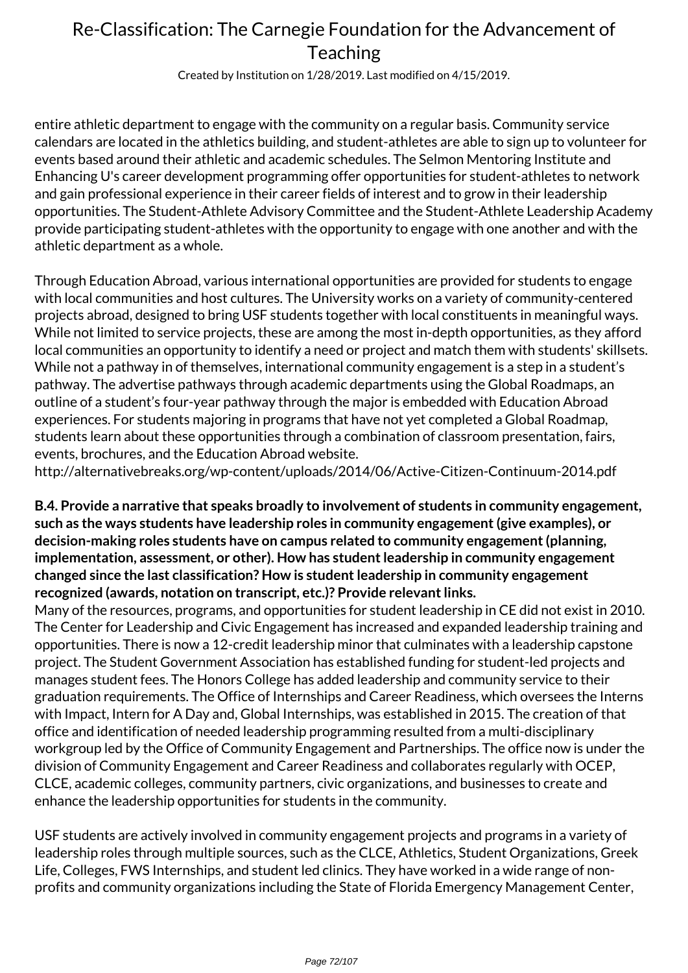Created by Institution on 1/28/2019. Last modified on 4/15/2019.

entire athletic department to engage with the community on a regular basis. Community service calendars are located in the athletics building, and student-athletes are able to sign up to volunteer for events based around their athletic and academic schedules. The Selmon Mentoring Institute and Enhancing U's career development programming offer opportunities for student-athletes to network and gain professional experience in their career fields of interest and to grow in their leadership opportunities. The Student-Athlete Advisory Committee and the Student-Athlete Leadership Academy provide participating student-athletes with the opportunity to engage with one another and with the athletic department as a whole.

Through Education Abroad, various international opportunities are provided for students to engage with local communities and host cultures. The University works on a variety of community-centered projects abroad, designed to bring USF students together with local constituents in meaningful ways. While not limited to service projects, these are among the most in-depth opportunities, as they afford local communities an opportunity to identify a need or project and match them with students' skillsets. While not a pathway in of themselves, international community engagement is a step in a student's pathway. The advertise pathways through academic departments using the Global Roadmaps, an outline of a student's four-year pathway through the major is embedded with Education Abroad experiences. For students majoring in programs that have not yet completed a Global Roadmap, students learn about these opportunities through a combination of classroom presentation, fairs, events, brochures, and the Education Abroad website.

http://alternativebreaks.org/wp-content/uploads/2014/06/Active-Citizen-Continuum-2014.pdf

**B.4. Provide a narrative that speaks broadly to involvement of students in community engagement, such as the ways students have leadership roles in community engagement (give examples), or decision-making roles students have on campus related to community engagement (planning, implementation, assessment, or other). How has student leadership in community engagement changed since the last classification? How is student leadership in community engagement recognized (awards, notation on transcript, etc.)? Provide relevant links.**

Many of the resources, programs, and opportunities for student leadership in CE did not exist in 2010. The Center for Leadership and Civic Engagement has increased and expanded leadership training and opportunities. There is now a 12-credit leadership minor that culminates with a leadership capstone project. The Student Government Association has established funding for student-led projects and manages student fees. The Honors College has added leadership and community service to their graduation requirements. The Office of Internships and Career Readiness, which oversees the Interns with Impact, Intern for A Day and, Global Internships, was established in 2015. The creation of that office and identification of needed leadership programming resulted from a multi-disciplinary workgroup led by the Office of Community Engagement and Partnerships. The office now is under the division of Community Engagement and Career Readiness and collaborates regularly with OCEP, CLCE, academic colleges, community partners, civic organizations, and businesses to create and enhance the leadership opportunities for students in the community.

USF students are actively involved in community engagement projects and programs in a variety of leadership roles through multiple sources, such as the CLCE, Athletics, Student Organizations, Greek Life, Colleges, FWS Internships, and student led clinics. They have worked in a wide range of nonprofits and community organizations including the State of Florida Emergency Management Center,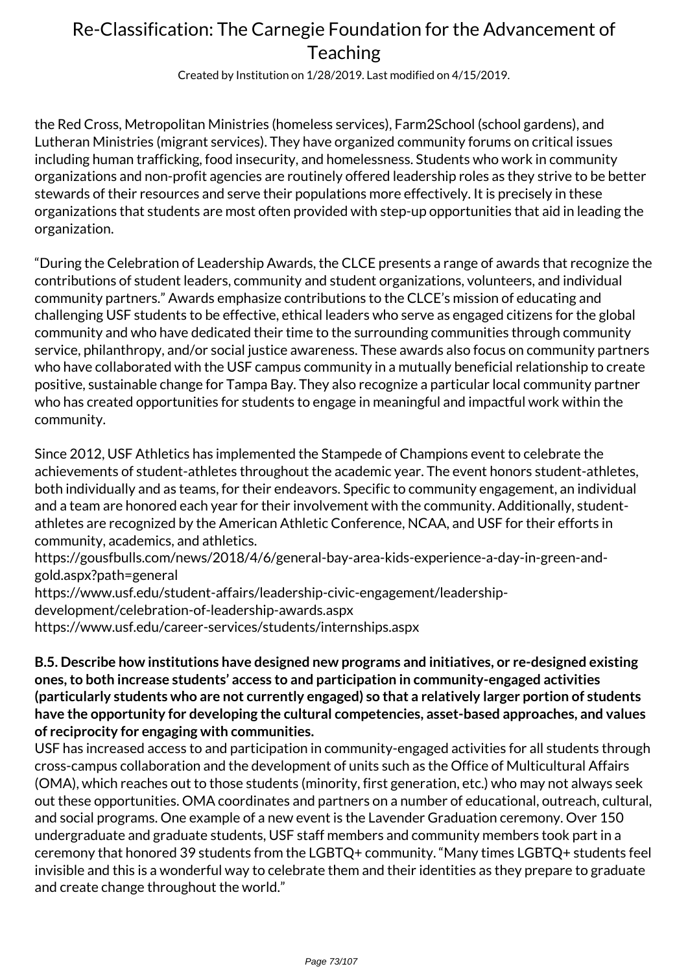Created by Institution on 1/28/2019. Last modified on 4/15/2019.

the Red Cross, Metropolitan Ministries (homeless services), Farm2School (school gardens), and Lutheran Ministries (migrant services). They have organized community forums on critical issues including human trafficking, food insecurity, and homelessness. Students who work in community organizations and non-profit agencies are routinely offered leadership roles as they strive to be better stewards of their resources and serve their populations more effectively. It is precisely in these organizations that students are most often provided with step-up opportunities that aid in leading the organization.

"During the Celebration of Leadership Awards, the CLCE presents a range of awards that recognize the contributions of student leaders, community and student organizations, volunteers, and individual community partners." Awards emphasize contributions to the CLCE's mission of educating and challenging USF students to be effective, ethical leaders who serve as engaged citizens for the global community and who have dedicated their time to the surrounding communities through community service, philanthropy, and/or social justice awareness. These awards also focus on community partners who have collaborated with the USF campus community in a mutually beneficial relationship to create positive, sustainable change for Tampa Bay. They also recognize a particular local community partner who has created opportunities for students to engage in meaningful and impactful work within the community.

Since 2012, USF Athletics has implemented the Stampede of Champions event to celebrate the achievements of student-athletes throughout the academic year. The event honors student-athletes, both individually and as teams, for their endeavors. Specific to community engagement, an individual and a team are honored each year for their involvement with the community. Additionally, studentathletes are recognized by the American Athletic Conference, NCAA, and USF for their efforts in community, academics, and athletics.

https://gousfbulls.com/news/2018/4/6/general-bay-area-kids-experience-a-day-in-green-andgold.aspx?path=general

https://www.usf.edu/student-affairs/leadership-civic-engagement/leadership-

development/celebration-of-leadership-awards.aspx

https://www.usf.edu/career-services/students/internships.aspx

### **B.5. Describe how institutions have designed new programs and initiatives, or re-designed existing ones, to both increase students' access to and participation in community-engaged activities (particularly students who are not currently engaged) so that a relatively larger portion of students have the opportunity for developing the cultural competencies, asset-based approaches, and values of reciprocity for engaging with communities.**

USF has increased access to and participation in community-engaged activities for all students through cross-campus collaboration and the development of units such as the Office of Multicultural Affairs (OMA), which reaches out to those students (minority, first generation, etc.) who may not always seek out these opportunities. OMA coordinates and partners on a number of educational, outreach, cultural, and social programs. One example of a new event is the Lavender Graduation ceremony. Over 150 undergraduate and graduate students, USF staff members and community members took part in a ceremony that honored 39 students from the LGBTQ+ community. "Many times LGBTQ+ students feel invisible and this is a wonderful way to celebrate them and their identities as they prepare to graduate and create change throughout the world."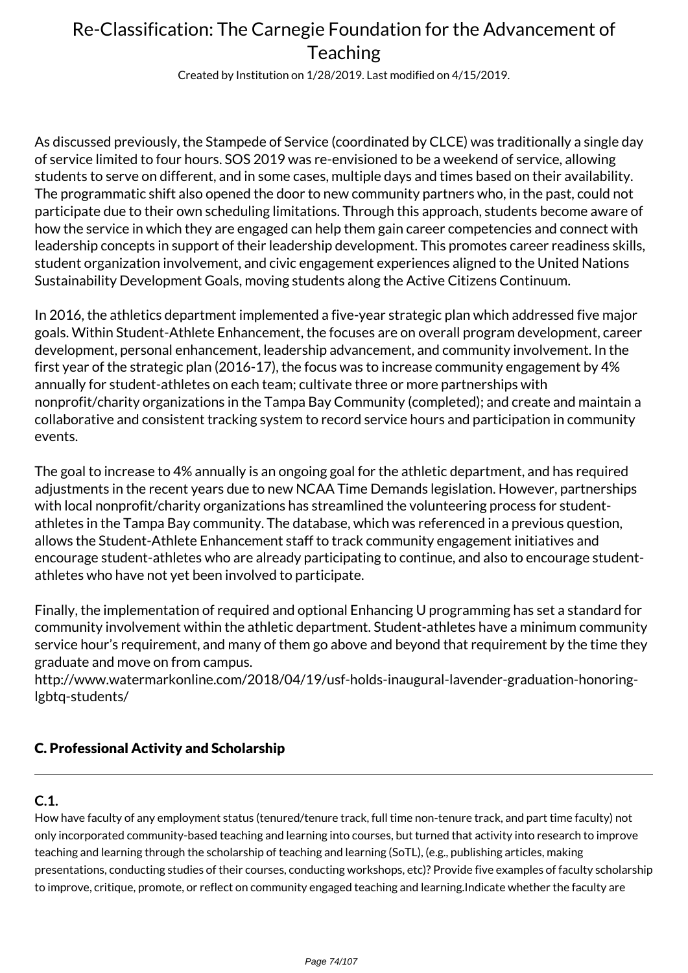Created by Institution on 1/28/2019. Last modified on 4/15/2019.

As discussed previously, the Stampede of Service (coordinated by CLCE) was traditionally a single day of service limited to four hours. SOS 2019 was re-envisioned to be a weekend of service, allowing students to serve on different, and in some cases, multiple days and times based on their availability. The programmatic shift also opened the door to new community partners who, in the past, could not participate due to their own scheduling limitations. Through this approach, students become aware of how the service in which they are engaged can help them gain career competencies and connect with leadership concepts in support of their leadership development. This promotes career readiness skills, student organization involvement, and civic engagement experiences aligned to the United Nations Sustainability Development Goals, moving students along the Active Citizens Continuum.

In 2016, the athletics department implemented a five-year strategic plan which addressed five major goals. Within Student-Athlete Enhancement, the focuses are on overall program development, career development, personal enhancement, leadership advancement, and community involvement. In the first year of the strategic plan (2016-17), the focus was to increase community engagement by 4% annually for student-athletes on each team; cultivate three or more partnerships with nonprofit/charity organizations in the Tampa Bay Community (completed); and create and maintain a collaborative and consistent tracking system to record service hours and participation in community events.

The goal to increase to 4% annually is an ongoing goal for the athletic department, and has required adjustments in the recent years due to new NCAA Time Demands legislation. However, partnerships with local nonprofit/charity organizations has streamlined the volunteering process for studentathletes in the Tampa Bay community. The database, which was referenced in a previous question, allows the Student-Athlete Enhancement staff to track community engagement initiatives and encourage student-athletes who are already participating to continue, and also to encourage studentathletes who have not yet been involved to participate.

Finally, the implementation of required and optional Enhancing U programming has set a standard for community involvement within the athletic department. Student-athletes have a minimum community service hour's requirement, and many of them go above and beyond that requirement by the time they graduate and move on from campus.

http://www.watermarkonline.com/2018/04/19/usf-holds-inaugural-lavender-graduation-honoringlgbtq-students/

## C. Professional Activity and Scholarship

## **C.1.**

How have faculty of any employment status (tenured/tenure track, full time non-tenure track, and part time faculty) not only incorporated community-based teaching and learning into courses, but turned that activity into research to improve teaching and learning through the scholarship of teaching and learning (SoTL), (e.g., publishing articles, making presentations, conducting studies of their courses, conducting workshops, etc)? Provide five examples of faculty scholarship to improve, critique, promote, or reflect on community engaged teaching and learning.Indicate whether the faculty are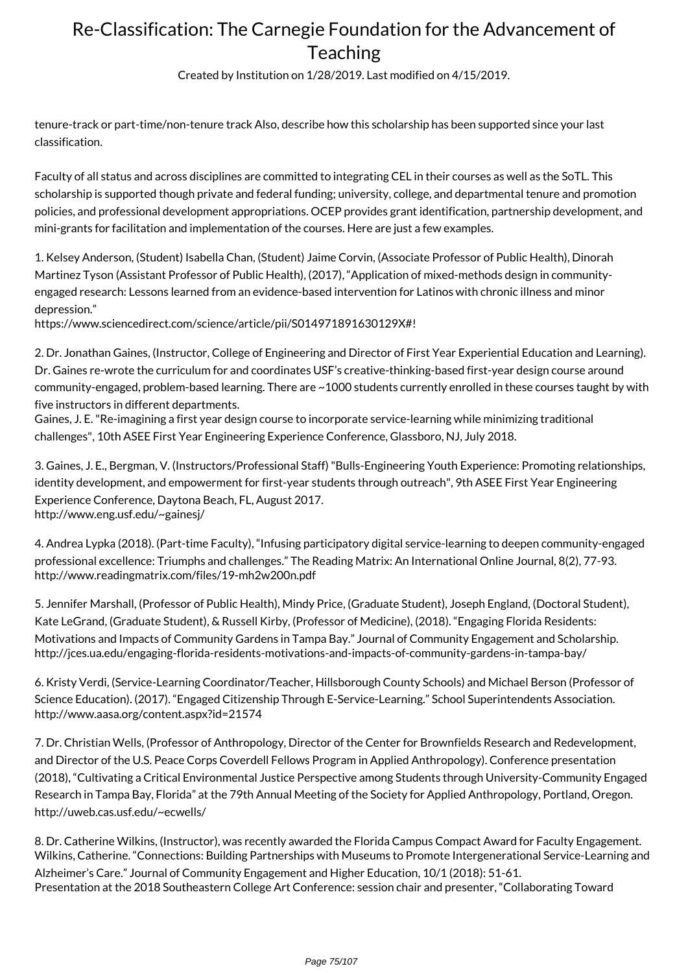Created by Institution on 1/28/2019. Last modified on 4/15/2019.

tenure-track or part-time/non-tenure track Also, describe how this scholarship has been supported since your last classification.

Faculty of all status and across disciplines are committed to integrating CEL in their courses as well as the SoTL. This scholarship is supported though private and federal funding; university, college, and departmental tenure and promotion policies, and professional development appropriations. OCEP provides grant identification, partnership development, and mini-grants for facilitation and implementation of the courses. Here are just a few examples.

1. Kelsey Anderson, (Student) Isabella Chan, (Student) Jaime Corvin, (Associate Professor of Public Health), Dinorah Martinez Tyson (Assistant Professor of Public Health), (2017), "Application of mixed-methods design in communityengaged research: Lessons learned from an evidence-based intervention for Latinos with chronic illness and minor depression."

https://www.sciencedirect.com/science/article/pii/S014971891630129X#!

2. Dr. Jonathan Gaines, (Instructor, College of Engineering and Director of First Year Experiential Education and Learning). Dr. Gaines re-wrote the curriculum for and coordinates USF's creative-thinking-based first-year design course around community-engaged, problem-based learning. There are ~1000 students currently enrolled in these courses taught by with five instructors in different departments.

Gaines, J. E. "Re-imagining a first year design course to incorporate service-learning while minimizing traditional challenges", 10th ASEE First Year Engineering Experience Conference, Glassboro, NJ, July 2018.

3. Gaines, J. E., Bergman, V. (Instructors/Professional Staff) "Bulls-Engineering Youth Experience: Promoting relationships, identity development, and empowerment for first-year students through outreach", 9th ASEE First Year Engineering Experience Conference, Daytona Beach, FL, August 2017. http://www.eng.usf.edu/~gainesj/

4. Andrea Lypka (2018). (Part-time Faculty), "Infusing participatory digital service-learning to deepen community-engaged professional excellence: Triumphs and challenges." The Reading Matrix: An International Online Journal, 8(2), 77-93. http://www.readingmatrix.com/files/19-mh2w200n.pdf

5. Jennifer Marshall, (Professor of Public Health), Mindy Price, (Graduate Student), Joseph England, (Doctoral Student), Kate LeGrand, (Graduate Student), & Russell Kirby, (Professor of Medicine), (2018). "Engaging Florida Residents: Motivations and Impacts of Community Gardens in Tampa Bay." Journal of Community Engagement and Scholarship. http://jces.ua.edu/engaging-florida-residents-motivations-and-impacts-of-community-gardens-in-tampa-bay/

6. Kristy Verdi, (Service-Learning Coordinator/Teacher, Hillsborough County Schools) and Michael Berson (Professor of Science Education). (2017). "Engaged Citizenship Through E-Service-Learning." School Superintendents Association. http://www.aasa.org/content.aspx?id=21574

7. Dr. Christian Wells, (Professor of Anthropology, Director of the Center for Brownfields Research and Redevelopment, and Director of the U.S. Peace Corps Coverdell Fellows Program in Applied Anthropology). Conference presentation (2018), "Cultivating a Critical Environmental Justice Perspective among Students through University-Community Engaged Research in Tampa Bay, Florida" at the 79th Annual Meeting of the Society for Applied Anthropology, Portland, Oregon. http://uweb.cas.usf.edu/~ecwells/

8. Dr. Catherine Wilkins, (Instructor), was recently awarded the Florida Campus Compact Award for Faculty Engagement. Wilkins, Catherine. "Connections: Building Partnerships with Museums to Promote Intergenerational Service-Learning and Alzheimer's Care." Journal of Community Engagement and Higher Education, 10/1 (2018): 51-61. Presentation at the 2018 Southeastern College Art Conference: session chair and presenter, "Collaborating Toward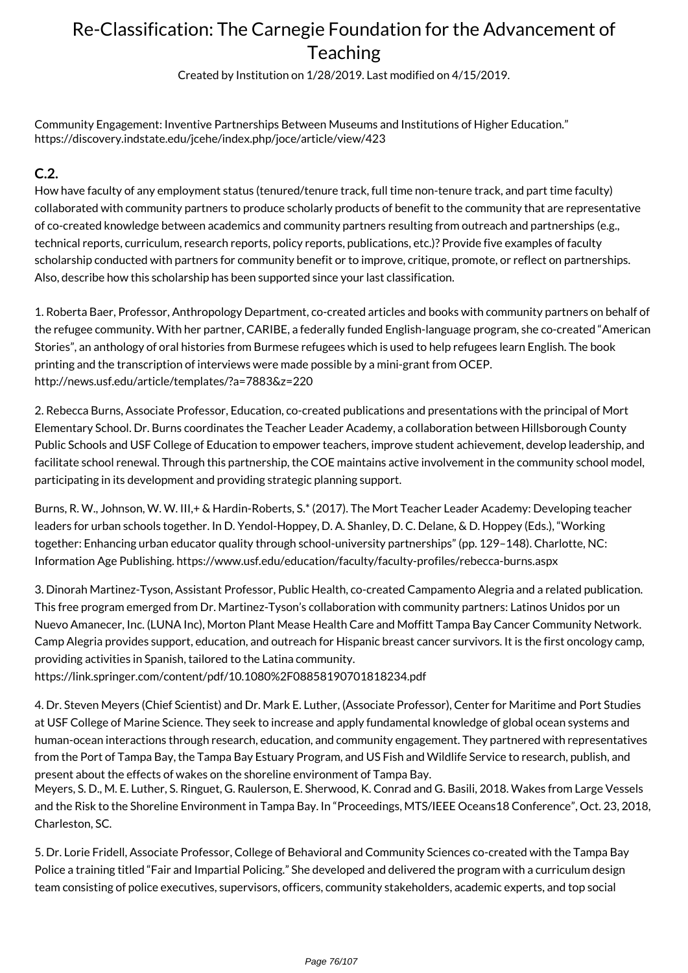Created by Institution on 1/28/2019. Last modified on 4/15/2019.

Community Engagement: Inventive Partnerships Between Museums and Institutions of Higher Education." https://discovery.indstate.edu/jcehe/index.php/joce/article/view/423

### **C.2.**

How have faculty of any employment status (tenured/tenure track, full time non-tenure track, and part time faculty) collaborated with community partners to produce scholarly products of benefit to the community that are representative of co-created knowledge between academics and community partners resulting from outreach and partnerships (e.g., technical reports, curriculum, research reports, policy reports, publications, etc.)? Provide five examples of faculty scholarship conducted with partners for community benefit or to improve, critique, promote, or reflect on partnerships. Also, describe how this scholarship has been supported since your last classification.

1. Roberta Baer, Professor, Anthropology Department, co-created articles and books with community partners on behalf of the refugee community. With her partner, CARIBE, a federally funded English-language program, she co-created "American Stories", an anthology of oral histories from Burmese refugees which is used to help refugees learn English. The book printing and the transcription of interviews were made possible by a mini-grant from OCEP. http://news.usf.edu/article/templates/?a=7883&z=220

2. Rebecca Burns, Associate Professor, Education, co-created publications and presentations with the principal of Mort Elementary School. Dr. Burns coordinates the Teacher Leader Academy, a collaboration between Hillsborough County Public Schools and USF College of Education to empower teachers, improve student achievement, develop leadership, and facilitate school renewal. Through this partnership, the COE maintains active involvement in the community school model, participating in its development and providing strategic planning support.

Burns, R. W., Johnson, W. W. III,+ & Hardin-Roberts, S.\* (2017). The Mort Teacher Leader Academy: Developing teacher leaders for urban schools together. In D. Yendol-Hoppey, D. A. Shanley, D. C. Delane, & D. Hoppey (Eds.), "Working together: Enhancing urban educator quality through school-university partnerships" (pp. 129–148). Charlotte, NC: Information Age Publishing. https://www.usf.edu/education/faculty/faculty-profiles/rebecca-burns.aspx

3. Dinorah Martinez-Tyson, Assistant Professor, Public Health, co-created Campamento Alegria and a related publication. This free program emerged from Dr. Martinez-Tyson's collaboration with community partners: Latinos Unidos por un Nuevo Amanecer, Inc. (LUNA Inc), Morton Plant Mease Health Care and Moffitt Tampa Bay Cancer Community Network. Camp Alegria provides support, education, and outreach for Hispanic breast cancer survivors. It is the first oncology camp, providing activities in Spanish, tailored to the Latina community.

https://link.springer.com/content/pdf/10.1080%2F08858190701818234.pdf

4. Dr. Steven Meyers (Chief Scientist) and Dr. Mark E. Luther, (Associate Professor), Center for Maritime and Port Studies at USF College of Marine Science. They seek to increase and apply fundamental knowledge of global ocean systems and human-ocean interactions through research, education, and community engagement. They partnered with representatives from the Port of Tampa Bay, the Tampa Bay Estuary Program, and US Fish and Wildlife Service to research, publish, and present about the effects of wakes on the shoreline environment of Tampa Bay.

Meyers, S. D., M. E. Luther, S. Ringuet, G. Raulerson, E. Sherwood, K. Conrad and G. Basili, 2018. Wakes from Large Vessels and the Risk to the Shoreline Environment in Tampa Bay. In "Proceedings, MTS/IEEE Oceans18 Conference", Oct. 23, 2018, Charleston, SC.

5. Dr. Lorie Fridell, Associate Professor, College of Behavioral and Community Sciences co-created with the Tampa Bay Police a training titled "Fair and Impartial Policing." She developed and delivered the program with a curriculum design team consisting of police executives, supervisors, officers, community stakeholders, academic experts, and top social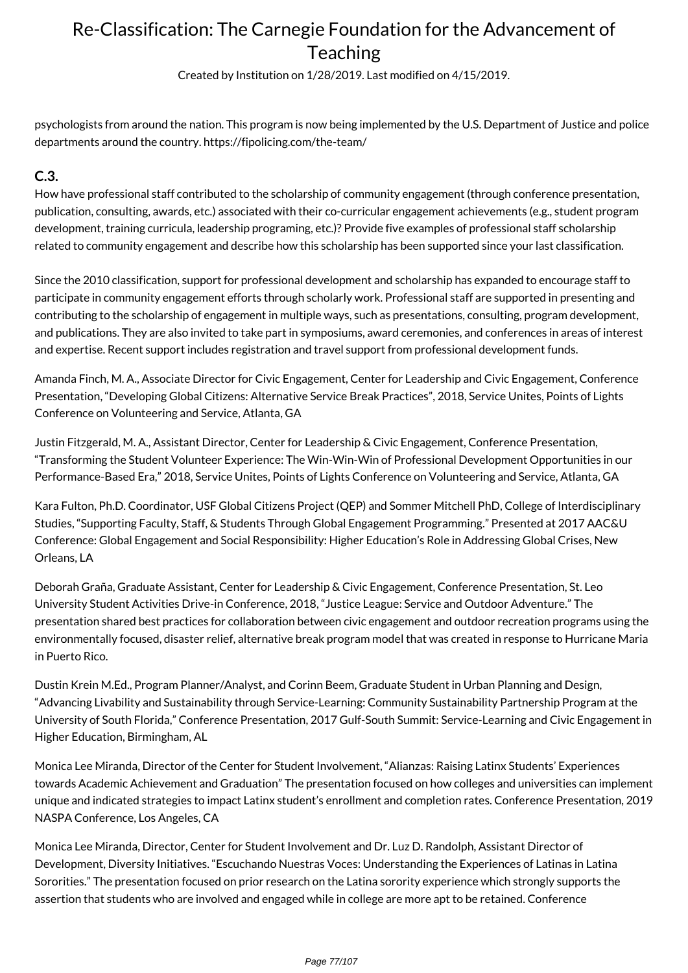Created by Institution on 1/28/2019. Last modified on 4/15/2019.

psychologists from around the nation. This program is now being implemented by the U.S. Department of Justice and police departments around the country. https://fipolicing.com/the-team/

### **C.3.**

How have professional staff contributed to the scholarship of community engagement (through conference presentation, publication, consulting, awards, etc.) associated with their co-curricular engagement achievements (e.g., student program development, training curricula, leadership programing, etc.)? Provide five examples of professional staff scholarship related to community engagement and describe how this scholarship has been supported since your last classification.

Since the 2010 classification, support for professional development and scholarship has expanded to encourage staff to participate in community engagement efforts through scholarly work. Professional staff are supported in presenting and contributing to the scholarship of engagement in multiple ways, such as presentations, consulting, program development, and publications. They are also invited to take part in symposiums, award ceremonies, and conferences in areas of interest and expertise. Recent support includes registration and travel support from professional development funds.

Amanda Finch, M. A., Associate Director for Civic Engagement, Center for Leadership and Civic Engagement, Conference Presentation, "Developing Global Citizens: Alternative Service Break Practices", 2018, Service Unites, Points of Lights Conference on Volunteering and Service, Atlanta, GA

Justin Fitzgerald, M. A., Assistant Director, Center for Leadership & Civic Engagement, Conference Presentation, "Transforming the Student Volunteer Experience: The Win-Win-Win of Professional Development Opportunities in our Performance-Based Era," 2018, Service Unites, Points of Lights Conference on Volunteering and Service, Atlanta, GA

Kara Fulton, Ph.D. Coordinator, USF Global Citizens Project (QEP) and Sommer Mitchell PhD, College of Interdisciplinary Studies, "Supporting Faculty, Staff, & Students Through Global Engagement Programming." Presented at 2017 AAC&U Conference: Global Engagement and Social Responsibility: Higher Education's Role in Addressing Global Crises, New Orleans, LA

Deborah Graña, Graduate Assistant, Center for Leadership & Civic Engagement, Conference Presentation, St. Leo University Student Activities Drive-in Conference, 2018, "Justice League: Service and Outdoor Adventure." The presentation shared best practices for collaboration between civic engagement and outdoor recreation programs using the environmentally focused, disaster relief, alternative break program model that was created in response to Hurricane Maria in Puerto Rico.

Dustin Krein M.Ed., Program Planner/Analyst, and Corinn Beem, Graduate Student in Urban Planning and Design, "Advancing Livability and Sustainability through Service-Learning: Community Sustainability Partnership Program at the University of South Florida," Conference Presentation, 2017 Gulf-South Summit: Service-Learning and Civic Engagement in Higher Education, Birmingham, AL

Monica Lee Miranda, Director of the Center for Student Involvement, "Alianzas: Raising Latinx Students' Experiences towards Academic Achievement and Graduation" The presentation focused on how colleges and universities can implement unique and indicated strategies to impact Latinx student's enrollment and completion rates. Conference Presentation, 2019 NASPA Conference, Los Angeles, CA

Monica Lee Miranda, Director, Center for Student Involvement and Dr. Luz D. Randolph, Assistant Director of Development, Diversity Initiatives. "Escuchando Nuestras Voces: Understanding the Experiences of Latinas in Latina Sororities." The presentation focused on prior research on the Latina sorority experience which strongly supports the assertion that students who are involved and engaged while in college are more apt to be retained. Conference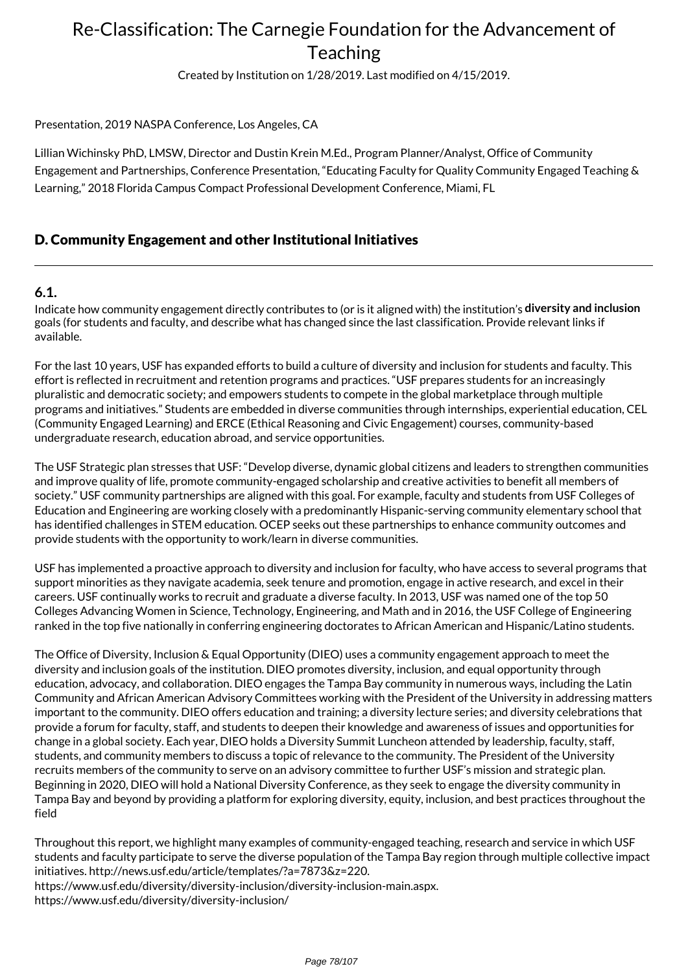Created by Institution on 1/28/2019. Last modified on 4/15/2019.

### Presentation, 2019 NASPA Conference, Los Angeles, CA

Lillian Wichinsky PhD, LMSW, Director and Dustin Krein M.Ed., Program Planner/Analyst, Office of Community Engagement and Partnerships, Conference Presentation, "Educating Faculty for Quality Community Engaged Teaching & Learning," 2018 Florida Campus Compact Professional Development Conference, Miami, FL

### D. Community Engagement and other Institutional Initiatives

### **6.1.**

Indicate how community engagement directly contributes to (or is it aligned with) the institution's **diversity and inclusion** goals (for students and faculty, and describe what has changed since the last classification. Provide relevant links if available.

For the last 10 years, USF has expanded efforts to build a culture of diversity and inclusion for students and faculty. This effort is reflected in recruitment and retention programs and practices. "USF prepares students for an increasingly pluralistic and democratic society; and empowers students to compete in the global marketplace through multiple programs and initiatives." Students are embedded in diverse communities through internships, experiential education, CEL (Community Engaged Learning) and ERCE (Ethical Reasoning and Civic Engagement) courses, community-based undergraduate research, education abroad, and service opportunities.

The USF Strategic plan stresses that USF: "Develop diverse, dynamic global citizens and leaders to strengthen communities and improve quality of life, promote community-engaged scholarship and creative activities to benefit all members of society." USF community partnerships are aligned with this goal. For example, faculty and students from USF Colleges of Education and Engineering are working closely with a predominantly Hispanic-serving community elementary school that has identified challenges in STEM education. OCEP seeks out these partnerships to enhance community outcomes and provide students with the opportunity to work/learn in diverse communities.

USF has implemented a proactive approach to diversity and inclusion for faculty, who have access to several programs that support minorities as they navigate academia, seek tenure and promotion, engage in active research, and excel in their careers. USF continually works to recruit and graduate a diverse faculty. In 2013, USF was named one of the top 50 Colleges Advancing Women in Science, Technology, Engineering, and Math and in 2016, the USF College of Engineering ranked in the top five nationally in conferring engineering doctorates to African American and Hispanic/Latino students.

The Office of Diversity, Inclusion & Equal Opportunity (DIEO) uses a community engagement approach to meet the diversity and inclusion goals of the institution. DIEO promotes diversity, inclusion, and equal opportunity through education, advocacy, and collaboration. DIEO engages the Tampa Bay community in numerous ways, including the Latin Community and African American Advisory Committees working with the President of the University in addressing matters important to the community. DIEO offers education and training; a diversity lecture series; and diversity celebrations that provide a forum for faculty, staff, and students to deepen their knowledge and awareness of issues and opportunities for change in a global society. Each year, DIEO holds a Diversity Summit Luncheon attended by leadership, faculty, staff, students, and community members to discuss a topic of relevance to the community. The President of the University recruits members of the community to serve on an advisory committee to further USF's mission and strategic plan. Beginning in 2020, DIEO will hold a National Diversity Conference, as they seek to engage the diversity community in Tampa Bay and beyond by providing a platform for exploring diversity, equity, inclusion, and best practices throughout the field

Throughout this report, we highlight many examples of community-engaged teaching, research and service in which USF students and faculty participate to serve the diverse population of the Tampa Bay region through multiple collective impact initiatives. http://news.usf.edu/article/templates/?a=7873&z=220. https://www.usf.edu/diversity/diversity-inclusion/diversity-inclusion-main.aspx. https://www.usf.edu/diversity/diversity-inclusion/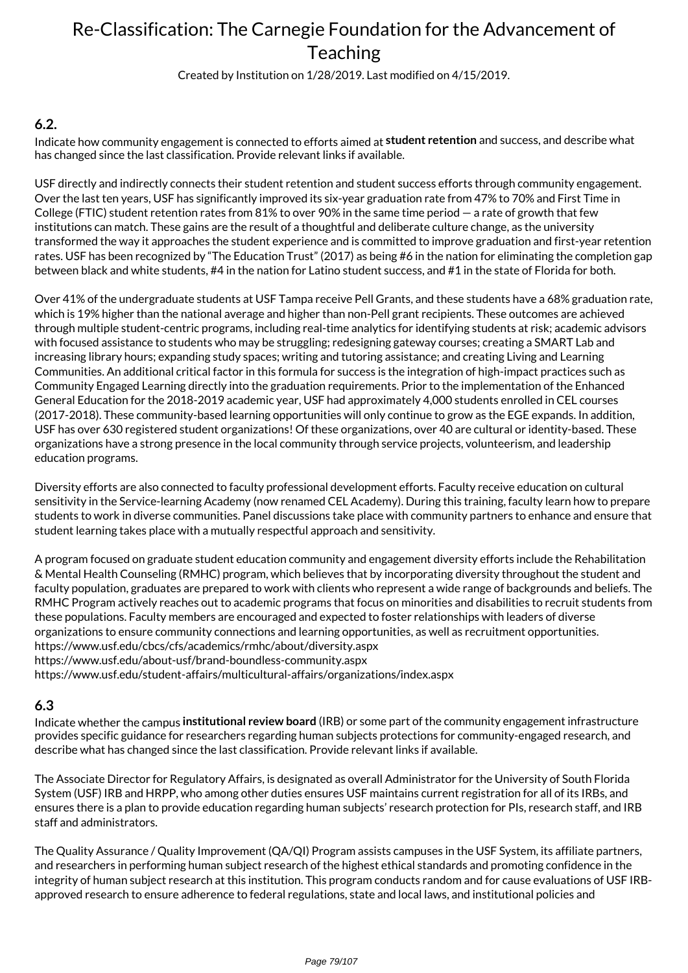Created by Institution on 1/28/2019. Last modified on 4/15/2019.

### **6.2.**

Indicate how community engagement is connected to efforts aimed at **student retention** and success, and describe what has changed since the last classification. Provide relevant links if available.

USF directly and indirectly connects their student retention and student success efforts through community engagement. Over the last ten years, USF has significantly improved its six-year graduation rate from 47% to 70% and First Time in College (FTIC) student retention rates from 81% to over 90% in the same time period — a rate of growth that few institutions can match. These gains are the result of a thoughtful and deliberate culture change, as the university transformed the way it approaches the student experience and is committed to improve graduation and first-year retention rates. USF has been recognized by "The Education Trust" (2017) as being #6 in the nation for eliminating the completion gap between black and white students, #4 in the nation for Latino student success, and #1 in the state of Florida for both.

Over 41% of the undergraduate students at USF Tampa receive Pell Grants, and these students have a 68% graduation rate, which is 19% higher than the national average and higher than non-Pell grant recipients. These outcomes are achieved through multiple student-centric programs, including real-time analytics for identifying students at risk; academic advisors with focused assistance to students who may be struggling; redesigning gateway courses; creating a SMART Lab and increasing library hours; expanding study spaces; writing and tutoring assistance; and creating Living and Learning Communities. An additional critical factor in this formula for success is the integration of high-impact practices such as Community Engaged Learning directly into the graduation requirements. Prior to the implementation of the Enhanced General Education for the 2018-2019 academic year, USF had approximately 4,000 students enrolled in CEL courses (2017-2018). These community-based learning opportunities will only continue to grow as the EGE expands. In addition, USF has over 630 registered student organizations! Of these organizations, over 40 are cultural or identity-based. These organizations have a strong presence in the local community through service projects, volunteerism, and leadership education programs.

Diversity efforts are also connected to faculty professional development efforts. Faculty receive education on cultural sensitivity in the Service-learning Academy (now renamed CEL Academy). During this training, faculty learn how to prepare students to work in diverse communities. Panel discussions take place with community partners to enhance and ensure that student learning takes place with a mutually respectful approach and sensitivity.

A program focused on graduate student education community and engagement diversity efforts include the Rehabilitation & Mental Health Counseling (RMHC) program, which believes that by incorporating diversity throughout the student and faculty population, graduates are prepared to work with clients who represent a wide range of backgrounds and beliefs. The RMHC Program actively reaches out to academic programs that focus on minorities and disabilities to recruit students from these populations. Faculty members are encouraged and expected to foster relationships with leaders of diverse organizations to ensure community connections and learning opportunities, as well as recruitment opportunities. https://www.usf.edu/cbcs/cfs/academics/rmhc/about/diversity.aspx

https://www.usf.edu/about-usf/brand-boundless-community.aspx

https://www.usf.edu/student-affairs/multicultural-affairs/organizations/index.aspx

### **6.3**

Indicate whether the campus **institutional review board** (IRB) or some part of the community engagement infrastructure provides specific guidance for researchers regarding human subjects protections for community-engaged research, and describe what has changed since the last classification. Provide relevant links if available.

The Associate Director for Regulatory Affairs, is designated as overall Administrator for the University of South Florida System (USF) IRB and HRPP, who among other duties ensures USF maintains current registration for all of its IRBs, and ensures there is a plan to provide education regarding human subjects' research protection for PIs, research staff, and IRB staff and administrators.

The Quality Assurance / Quality Improvement (QA/QI) Program assists campuses in the USF System, its affiliate partners, and researchers in performing human subject research of the highest ethical standards and promoting confidence in the integrity of human subject research at this institution. This program conducts random and for cause evaluations of USF IRBapproved research to ensure adherence to federal regulations, state and local laws, and institutional policies and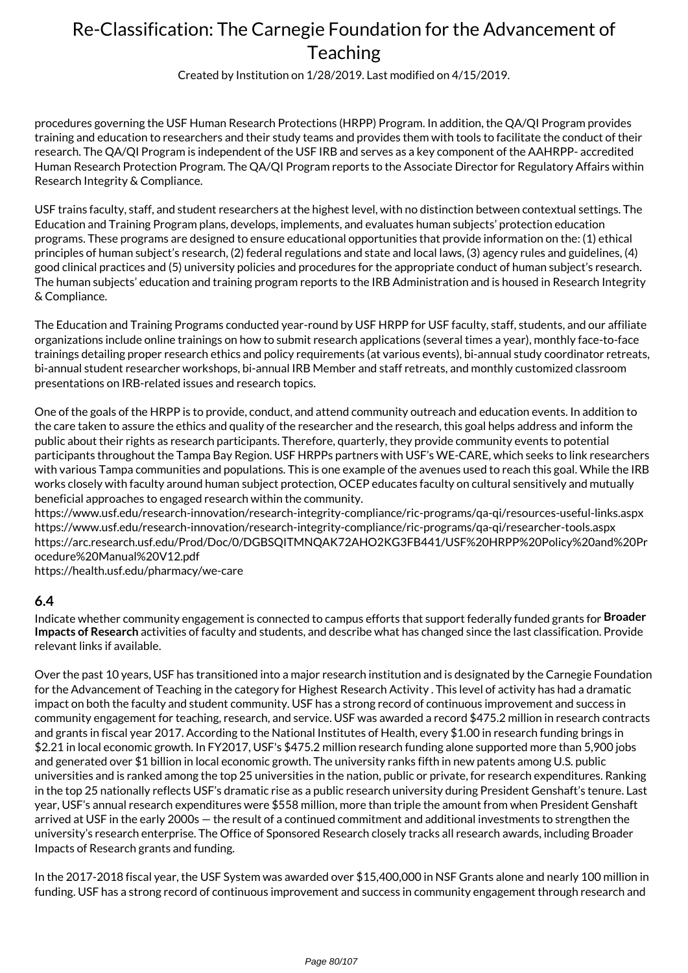Created by Institution on 1/28/2019. Last modified on 4/15/2019.

procedures governing the USF Human Research Protections (HRPP) Program. In addition, the QA/QI Program provides training and education to researchers and their study teams and provides them with tools to facilitate the conduct of their research. The QA/QI Program is independent of the USF IRB and serves as a key component of the AAHRPP- accredited Human Research Protection Program. The QA/QI Program reports to the Associate Director for Regulatory Affairs within Research Integrity & Compliance.

USF trains faculty, staff, and student researchers at the highest level, with no distinction between contextual settings. The Education and Training Program plans, develops, implements, and evaluates human subjects' protection education programs. These programs are designed to ensure educational opportunities that provide information on the: (1) ethical principles of human subject's research, (2) federal regulations and state and local laws, (3) agency rules and guidelines, (4) good clinical practices and (5) university policies and procedures for the appropriate conduct of human subject's research. The human subjects' education and training program reports to the IRB Administration and is housed in Research Integrity & Compliance.

The Education and Training Programs conducted year-round by USF HRPP for USF faculty, staff, students, and our affiliate organizations include online trainings on how to submit research applications (several times a year), monthly face-to-face trainings detailing proper research ethics and policy requirements (at various events), bi-annual study coordinator retreats, bi-annual student researcher workshops, bi-annual IRB Member and staff retreats, and monthly customized classroom presentations on IRB-related issues and research topics.

One of the goals of the HRPP is to provide, conduct, and attend community outreach and education events. In addition to the care taken to assure the ethics and quality of the researcher and the research, this goal helps address and inform the public about their rights as research participants. Therefore, quarterly, they provide community events to potential participants throughout the Tampa Bay Region. USF HRPPs partners with USF's WE-CARE, which seeks to link researchers with various Tampa communities and populations. This is one example of the avenues used to reach this goal. While the IRB works closely with faculty around human subject protection, OCEP educates faculty on cultural sensitively and mutually beneficial approaches to engaged research within the community.

https://www.usf.edu/research-innovation/research-integrity-compliance/ric-programs/qa-qi/resources-useful-links.aspx https://www.usf.edu/research-innovation/research-integrity-compliance/ric-programs/qa-qi/researcher-tools.aspx https://arc.research.usf.edu/Prod/Doc/0/DGBSQITMNQAK72AHO2KG3FB441/USF%20HRPP%20Policy%20and%20Pr ocedure%20Manual%20V12.pdf

https://health.usf.edu/pharmacy/we-care

#### **6.4**

Indicate whether community engagement is connected to campus efforts that support federally funded grants for **Broader Impacts of Research** activities of faculty and students, and describe what has changed since the last classification. Provide relevant links if available.

Over the past 10 years, USF has transitioned into a major research institution and is designated by the Carnegie Foundation for the Advancement of Teaching in the category for Highest Research Activity . This level of activity has had a dramatic impact on both the faculty and student community. USF has a strong record of continuous improvement and success in community engagement for teaching, research, and service. USF was awarded a record \$475.2 million in research contracts and grants in fiscal year 2017. According to the National Institutes of Health, every \$1.00 in research funding brings in \$2.21 in local economic growth. In FY2017, USF's \$475.2 million research funding alone supported more than 5,900 jobs and generated over \$1 billion in local economic growth. The university ranks fifth in new patents among U.S. public universities and is ranked among the top 25 universities in the nation, public or private, for research expenditures. Ranking in the top 25 nationally reflects USF's dramatic rise as a public research university during President Genshaft's tenure. Last year, USF's annual research expenditures were \$558 million, more than triple the amount from when President Genshaft arrived at USF in the early 2000s — the result of a continued commitment and additional investments to strengthen the university's research enterprise. The Office of Sponsored Research closely tracks all research awards, including Broader Impacts of Research grants and funding.

In the 2017-2018 fiscal year, the USF System was awarded over \$15,400,000 in NSF Grants alone and nearly 100 million in funding. USF has a strong record of continuous improvement and success in community engagement through research and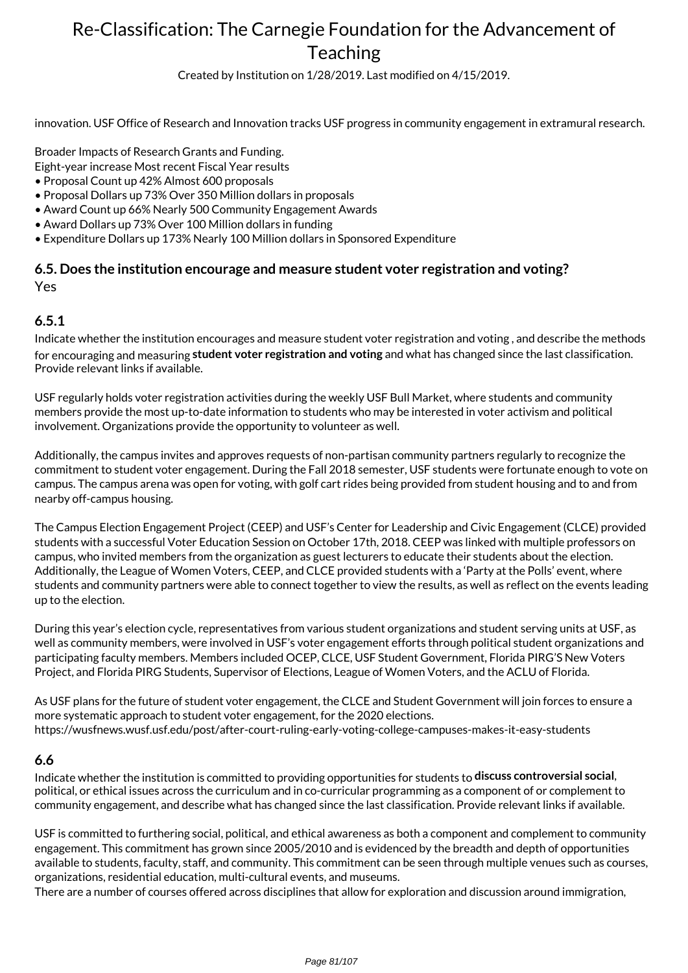Created by Institution on 1/28/2019. Last modified on 4/15/2019.

innovation. USF Office of Research and Innovation tracks USF progress in community engagement in extramural research.

Broader Impacts of Research Grants and Funding.

Eight-year increase Most recent Fiscal Year results

- Proposal Count up 42% Almost 600 proposals
- Proposal Dollars up 73% Over 350 Million dollars in proposals
- Award Count up 66% Nearly 500 Community Engagement Awards
- Award Dollars up 73% Over 100 Million dollars in funding
- Expenditure Dollars up 173% Nearly 100 Million dollars in Sponsored Expenditure

### **6.5. Does the institution encourage and measure student voter registration and voting?** Yes

### **6.5.1**

Indicate whether the institution encourages and measure student voter registration and voting , and describe the methods for encouraging and measuring **student voter registration and voting** and what has changed since the last classification. Provide relevant links if available.

USF regularly holds voter registration activities during the weekly USF Bull Market, where students and community members provide the most up-to-date information to students who may be interested in voter activism and political involvement. Organizations provide the opportunity to volunteer as well.

Additionally, the campus invites and approves requests of non-partisan community partners regularly to recognize the commitment to student voter engagement. During the Fall 2018 semester, USF students were fortunate enough to vote on campus. The campus arena was open for voting, with golf cart rides being provided from student housing and to and from nearby off-campus housing.

The Campus Election Engagement Project (CEEP) and USF's Center for Leadership and Civic Engagement (CLCE) provided students with a successful Voter Education Session on October 17th, 2018. CEEP was linked with multiple professors on campus, who invited members from the organization as guest lecturers to educate their students about the election. Additionally, the League of Women Voters, CEEP, and CLCE provided students with a 'Party at the Polls' event, where students and community partners were able to connect together to view the results, as well as reflect on the events leading up to the election.

During this year's election cycle, representatives from various student organizations and student serving units at USF, as well as community members, were involved in USF's voter engagement efforts through political student organizations and participating faculty members. Members included OCEP, CLCE, USF Student Government, Florida PIRG'S New Voters Project, and Florida PIRG Students, Supervisor of Elections, League of Women Voters, and the ACLU of Florida.

As USF plans for the future of student voter engagement, the CLCE and Student Government will join forces to ensure a more systematic approach to student voter engagement, for the 2020 elections. https://wusfnews.wusf.usf.edu/post/after-court-ruling-early-voting-college-campuses-makes-it-easy-students

#### **6.6**

Indicate whether the institution is committed to providing opportunities for students to **discuss controversial social**, political, or ethical issues across the curriculum and in co-curricular programming as a component of or complement to community engagement, and describe what has changed since the last classification. Provide relevant links if available.

USF is committed to furthering social, political, and ethical awareness as both a component and complement to community engagement. This commitment has grown since 2005/2010 and is evidenced by the breadth and depth of opportunities available to students, faculty, staff, and community. This commitment can be seen through multiple venues such as courses, organizations, residential education, multi-cultural events, and museums.

There are a number of courses offered across disciplines that allow for exploration and discussion around immigration,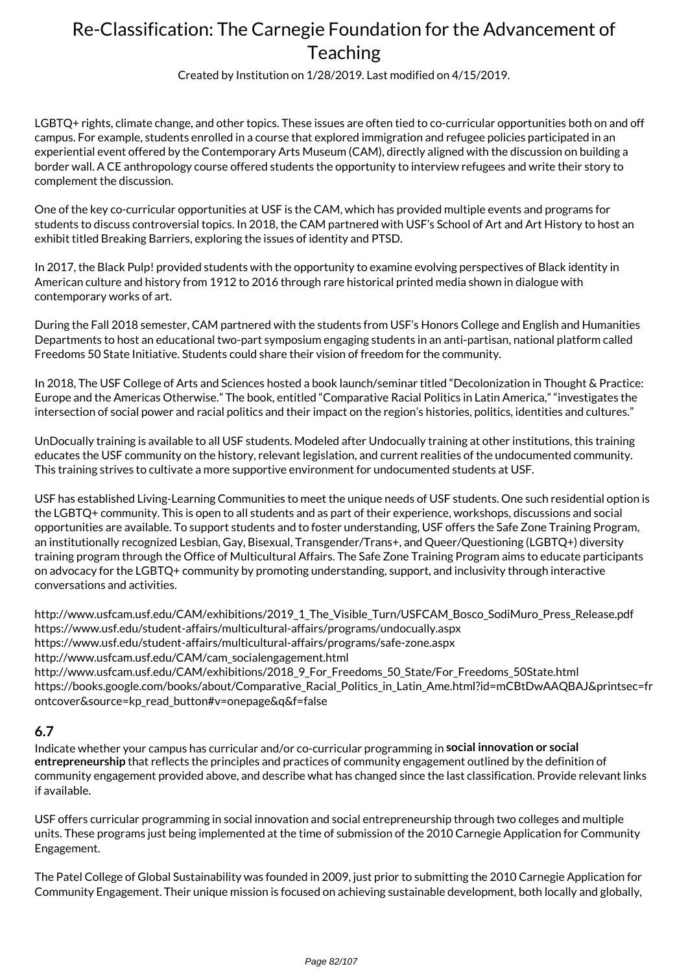Created by Institution on 1/28/2019. Last modified on 4/15/2019.

LGBTQ+ rights, climate change, and other topics. These issues are often tied to co-curricular opportunities both on and off campus. For example, students enrolled in a course that explored immigration and refugee policies participated in an experiential event offered by the Contemporary Arts Museum (CAM), directly aligned with the discussion on building a border wall. A CE anthropology course offered students the opportunity to interview refugees and write their story to complement the discussion.

One of the key co-curricular opportunities at USF is the CAM, which has provided multiple events and programs for students to discuss controversial topics. In 2018, the CAM partnered with USF's School of Art and Art History to host an exhibit titled Breaking Barriers, exploring the issues of identity and PTSD.

In 2017, the Black Pulp! provided students with the opportunity to examine evolving perspectives of Black identity in American culture and history from 1912 to 2016 through rare historical printed media shown in dialogue with contemporary works of art.

During the Fall 2018 semester, CAM partnered with the students from USF's Honors College and English and Humanities Departments to host an educational two-part symposium engaging students in an anti-partisan, national platform called Freedoms 50 State Initiative. Students could share their vision of freedom for the community.

In 2018, The USF College of Arts and Sciences hosted a book launch/seminar titled "Decolonization in Thought & Practice: Europe and the Americas Otherwise." The book, entitled "Comparative Racial Politics in Latin America," "investigates the intersection of social power and racial politics and their impact on the region's histories, politics, identities and cultures."

UnDocually training is available to all USF students. Modeled after Undocually training at other institutions, this training educates the USF community on the history, relevant legislation, and current realities of the undocumented community. This training strives to cultivate a more supportive environment for undocumented students at USF.

USF has established Living-Learning Communities to meet the unique needs of USF students. One such residential option is the LGBTQ+ community. This is open to all students and as part of their experience, workshops, discussions and social opportunities are available. To support students and to foster understanding, USF offers the Safe Zone Training Program, an institutionally recognized Lesbian, Gay, Bisexual, Transgender/Trans+, and Queer/Questioning (LGBTQ+) diversity training program through the Office of Multicultural Affairs. The Safe Zone Training Program aims to educate participants on advocacy for the LGBTQ+ community by promoting understanding, support, and inclusivity through interactive conversations and activities.

http://www.usfcam.usf.edu/CAM/exhibitions/2019\_1\_The\_Visible\_Turn/USFCAM\_Bosco\_SodiMuro\_Press\_Release.pdf https://www.usf.edu/student-affairs/multicultural-affairs/programs/undocually.aspx https://www.usf.edu/student-affairs/multicultural-affairs/programs/safe-zone.aspx http://www.usfcam.usf.edu/CAM/cam\_socialengagement.html http://www.usfcam.usf.edu/CAM/exhibitions/2018\_9\_For\_Freedoms\_50\_State/For\_Freedoms\_50State.html https://books.google.com/books/about/Comparative\_Racial\_Politics\_in\_Latin\_Ame.html?id=mCBtDwAAQBAJ&printsec=fr ontcover&source=kp\_read\_button#v=onepage&q&f=false

### **6.7**

Indicate whether your campus has curricular and/or co-curricular programming in **social innovation or social entrepreneurship** that reflects the principles and practices of community engagement outlined by the definition of community engagement provided above, and describe what has changed since the last classification. Provide relevant links if available.

USF offers curricular programming in social innovation and social entrepreneurship through two colleges and multiple units. These programs just being implemented at the time of submission of the 2010 Carnegie Application for Community Engagement.

The Patel College of Global Sustainability was founded in 2009, just prior to submitting the 2010 Carnegie Application for Community Engagement. Their unique mission is focused on achieving sustainable development, both locally and globally,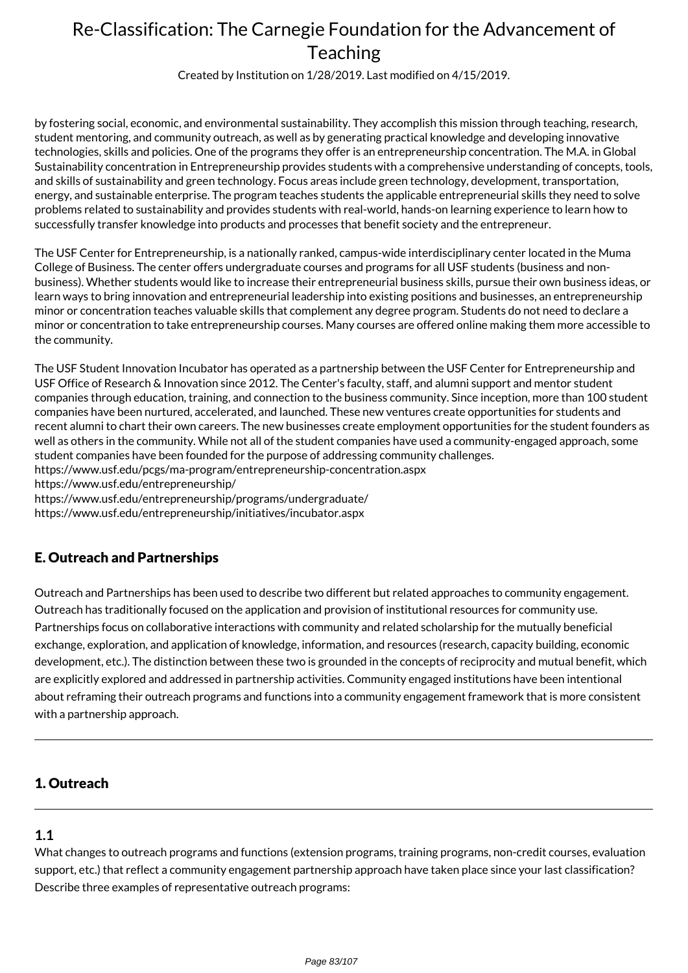Created by Institution on 1/28/2019. Last modified on 4/15/2019.

by fostering social, economic, and environmental sustainability. They accomplish this mission through teaching, research, student mentoring, and community outreach, as well as by generating practical knowledge and developing innovative technologies, skills and policies. One of the programs they offer is an entrepreneurship concentration. The M.A. in Global Sustainability concentration in Entrepreneurship provides students with a comprehensive understanding of concepts, tools, and skills of sustainability and green technology. Focus areas include green technology, development, transportation, energy, and sustainable enterprise. The program teaches students the applicable entrepreneurial skills they need to solve problems related to sustainability and provides students with real-world, hands-on learning experience to learn how to successfully transfer knowledge into products and processes that benefit society and the entrepreneur.

The USF Center for Entrepreneurship, is a nationally ranked, campus-wide interdisciplinary center located in the Muma College of Business. The center offers undergraduate courses and programs for all USF students (business and nonbusiness). Whether students would like to increase their entrepreneurial business skills, pursue their own business ideas, or learn ways to bring innovation and entrepreneurial leadership into existing positions and businesses, an entrepreneurship minor or concentration teaches valuable skills that complement any degree program. Students do not need to declare a minor or concentration to take entrepreneurship courses. Many courses are offered online making them more accessible to the community.

The USF Student Innovation Incubator has operated as a partnership between the USF Center for Entrepreneurship and USF Office of Research & Innovation since 2012. The Center's faculty, staff, and alumni support and mentor student companies through education, training, and connection to the business community. Since inception, more than 100 student companies have been nurtured, accelerated, and launched. These new ventures create opportunities for students and recent alumni to chart their own careers. The new businesses create employment opportunities for the student founders as well as others in the community. While not all of the student companies have used a community-engaged approach, some student companies have been founded for the purpose of addressing community challenges. https://www.usf.edu/pcgs/ma-program/entrepreneurship-concentration.aspx

https://www.usf.edu/entrepreneurship/

https://www.usf.edu/entrepreneurship/programs/undergraduate/

https://www.usf.edu/entrepreneurship/initiatives/incubator.aspx

## E. Outreach and Partnerships

Outreach and Partnerships has been used to describe two different but related approaches to community engagement. Outreach has traditionally focused on the application and provision of institutional resources for community use. Partnerships focus on collaborative interactions with community and related scholarship for the mutually beneficial exchange, exploration, and application of knowledge, information, and resources (research, capacity building, economic development, etc.). The distinction between these two is grounded in the concepts of reciprocity and mutual benefit, which are explicitly explored and addressed in partnership activities. Community engaged institutions have been intentional about reframing their outreach programs and functions into a community engagement framework that is more consistent with a partnership approach.

### 1. Outreach

### **1.1**

What changes to outreach programs and functions (extension programs, training programs, non-credit courses, evaluation support, etc.) that reflect a community engagement partnership approach have taken place since your last classification? Describe three examples of representative outreach programs: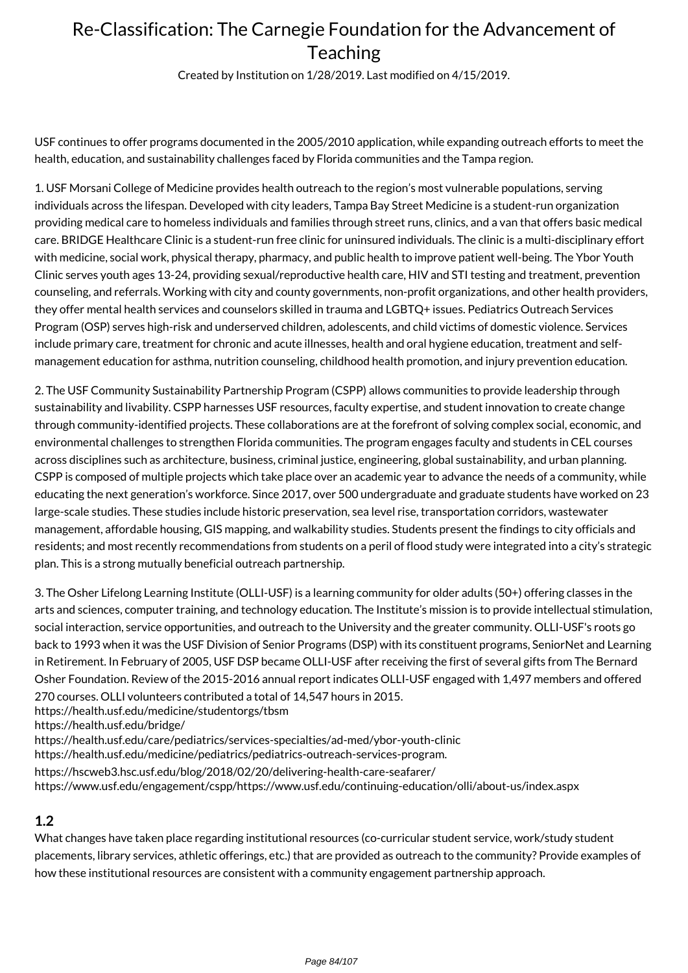Created by Institution on 1/28/2019. Last modified on 4/15/2019.

USF continues to offer programs documented in the 2005/2010 application, while expanding outreach efforts to meet the health, education, and sustainability challenges faced by Florida communities and the Tampa region.

1. USF Morsani College of Medicine provides health outreach to the region's most vulnerable populations, serving individuals across the lifespan. Developed with city leaders, Tampa Bay Street Medicine is a student-run organization providing medical care to homeless individuals and families through street runs, clinics, and a van that offers basic medical care. BRIDGE Healthcare Clinic is a student-run free clinic for uninsured individuals. The clinic is a multi-disciplinary effort with medicine, social work, physical therapy, pharmacy, and public health to improve patient well-being. The Ybor Youth Clinic serves youth ages 13-24, providing sexual/reproductive health care, HIV and STI testing and treatment, prevention counseling, and referrals. Working with city and county governments, non-profit organizations, and other health providers, they offer mental health services and counselors skilled in trauma and LGBTQ+ issues. Pediatrics Outreach Services Program (OSP) serves high-risk and underserved children, adolescents, and child victims of domestic violence. Services include primary care, treatment for chronic and acute illnesses, health and oral hygiene education, treatment and selfmanagement education for asthma, nutrition counseling, childhood health promotion, and injury prevention education.

2. The USF Community Sustainability Partnership Program (CSPP) allows communities to provide leadership through sustainability and livability. CSPP harnesses USF resources, faculty expertise, and student innovation to create change through community-identified projects. These collaborations are at the forefront of solving complex social, economic, and environmental challenges to strengthen Florida communities. The program engages faculty and students in CEL courses across disciplines such as architecture, business, criminal justice, engineering, global sustainability, and urban planning. CSPP is composed of multiple projects which take place over an academic year to advance the needs of a community, while educating the next generation's workforce. Since 2017, over 500 undergraduate and graduate students have worked on 23 large-scale studies. These studies include historic preservation, sea level rise, transportation corridors, wastewater management, affordable housing, GIS mapping, and walkability studies. Students present the findings to city officials and residents; and most recently recommendations from students on a peril of flood study were integrated into a city's strategic plan. This is a strong mutually beneficial outreach partnership.

3. The Osher Lifelong Learning Institute (OLLI-USF) is a learning community for older adults (50+) offering classes in the arts and sciences, computer training, and technology education. The Institute's mission is to provide intellectual stimulation, social interaction, service opportunities, and outreach to the University and the greater community. OLLI-USF's roots go back to 1993 when it was the USF Division of Senior Programs (DSP) with its constituent programs, SeniorNet and Learning in Retirement. In February of 2005, USF DSP became OLLI-USF after receiving the first of several gifts from The Bernard Osher Foundation. Review of the 2015-2016 annual report indicates OLLI-USF engaged with 1,497 members and offered 270 courses. OLLI volunteers contributed a total of 14,547 hours in 2015.

https://health.usf.edu/medicine/studentorgs/tbsm

https://health.usf.edu/bridge/

https://health.usf.edu/care/pediatrics/services-specialties/ad-med/ybor-youth-clinic

https://health.usf.edu/medicine/pediatrics/pediatrics-outreach-services-program.

https://hscweb3.hsc.usf.edu/blog/2018/02/20/delivering-health-care-seafarer/

https://www.usf.edu/engagement/cspp/https://www.usf.edu/continuing-education/olli/about-us/index.aspx

### **1.2**

What changes have taken place regarding institutional resources (co-curricular student service, work/study student placements, library services, athletic offerings, etc.) that are provided as outreach to the community? Provide examples of how these institutional resources are consistent with a community engagement partnership approach.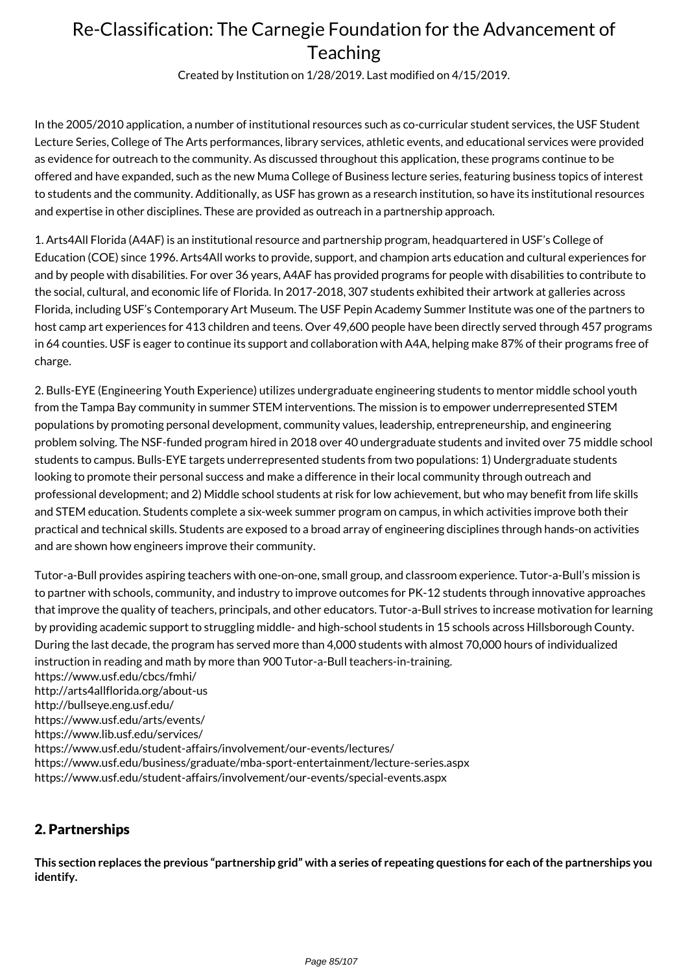Created by Institution on 1/28/2019. Last modified on 4/15/2019.

In the 2005/2010 application, a number of institutional resources such as co-curricular student services, the USF Student Lecture Series, College of The Arts performances, library services, athletic events, and educational services were provided as evidence for outreach to the community. As discussed throughout this application, these programs continue to be offered and have expanded, such as the new Muma College of Business lecture series, featuring business topics of interest to students and the community. Additionally, as USF has grown as a research institution, so have its institutional resources and expertise in other disciplines. These are provided as outreach in a partnership approach.

1. Arts4All Florida (A4AF) is an institutional resource and partnership program, headquartered in USF's College of Education (COE) since 1996. Arts4All works to provide, support, and champion arts education and cultural experiences for and by people with disabilities. For over 36 years, A4AF has provided programs for people with disabilities to contribute to the social, cultural, and economic life of Florida. In 2017-2018, 307 students exhibited their artwork at galleries across Florida, including USF's Contemporary Art Museum. The USF Pepin Academy Summer Institute was one of the partners to host camp art experiences for 413 children and teens. Over 49,600 people have been directly served through 457 programs in 64 counties. USF is eager to continue its support and collaboration with A4A, helping make 87% of their programs free of charge.

2. Bulls-EYE (Engineering Youth Experience) utilizes undergraduate engineering students to mentor middle school youth from the Tampa Bay community in summer STEM interventions. The mission is to empower underrepresented STEM populations by promoting personal development, community values, leadership, entrepreneurship, and engineering problem solving. The NSF-funded program hired in 2018 over 40 undergraduate students and invited over 75 middle school students to campus. Bulls-EYE targets underrepresented students from two populations: 1) Undergraduate students looking to promote their personal success and make a difference in their local community through outreach and professional development; and 2) Middle school students at risk for low achievement, but who may benefit from life skills and STEM education. Students complete a six-week summer program on campus, in which activities improve both their practical and technical skills. Students are exposed to a broad array of engineering disciplines through hands-on activities and are shown how engineers improve their community.

Tutor-a-Bull provides aspiring teachers with one-on-one, small group, and classroom experience. Tutor-a-Bull's mission is to partner with schools, community, and industry to improve outcomes for PK-12 students through innovative approaches that improve the quality of teachers, principals, and other educators. Tutor-a-Bull strives to increase motivation for learning by providing academic support to struggling middle- and high-school students in 15 schools across Hillsborough County. During the last decade, the program has served more than 4,000 students with almost 70,000 hours of individualized instruction in reading and math by more than 900 Tutor-a-Bull teachers-in-training.

https://www.usf.edu/cbcs/fmhi/ http://arts4allflorida.org/about-us http://bullseye.eng.usf.edu/ https://www.usf.edu/arts/events/ https://www.lib.usf.edu/services/ https://www.usf.edu/student-affairs/involvement/our-events/lectures/ https://www.usf.edu/business/graduate/mba-sport-entertainment/lecture-series.aspx https://www.usf.edu/student-affairs/involvement/our-events/special-events.aspx

### 2. Partnerships

**This section replaces the previous "partnership grid" with a series of repeating questions for each of the partnerships you identify.**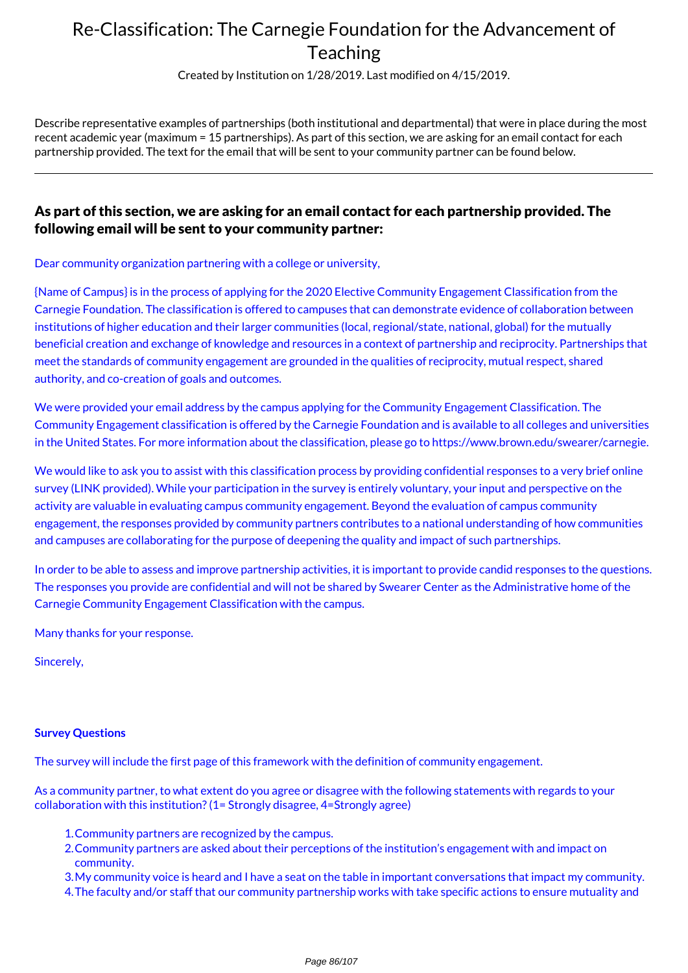Created by Institution on 1/28/2019. Last modified on 4/15/2019.

Describe representative examples of partnerships (both institutional and departmental) that were in place during the most recent academic year (maximum = 15 partnerships). As part of this section, we are asking for an email contact for each partnership provided. The text for the email that will be sent to your community partner can be found below.

### As part of this section, we are asking for an email contact for each partnership provided. The following email will be sent to your community partner:

Dear community organization partnering with a college or university,

{Name of Campus} is in the process of applying for the 2020 Elective Community Engagement Classification from the Carnegie Foundation. The classification is offered to campuses that can demonstrate evidence of collaboration between institutions of higher education and their larger communities (local, regional/state, national, global) for the mutually beneficial creation and exchange of knowledge and resources in a context of partnership and reciprocity. Partnerships that meet the standards of community engagement are grounded in the qualities of reciprocity, mutual respect, shared authority, and co-creation of goals and outcomes.

We were provided your email address by the campus applying for the Community Engagement Classification. The Community Engagement classification is offered by the Carnegie Foundation and is available to all colleges and universities in the United States. For more information about the classification, please go to https://www.brown.edu/swearer/carnegie.

We would like to ask you to assist with this classification process by providing confidential responses to a very brief online survey (LINK provided). While your participation in the survey is entirely voluntary, your input and perspective on the activity are valuable in evaluating campus community engagement. Beyond the evaluation of campus community engagement, the responses provided by community partners contributes to a national understanding of how communities and campuses are collaborating for the purpose of deepening the quality and impact of such partnerships.

In order to be able to assess and improve partnership activities, it is important to provide candid responses to the questions. The responses you provide are confidential and will not be shared by Swearer Center as the Administrative home of the Carnegie Community Engagement Classification with the campus.

Many thanks for your response.

Sincerely,

#### **Survey Questions**

The survey will include the first page of this framework with the definition of community engagement.

As a community partner, to what extent do you agree or disagree with the following statements with regards to your collaboration with this institution? (1= Strongly disagree, 4=Strongly agree)

- 1.Community partners are recognized by the campus.
- 2.Community partners are asked about their perceptions of the institution's engagement with and impact on community.
- 3.My community voice is heard and I have a seat on the table in important conversations that impact my community.
- 4.The faculty and/or staff that our community partnership works with take specific actions to ensure mutuality and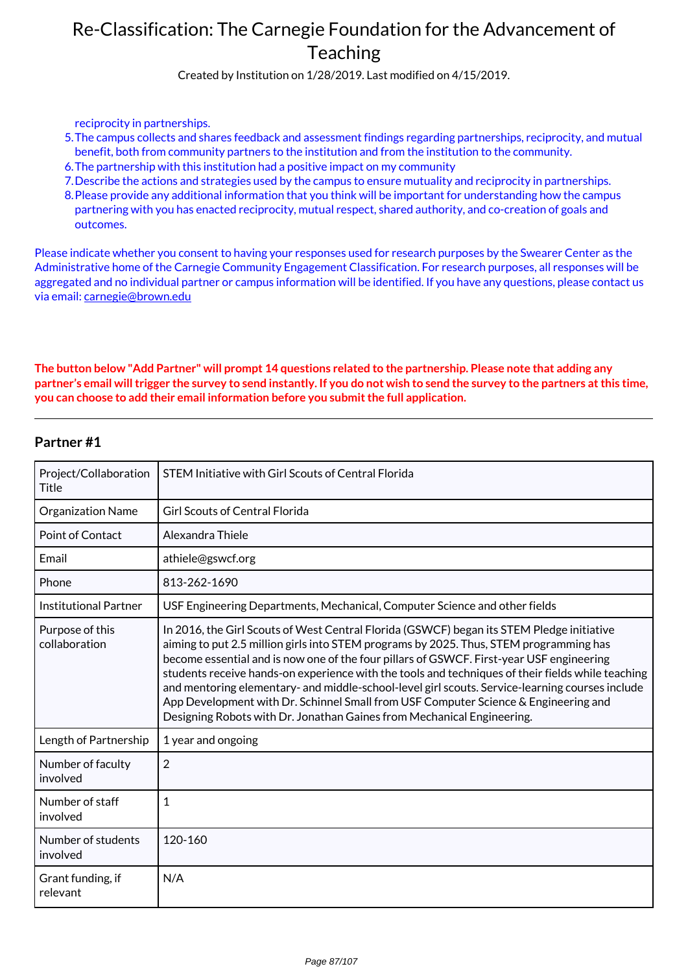Created by Institution on 1/28/2019. Last modified on 4/15/2019.

reciprocity in partnerships.

- 5.The campus collects and shares feedback and assessment findings regarding partnerships, reciprocity, and mutual benefit, both from community partners to the institution and from the institution to the community.
- 6.The partnership with this institution had a positive impact on my community
- 7.Describe the actions and strategies used by the campus to ensure mutuality and reciprocity in partnerships.
- 8.Please provide any additional information that you think will be important for understanding how the campus partnering with you has enacted reciprocity, mutual respect, shared authority, and co-creation of goals and outcomes.

Please indicate whether you consent to having your responses used for research purposes by the Swearer Center as the Administrative home of the Carnegie Community Engagement Classification. For research purposes, all responses will be aggregated and no individual partner or campus information will be identified. If you have any questions, please contact us via email: carnegie@brown.edu

#### **The button below "Add Partner" will prompt 14 questions related to the partnership. Please note that adding any partner's email will trigger the survey to send instantly. If you do not wish to send the survey to the partners at this time, you can choose to add their email information before you submit the full application.**

| Project/Collaboration<br><b>Title</b> | STEM Initiative with Girl Scouts of Central Florida                                                                                                                                                                                                                                                                                                                                                                                                                                                                                                                                                                                                      |
|---------------------------------------|----------------------------------------------------------------------------------------------------------------------------------------------------------------------------------------------------------------------------------------------------------------------------------------------------------------------------------------------------------------------------------------------------------------------------------------------------------------------------------------------------------------------------------------------------------------------------------------------------------------------------------------------------------|
| <b>Organization Name</b>              | <b>Girl Scouts of Central Florida</b>                                                                                                                                                                                                                                                                                                                                                                                                                                                                                                                                                                                                                    |
| <b>Point of Contact</b>               | Alexandra Thiele                                                                                                                                                                                                                                                                                                                                                                                                                                                                                                                                                                                                                                         |
| Email                                 | athiele@gswcf.org                                                                                                                                                                                                                                                                                                                                                                                                                                                                                                                                                                                                                                        |
| Phone                                 | 813-262-1690                                                                                                                                                                                                                                                                                                                                                                                                                                                                                                                                                                                                                                             |
| <b>Institutional Partner</b>          | USF Engineering Departments, Mechanical, Computer Science and other fields                                                                                                                                                                                                                                                                                                                                                                                                                                                                                                                                                                               |
| Purpose of this<br>collaboration      | In 2016, the Girl Scouts of West Central Florida (GSWCF) began its STEM Pledge initiative<br>aiming to put 2.5 million girls into STEM programs by 2025. Thus, STEM programming has<br>become essential and is now one of the four pillars of GSWCF. First-year USF engineering<br>students receive hands-on experience with the tools and techniques of their fields while teaching<br>and mentoring elementary- and middle-school-level girl scouts. Service-learning courses include<br>App Development with Dr. Schinnel Small from USF Computer Science & Engineering and<br>Designing Robots with Dr. Jonathan Gaines from Mechanical Engineering. |
| Length of Partnership                 | 1 year and ongoing                                                                                                                                                                                                                                                                                                                                                                                                                                                                                                                                                                                                                                       |
| Number of faculty<br>involved         | $\overline{2}$                                                                                                                                                                                                                                                                                                                                                                                                                                                                                                                                                                                                                                           |
| Number of staff<br>involved           | $\mathbf{1}$                                                                                                                                                                                                                                                                                                                                                                                                                                                                                                                                                                                                                                             |
| Number of students<br>involved        | 120-160                                                                                                                                                                                                                                                                                                                                                                                                                                                                                                                                                                                                                                                  |
| Grant funding, if<br>relevant         | N/A                                                                                                                                                                                                                                                                                                                                                                                                                                                                                                                                                                                                                                                      |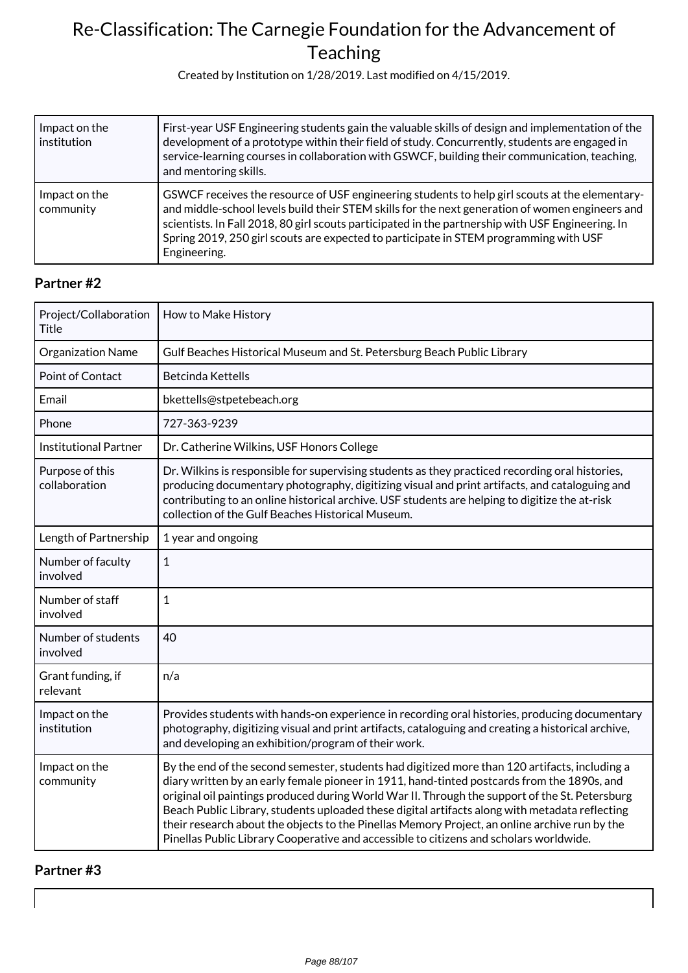Created by Institution on 1/28/2019. Last modified on 4/15/2019.

| Impact on the<br>institution | First-year USF Engineering students gain the valuable skills of design and implementation of the<br>development of a prototype within their field of study. Concurrently, students are engaged in<br>service-learning courses in collaboration with GSWCF, building their communication, teaching,<br>and mentoring skills.                                                                                     |
|------------------------------|-----------------------------------------------------------------------------------------------------------------------------------------------------------------------------------------------------------------------------------------------------------------------------------------------------------------------------------------------------------------------------------------------------------------|
| Impact on the<br>community   | GSWCF receives the resource of USF engineering students to help girl scouts at the elementary-<br>and middle-school levels build their STEM skills for the next generation of women engineers and<br>scientists. In Fall 2018, 80 girl scouts participated in the partnership with USF Engineering. In<br>Spring 2019, 250 girl scouts are expected to participate in STEM programming with USF<br>Engineering. |

### **Partner #2**

| Project/Collaboration<br><b>Title</b> | How to Make History                                                                                                                                                                                                                                                                                                                                                                                                                                                                                                                                                                          |
|---------------------------------------|----------------------------------------------------------------------------------------------------------------------------------------------------------------------------------------------------------------------------------------------------------------------------------------------------------------------------------------------------------------------------------------------------------------------------------------------------------------------------------------------------------------------------------------------------------------------------------------------|
| Organization Name                     | Gulf Beaches Historical Museum and St. Petersburg Beach Public Library                                                                                                                                                                                                                                                                                                                                                                                                                                                                                                                       |
| Point of Contact                      | <b>Betcinda Kettells</b>                                                                                                                                                                                                                                                                                                                                                                                                                                                                                                                                                                     |
| Email                                 | bkettells@stpetebeach.org                                                                                                                                                                                                                                                                                                                                                                                                                                                                                                                                                                    |
| Phone                                 | 727-363-9239                                                                                                                                                                                                                                                                                                                                                                                                                                                                                                                                                                                 |
| <b>Institutional Partner</b>          | Dr. Catherine Wilkins, USF Honors College                                                                                                                                                                                                                                                                                                                                                                                                                                                                                                                                                    |
| Purpose of this<br>collaboration      | Dr. Wilkins is responsible for supervising students as they practiced recording oral histories,<br>producing documentary photography, digitizing visual and print artifacts, and cataloguing and<br>contributing to an online historical archive. USF students are helping to digitize the at-risk<br>collection of the Gulf Beaches Historical Museum.                                                                                                                                                                                                                                      |
| Length of Partnership                 | 1 year and ongoing                                                                                                                                                                                                                                                                                                                                                                                                                                                                                                                                                                           |
| Number of faculty<br>involved         | $\mathbf{1}$                                                                                                                                                                                                                                                                                                                                                                                                                                                                                                                                                                                 |
| Number of staff<br>involved           | $\mathbf{1}$                                                                                                                                                                                                                                                                                                                                                                                                                                                                                                                                                                                 |
| Number of students<br>involved        | 40                                                                                                                                                                                                                                                                                                                                                                                                                                                                                                                                                                                           |
| Grant funding, if<br>relevant         | n/a                                                                                                                                                                                                                                                                                                                                                                                                                                                                                                                                                                                          |
| Impact on the<br>institution          | Provides students with hands-on experience in recording oral histories, producing documentary<br>photography, digitizing visual and print artifacts, cataloguing and creating a historical archive,<br>and developing an exhibition/program of their work.                                                                                                                                                                                                                                                                                                                                   |
| Impact on the<br>community            | By the end of the second semester, students had digitized more than 120 artifacts, including a<br>diary written by an early female pioneer in 1911, hand-tinted postcards from the 1890s, and<br>original oil paintings produced during World War II. Through the support of the St. Petersburg<br>Beach Public Library, students uploaded these digital artifacts along with metadata reflecting<br>their research about the objects to the Pinellas Memory Project, an online archive run by the<br>Pinellas Public Library Cooperative and accessible to citizens and scholars worldwide. |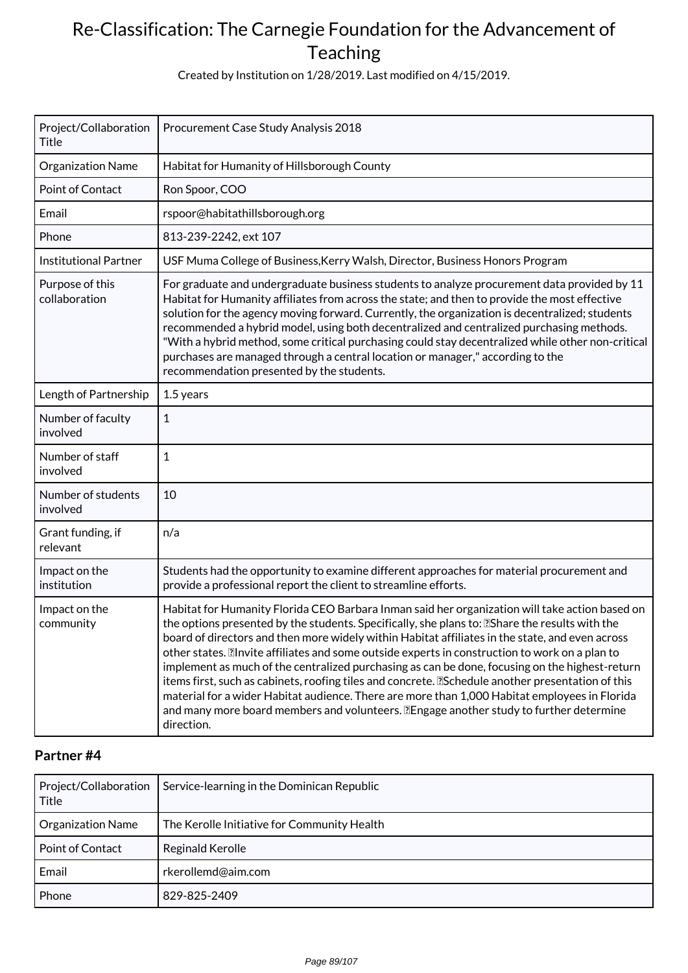Created by Institution on 1/28/2019. Last modified on 4/15/2019.

| Project/Collaboration<br>Title   | Procurement Case Study Analysis 2018                                                                                                                                                                                                                                                                                                                                                                                                                                                                                                                                                                                                                                                                                                                                                                                                  |
|----------------------------------|---------------------------------------------------------------------------------------------------------------------------------------------------------------------------------------------------------------------------------------------------------------------------------------------------------------------------------------------------------------------------------------------------------------------------------------------------------------------------------------------------------------------------------------------------------------------------------------------------------------------------------------------------------------------------------------------------------------------------------------------------------------------------------------------------------------------------------------|
| Organization Name                | Habitat for Humanity of Hillsborough County                                                                                                                                                                                                                                                                                                                                                                                                                                                                                                                                                                                                                                                                                                                                                                                           |
| Point of Contact                 | Ron Spoor, COO                                                                                                                                                                                                                                                                                                                                                                                                                                                                                                                                                                                                                                                                                                                                                                                                                        |
| Email                            | rspoor@habitathillsborough.org                                                                                                                                                                                                                                                                                                                                                                                                                                                                                                                                                                                                                                                                                                                                                                                                        |
| Phone                            | 813-239-2242, ext 107                                                                                                                                                                                                                                                                                                                                                                                                                                                                                                                                                                                                                                                                                                                                                                                                                 |
| <b>Institutional Partner</b>     | USF Muma College of Business, Kerry Walsh, Director, Business Honors Program                                                                                                                                                                                                                                                                                                                                                                                                                                                                                                                                                                                                                                                                                                                                                          |
| Purpose of this<br>collaboration | For graduate and undergraduate business students to analyze procurement data provided by 11<br>Habitat for Humanity affiliates from across the state; and then to provide the most effective<br>solution for the agency moving forward. Currently, the organization is decentralized; students<br>recommended a hybrid model, using both decentralized and centralized purchasing methods.<br>"With a hybrid method, some critical purchasing could stay decentralized while other non-critical<br>purchases are managed through a central location or manager," according to the<br>recommendation presented by the students.                                                                                                                                                                                                        |
| Length of Partnership            | 1.5 years                                                                                                                                                                                                                                                                                                                                                                                                                                                                                                                                                                                                                                                                                                                                                                                                                             |
| Number of faculty<br>involved    | $\mathbf{1}$                                                                                                                                                                                                                                                                                                                                                                                                                                                                                                                                                                                                                                                                                                                                                                                                                          |
| Number of staff<br>involved      | 1                                                                                                                                                                                                                                                                                                                                                                                                                                                                                                                                                                                                                                                                                                                                                                                                                                     |
| Number of students<br>involved   | 10                                                                                                                                                                                                                                                                                                                                                                                                                                                                                                                                                                                                                                                                                                                                                                                                                                    |
| Grant funding, if<br>relevant    | n/a                                                                                                                                                                                                                                                                                                                                                                                                                                                                                                                                                                                                                                                                                                                                                                                                                                   |
| Impact on the<br>institution     | Students had the opportunity to examine different approaches for material procurement and<br>provide a professional report the client to streamline efforts.                                                                                                                                                                                                                                                                                                                                                                                                                                                                                                                                                                                                                                                                          |
| Impact on the<br>community       | Habitat for Humanity Florida CEO Barbara Inman said her organization will take action based on<br>the options presented by the students. Specifically, she plans to: <b>Notation</b> the results with the<br>board of directors and then more widely within Habitat affiliates in the state, and even across<br>other states. Il nvite affiliates and some outside experts in construction to work on a plan to<br>implement as much of the centralized purchasing as can be done, focusing on the highest-return<br>items first, such as cabinets, roofing tiles and concrete. [Schedule another presentation of this<br>material for a wider Habitat audience. There are more than 1,000 Habitat employees in Florida<br>and many more board members and volunteers. <b>Engage another study to further determine</b><br>direction. |

| Project/Collaboration<br>Title | Service-learning in the Dominican Republic  |
|--------------------------------|---------------------------------------------|
| <b>Organization Name</b>       | The Kerolle Initiative for Community Health |
| <b>Point of Contact</b>        | Reginald Kerolle                            |
| Email                          | rkerollemd@aim.com                          |
| Phone                          | 829-825-2409                                |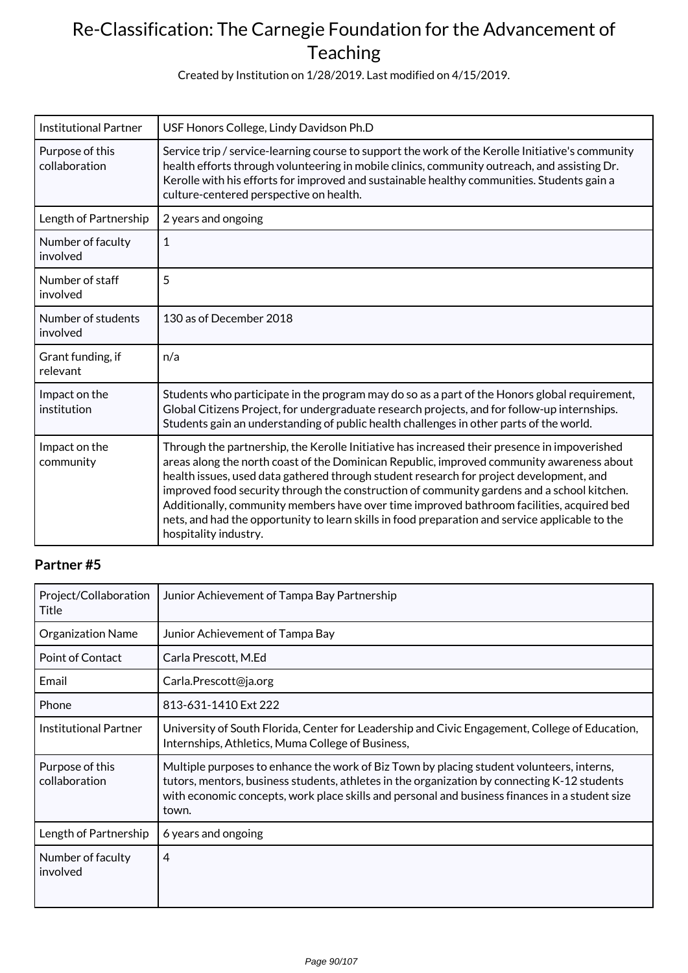Created by Institution on 1/28/2019. Last modified on 4/15/2019.

| <b>Institutional Partner</b>     | USF Honors College, Lindy Davidson Ph.D                                                                                                                                                                                                                                                                                                                                                                                                                                                                                                                                                                     |
|----------------------------------|-------------------------------------------------------------------------------------------------------------------------------------------------------------------------------------------------------------------------------------------------------------------------------------------------------------------------------------------------------------------------------------------------------------------------------------------------------------------------------------------------------------------------------------------------------------------------------------------------------------|
| Purpose of this<br>collaboration | Service trip / service-learning course to support the work of the Kerolle Initiative's community<br>health efforts through volunteering in mobile clinics, community outreach, and assisting Dr.<br>Kerolle with his efforts for improved and sustainable healthy communities. Students gain a<br>culture-centered perspective on health.                                                                                                                                                                                                                                                                   |
| Length of Partnership            | 2 years and ongoing                                                                                                                                                                                                                                                                                                                                                                                                                                                                                                                                                                                         |
| Number of faculty<br>involved    | $\mathbf{1}$                                                                                                                                                                                                                                                                                                                                                                                                                                                                                                                                                                                                |
| Number of staff<br>involved      | 5                                                                                                                                                                                                                                                                                                                                                                                                                                                                                                                                                                                                           |
| Number of students<br>involved   | 130 as of December 2018                                                                                                                                                                                                                                                                                                                                                                                                                                                                                                                                                                                     |
| Grant funding, if<br>relevant    | n/a                                                                                                                                                                                                                                                                                                                                                                                                                                                                                                                                                                                                         |
| Impact on the<br>institution     | Students who participate in the program may do so as a part of the Honors global requirement,<br>Global Citizens Project, for undergraduate research projects, and for follow-up internships.<br>Students gain an understanding of public health challenges in other parts of the world.                                                                                                                                                                                                                                                                                                                    |
| Impact on the<br>community       | Through the partnership, the Kerolle Initiative has increased their presence in impoverished<br>areas along the north coast of the Dominican Republic, improved community awareness about<br>health issues, used data gathered through student research for project development, and<br>improved food security through the construction of community gardens and a school kitchen.<br>Additionally, community members have over time improved bathroom facilities, acquired bed<br>nets, and had the opportunity to learn skills in food preparation and service applicable to the<br>hospitality industry. |

| Project/Collaboration<br>Title   | Junior Achievement of Tampa Bay Partnership                                                                                                                                                                                                                                                          |
|----------------------------------|------------------------------------------------------------------------------------------------------------------------------------------------------------------------------------------------------------------------------------------------------------------------------------------------------|
| <b>Organization Name</b>         | Junior Achievement of Tampa Bay                                                                                                                                                                                                                                                                      |
| Point of Contact                 | Carla Prescott, M.Ed                                                                                                                                                                                                                                                                                 |
| Email                            | Carla.Prescott@ja.org                                                                                                                                                                                                                                                                                |
| Phone                            | 813-631-1410 Ext 222                                                                                                                                                                                                                                                                                 |
| <b>Institutional Partner</b>     | University of South Florida, Center for Leadership and Civic Engagement, College of Education,<br>Internships, Athletics, Muma College of Business,                                                                                                                                                  |
| Purpose of this<br>collaboration | Multiple purposes to enhance the work of Biz Town by placing student volunteers, interns,<br>tutors, mentors, business students, athletes in the organization by connecting K-12 students<br>with economic concepts, work place skills and personal and business finances in a student size<br>town. |
| Length of Partnership            | 6 years and ongoing                                                                                                                                                                                                                                                                                  |
| Number of faculty<br>involved    | 4                                                                                                                                                                                                                                                                                                    |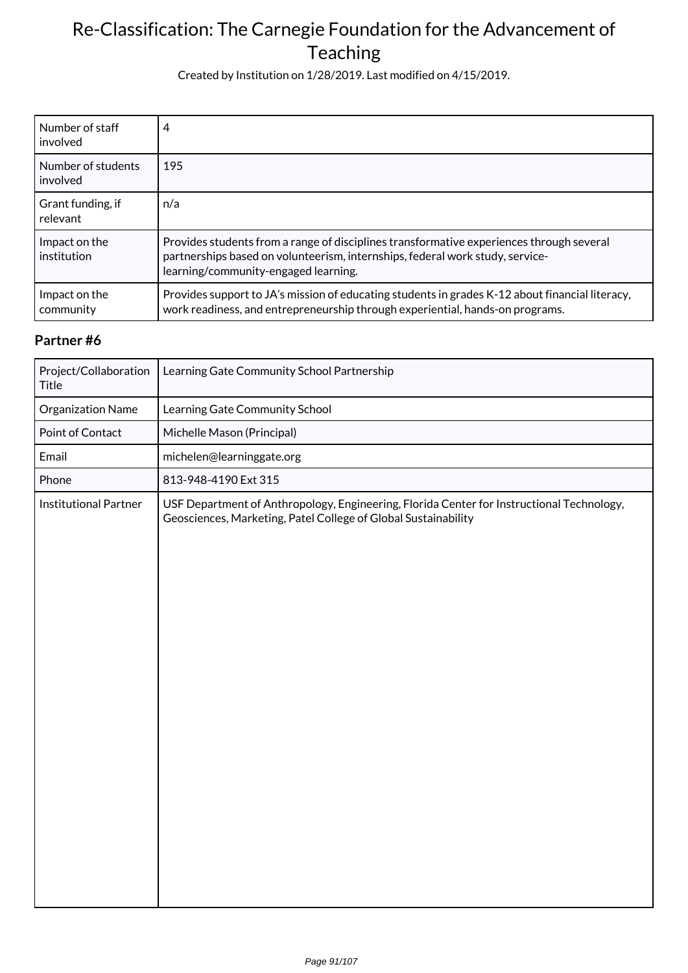Created by Institution on 1/28/2019. Last modified on 4/15/2019.

| Number of staff<br>involved    | 4                                                                                                                                                                                                                 |
|--------------------------------|-------------------------------------------------------------------------------------------------------------------------------------------------------------------------------------------------------------------|
| Number of students<br>involved | 195                                                                                                                                                                                                               |
| Grant funding, if<br>relevant  | n/a                                                                                                                                                                                                               |
| Impact on the<br>institution   | Provides students from a range of disciplines transformative experiences through several<br>partnerships based on volunteerism, internships, federal work study, service-<br>learning/community-engaged learning. |
| Impact on the<br>community     | Provides support to JA's mission of educating students in grades K-12 about financial literacy,<br>work readiness, and entrepreneurship through experiential, hands-on programs.                                  |

| Project/Collaboration<br><b>Title</b> | Learning Gate Community School Partnership                                                                                                                  |
|---------------------------------------|-------------------------------------------------------------------------------------------------------------------------------------------------------------|
| Organization Name                     | Learning Gate Community School                                                                                                                              |
| Point of Contact                      | Michelle Mason (Principal)                                                                                                                                  |
| Email                                 | michelen@learninggate.org                                                                                                                                   |
| Phone                                 | 813-948-4190 Ext 315                                                                                                                                        |
| <b>Institutional Partner</b>          | USF Department of Anthropology, Engineering, Florida Center for Instructional Technology,<br>Geosciences, Marketing, Patel College of Global Sustainability |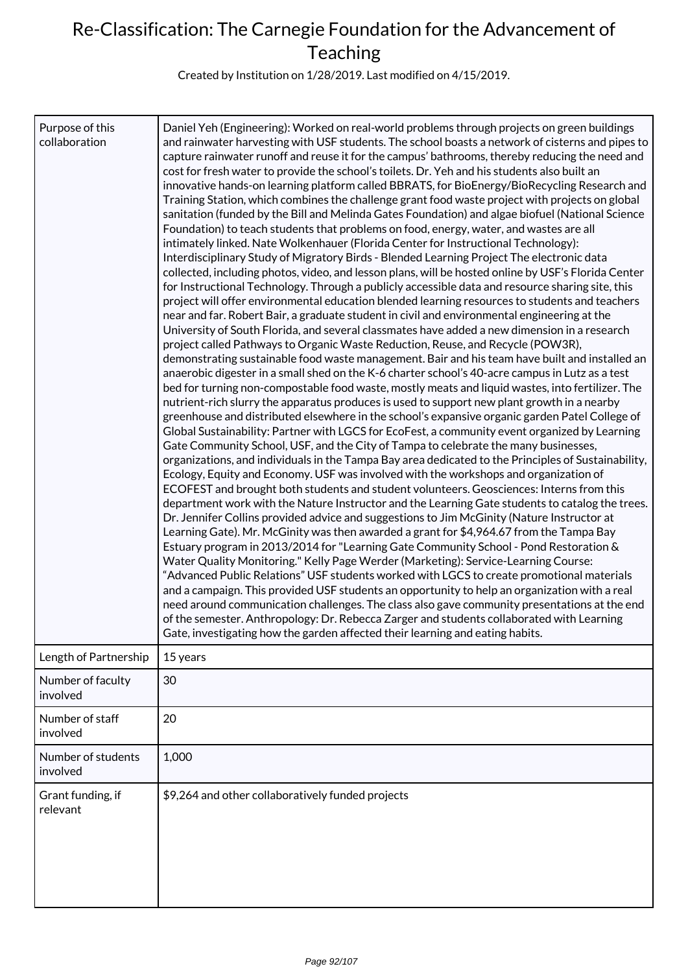Created by Institution on 1/28/2019. Last modified on 4/15/2019.

| Purpose of this<br>collaboration | Daniel Yeh (Engineering): Worked on real-world problems through projects on green buildings<br>and rainwater harvesting with USF students. The school boasts a network of cisterns and pipes to<br>capture rainwater runoff and reuse it for the campus' bathrooms, thereby reducing the need and<br>cost for fresh water to provide the school's toilets. Dr. Yeh and his students also built an<br>innovative hands-on learning platform called BBRATS, for BioEnergy/BioRecycling Research and<br>Training Station, which combines the challenge grant food waste project with projects on global<br>sanitation (funded by the Bill and Melinda Gates Foundation) and algae biofuel (National Science<br>Foundation) to teach students that problems on food, energy, water, and wastes are all<br>intimately linked. Nate Wolkenhauer (Florida Center for Instructional Technology):<br>Interdisciplinary Study of Migratory Birds - Blended Learning Project The electronic data<br>collected, including photos, video, and lesson plans, will be hosted online by USF's Florida Center<br>for Instructional Technology. Through a publicly accessible data and resource sharing site, this<br>project will offer environmental education blended learning resources to students and teachers<br>near and far. Robert Bair, a graduate student in civil and environmental engineering at the<br>University of South Florida, and several classmates have added a new dimension in a research<br>project called Pathways to Organic Waste Reduction, Reuse, and Recycle (POW3R),<br>demonstrating sustainable food waste management. Bair and his team have built and installed an<br>anaerobic digester in a small shed on the K-6 charter school's 40-acre campus in Lutz as a test<br>bed for turning non-compostable food waste, mostly meats and liquid wastes, into fertilizer. The<br>nutrient-rich slurry the apparatus produces is used to support new plant growth in a nearby<br>greenhouse and distributed elsewhere in the school's expansive organic garden Patel College of<br>Global Sustainability: Partner with LGCS for EcoFest, a community event organized by Learning<br>Gate Community School, USF, and the City of Tampa to celebrate the many businesses,<br>organizations, and individuals in the Tampa Bay area dedicated to the Principles of Sustainability,<br>Ecology, Equity and Economy. USF was involved with the workshops and organization of<br>ECOFEST and brought both students and student volunteers. Geosciences: Interns from this<br>department work with the Nature Instructor and the Learning Gate students to catalog the trees.<br>Dr. Jennifer Collins provided advice and suggestions to Jim McGinity (Nature Instructor at<br>Learning Gate). Mr. McGinity was then awarded a grant for \$4,964.67 from the Tampa Bay<br>Estuary program in 2013/2014 for "Learning Gate Community School - Pond Restoration &<br>Water Quality Monitoring." Kelly Page Werder (Marketing): Service-Learning Course:<br>"Advanced Public Relations" USF students worked with LGCS to create promotional materials<br>and a campaign. This provided USF students an opportunity to help an organization with a real<br>need around communication challenges. The class also gave community presentations at the end<br>of the semester. Anthropology: Dr. Rebecca Zarger and students collaborated with Learning<br>Gate, investigating how the garden affected their learning and eating habits. |
|----------------------------------|------------------------------------------------------------------------------------------------------------------------------------------------------------------------------------------------------------------------------------------------------------------------------------------------------------------------------------------------------------------------------------------------------------------------------------------------------------------------------------------------------------------------------------------------------------------------------------------------------------------------------------------------------------------------------------------------------------------------------------------------------------------------------------------------------------------------------------------------------------------------------------------------------------------------------------------------------------------------------------------------------------------------------------------------------------------------------------------------------------------------------------------------------------------------------------------------------------------------------------------------------------------------------------------------------------------------------------------------------------------------------------------------------------------------------------------------------------------------------------------------------------------------------------------------------------------------------------------------------------------------------------------------------------------------------------------------------------------------------------------------------------------------------------------------------------------------------------------------------------------------------------------------------------------------------------------------------------------------------------------------------------------------------------------------------------------------------------------------------------------------------------------------------------------------------------------------------------------------------------------------------------------------------------------------------------------------------------------------------------------------------------------------------------------------------------------------------------------------------------------------------------------------------------------------------------------------------------------------------------------------------------------------------------------------------------------------------------------------------------------------------------------------------------------------------------------------------------------------------------------------------------------------------------------------------------------------------------------------------------------------------------------------------------------------------------------------------------------------------------------------------------------------------------------------------------------------------------------------------------------------------------------------------------------------------------------------------------------------------------------------------------------------------------------------------------------------------------------------------------------------------------------------------------------|
| Length of Partnership            | 15 years                                                                                                                                                                                                                                                                                                                                                                                                                                                                                                                                                                                                                                                                                                                                                                                                                                                                                                                                                                                                                                                                                                                                                                                                                                                                                                                                                                                                                                                                                                                                                                                                                                                                                                                                                                                                                                                                                                                                                                                                                                                                                                                                                                                                                                                                                                                                                                                                                                                                                                                                                                                                                                                                                                                                                                                                                                                                                                                                                                                                                                                                                                                                                                                                                                                                                                                                                                                                                                                                                                                                 |
| Number of faculty<br>involved    | 30                                                                                                                                                                                                                                                                                                                                                                                                                                                                                                                                                                                                                                                                                                                                                                                                                                                                                                                                                                                                                                                                                                                                                                                                                                                                                                                                                                                                                                                                                                                                                                                                                                                                                                                                                                                                                                                                                                                                                                                                                                                                                                                                                                                                                                                                                                                                                                                                                                                                                                                                                                                                                                                                                                                                                                                                                                                                                                                                                                                                                                                                                                                                                                                                                                                                                                                                                                                                                                                                                                                                       |
| Number of staff<br>involved      | 20                                                                                                                                                                                                                                                                                                                                                                                                                                                                                                                                                                                                                                                                                                                                                                                                                                                                                                                                                                                                                                                                                                                                                                                                                                                                                                                                                                                                                                                                                                                                                                                                                                                                                                                                                                                                                                                                                                                                                                                                                                                                                                                                                                                                                                                                                                                                                                                                                                                                                                                                                                                                                                                                                                                                                                                                                                                                                                                                                                                                                                                                                                                                                                                                                                                                                                                                                                                                                                                                                                                                       |
| Number of students<br>involved   | 1,000                                                                                                                                                                                                                                                                                                                                                                                                                                                                                                                                                                                                                                                                                                                                                                                                                                                                                                                                                                                                                                                                                                                                                                                                                                                                                                                                                                                                                                                                                                                                                                                                                                                                                                                                                                                                                                                                                                                                                                                                                                                                                                                                                                                                                                                                                                                                                                                                                                                                                                                                                                                                                                                                                                                                                                                                                                                                                                                                                                                                                                                                                                                                                                                                                                                                                                                                                                                                                                                                                                                                    |
| Grant funding, if<br>relevant    | \$9,264 and other collaboratively funded projects                                                                                                                                                                                                                                                                                                                                                                                                                                                                                                                                                                                                                                                                                                                                                                                                                                                                                                                                                                                                                                                                                                                                                                                                                                                                                                                                                                                                                                                                                                                                                                                                                                                                                                                                                                                                                                                                                                                                                                                                                                                                                                                                                                                                                                                                                                                                                                                                                                                                                                                                                                                                                                                                                                                                                                                                                                                                                                                                                                                                                                                                                                                                                                                                                                                                                                                                                                                                                                                                                        |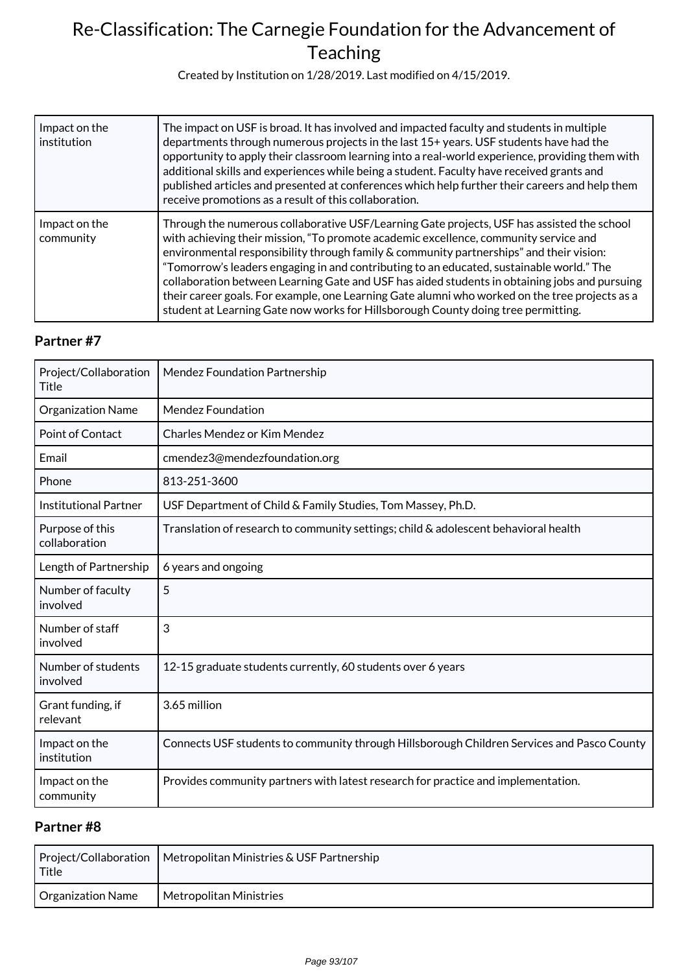Created by Institution on 1/28/2019. Last modified on 4/15/2019.

| Impact on the<br>institution | The impact on USF is broad. It has involved and impacted faculty and students in multiple<br>departments through numerous projects in the last 15+ years. USF students have had the<br>opportunity to apply their classroom learning into a real-world experience, providing them with<br>additional skills and experiences while being a student. Faculty have received grants and<br>published articles and presented at conferences which help further their careers and help them<br>receive promotions as a result of this collaboration.                                                                                                                    |
|------------------------------|-------------------------------------------------------------------------------------------------------------------------------------------------------------------------------------------------------------------------------------------------------------------------------------------------------------------------------------------------------------------------------------------------------------------------------------------------------------------------------------------------------------------------------------------------------------------------------------------------------------------------------------------------------------------|
| Impact on the<br>community   | Through the numerous collaborative USF/Learning Gate projects, USF has assisted the school<br>with achieving their mission, "To promote academic excellence, community service and<br>environmental responsibility through family & community partnerships" and their vision:<br>"Tomorrow's leaders engaging in and contributing to an educated, sustainable world." The<br>collaboration between Learning Gate and USF has aided students in obtaining jobs and pursuing<br>their career goals. For example, one Learning Gate alumni who worked on the tree projects as a<br>student at Learning Gate now works for Hillsborough County doing tree permitting. |

### **Partner #7**

| Project/Collaboration<br>Title   | <b>Mendez Foundation Partnership</b>                                                       |
|----------------------------------|--------------------------------------------------------------------------------------------|
| Organization Name                | <b>Mendez Foundation</b>                                                                   |
| Point of Contact                 | <b>Charles Mendez or Kim Mendez</b>                                                        |
| Email                            | cmendez3@mendezfoundation.org                                                              |
| Phone                            | 813-251-3600                                                                               |
| <b>Institutional Partner</b>     | USF Department of Child & Family Studies, Tom Massey, Ph.D.                                |
| Purpose of this<br>collaboration | Translation of research to community settings; child & adolescent behavioral health        |
| Length of Partnership            | 6 years and ongoing                                                                        |
| Number of faculty<br>involved    | 5                                                                                          |
| Number of staff<br>involved      | 3                                                                                          |
| Number of students<br>involved   | 12-15 graduate students currently, 60 students over 6 years                                |
| Grant funding, if<br>relevant    | 3.65 million                                                                               |
| Impact on the<br>institution     | Connects USF students to community through Hillsborough Children Services and Pasco County |
| Impact on the<br>community       | Provides community partners with latest research for practice and implementation.          |

| Title             | Project/Collaboration   Metropolitan Ministries & USF Partnership |
|-------------------|-------------------------------------------------------------------|
| Organization Name | Metropolitan Ministries                                           |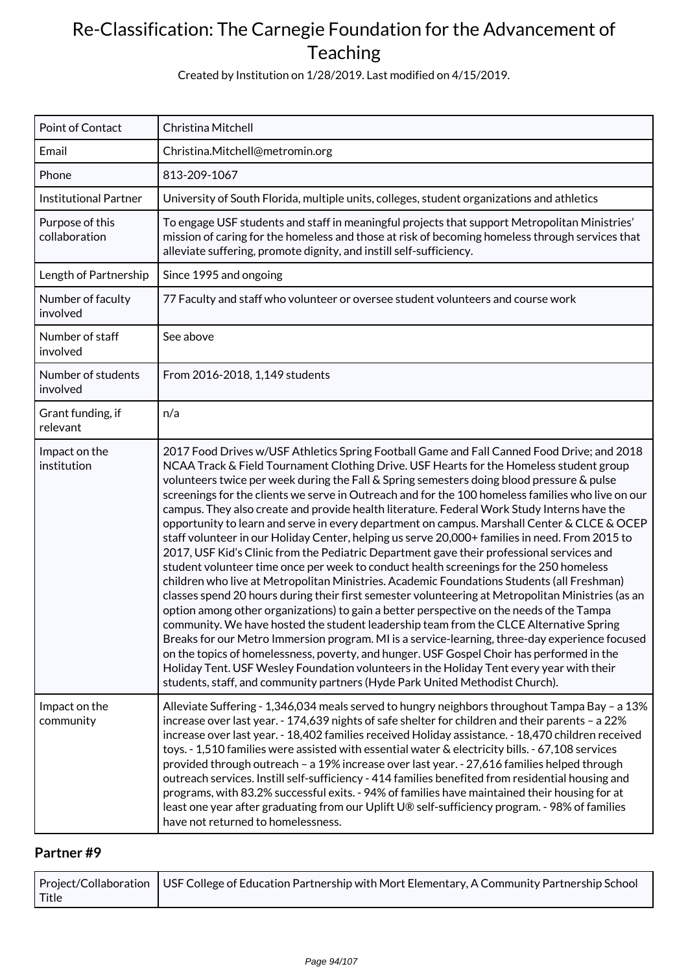Created by Institution on 1/28/2019. Last modified on 4/15/2019.

| Point of Contact                 | Christina Mitchell                                                                                                                                                                                                                                                                                                                                                                                                                                                                                                                                                                                                                                                                                                                                                                                                                                                                                                                                                                                                                                                                                                                                                                                                                                                                                                                                                                                                                                                                                                                                                                                                                                 |
|----------------------------------|----------------------------------------------------------------------------------------------------------------------------------------------------------------------------------------------------------------------------------------------------------------------------------------------------------------------------------------------------------------------------------------------------------------------------------------------------------------------------------------------------------------------------------------------------------------------------------------------------------------------------------------------------------------------------------------------------------------------------------------------------------------------------------------------------------------------------------------------------------------------------------------------------------------------------------------------------------------------------------------------------------------------------------------------------------------------------------------------------------------------------------------------------------------------------------------------------------------------------------------------------------------------------------------------------------------------------------------------------------------------------------------------------------------------------------------------------------------------------------------------------------------------------------------------------------------------------------------------------------------------------------------------------|
| Email                            | Christina.Mitchell@metromin.org                                                                                                                                                                                                                                                                                                                                                                                                                                                                                                                                                                                                                                                                                                                                                                                                                                                                                                                                                                                                                                                                                                                                                                                                                                                                                                                                                                                                                                                                                                                                                                                                                    |
| Phone                            | 813-209-1067                                                                                                                                                                                                                                                                                                                                                                                                                                                                                                                                                                                                                                                                                                                                                                                                                                                                                                                                                                                                                                                                                                                                                                                                                                                                                                                                                                                                                                                                                                                                                                                                                                       |
| <b>Institutional Partner</b>     | University of South Florida, multiple units, colleges, student organizations and athletics                                                                                                                                                                                                                                                                                                                                                                                                                                                                                                                                                                                                                                                                                                                                                                                                                                                                                                                                                                                                                                                                                                                                                                                                                                                                                                                                                                                                                                                                                                                                                         |
| Purpose of this<br>collaboration | To engage USF students and staff in meaningful projects that support Metropolitan Ministries'<br>mission of caring for the homeless and those at risk of becoming homeless through services that<br>alleviate suffering, promote dignity, and instill self-sufficiency.                                                                                                                                                                                                                                                                                                                                                                                                                                                                                                                                                                                                                                                                                                                                                                                                                                                                                                                                                                                                                                                                                                                                                                                                                                                                                                                                                                            |
| Length of Partnership            | Since 1995 and ongoing                                                                                                                                                                                                                                                                                                                                                                                                                                                                                                                                                                                                                                                                                                                                                                                                                                                                                                                                                                                                                                                                                                                                                                                                                                                                                                                                                                                                                                                                                                                                                                                                                             |
| Number of faculty<br>involved    | 77 Faculty and staff who volunteer or oversee student volunteers and course work                                                                                                                                                                                                                                                                                                                                                                                                                                                                                                                                                                                                                                                                                                                                                                                                                                                                                                                                                                                                                                                                                                                                                                                                                                                                                                                                                                                                                                                                                                                                                                   |
| Number of staff<br>involved      | See above                                                                                                                                                                                                                                                                                                                                                                                                                                                                                                                                                                                                                                                                                                                                                                                                                                                                                                                                                                                                                                                                                                                                                                                                                                                                                                                                                                                                                                                                                                                                                                                                                                          |
| Number of students<br>involved   | From 2016-2018, 1,149 students                                                                                                                                                                                                                                                                                                                                                                                                                                                                                                                                                                                                                                                                                                                                                                                                                                                                                                                                                                                                                                                                                                                                                                                                                                                                                                                                                                                                                                                                                                                                                                                                                     |
| Grant funding, if<br>relevant    | n/a                                                                                                                                                                                                                                                                                                                                                                                                                                                                                                                                                                                                                                                                                                                                                                                                                                                                                                                                                                                                                                                                                                                                                                                                                                                                                                                                                                                                                                                                                                                                                                                                                                                |
| Impact on the<br>institution     | 2017 Food Drives w/USF Athletics Spring Football Game and Fall Canned Food Drive; and 2018<br>NCAA Track & Field Tournament Clothing Drive. USF Hearts for the Homeless student group<br>volunteers twice per week during the Fall & Spring semesters doing blood pressure & pulse<br>screenings for the clients we serve in Outreach and for the 100 homeless families who live on our<br>campus. They also create and provide health literature. Federal Work Study Interns have the<br>opportunity to learn and serve in every department on campus. Marshall Center & CLCE & OCEP<br>staff volunteer in our Holiday Center, helping us serve 20,000+ families in need. From 2015 to<br>2017, USF Kid's Clinic from the Pediatric Department gave their professional services and<br>student volunteer time once per week to conduct health screenings for the 250 homeless<br>children who live at Metropolitan Ministries. Academic Foundations Students (all Freshman)<br>classes spend 20 hours during their first semester volunteering at Metropolitan Ministries (as an<br>option among other organizations) to gain a better perspective on the needs of the Tampa<br>community. We have hosted the student leadership team from the CLCE Alternative Spring<br>Breaks for our Metro Immersion program. MI is a service-learning, three-day experience focused<br>on the topics of homelessness, poverty, and hunger. USF Gospel Choir has performed in the<br>Holiday Tent. USF Wesley Foundation volunteers in the Holiday Tent every year with their<br>students, staff, and community partners (Hyde Park United Methodist Church). |
| Impact on the<br>community       | Alleviate Suffering - 1,346,034 meals served to hungry neighbors throughout Tampa Bay - a 13%<br>increase over last year. - 174,639 nights of safe shelter for children and their parents - a 22%<br>increase over last year. - 18,402 families received Holiday assistance. - 18,470 children received<br>toys. - 1,510 families were assisted with essential water & electricity bills. - 67,108 services<br>provided through outreach - a 19% increase over last year. - 27,616 families helped through<br>outreach services. Instill self-sufficiency - 414 families benefited from residential housing and<br>programs, with 83.2% successful exits. - 94% of families have maintained their housing for at<br>least one year after graduating from our Uplift U® self-sufficiency program. - 98% of families<br>have not returned to homelessness.                                                                                                                                                                                                                                                                                                                                                                                                                                                                                                                                                                                                                                                                                                                                                                                           |

|       | $\mid$ Project/Collaboration $\mid$ USF College of Education Partnership with Mort Elementary, A Community Partnership School |
|-------|-------------------------------------------------------------------------------------------------------------------------------|
| Title |                                                                                                                               |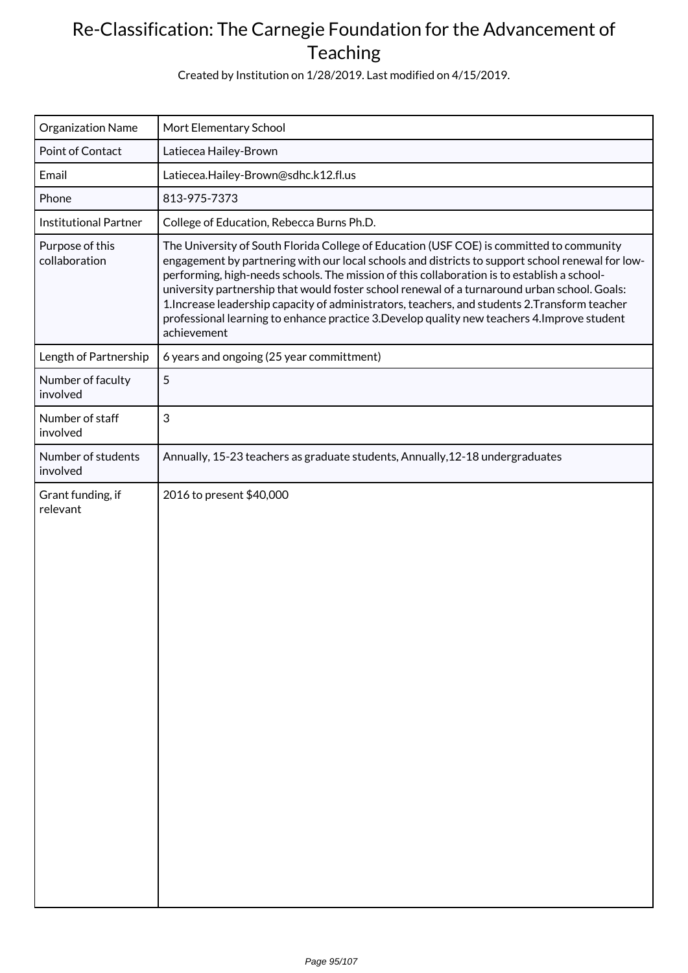Created by Institution on 1/28/2019. Last modified on 4/15/2019.

| Organization Name                | Mort Elementary School                                                                                                                                                                                                                                                                                                                                                                                                                                                                                                                                                                                       |
|----------------------------------|--------------------------------------------------------------------------------------------------------------------------------------------------------------------------------------------------------------------------------------------------------------------------------------------------------------------------------------------------------------------------------------------------------------------------------------------------------------------------------------------------------------------------------------------------------------------------------------------------------------|
| Point of Contact                 | Latiecea Hailey-Brown                                                                                                                                                                                                                                                                                                                                                                                                                                                                                                                                                                                        |
| Email                            | Latiecea.Hailey-Brown@sdhc.k12.fl.us                                                                                                                                                                                                                                                                                                                                                                                                                                                                                                                                                                         |
| Phone                            | 813-975-7373                                                                                                                                                                                                                                                                                                                                                                                                                                                                                                                                                                                                 |
| <b>Institutional Partner</b>     | College of Education, Rebecca Burns Ph.D.                                                                                                                                                                                                                                                                                                                                                                                                                                                                                                                                                                    |
| Purpose of this<br>collaboration | The University of South Florida College of Education (USF COE) is committed to community<br>engagement by partnering with our local schools and districts to support school renewal for low-<br>performing, high-needs schools. The mission of this collaboration is to establish a school-<br>university partnership that would foster school renewal of a turnaround urban school. Goals:<br>1. Increase leadership capacity of administrators, teachers, and students 2. Transform teacher<br>professional learning to enhance practice 3. Develop quality new teachers 4. Improve student<br>achievement |
| Length of Partnership            | 6 years and ongoing (25 year committment)                                                                                                                                                                                                                                                                                                                                                                                                                                                                                                                                                                    |
| Number of faculty<br>involved    | 5                                                                                                                                                                                                                                                                                                                                                                                                                                                                                                                                                                                                            |
| Number of staff<br>involved      | $\mathfrak{S}$                                                                                                                                                                                                                                                                                                                                                                                                                                                                                                                                                                                               |
| Number of students<br>involved   | Annually, 15-23 teachers as graduate students, Annually, 12-18 undergraduates                                                                                                                                                                                                                                                                                                                                                                                                                                                                                                                                |
| Grant funding, if<br>relevant    | 2016 to present \$40,000                                                                                                                                                                                                                                                                                                                                                                                                                                                                                                                                                                                     |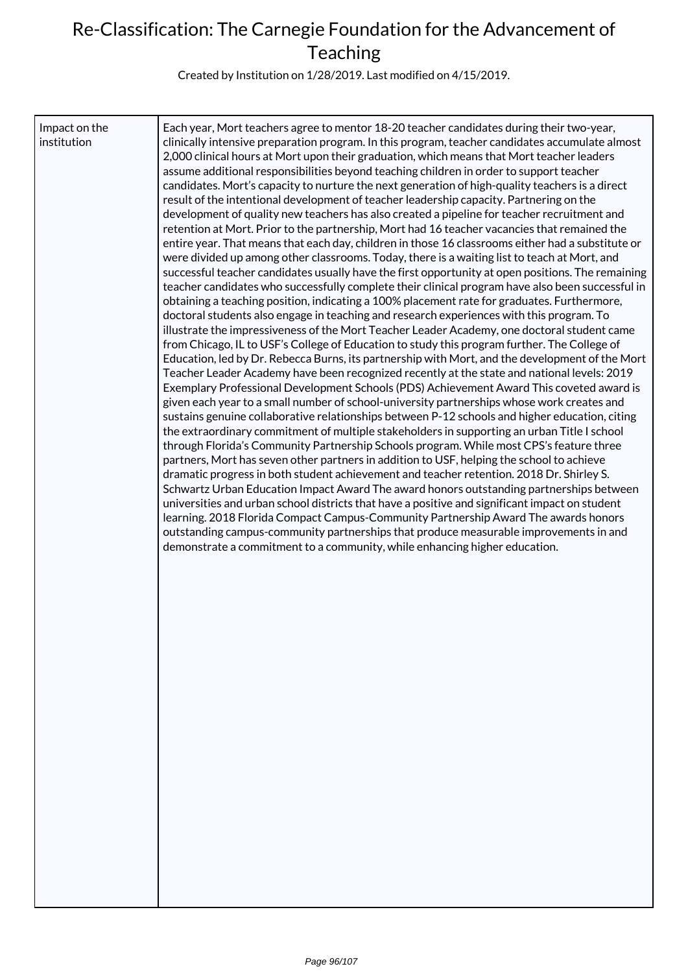Created by Institution on 1/28/2019. Last modified on 4/15/2019.

| Impact on the<br>institution | Each year, Mort teachers agree to mentor 18-20 teacher candidates during their two-year,<br>clinically intensive preparation program. In this program, teacher candidates accumulate almost<br>2,000 clinical hours at Mort upon their graduation, which means that Mort teacher leaders<br>assume additional responsibilities beyond teaching children in order to support teacher<br>candidates. Mort's capacity to nurture the next generation of high-quality teachers is a direct<br>result of the intentional development of teacher leadership capacity. Partnering on the<br>development of quality new teachers has also created a pipeline for teacher recruitment and<br>retention at Mort. Prior to the partnership, Mort had 16 teacher vacancies that remained the<br>entire year. That means that each day, children in those 16 classrooms either had a substitute or<br>were divided up among other classrooms. Today, there is a waiting list to teach at Mort, and<br>successful teacher candidates usually have the first opportunity at open positions. The remaining<br>teacher candidates who successfully complete their clinical program have also been successful in<br>obtaining a teaching position, indicating a 100% placement rate for graduates. Furthermore,<br>doctoral students also engage in teaching and research experiences with this program. To<br>illustrate the impressiveness of the Mort Teacher Leader Academy, one doctoral student came<br>from Chicago, IL to USF's College of Education to study this program further. The College of<br>Education, led by Dr. Rebecca Burns, its partnership with Mort, and the development of the Mort<br>Teacher Leader Academy have been recognized recently at the state and national levels: 2019<br>Exemplary Professional Development Schools (PDS) Achievement Award This coveted award is<br>given each year to a small number of school-university partnerships whose work creates and<br>sustains genuine collaborative relationships between P-12 schools and higher education, citing<br>the extraordinary commitment of multiple stakeholders in supporting an urban Title I school<br>through Florida's Community Partnership Schools program. While most CPS's feature three<br>partners, Mort has seven other partners in addition to USF, helping the school to achieve<br>dramatic progress in both student achievement and teacher retention. 2018 Dr. Shirley S.<br>Schwartz Urban Education Impact Award The award honors outstanding partnerships between<br>universities and urban school districts that have a positive and significant impact on student<br>learning. 2018 Florida Compact Campus-Community Partnership Award The awards honors<br>outstanding campus-community partnerships that produce measurable improvements in and<br>demonstrate a commitment to a community, while enhancing higher education. |
|------------------------------|--------------------------------------------------------------------------------------------------------------------------------------------------------------------------------------------------------------------------------------------------------------------------------------------------------------------------------------------------------------------------------------------------------------------------------------------------------------------------------------------------------------------------------------------------------------------------------------------------------------------------------------------------------------------------------------------------------------------------------------------------------------------------------------------------------------------------------------------------------------------------------------------------------------------------------------------------------------------------------------------------------------------------------------------------------------------------------------------------------------------------------------------------------------------------------------------------------------------------------------------------------------------------------------------------------------------------------------------------------------------------------------------------------------------------------------------------------------------------------------------------------------------------------------------------------------------------------------------------------------------------------------------------------------------------------------------------------------------------------------------------------------------------------------------------------------------------------------------------------------------------------------------------------------------------------------------------------------------------------------------------------------------------------------------------------------------------------------------------------------------------------------------------------------------------------------------------------------------------------------------------------------------------------------------------------------------------------------------------------------------------------------------------------------------------------------------------------------------------------------------------------------------------------------------------------------------------------------------------------------------------------------------------------------------------------------------------------------------------------------------------------------------------------------------------------------------------------------------------------------------------------------------------------------------------------------|
|                              |                                                                                                                                                                                                                                                                                                                                                                                                                                                                                                                                                                                                                                                                                                                                                                                                                                                                                                                                                                                                                                                                                                                                                                                                                                                                                                                                                                                                                                                                                                                                                                                                                                                                                                                                                                                                                                                                                                                                                                                                                                                                                                                                                                                                                                                                                                                                                                                                                                                                                                                                                                                                                                                                                                                                                                                                                                                                                                                                      |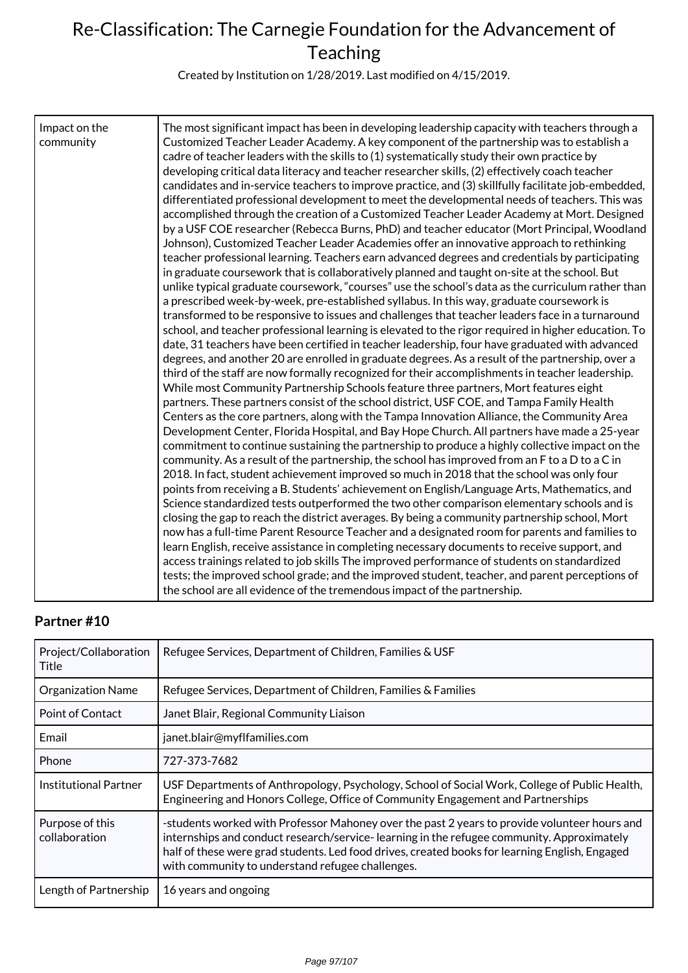Created by Institution on 1/28/2019. Last modified on 4/15/2019.

| Impact on the<br>community | The most significant impact has been in developing leadership capacity with teachers through a<br>Customized Teacher Leader Academy. A key component of the partnership was to establish a<br>cadre of teacher leaders with the skills to (1) systematically study their own practice by<br>developing critical data literacy and teacher researcher skills, (2) effectively coach teacher<br>candidates and in-service teachers to improve practice, and (3) skillfully facilitate job-embedded,<br>differentiated professional development to meet the developmental needs of teachers. This was<br>accomplished through the creation of a Customized Teacher Leader Academy at Mort. Designed<br>by a USF COE researcher (Rebecca Burns, PhD) and teacher educator (Mort Principal, Woodland<br>Johnson), Customized Teacher Leader Academies offer an innovative approach to rethinking<br>teacher professional learning. Teachers earn advanced degrees and credentials by participating<br>in graduate coursework that is collaboratively planned and taught on-site at the school. But<br>unlike typical graduate coursework, "courses" use the school's data as the curriculum rather than<br>a prescribed week-by-week, pre-established syllabus. In this way, graduate coursework is<br>transformed to be responsive to issues and challenges that teacher leaders face in a turnaround<br>school, and teacher professional learning is elevated to the rigor required in higher education. To<br>date, 31 teachers have been certified in teacher leadership, four have graduated with advanced<br>degrees, and another 20 are enrolled in graduate degrees. As a result of the partnership, over a<br>third of the staff are now formally recognized for their accomplishments in teacher leadership.<br>While most Community Partnership Schools feature three partners, Mort features eight<br>partners. These partners consist of the school district, USF COE, and Tampa Family Health<br>Centers as the core partners, along with the Tampa Innovation Alliance, the Community Area<br>Development Center, Florida Hospital, and Bay Hope Church. All partners have made a 25-year<br>commitment to continue sustaining the partnership to produce a highly collective impact on the<br>community. As a result of the partnership, the school has improved from an F to a D to a C in<br>2018. In fact, student achievement improved so much in 2018 that the school was only four<br>points from receiving a B. Students' achievement on English/Language Arts, Mathematics, and<br>Science standardized tests outperformed the two other comparison elementary schools and is<br>closing the gap to reach the district averages. By being a community partnership school, Mort |
|----------------------------|---------------------------------------------------------------------------------------------------------------------------------------------------------------------------------------------------------------------------------------------------------------------------------------------------------------------------------------------------------------------------------------------------------------------------------------------------------------------------------------------------------------------------------------------------------------------------------------------------------------------------------------------------------------------------------------------------------------------------------------------------------------------------------------------------------------------------------------------------------------------------------------------------------------------------------------------------------------------------------------------------------------------------------------------------------------------------------------------------------------------------------------------------------------------------------------------------------------------------------------------------------------------------------------------------------------------------------------------------------------------------------------------------------------------------------------------------------------------------------------------------------------------------------------------------------------------------------------------------------------------------------------------------------------------------------------------------------------------------------------------------------------------------------------------------------------------------------------------------------------------------------------------------------------------------------------------------------------------------------------------------------------------------------------------------------------------------------------------------------------------------------------------------------------------------------------------------------------------------------------------------------------------------------------------------------------------------------------------------------------------------------------------------------------------------------------------------------------------------------------------------------------------------------------------------------------------------------------------------------------------------------------------------------------------------------------------------------------------------------------------------------------------------------------------------|
|                            | now has a full-time Parent Resource Teacher and a designated room for parents and families to<br>learn English, receive assistance in completing necessary documents to receive support, and<br>access trainings related to job skills The improved performance of students on standardized<br>tests; the improved school grade; and the improved student, teacher, and parent perceptions of<br>the school are all evidence of the tremendous impact of the partnership.                                                                                                                                                                                                                                                                                                                                                                                                                                                                                                                                                                                                                                                                                                                                                                                                                                                                                                                                                                                                                                                                                                                                                                                                                                                                                                                                                                                                                                                                                                                                                                                                                                                                                                                                                                                                                                                                                                                                                                                                                                                                                                                                                                                                                                                                                                                         |

| Project/Collaboration<br>Title   | Refugee Services, Department of Children, Families & USF                                                                                                                                                                                                                                                                                        |
|----------------------------------|-------------------------------------------------------------------------------------------------------------------------------------------------------------------------------------------------------------------------------------------------------------------------------------------------------------------------------------------------|
| <b>Organization Name</b>         | Refugee Services, Department of Children, Families & Families                                                                                                                                                                                                                                                                                   |
| Point of Contact                 | Janet Blair, Regional Community Liaison                                                                                                                                                                                                                                                                                                         |
| Email                            | janet.blair@myflfamilies.com                                                                                                                                                                                                                                                                                                                    |
| Phone                            | 727-373-7682                                                                                                                                                                                                                                                                                                                                    |
| Institutional Partner            | USF Departments of Anthropology, Psychology, School of Social Work, College of Public Health,<br>Engineering and Honors College, Office of Community Engagement and Partnerships                                                                                                                                                                |
| Purpose of this<br>collaboration | -students worked with Professor Mahoney over the past 2 years to provide volunteer hours and<br>internships and conduct research/service-learning in the refugee community. Approximately<br>half of these were grad students. Led food drives, created books for learning English, Engaged<br>with community to understand refugee challenges. |
| Length of Partnership            | 16 years and ongoing                                                                                                                                                                                                                                                                                                                            |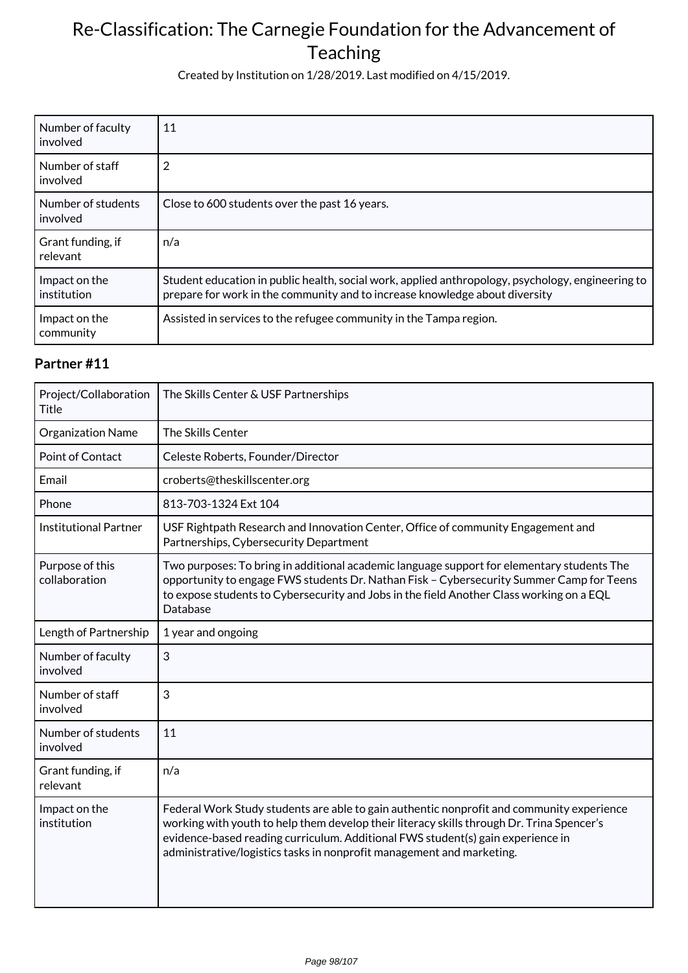Created by Institution on 1/28/2019. Last modified on 4/15/2019.

| Number of faculty<br>involved  | 11                                                                                                                                                                               |
|--------------------------------|----------------------------------------------------------------------------------------------------------------------------------------------------------------------------------|
| Number of staff<br>involved    | 2                                                                                                                                                                                |
| Number of students<br>involved | Close to 600 students over the past 16 years.                                                                                                                                    |
| Grant funding, if<br>relevant  | n/a                                                                                                                                                                              |
| Impact on the<br>institution   | Student education in public health, social work, applied anthropology, psychology, engineering to<br>prepare for work in the community and to increase knowledge about diversity |
| Impact on the<br>community     | Assisted in services to the refugee community in the Tampa region.                                                                                                               |

| Project/Collaboration<br><b>Title</b> | The Skills Center & USF Partnerships                                                                                                                                                                                                                                                                                                               |
|---------------------------------------|----------------------------------------------------------------------------------------------------------------------------------------------------------------------------------------------------------------------------------------------------------------------------------------------------------------------------------------------------|
| <b>Organization Name</b>              | The Skills Center                                                                                                                                                                                                                                                                                                                                  |
| <b>Point of Contact</b>               | Celeste Roberts, Founder/Director                                                                                                                                                                                                                                                                                                                  |
| Email                                 | croberts@theskillscenter.org                                                                                                                                                                                                                                                                                                                       |
| Phone                                 | 813-703-1324 Ext 104                                                                                                                                                                                                                                                                                                                               |
| <b>Institutional Partner</b>          | USF Rightpath Research and Innovation Center, Office of community Engagement and<br>Partnerships, Cybersecurity Department                                                                                                                                                                                                                         |
| Purpose of this<br>collaboration      | Two purposes: To bring in additional academic language support for elementary students The<br>opportunity to engage FWS students Dr. Nathan Fisk - Cybersecurity Summer Camp for Teens<br>to expose students to Cybersecurity and Jobs in the field Another Class working on a EQL<br>Database                                                     |
| Length of Partnership                 | 1 year and ongoing                                                                                                                                                                                                                                                                                                                                 |
| Number of faculty<br>involved         | 3                                                                                                                                                                                                                                                                                                                                                  |
| Number of staff<br>involved           | 3                                                                                                                                                                                                                                                                                                                                                  |
| Number of students<br>involved        | 11                                                                                                                                                                                                                                                                                                                                                 |
| Grant funding, if<br>relevant         | n/a                                                                                                                                                                                                                                                                                                                                                |
| Impact on the<br>institution          | Federal Work Study students are able to gain authentic nonprofit and community experience<br>working with youth to help them develop their literacy skills through Dr. Trina Spencer's<br>evidence-based reading curriculum. Additional FWS student(s) gain experience in<br>administrative/logistics tasks in nonprofit management and marketing. |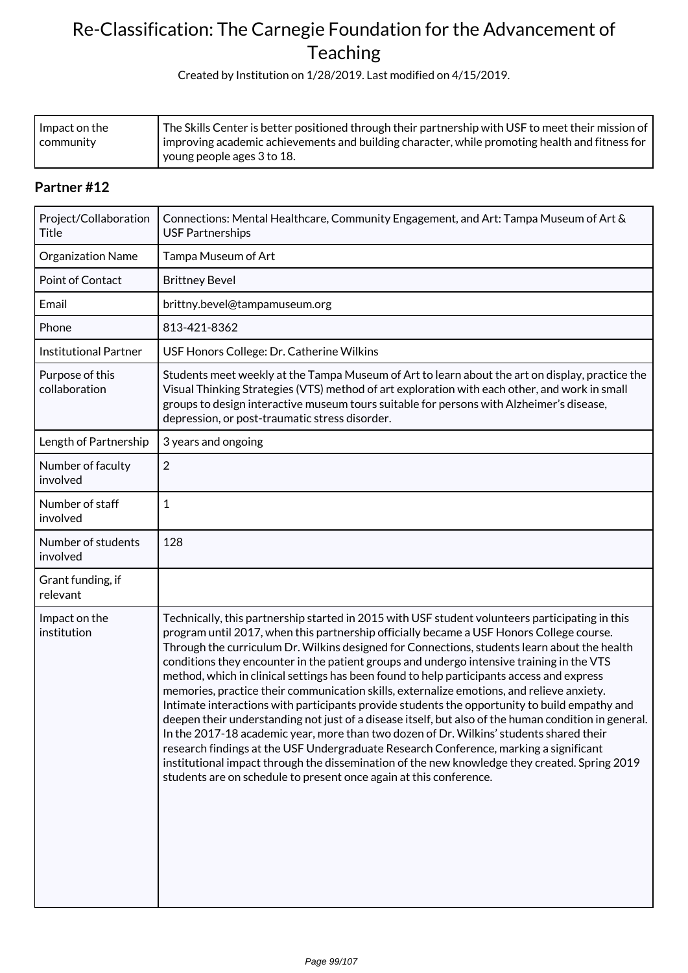Created by Institution on 1/28/2019. Last modified on 4/15/2019.

| l Impact on the | The Skills Center is better positioned through their partnership with USF to meet their mission of $ $ |
|-----------------|--------------------------------------------------------------------------------------------------------|
| I communitv     | I improving academic achievements and building character, while promoting health and fitness for       |
|                 | young people ages 3 to 18.                                                                             |

| Project/Collaboration<br>Title   | Connections: Mental Healthcare, Community Engagement, and Art: Tampa Museum of Art &<br><b>USF Partnerships</b>                                                                                                                                                                                                                                                                                                                                                                                                                                                                                                                                                                                                                                                                                                                                                                                                                                                                                                                                                                                                                                        |
|----------------------------------|--------------------------------------------------------------------------------------------------------------------------------------------------------------------------------------------------------------------------------------------------------------------------------------------------------------------------------------------------------------------------------------------------------------------------------------------------------------------------------------------------------------------------------------------------------------------------------------------------------------------------------------------------------------------------------------------------------------------------------------------------------------------------------------------------------------------------------------------------------------------------------------------------------------------------------------------------------------------------------------------------------------------------------------------------------------------------------------------------------------------------------------------------------|
| Organization Name                | Tampa Museum of Art                                                                                                                                                                                                                                                                                                                                                                                                                                                                                                                                                                                                                                                                                                                                                                                                                                                                                                                                                                                                                                                                                                                                    |
| Point of Contact                 | <b>Brittney Bevel</b>                                                                                                                                                                                                                                                                                                                                                                                                                                                                                                                                                                                                                                                                                                                                                                                                                                                                                                                                                                                                                                                                                                                                  |
| Email                            | brittny.bevel@tampamuseum.org                                                                                                                                                                                                                                                                                                                                                                                                                                                                                                                                                                                                                                                                                                                                                                                                                                                                                                                                                                                                                                                                                                                          |
| Phone                            | 813-421-8362                                                                                                                                                                                                                                                                                                                                                                                                                                                                                                                                                                                                                                                                                                                                                                                                                                                                                                                                                                                                                                                                                                                                           |
| <b>Institutional Partner</b>     | USF Honors College: Dr. Catherine Wilkins                                                                                                                                                                                                                                                                                                                                                                                                                                                                                                                                                                                                                                                                                                                                                                                                                                                                                                                                                                                                                                                                                                              |
| Purpose of this<br>collaboration | Students meet weekly at the Tampa Museum of Art to learn about the art on display, practice the<br>Visual Thinking Strategies (VTS) method of art exploration with each other, and work in small<br>groups to design interactive museum tours suitable for persons with Alzheimer's disease,<br>depression, or post-traumatic stress disorder.                                                                                                                                                                                                                                                                                                                                                                                                                                                                                                                                                                                                                                                                                                                                                                                                         |
| Length of Partnership            | 3 years and ongoing                                                                                                                                                                                                                                                                                                                                                                                                                                                                                                                                                                                                                                                                                                                                                                                                                                                                                                                                                                                                                                                                                                                                    |
| Number of faculty<br>involved    | $\overline{2}$                                                                                                                                                                                                                                                                                                                                                                                                                                                                                                                                                                                                                                                                                                                                                                                                                                                                                                                                                                                                                                                                                                                                         |
| Number of staff<br>involved      | 1                                                                                                                                                                                                                                                                                                                                                                                                                                                                                                                                                                                                                                                                                                                                                                                                                                                                                                                                                                                                                                                                                                                                                      |
| Number of students<br>involved   | 128                                                                                                                                                                                                                                                                                                                                                                                                                                                                                                                                                                                                                                                                                                                                                                                                                                                                                                                                                                                                                                                                                                                                                    |
| Grant funding, if<br>relevant    |                                                                                                                                                                                                                                                                                                                                                                                                                                                                                                                                                                                                                                                                                                                                                                                                                                                                                                                                                                                                                                                                                                                                                        |
| Impact on the<br>institution     | Technically, this partnership started in 2015 with USF student volunteers participating in this<br>program until 2017, when this partnership officially became a USF Honors College course.<br>Through the curriculum Dr. Wilkins designed for Connections, students learn about the health<br>conditions they encounter in the patient groups and undergo intensive training in the VTS<br>method, which in clinical settings has been found to help participants access and express<br>memories, practice their communication skills, externalize emotions, and relieve anxiety.<br>Intimate interactions with participants provide students the opportunity to build empathy and<br>deepen their understanding not just of a disease itself, but also of the human condition in general.<br>In the 2017-18 academic year, more than two dozen of Dr. Wilkins' students shared their<br>research findings at the USF Undergraduate Research Conference, marking a significant<br>institutional impact through the dissemination of the new knowledge they created. Spring 2019<br>students are on schedule to present once again at this conference. |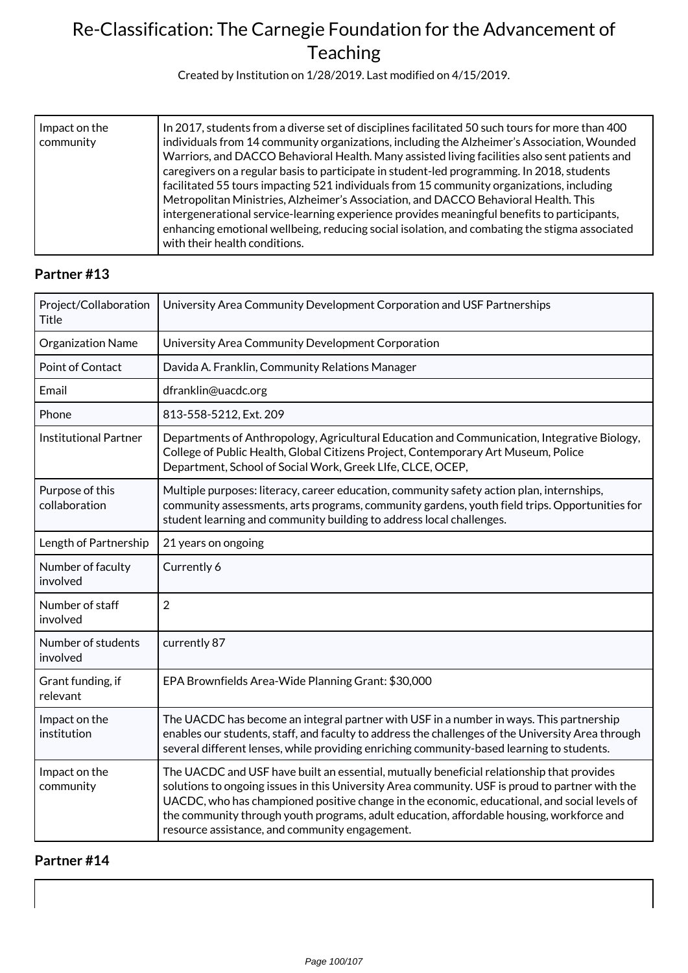Created by Institution on 1/28/2019. Last modified on 4/15/2019.

| Impact on the<br>community | In 2017, students from a diverse set of disciplines facilitated 50 such tours for more than 400<br>individuals from 14 community organizations, including the Alzheimer's Association, Wounded<br>Warriors, and DACCO Behavioral Health. Many assisted living facilities also sent patients and<br>caregivers on a regular basis to participate in student-led programming. In 2018, students<br>facilitated 55 tours impacting 521 individuals from 15 community organizations, including<br>Metropolitan Ministries, Alzheimer's Association, and DACCO Behavioral Health. This<br>intergenerational service-learning experience provides meaningful benefits to participants,<br>enhancing emotional wellbeing, reducing social isolation, and combating the stigma associated |
|----------------------------|-----------------------------------------------------------------------------------------------------------------------------------------------------------------------------------------------------------------------------------------------------------------------------------------------------------------------------------------------------------------------------------------------------------------------------------------------------------------------------------------------------------------------------------------------------------------------------------------------------------------------------------------------------------------------------------------------------------------------------------------------------------------------------------|
|                            | with their health conditions.                                                                                                                                                                                                                                                                                                                                                                                                                                                                                                                                                                                                                                                                                                                                                     |

### **Partner #13**

| Project/Collaboration<br><b>Title</b> | University Area Community Development Corporation and USF Partnerships                                                                                                                                                                                                                                                                                                                                                                     |
|---------------------------------------|--------------------------------------------------------------------------------------------------------------------------------------------------------------------------------------------------------------------------------------------------------------------------------------------------------------------------------------------------------------------------------------------------------------------------------------------|
| Organization Name                     | University Area Community Development Corporation                                                                                                                                                                                                                                                                                                                                                                                          |
| <b>Point of Contact</b>               | Davida A. Franklin, Community Relations Manager                                                                                                                                                                                                                                                                                                                                                                                            |
| Email                                 | dfranklin@uacdc.org                                                                                                                                                                                                                                                                                                                                                                                                                        |
| Phone                                 | 813-558-5212, Ext. 209                                                                                                                                                                                                                                                                                                                                                                                                                     |
| <b>Institutional Partner</b>          | Departments of Anthropology, Agricultural Education and Communication, Integrative Biology,<br>College of Public Health, Global Citizens Project, Contemporary Art Museum, Police<br>Department, School of Social Work, Greek LIfe, CLCE, OCEP,                                                                                                                                                                                            |
| Purpose of this<br>collaboration      | Multiple purposes: literacy, career education, community safety action plan, internships,<br>community assessments, arts programs, community gardens, youth field trips. Opportunities for<br>student learning and community building to address local challenges.                                                                                                                                                                         |
| Length of Partnership                 | 21 years on ongoing                                                                                                                                                                                                                                                                                                                                                                                                                        |
| Number of faculty<br>involved         | Currently 6                                                                                                                                                                                                                                                                                                                                                                                                                                |
| Number of staff<br>involved           | $\overline{2}$                                                                                                                                                                                                                                                                                                                                                                                                                             |
| Number of students<br>involved        | currently 87                                                                                                                                                                                                                                                                                                                                                                                                                               |
| Grant funding, if<br>relevant         | EPA Brownfields Area-Wide Planning Grant: \$30,000                                                                                                                                                                                                                                                                                                                                                                                         |
| Impact on the<br>institution          | The UACDC has become an integral partner with USF in a number in ways. This partnership<br>enables our students, staff, and faculty to address the challenges of the University Area through<br>several different lenses, while providing enriching community-based learning to students.                                                                                                                                                  |
| Impact on the<br>community            | The UACDC and USF have built an essential, mutually beneficial relationship that provides<br>solutions to ongoing issues in this University Area community. USF is proud to partner with the<br>UACDC, who has championed positive change in the economic, educational, and social levels of<br>the community through youth programs, adult education, affordable housing, workforce and<br>resource assistance, and community engagement. |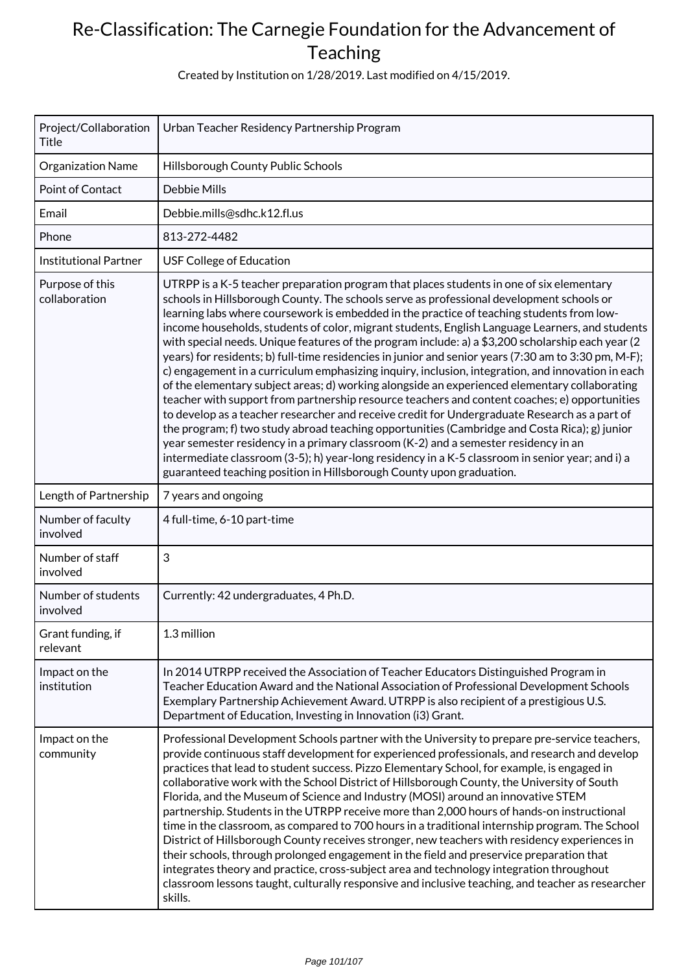Created by Institution on 1/28/2019. Last modified on 4/15/2019.

| Project/Collaboration<br><b>Title</b> | Urban Teacher Residency Partnership Program                                                                                                                                                                                                                                                                                                                                                                                                                                                                                                                                                                                                                                                                                                                                                                                                                                                                                                                                                                                                                                                                                                                                                                                                                                                                                                                                     |
|---------------------------------------|---------------------------------------------------------------------------------------------------------------------------------------------------------------------------------------------------------------------------------------------------------------------------------------------------------------------------------------------------------------------------------------------------------------------------------------------------------------------------------------------------------------------------------------------------------------------------------------------------------------------------------------------------------------------------------------------------------------------------------------------------------------------------------------------------------------------------------------------------------------------------------------------------------------------------------------------------------------------------------------------------------------------------------------------------------------------------------------------------------------------------------------------------------------------------------------------------------------------------------------------------------------------------------------------------------------------------------------------------------------------------------|
| Organization Name                     | Hillsborough County Public Schools                                                                                                                                                                                                                                                                                                                                                                                                                                                                                                                                                                                                                                                                                                                                                                                                                                                                                                                                                                                                                                                                                                                                                                                                                                                                                                                                              |
| Point of Contact                      | <b>Debbie Mills</b>                                                                                                                                                                                                                                                                                                                                                                                                                                                                                                                                                                                                                                                                                                                                                                                                                                                                                                                                                                                                                                                                                                                                                                                                                                                                                                                                                             |
| Email                                 | Debbie.mills@sdhc.k12.fl.us                                                                                                                                                                                                                                                                                                                                                                                                                                                                                                                                                                                                                                                                                                                                                                                                                                                                                                                                                                                                                                                                                                                                                                                                                                                                                                                                                     |
| Phone                                 | 813-272-4482                                                                                                                                                                                                                                                                                                                                                                                                                                                                                                                                                                                                                                                                                                                                                                                                                                                                                                                                                                                                                                                                                                                                                                                                                                                                                                                                                                    |
| <b>Institutional Partner</b>          | USF College of Education                                                                                                                                                                                                                                                                                                                                                                                                                                                                                                                                                                                                                                                                                                                                                                                                                                                                                                                                                                                                                                                                                                                                                                                                                                                                                                                                                        |
| Purpose of this<br>collaboration      | UTRPP is a K-5 teacher preparation program that places students in one of six elementary<br>schools in Hillsborough County. The schools serve as professional development schools or<br>learning labs where coursework is embedded in the practice of teaching students from low-<br>income households, students of color, migrant students, English Language Learners, and students<br>with special needs. Unique features of the program include: a) a $$3,200$ scholarship each year (2)<br>years) for residents; b) full-time residencies in junior and senior years (7:30 am to 3:30 pm, M-F);<br>c) engagement in a curriculum emphasizing inquiry, inclusion, integration, and innovation in each<br>of the elementary subject areas; d) working alongside an experienced elementary collaborating<br>teacher with support from partnership resource teachers and content coaches; e) opportunities<br>to develop as a teacher researcher and receive credit for Undergraduate Research as a part of<br>the program; f) two study abroad teaching opportunities (Cambridge and Costa Rica); g) junior<br>year semester residency in a primary classroom (K-2) and a semester residency in an<br>intermediate classroom (3-5); h) year-long residency in a K-5 classroom in senior year; and i) a<br>guaranteed teaching position in Hillsborough County upon graduation. |
| Length of Partnership                 | 7 years and ongoing                                                                                                                                                                                                                                                                                                                                                                                                                                                                                                                                                                                                                                                                                                                                                                                                                                                                                                                                                                                                                                                                                                                                                                                                                                                                                                                                                             |
| Number of faculty<br>involved         | 4 full-time, 6-10 part-time                                                                                                                                                                                                                                                                                                                                                                                                                                                                                                                                                                                                                                                                                                                                                                                                                                                                                                                                                                                                                                                                                                                                                                                                                                                                                                                                                     |
| Number of staff<br>involved           | 3                                                                                                                                                                                                                                                                                                                                                                                                                                                                                                                                                                                                                                                                                                                                                                                                                                                                                                                                                                                                                                                                                                                                                                                                                                                                                                                                                                               |
| Number of students<br>involved        | Currently: 42 undergraduates, 4 Ph.D.                                                                                                                                                                                                                                                                                                                                                                                                                                                                                                                                                                                                                                                                                                                                                                                                                                                                                                                                                                                                                                                                                                                                                                                                                                                                                                                                           |
| Grant funding, if<br>relevant         | 1.3 million                                                                                                                                                                                                                                                                                                                                                                                                                                                                                                                                                                                                                                                                                                                                                                                                                                                                                                                                                                                                                                                                                                                                                                                                                                                                                                                                                                     |
| Impact on the<br>institution          | In 2014 UTRPP received the Association of Teacher Educators Distinguished Program in<br>Teacher Education Award and the National Association of Professional Development Schools<br>Exemplary Partnership Achievement Award. UTRPP is also recipient of a prestigious U.S.<br>Department of Education, Investing in Innovation (i3) Grant.                                                                                                                                                                                                                                                                                                                                                                                                                                                                                                                                                                                                                                                                                                                                                                                                                                                                                                                                                                                                                                      |
| Impact on the<br>community            | Professional Development Schools partner with the University to prepare pre-service teachers,<br>provide continuous staff development for experienced professionals, and research and develop<br>practices that lead to student success. Pizzo Elementary School, for example, is engaged in<br>collaborative work with the School District of Hillsborough County, the University of South<br>Florida, and the Museum of Science and Industry (MOSI) around an innovative STEM<br>partnership. Students in the UTRPP receive more than 2,000 hours of hands-on instructional<br>time in the classroom, as compared to 700 hours in a traditional internship program. The School<br>District of Hillsborough County receives stronger, new teachers with residency experiences in<br>their schools, through prolonged engagement in the field and preservice preparation that<br>integrates theory and practice, cross-subject area and technology integration throughout<br>classroom lessons taught, culturally responsive and inclusive teaching, and teacher as researcher<br>skills.                                                                                                                                                                                                                                                                                       |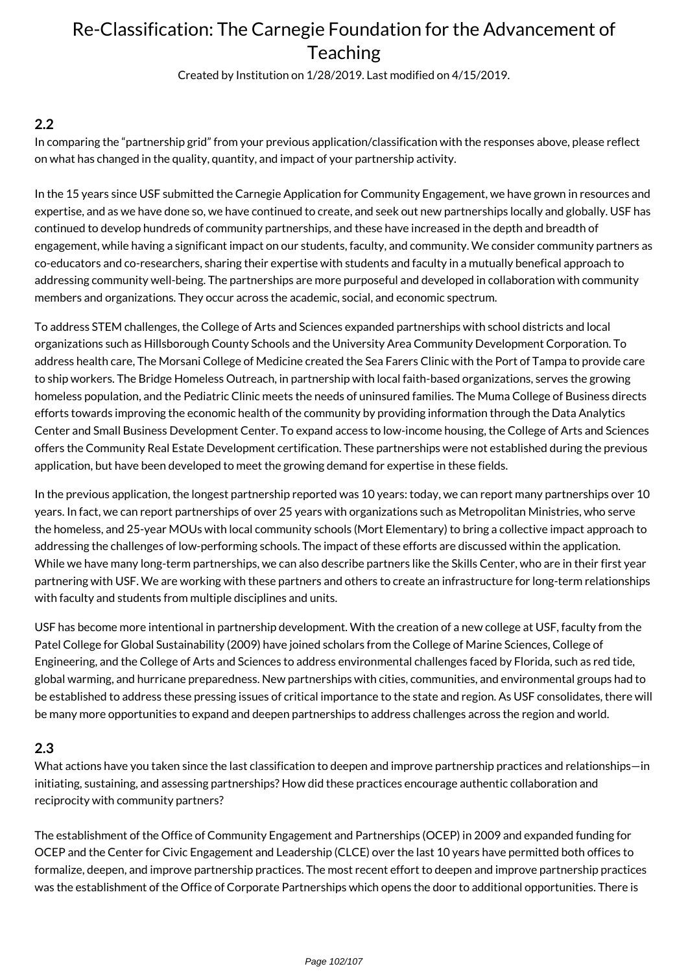Created by Institution on 1/28/2019. Last modified on 4/15/2019.

### **2.2**

In comparing the "partnership grid" from your previous application/classification with the responses above, please reflect on what has changed in the quality, quantity, and impact of your partnership activity.

In the 15 years since USF submitted the Carnegie Application for Community Engagement, we have grown in resources and expertise, and as we have done so, we have continued to create, and seek out new partnerships locally and globally. USF has continued to develop hundreds of community partnerships, and these have increased in the depth and breadth of engagement, while having a significant impact on our students, faculty, and community. We consider community partners as co-educators and co-researchers, sharing their expertise with students and faculty in a mutually benefical approach to addressing community well-being. The partnerships are more purposeful and developed in collaboration with community members and organizations. They occur across the academic, social, and economic spectrum.

To address STEM challenges, the College of Arts and Sciences expanded partnerships with school districts and local organizations such as Hillsborough County Schools and the University Area Community Development Corporation. To address health care, The Morsani College of Medicine created the Sea Farers Clinic with the Port of Tampa to provide care to ship workers. The Bridge Homeless Outreach, in partnership with local faith-based organizations, serves the growing homeless population, and the Pediatric Clinic meets the needs of uninsured families. The Muma College of Business directs efforts towards improving the economic health of the community by providing information through the Data Analytics Center and Small Business Development Center. To expand access to low-income housing, the College of Arts and Sciences offers the Community Real Estate Development certification. These partnerships were not established during the previous application, but have been developed to meet the growing demand for expertise in these fields.

In the previous application, the longest partnership reported was 10 years: today, we can report many partnerships over 10 years. In fact, we can report partnerships of over 25 years with organizations such as Metropolitan Ministries, who serve the homeless, and 25-year MOUs with local community schools (Mort Elementary) to bring a collective impact approach to addressing the challenges of low-performing schools. The impact of these efforts are discussed within the application. While we have many long-term partnerships, we can also describe partners like the Skills Center, who are in their first year partnering with USF. We are working with these partners and others to create an infrastructure for long-term relationships with faculty and students from multiple disciplines and units.

USF has become more intentional in partnership development. With the creation of a new college at USF, faculty from the Patel College for Global Sustainability (2009) have joined scholars from the College of Marine Sciences, College of Engineering, and the College of Arts and Sciences to address environmental challenges faced by Florida, such as red tide, global warming, and hurricane preparedness. New partnerships with cities, communities, and environmental groups had to be established to address these pressing issues of critical importance to the state and region. As USF consolidates, there will be many more opportunities to expand and deepen partnerships to address challenges across the region and world.

### **2.3**

What actions have you taken since the last classification to deepen and improve partnership practices and relationships—in initiating, sustaining, and assessing partnerships? How did these practices encourage authentic collaboration and reciprocity with community partners?

The establishment of the Office of Community Engagement and Partnerships (OCEP) in 2009 and expanded funding for OCEP and the Center for Civic Engagement and Leadership (CLCE) over the last 10 years have permitted both offices to formalize, deepen, and improve partnership practices. The most recent effort to deepen and improve partnership practices was the establishment of the Office of Corporate Partnerships which opens the door to additional opportunities. There is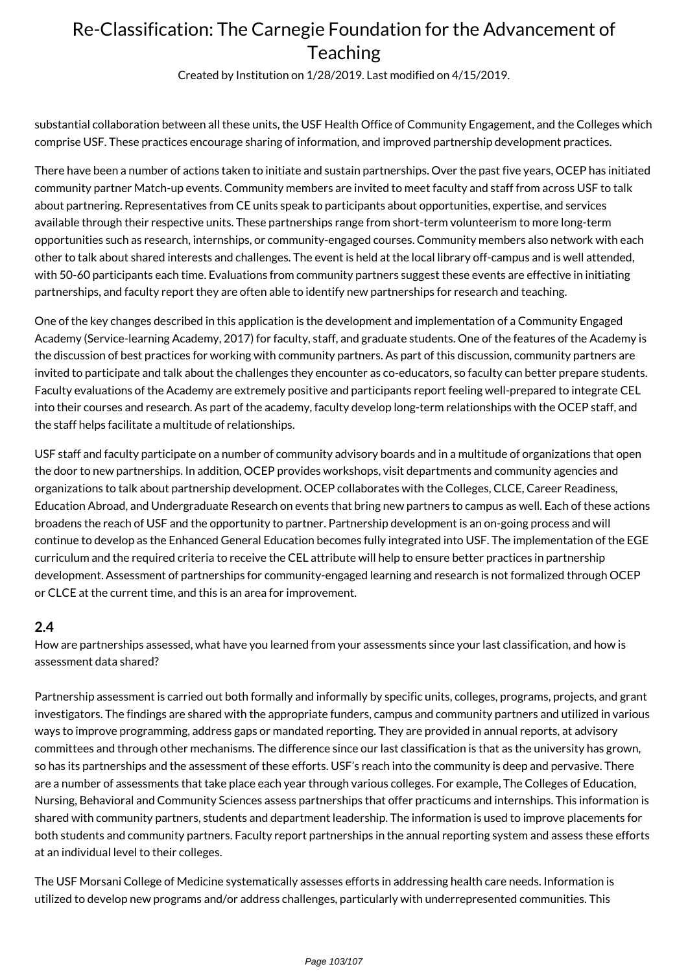Created by Institution on 1/28/2019. Last modified on 4/15/2019.

substantial collaboration between all these units, the USF Health Office of Community Engagement, and the Colleges which comprise USF. These practices encourage sharing of information, and improved partnership development practices.

There have been a number of actions taken to initiate and sustain partnerships. Over the past five years, OCEP has initiated community partner Match-up events. Community members are invited to meet faculty and staff from across USF to talk about partnering. Representatives from CE units speak to participants about opportunities, expertise, and services available through their respective units. These partnerships range from short-term volunteerism to more long-term opportunities such as research, internships, or community-engaged courses. Community members also network with each other to talk about shared interests and challenges. The event is held at the local library off-campus and is well attended, with 50-60 participants each time. Evaluations from community partners suggest these events are effective in initiating partnerships, and faculty report they are often able to identify new partnerships for research and teaching.

One of the key changes described in this application is the development and implementation of a Community Engaged Academy (Service-learning Academy, 2017) for faculty, staff, and graduate students. One of the features of the Academy is the discussion of best practices for working with community partners. As part of this discussion, community partners are invited to participate and talk about the challenges they encounter as co-educators, so faculty can better prepare students. Faculty evaluations of the Academy are extremely positive and participants report feeling well-prepared to integrate CEL into their courses and research. As part of the academy, faculty develop long-term relationships with the OCEP staff, and the staff helps facilitate a multitude of relationships.

USF staff and faculty participate on a number of community advisory boards and in a multitude of organizations that open the door to new partnerships. In addition, OCEP provides workshops, visit departments and community agencies and organizations to talk about partnership development. OCEP collaborates with the Colleges, CLCE, Career Readiness, Education Abroad, and Undergraduate Research on events that bring new partners to campus as well. Each of these actions broadens the reach of USF and the opportunity to partner. Partnership development is an on-going process and will continue to develop as the Enhanced General Education becomes fully integrated into USF. The implementation of the EGE curriculum and the required criteria to receive the CEL attribute will help to ensure better practices in partnership development. Assessment of partnerships for community-engaged learning and research is not formalized through OCEP or CLCE at the current time, and this is an area for improvement.

### **2.4**

How are partnerships assessed, what have you learned from your assessments since your last classification, and how is assessment data shared?

Partnership assessment is carried out both formally and informally by specific units, colleges, programs, projects, and grant investigators. The findings are shared with the appropriate funders, campus and community partners and utilized in various ways to improve programming, address gaps or mandated reporting. They are provided in annual reports, at advisory committees and through other mechanisms. The difference since our last classification is that as the university has grown, so has its partnerships and the assessment of these efforts. USF's reach into the community is deep and pervasive. There are a number of assessments that take place each year through various colleges. For example, The Colleges of Education, Nursing, Behavioral and Community Sciences assess partnerships that offer practicums and internships. This information is shared with community partners, students and department leadership. The information is used to improve placements for both students and community partners. Faculty report partnerships in the annual reporting system and assess these efforts at an individual level to their colleges.

The USF Morsani College of Medicine systematically assesses efforts in addressing health care needs. Information is utilized to develop new programs and/or address challenges, particularly with underrepresented communities. This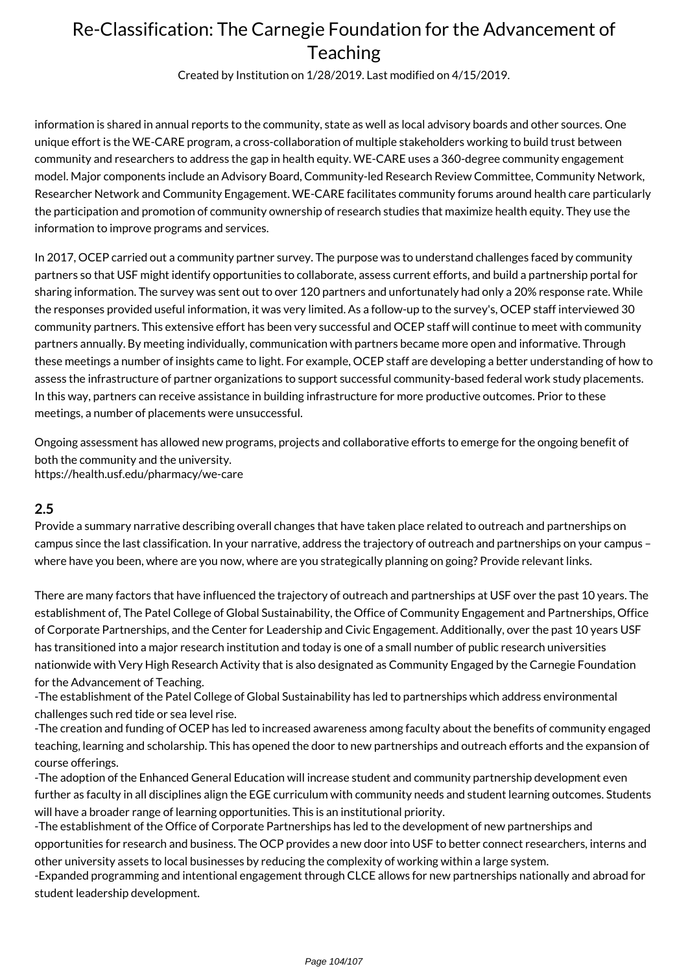Created by Institution on 1/28/2019. Last modified on 4/15/2019.

information is shared in annual reports to the community, state as well as local advisory boards and other sources. One unique effort is the WE-CARE program, a cross-collaboration of multiple stakeholders working to build trust between community and researchers to address the gap in health equity. WE-CARE uses a 360-degree community engagement model. Major components include an Advisory Board, Community-led Research Review Committee, Community Network, Researcher Network and Community Engagement. WE-CARE facilitates community forums around health care particularly the participation and promotion of community ownership of research studies that maximize health equity. They use the information to improve programs and services.

In 2017, OCEP carried out a community partner survey. The purpose was to understand challenges faced by community partners so that USF might identify opportunities to collaborate, assess current efforts, and build a partnership portal for sharing information. The survey was sent out to over 120 partners and unfortunately had only a 20% response rate. While the responses provided useful information, it was very limited. As a follow-up to the survey's, OCEP staff interviewed 30 community partners. This extensive effort has been very successful and OCEP staff will continue to meet with community partners annually. By meeting individually, communication with partners became more open and informative. Through these meetings a number of insights came to light. For example, OCEP staff are developing a better understanding of how to assess the infrastructure of partner organizations to support successful community-based federal work study placements. In this way, partners can receive assistance in building infrastructure for more productive outcomes. Prior to these meetings, a number of placements were unsuccessful.

Ongoing assessment has allowed new programs, projects and collaborative efforts to emerge for the ongoing benefit of both the community and the university. https://health.usf.edu/pharmacy/we-care

### **2.5**

Provide a summary narrative describing overall changes that have taken place related to outreach and partnerships on campus since the last classification. In your narrative, address the trajectory of outreach and partnerships on your campus – where have you been, where are you now, where are you strategically planning on going? Provide relevant links.

There are many factors that have influenced the trajectory of outreach and partnerships at USF over the past 10 years. The establishment of, The Patel College of Global Sustainability, the Office of Community Engagement and Partnerships, Office of Corporate Partnerships, and the Center for Leadership and Civic Engagement. Additionally, over the past 10 years USF has transitioned into a major research institution and today is one of a small number of public research universities nationwide with Very High Research Activity that is also designated as Community Engaged by the Carnegie Foundation for the Advancement of Teaching.

-The establishment of the Patel College of Global Sustainability has led to partnerships which address environmental challenges such red tide or sea level rise.

-The creation and funding of OCEP has led to increased awareness among faculty about the benefits of community engaged teaching, learning and scholarship. This has opened the door to new partnerships and outreach efforts and the expansion of course offerings.

-The adoption of the Enhanced General Education will increase student and community partnership development even further as faculty in all disciplines align the EGE curriculum with community needs and student learning outcomes. Students will have a broader range of learning opportunities. This is an institutional priority.

-The establishment of the Office of Corporate Partnerships has led to the development of new partnerships and opportunities for research and business. The OCP provides a new door into USF to better connect researchers, interns and other university assets to local businesses by reducing the complexity of working within a large system.

-Expanded programming and intentional engagement through CLCE allows for new partnerships nationally and abroad for student leadership development.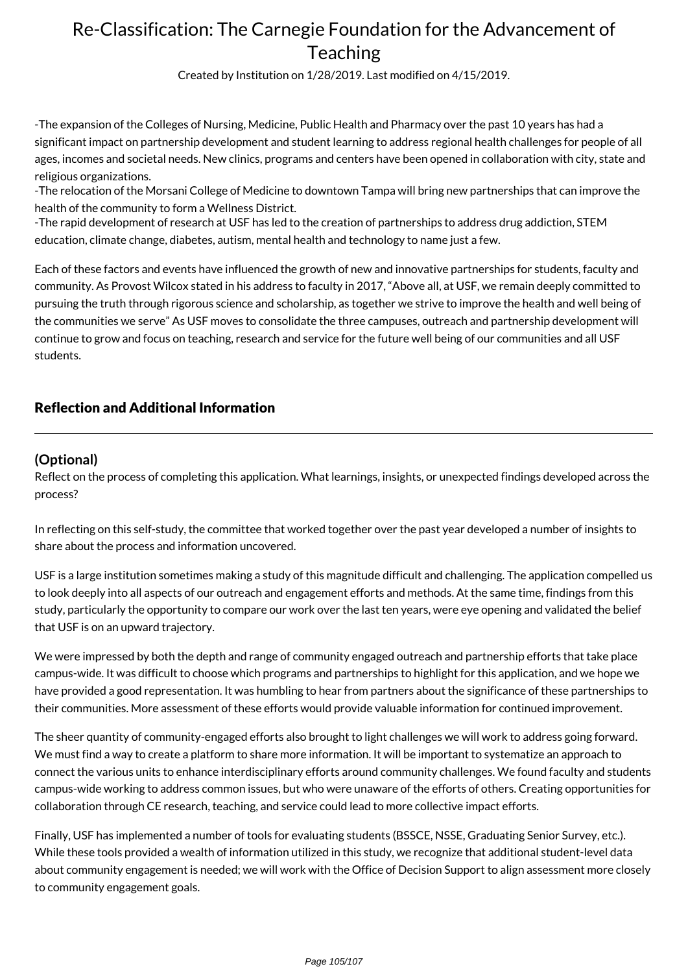Created by Institution on 1/28/2019. Last modified on 4/15/2019.

-The expansion of the Colleges of Nursing, Medicine, Public Health and Pharmacy over the past 10 years has had a significant impact on partnership development and student learning to address regional health challenges for people of all ages, incomes and societal needs. New clinics, programs and centers have been opened in collaboration with city, state and religious organizations.

-The relocation of the Morsani College of Medicine to downtown Tampa will bring new partnerships that can improve the health of the community to form a Wellness District.

-The rapid development of research at USF has led to the creation of partnerships to address drug addiction, STEM education, climate change, diabetes, autism, mental health and technology to name just a few.

Each of these factors and events have influenced the growth of new and innovative partnerships for students, faculty and community. As Provost Wilcox stated in his address to faculty in 2017, "Above all, at USF, we remain deeply committed to pursuing the truth through rigorous science and scholarship, as together we strive to improve the health and well being of the communities we serve" As USF moves to consolidate the three campuses, outreach and partnership development will continue to grow and focus on teaching, research and service for the future well being of our communities and all USF students.

### Reflection and Additional Information

### **(Optional)**

Reflect on the process of completing this application. What learnings, insights, or unexpected findings developed across the process?

In reflecting on this self-study, the committee that worked together over the past year developed a number of insights to share about the process and information uncovered.

USF is a large institution sometimes making a study of this magnitude difficult and challenging. The application compelled us to look deeply into all aspects of our outreach and engagement efforts and methods. At the same time, findings from this study, particularly the opportunity to compare our work over the last ten years, were eye opening and validated the belief that USF is on an upward trajectory.

We were impressed by both the depth and range of community engaged outreach and partnership efforts that take place campus-wide. It was difficult to choose which programs and partnerships to highlight for this application, and we hope we have provided a good representation. It was humbling to hear from partners about the significance of these partnerships to their communities. More assessment of these efforts would provide valuable information for continued improvement.

The sheer quantity of community-engaged efforts also brought to light challenges we will work to address going forward. We must find a way to create a platform to share more information. It will be important to systematize an approach to connect the various units to enhance interdisciplinary efforts around community challenges. We found faculty and students campus-wide working to address common issues, but who were unaware of the efforts of others. Creating opportunities for collaboration through CE research, teaching, and service could lead to more collective impact efforts.

Finally, USF has implemented a number of tools for evaluating students (BSSCE, NSSE, Graduating Senior Survey, etc.). While these tools provided a wealth of information utilized in this study, we recognize that additional student-level data about community engagement is needed; we will work with the Office of Decision Support to align assessment more closely to community engagement goals.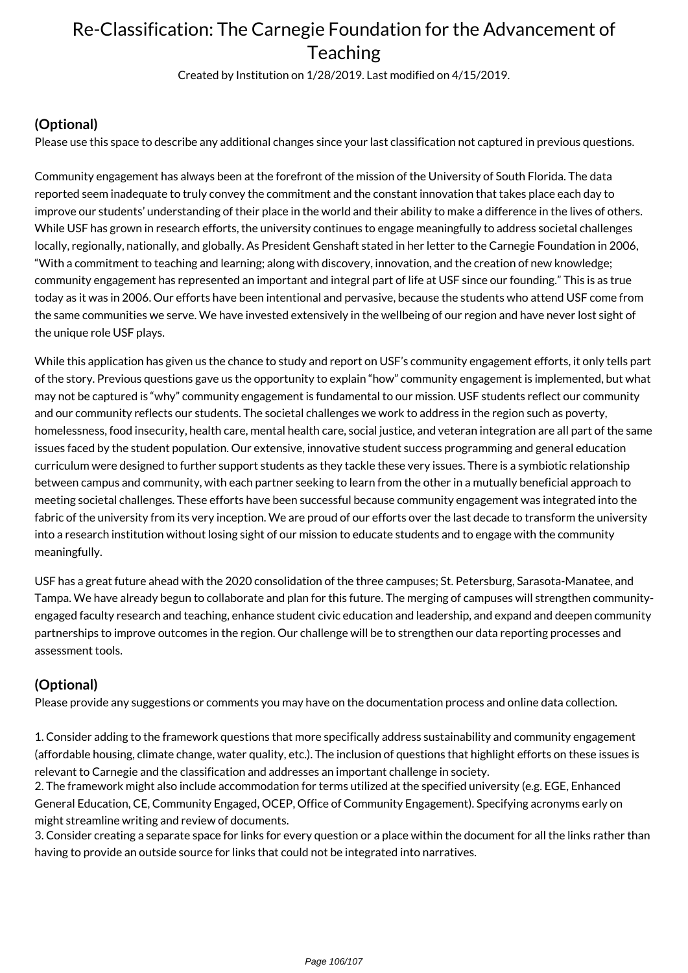Created by Institution on 1/28/2019. Last modified on 4/15/2019.

## **(Optional)**

Please use this space to describe any additional changes since your last classification not captured in previous questions.

Community engagement has always been at the forefront of the mission of the University of South Florida. The data reported seem inadequate to truly convey the commitment and the constant innovation that takes place each day to improve our students' understanding of their place in the world and their ability to make a difference in the lives of others. While USF has grown in research efforts, the university continues to engage meaningfully to address societal challenges locally, regionally, nationally, and globally. As President Genshaft stated in her letter to the Carnegie Foundation in 2006, "With a commitment to teaching and learning; along with discovery, innovation, and the creation of new knowledge; community engagement has represented an important and integral part of life at USF since our founding." This is as true today as it was in 2006. Our efforts have been intentional and pervasive, because the students who attend USF come from the same communities we serve. We have invested extensively in the wellbeing of our region and have never lost sight of the unique role USF plays.

While this application has given us the chance to study and report on USF's community engagement efforts, it only tells part of the story. Previous questions gave us the opportunity to explain "how" community engagement is implemented, but what may not be captured is "why" community engagement is fundamental to our mission. USF students reflect our community and our community reflects our students. The societal challenges we work to address in the region such as poverty, homelessness, food insecurity, health care, mental health care, social justice, and veteran integration are all part of the same issues faced by the student population. Our extensive, innovative student success programming and general education curriculum were designed to further support students as they tackle these very issues. There is a symbiotic relationship between campus and community, with each partner seeking to learn from the other in a mutually beneficial approach to meeting societal challenges. These efforts have been successful because community engagement was integrated into the fabric of the university from its very inception. We are proud of our efforts over the last decade to transform the university into a research institution without losing sight of our mission to educate students and to engage with the community meaningfully.

USF has a great future ahead with the 2020 consolidation of the three campuses; St. Petersburg, Sarasota-Manatee, and Tampa. We have already begun to collaborate and plan for this future. The merging of campuses will strengthen communityengaged faculty research and teaching, enhance student civic education and leadership, and expand and deepen community partnerships to improve outcomes in the region. Our challenge will be to strengthen our data reporting processes and assessment tools.

### **(Optional)**

Please provide any suggestions or comments you may have on the documentation process and online data collection.

1. Consider adding to the framework questions that more specifically address sustainability and community engagement (affordable housing, climate change, water quality, etc.). The inclusion of questions that highlight efforts on these issues is relevant to Carnegie and the classification and addresses an important challenge in society. 2. The framework might also include accommodation for terms utilized at the specified university (e.g. EGE, Enhanced General Education, CE, Community Engaged, OCEP, Office of Community Engagement). Specifying acronyms early on might streamline writing and review of documents.

3. Consider creating a separate space for links for every question or a place within the document for all the links rather than having to provide an outside source for links that could not be integrated into narratives.